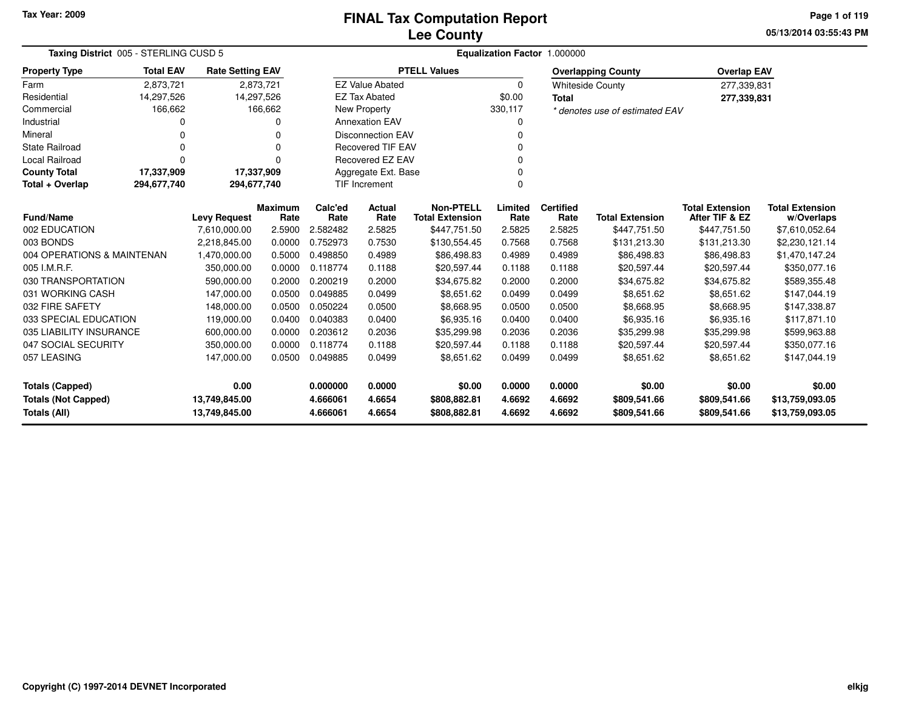#### **Lee CountyFINAL Tax Computation Report**

**05/13/2014 03:55:43 PMPage 1 of 119**

| Taxing District 005 - STERLING CUSD 5 | Equalization Factor 1.000000                                                        |                     |                |          |                          |                        |          |                  |                                |                        |                        |
|---------------------------------------|-------------------------------------------------------------------------------------|---------------------|----------------|----------|--------------------------|------------------------|----------|------------------|--------------------------------|------------------------|------------------------|
| <b>Property Type</b>                  | <b>Total EAV</b><br><b>Rate Setting EAV</b><br>2,873,721<br>2,873,721<br>14,297,526 |                     |                |          |                          | <b>PTELL Values</b>    |          |                  | <b>Overlapping County</b>      | <b>Overlap EAV</b>     |                        |
| Farm                                  |                                                                                     |                     |                |          | <b>EZ Value Abated</b>   |                        | $\Omega$ |                  | <b>Whiteside County</b>        | 277,339,831            |                        |
| Residential                           | 14,297,526                                                                          |                     |                |          | <b>EZ Tax Abated</b>     |                        | \$0.00   | <b>Total</b>     |                                | 277,339,831            |                        |
| Commercial                            | 166,662                                                                             |                     | 166,662        |          | <b>New Property</b>      |                        | 330,117  |                  | * denotes use of estimated EAV |                        |                        |
| Industrial                            |                                                                                     |                     |                |          | <b>Annexation EAV</b>    |                        | 0        |                  |                                |                        |                        |
| Mineral                               |                                                                                     |                     | 0              |          | <b>Disconnection EAV</b> |                        | $\Omega$ |                  |                                |                        |                        |
| <b>State Railroad</b>                 |                                                                                     |                     | 0              |          | <b>Recovered TIF EAV</b> |                        | $\Omega$ |                  |                                |                        |                        |
| <b>Local Railroad</b>                 | $\Omega$<br>U                                                                       |                     |                |          | <b>Recovered EZ EAV</b>  |                        | $\Omega$ |                  |                                |                        |                        |
| <b>County Total</b>                   | 17,337,909                                                                          | 17,337,909          |                |          | Aggregate Ext. Base      |                        | 0        |                  |                                |                        |                        |
| Total + Overlap                       | 294,677,740<br>294,677,740                                                          |                     |                |          | <b>TIF Increment</b>     |                        | $\Omega$ |                  |                                |                        |                        |
|                                       |                                                                                     |                     | <b>Maximum</b> | Calc'ed  | Actual                   | <b>Non-PTELL</b>       | Limited  | <b>Certified</b> |                                | <b>Total Extension</b> | <b>Total Extension</b> |
| <b>Fund/Name</b>                      |                                                                                     | <b>Levy Request</b> | Rate           | Rate     | Rate                     | <b>Total Extension</b> | Rate     | Rate             | <b>Total Extension</b>         | After TIF & EZ         | w/Overlaps             |
| 002 EDUCATION                         |                                                                                     | 7,610,000.00        | 2.5900         | 2.582482 | 2.5825                   | \$447,751.50           | 2.5825   | 2.5825           | \$447,751.50                   | \$447,751.50           | \$7,610,052.64         |
| 003 BONDS                             |                                                                                     | 2,218,845.00        | 0.0000         | 0.752973 | 0.7530                   | \$130,554.45           | 0.7568   | 0.7568           | \$131,213.30                   | \$131,213.30           | \$2,230,121.14         |
| 004 OPERATIONS & MAINTENAN            |                                                                                     | 1,470,000.00        | 0.5000         | 0.498850 | 0.4989                   | \$86,498.83            | 0.4989   | 0.4989           | \$86,498.83                    | \$86,498.83            | \$1,470,147.24         |
| 005 I.M.R.F.                          |                                                                                     | 350,000.00          | 0.0000         | 0.118774 | 0.1188                   | \$20,597.44            | 0.1188   | 0.1188           | \$20,597.44                    | \$20,597.44            | \$350,077.16           |
| 030 TRANSPORTATION                    |                                                                                     | 590,000.00          | 0.2000         | 0.200219 | 0.2000                   | \$34,675.82            | 0.2000   | 0.2000           | \$34,675.82                    | \$34,675.82            | \$589,355.48           |
| 031 WORKING CASH                      |                                                                                     | 147,000.00          | 0.0500         | 0.049885 | 0.0499                   | \$8,651.62             | 0.0499   | 0.0499           | \$8,651.62                     | \$8,651.62             | \$147,044.19           |
| 032 FIRE SAFETY                       |                                                                                     | 148,000.00          | 0.0500         | 0.050224 | 0.0500                   | \$8,668.95             | 0.0500   | 0.0500           | \$8,668.95                     | \$8,668.95             | \$147,338.87           |
| 033 SPECIAL EDUCATION                 |                                                                                     | 119,000.00          | 0.0400         | 0.040383 | 0.0400                   | \$6,935.16             | 0.0400   | 0.0400           | \$6,935.16                     | \$6,935.16             | \$117,871.10           |
| 035 LIABILITY INSURANCE               |                                                                                     | 600,000.00          | 0.0000         | 0.203612 | 0.2036                   | \$35,299.98            | 0.2036   | 0.2036           | \$35,299.98                    | \$35,299.98            | \$599,963.88           |
| 047 SOCIAL SECURITY                   |                                                                                     | 350,000.00          | 0.0000         | 0.118774 | 0.1188                   | \$20,597.44            | 0.1188   | 0.1188           | \$20,597.44                    | \$20,597.44            | \$350,077.16           |
| 057 LEASING                           |                                                                                     | 147,000.00          | 0.0500         | 0.049885 | 0.0499                   | \$8,651.62             | 0.0499   | 0.0499           | \$8,651.62                     | \$8,651.62             | \$147,044.19           |
| Totals (Capped)                       |                                                                                     | 0.00                |                | 0.000000 | 0.0000                   | \$0.00                 | 0.0000   | 0.0000           | \$0.00                         | \$0.00                 | \$0.00                 |
| <b>Totals (Not Capped)</b>            |                                                                                     | 13,749,845.00       |                | 4.666061 | 4.6654                   | \$808,882.81           | 4.6692   | 4.6692           | \$809,541.66                   | \$809,541.66           | \$13,759,093.05        |
| <b>Totals (All)</b>                   |                                                                                     | 13,749,845.00       |                | 4.666061 | 4.6654                   | \$808,882.81           | 4.6692   | 4.6692           | \$809,541.66                   | \$809,541.66           | \$13,759,093.05        |

-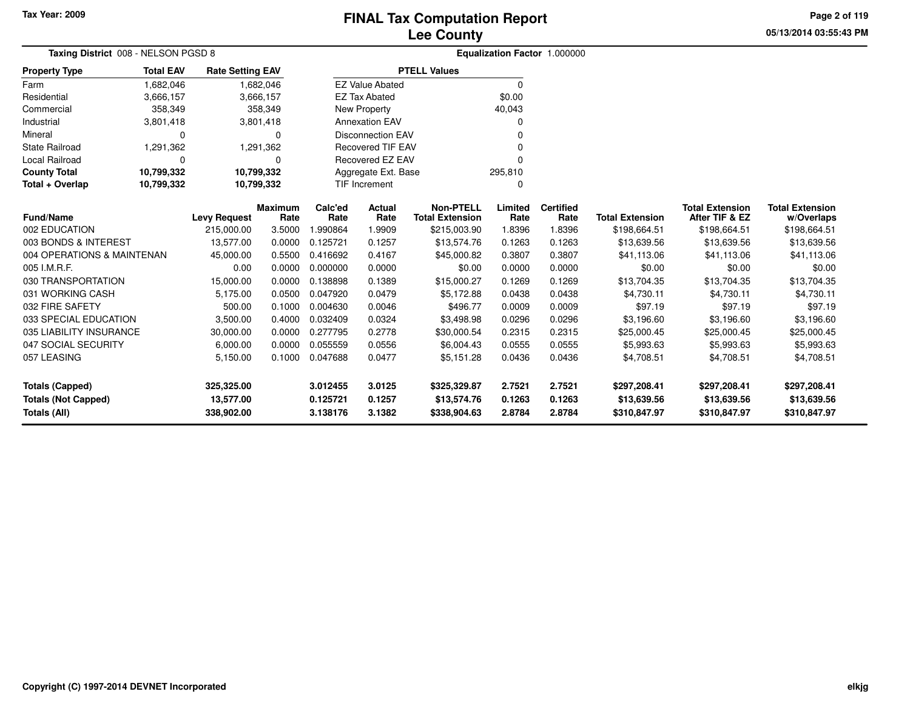**05/13/2014 03:55:43 PMPage 2 of 119**

| Taxing District 008 - NELSON PGSD 8 |                  |                         |                        |                 |                          |                                            |                 | Equalization Factor 1.000000 |                        |                                          |                                      |
|-------------------------------------|------------------|-------------------------|------------------------|-----------------|--------------------------|--------------------------------------------|-----------------|------------------------------|------------------------|------------------------------------------|--------------------------------------|
| <b>Property Type</b>                | <b>Total EAV</b> | <b>Rate Setting EAV</b> |                        |                 |                          | <b>PTELL Values</b>                        |                 |                              |                        |                                          |                                      |
| Farm                                | 1,682,046        |                         | 1,682,046              |                 | <b>EZ Value Abated</b>   |                                            | $\Omega$        |                              |                        |                                          |                                      |
| Residential                         | 3,666,157        |                         | 3,666,157              |                 | <b>EZ Tax Abated</b>     |                                            | \$0.00          |                              |                        |                                          |                                      |
| Commercial                          | 358,349          |                         | 358,349                |                 | <b>New Property</b>      |                                            | 40,043          |                              |                        |                                          |                                      |
| Industrial                          | 3,801,418        |                         | 3,801,418              |                 | <b>Annexation EAV</b>    |                                            |                 |                              |                        |                                          |                                      |
| Mineral                             | $\Omega$         |                         | 0                      |                 | <b>Disconnection EAV</b> |                                            |                 |                              |                        |                                          |                                      |
| <b>State Railroad</b>               | 1,291,362        |                         | 1,291,362              |                 | <b>Recovered TIF EAV</b> |                                            |                 |                              |                        |                                          |                                      |
| <b>Local Railroad</b>               | $\Omega$         |                         | $\Omega$               |                 | Recovered EZ EAV<br>n    |                                            |                 |                              |                        |                                          |                                      |
| <b>County Total</b>                 | 10,799,332       | 10,799,332              |                        |                 | Aggregate Ext. Base      |                                            | 295,810         |                              |                        |                                          |                                      |
| Total + Overlap                     | 10,799,332       | 10,799,332              |                        |                 | TIF Increment            |                                            | $\Omega$        |                              |                        |                                          |                                      |
| <b>Fund/Name</b>                    |                  | <b>Levy Request</b>     | <b>Maximum</b><br>Rate | Calc'ed<br>Rate | Actual<br>Rate           | <b>Non-PTELL</b><br><b>Total Extension</b> | Limited<br>Rate | <b>Certified</b><br>Rate     | <b>Total Extension</b> | <b>Total Extension</b><br>After TIF & EZ | <b>Total Extension</b><br>w/Overlaps |
| 002 EDUCATION                       |                  | 215,000.00              | 3.5000                 | 1.990864        | 1.9909                   | \$215,003.90                               | 1.8396          | 1.8396                       | \$198,664.51           | \$198,664.51                             | \$198,664.51                         |
| 003 BONDS & INTEREST                |                  | 13,577.00               | 0.0000                 | 0.125721        | 0.1257                   | \$13,574.76                                | 0.1263          | 0.1263                       | \$13,639.56            | \$13,639.56                              | \$13,639.56                          |
| 004 OPERATIONS & MAINTENAN          |                  | 45,000.00               | 0.5500                 | 0.416692        | 0.4167                   | \$45,000.82                                | 0.3807          | 0.3807                       | \$41,113.06            | \$41,113.06                              | \$41,113.06                          |
| 005 I.M.R.F.                        |                  | 0.00                    | 0.0000                 | 0.000000        | 0.0000                   | \$0.00                                     | 0.0000          | 0.0000                       | \$0.00                 | \$0.00                                   | \$0.00                               |
| 030 TRANSPORTATION                  |                  | 15,000.00               | 0.0000                 | 0.138898        | 0.1389                   | \$15,000.27                                | 0.1269          | 0.1269                       | \$13,704.35            | \$13,704.35                              | \$13,704.35                          |
| 031 WORKING CASH                    |                  | 5,175.00                | 0.0500                 | 0.047920        | 0.0479                   | \$5,172.88                                 | 0.0438          | 0.0438                       | \$4,730.11             | \$4,730.11                               | \$4,730.11                           |
| 032 FIRE SAFETY                     |                  | 500.00                  | 0.1000                 | 0.004630        | 0.0046                   | \$496.77                                   | 0.0009          | 0.0009                       | \$97.19                | \$97.19                                  | \$97.19                              |
| 033 SPECIAL EDUCATION               |                  | 3,500.00                | 0.4000                 | 0.032409        | 0.0324                   | \$3,498.98                                 | 0.0296          | 0.0296                       | \$3,196.60             | \$3,196.60                               | \$3,196.60                           |
| 035 LIABILITY INSURANCE             |                  | 30,000.00               | 0.0000                 | 0.277795        | 0.2778                   | \$30,000.54                                | 0.2315          | 0.2315                       | \$25,000.45            | \$25,000.45                              | \$25,000.45                          |
| 047 SOCIAL SECURITY                 |                  | 6,000.00                | 0.0000                 | 0.055559        | 0.0556                   | \$6,004.43                                 | 0.0555          | 0.0555                       | \$5,993.63             | \$5,993.63                               | \$5,993.63                           |
| 057 LEASING                         |                  | 5,150.00                | 0.1000                 | 0.047688        | 0.0477                   | \$5,151.28                                 | 0.0436          | 0.0436                       | \$4,708.51             | \$4,708.51                               | \$4,708.51                           |
| <b>Totals (Capped)</b>              |                  | 325,325.00              |                        | 3.012455        | 3.0125                   | \$325,329.87                               | 2.7521          | 2.7521                       | \$297,208.41           | \$297,208.41                             | \$297,208.41                         |
| <b>Totals (Not Capped)</b>          |                  | 13,577.00               |                        | 0.125721        | 0.1257                   | \$13,574.76                                | 0.1263          | 0.1263                       | \$13,639.56            | \$13,639.56                              | \$13,639.56                          |
| Totals (All)                        |                  | 338,902.00              |                        | 3.138176        | 3.1382                   | \$338,904.63                               | 2.8784          | 2.8784                       | \$310,847.97           | \$310,847.97                             | \$310,847.97                         |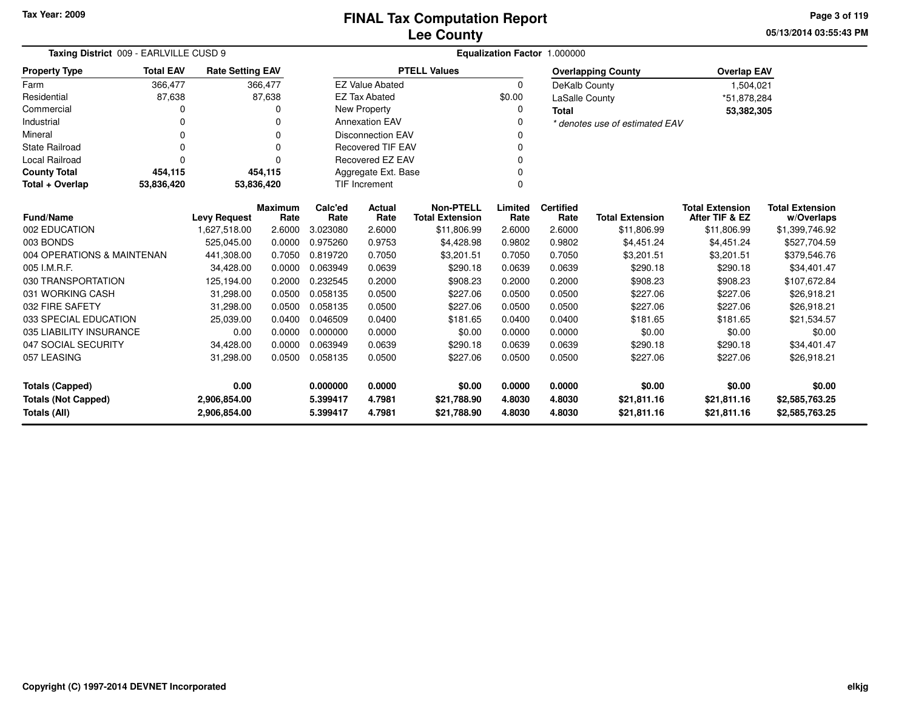**05/13/2014 03:55:43 PM Page 3 of 119**

| Taxing District 009 - EARLVILLE CUSD 9                                            | Equalization Factor 1.000000                       |                         |          |                          |                          |                        |          |                  |                                |                        |                        |
|-----------------------------------------------------------------------------------|----------------------------------------------------|-------------------------|----------|--------------------------|--------------------------|------------------------|----------|------------------|--------------------------------|------------------------|------------------------|
| <b>Property Type</b>                                                              | <b>Total EAV</b>                                   | <b>Rate Setting EAV</b> |          |                          |                          | <b>PTELL Values</b>    |          |                  | <b>Overlapping County</b>      | <b>Overlap EAV</b>     |                        |
| Farm                                                                              | 366,477                                            |                         | 366,477  |                          | <b>EZ Value Abated</b>   |                        | $\Omega$ | DeKalb County    |                                | 1,504,021              |                        |
| Residential                                                                       | 87,638                                             |                         | 87,638   |                          | <b>EZ Tax Abated</b>     |                        | \$0.00   | LaSalle County   |                                | *51,878,284            |                        |
| Commercial                                                                        | ი                                                  |                         | 0        |                          | New Property             |                        | $\Omega$ | <b>Total</b>     |                                | 53,382,305             |                        |
| Industrial                                                                        |                                                    |                         | 0        |                          | <b>Annexation EAV</b>    |                        |          |                  | * denotes use of estimated EAV |                        |                        |
| Mineral                                                                           | 0                                                  |                         | $\Omega$ | <b>Disconnection EAV</b> |                          |                        |          |                  |                                |                        |                        |
| <b>State Railroad</b>                                                             | $\Omega$                                           |                         | $\Omega$ |                          | <b>Recovered TIF EAV</b> |                        |          |                  |                                |                        |                        |
| <b>Local Railroad</b>                                                             | $\Omega$                                           |                         | $\Omega$ |                          | <b>Recovered EZ EAV</b>  |                        |          |                  |                                |                        |                        |
| <b>County Total</b>                                                               | 454,115                                            |                         | 454,115  |                          | Aggregate Ext. Base      |                        |          |                  |                                |                        |                        |
| Total + Overlap                                                                   | 53,836,420                                         | 53,836,420              |          |                          | <b>TIF Increment</b>     |                        | $\Omega$ |                  |                                |                        |                        |
|                                                                                   | Maximum<br><b>Fund/Name</b><br><b>Levy Request</b> |                         |          |                          |                          | <b>Non-PTELL</b>       | Limited  | <b>Certified</b> |                                | <b>Total Extension</b> | <b>Total Extension</b> |
|                                                                                   |                                                    |                         | Rate     | Rate                     | Rate                     | <b>Total Extension</b> | Rate     | Rate             | <b>Total Extension</b>         | After TIF & EZ         | w/Overlaps             |
| 002 EDUCATION                                                                     |                                                    | 1,627,518.00            | 2.6000   | 3.023080                 | 2.6000                   | \$11,806.99            | 2.6000   | 2.6000           | \$11,806.99                    | \$11,806.99            | \$1,399,746.92         |
| 003 BONDS                                                                         |                                                    | 525,045.00              | 0.0000   | 0.975260                 | 0.9753                   | \$4,428.98             | 0.9802   | 0.9802           | \$4,451.24                     | \$4,451.24             | \$527,704.59           |
| 004 OPERATIONS & MAINTENAN                                                        |                                                    | 441,308.00              | 0.7050   | 0.819720                 | 0.7050                   | \$3,201.51             | 0.7050   | 0.7050           | \$3,201.51                     | \$3,201.51             | \$379,546.76           |
| 005 I.M.R.F.                                                                      |                                                    | 34,428.00               | 0.0000   | 0.063949                 | 0.0639                   | \$290.18               | 0.0639   | 0.0639           | \$290.18                       | \$290.18               | \$34,401.47            |
| 030 TRANSPORTATION                                                                |                                                    | 125,194.00              | 0.2000   | 0.232545                 | 0.2000                   | \$908.23               | 0.2000   | 0.2000           | \$908.23                       | \$908.23               | \$107,672.84           |
| 031 WORKING CASH                                                                  |                                                    | 31,298.00               | 0.0500   | 0.058135                 | 0.0500                   | \$227.06               | 0.0500   | 0.0500           | \$227.06                       | \$227.06               | \$26,918.21            |
| 032 FIRE SAFETY                                                                   |                                                    | 31,298.00               | 0.0500   | 0.058135                 | 0.0500                   | \$227.06               | 0.0500   | 0.0500           | \$227.06                       | \$227.06               | \$26,918.21            |
| 033 SPECIAL EDUCATION                                                             |                                                    | 25,039.00               | 0.0400   | 0.046509                 | 0.0400                   | \$181.65               | 0.0400   | 0.0400           | \$181.65                       | \$181.65               | \$21,534.57            |
| 035 LIABILITY INSURANCE                                                           |                                                    | 0.00                    | 0.0000   | 0.000000                 | 0.0000                   | \$0.00                 | 0.0000   | 0.0000           | \$0.00                         | \$0.00                 | \$0.00                 |
| 047 SOCIAL SECURITY                                                               |                                                    | 34,428.00               | 0.0000   | 0.063949                 | 0.0639                   | \$290.18               | 0.0639   | 0.0639           | \$290.18                       | \$290.18               | \$34,401.47            |
| 057 LEASING<br>0.0500<br>31,298.00                                                |                                                    | 0.058135                | 0.0500   | \$227.06                 | 0.0500                   | 0.0500                 | \$227.06 | \$227.06         | \$26,918.21                    |                        |                        |
| 0.00<br><b>Totals (Capped)</b>                                                    |                                                    |                         |          | 0.000000                 | 0.0000                   | \$0.00                 | 0.0000   | 0.0000           | \$0.00                         | \$0.00                 | \$0.00                 |
|                                                                                   |                                                    |                         |          | 5.399417                 | 4.7981                   | \$21,788.90            | 4.8030   | 4.8030           | \$21,811.16                    | \$21,811.16            | \$2,585,763.25         |
| <b>Totals (Not Capped)</b><br>2,906,854.00<br><b>Totals (All)</b><br>2,906,854.00 |                                                    |                         |          | 5.399417                 | 4.7981                   | \$21,788.90            | 4.8030   | 4.8030           | \$21,811.16                    | \$21,811.16            | \$2,585,763.25         |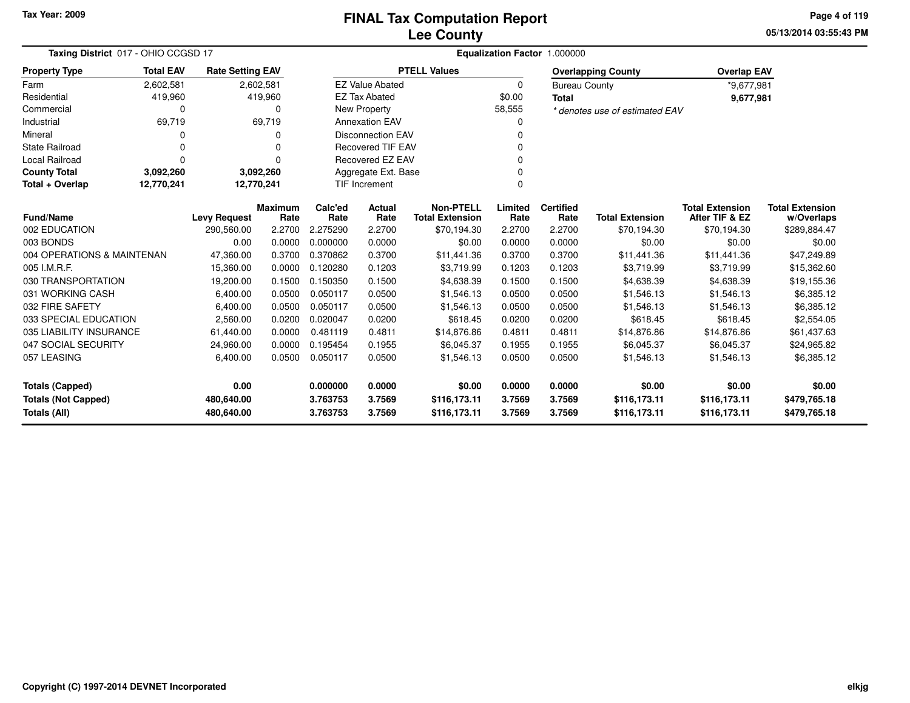**05/13/2014 03:55:43 PMPage 4 of 119**

| Taxing District 017 - OHIO CCGSD 17 |                                                                                  |                                          |                        |                 |                          |                                            |                 | Equalization Factor 1.000000 |                                |                                          |                                      |
|-------------------------------------|----------------------------------------------------------------------------------|------------------------------------------|------------------------|-----------------|--------------------------|--------------------------------------------|-----------------|------------------------------|--------------------------------|------------------------------------------|--------------------------------------|
| <b>Property Type</b>                | <b>Total EAV</b><br><b>Rate Setting EAV</b><br>2,602,581<br>2,602,581<br>419,960 |                                          |                        |                 |                          | <b>PTELL Values</b>                        |                 |                              | <b>Overlapping County</b>      | <b>Overlap EAV</b>                       |                                      |
| Farm                                |                                                                                  |                                          |                        |                 | <b>EZ Value Abated</b>   |                                            | $\Omega$        | <b>Bureau County</b>         |                                | *9,677,981                               |                                      |
| Residential                         | 419,960                                                                          |                                          |                        |                 | <b>EZ Tax Abated</b>     |                                            | \$0.00          | <b>Total</b>                 |                                | 9,677,981                                |                                      |
| Commercial                          | 0                                                                                |                                          | 0                      |                 | <b>New Property</b>      |                                            | 58,555          |                              | * denotes use of estimated EAV |                                          |                                      |
| Industrial                          | 69,719                                                                           |                                          | 69,719                 |                 | <b>Annexation EAV</b>    |                                            | 0               |                              |                                |                                          |                                      |
| Mineral                             | 0                                                                                |                                          | n                      |                 | <b>Disconnection EAV</b> |                                            | 0               |                              |                                |                                          |                                      |
| <b>State Railroad</b>               | 0                                                                                |                                          | $\Omega$               |                 | <b>Recovered TIF EAV</b> |                                            | $\Omega$        |                              |                                |                                          |                                      |
| Local Railroad                      | 0                                                                                | Recovered EZ EAV<br>$\Omega$<br>$\Omega$ |                        |                 |                          |                                            |                 |                              |                                |                                          |                                      |
| <b>County Total</b>                 | 3,092,260                                                                        |                                          | 3,092,260              |                 | Aggregate Ext. Base      |                                            |                 |                              |                                |                                          |                                      |
| Total + Overlap                     | 12,770,241<br>TIF Increment<br>12,770,241<br>$\Omega$                            |                                          |                        |                 |                          |                                            |                 |                              |                                |                                          |                                      |
| <b>Fund/Name</b>                    |                                                                                  | <b>Levy Request</b>                      | <b>Maximum</b><br>Rate | Calc'ed<br>Rate | Actual<br>Rate           | <b>Non-PTELL</b><br><b>Total Extension</b> | Limited<br>Rate | <b>Certified</b><br>Rate     | <b>Total Extension</b>         | <b>Total Extension</b><br>After TIF & EZ | <b>Total Extension</b><br>w/Overlaps |
| 002 EDUCATION                       |                                                                                  | 290,560.00                               | 2.2700                 | 2.275290        | 2.2700                   | \$70,194.30                                | 2.2700          | 2.2700                       | \$70,194.30                    | \$70,194.30                              | \$289,884.47                         |
| 003 BONDS                           |                                                                                  | 0.00                                     | 0.0000                 | 0.000000        | 0.0000                   | \$0.00                                     | 0.0000          | 0.0000                       | \$0.00                         | \$0.00                                   | \$0.00                               |
| 004 OPERATIONS & MAINTENAN          |                                                                                  | 47,360.00                                | 0.3700                 | 0.370862        | 0.3700                   | \$11,441.36                                | 0.3700          | 0.3700                       | \$11,441.36                    | \$11,441.36                              | \$47,249.89                          |
| 005 I.M.R.F.                        |                                                                                  | 15,360.00                                | 0.0000                 | 0.120280        | 0.1203                   | \$3,719.99                                 | 0.1203          | 0.1203                       | \$3,719.99                     | \$3,719.99                               | \$15,362.60                          |
| 030 TRANSPORTATION                  |                                                                                  | 19,200.00                                | 0.1500                 | 0.150350        | 0.1500                   | \$4,638.39                                 | 0.1500          | 0.1500                       | \$4,638.39                     | \$4,638.39                               | \$19,155.36                          |
| 031 WORKING CASH                    |                                                                                  | 6,400.00                                 | 0.0500                 | 0.050117        | 0.0500                   | \$1,546.13                                 | 0.0500          | 0.0500                       | \$1,546.13                     | \$1,546.13                               | \$6,385.12                           |
| 032 FIRE SAFETY                     |                                                                                  | 6,400.00                                 | 0.0500                 | 0.050117        | 0.0500                   | \$1,546.13                                 | 0.0500          | 0.0500                       | \$1,546.13                     | \$1,546.13                               | \$6,385.12                           |
| 033 SPECIAL EDUCATION               |                                                                                  | 2,560.00                                 | 0.0200                 | 0.020047        | 0.0200                   | \$618.45                                   | 0.0200          | 0.0200                       | \$618.45                       | \$618.45                                 | \$2,554.05                           |
| 035 LIABILITY INSURANCE             |                                                                                  | 61,440.00                                | 0.0000                 | 0.481119        | 0.4811                   | \$14,876.86                                | 0.4811          | 0.4811                       | \$14,876.86                    | \$14,876.86                              | \$61,437.63                          |
| 047 SOCIAL SECURITY                 |                                                                                  | 24,960.00                                | 0.0000                 | 0.195454        | 0.1955                   | \$6,045.37                                 | 0.1955          | 0.1955                       | \$6,045.37                     | \$6,045.37                               | \$24,965.82                          |
| 057 LEASING                         |                                                                                  | 6,400.00                                 | 0.0500                 | 0.050117        | 0.0500                   | \$1,546.13                                 | 0.0500          | 0.0500                       | \$1,546.13                     | \$1,546.13                               | \$6,385.12                           |
| <b>Totals (Capped)</b>              |                                                                                  | 0.00                                     |                        | 0.000000        | 0.0000                   | \$0.00                                     | 0.0000          | 0.0000                       | \$0.00                         | \$0.00                                   | \$0.00                               |
| <b>Totals (Not Capped)</b>          |                                                                                  | 480,640.00                               |                        | 3.763753        | 3.7569                   | \$116,173.11                               | 3.7569          | 3.7569                       | \$116,173.11                   | \$116,173.11                             | \$479,765.18                         |
| <b>Totals (All)</b>                 |                                                                                  | 480,640.00                               |                        | 3.763753        | 3.7569                   | \$116,173.11                               | 3.7569          | 3.7569                       | \$116,173.11                   | \$116,173.11                             | \$479,765.18                         |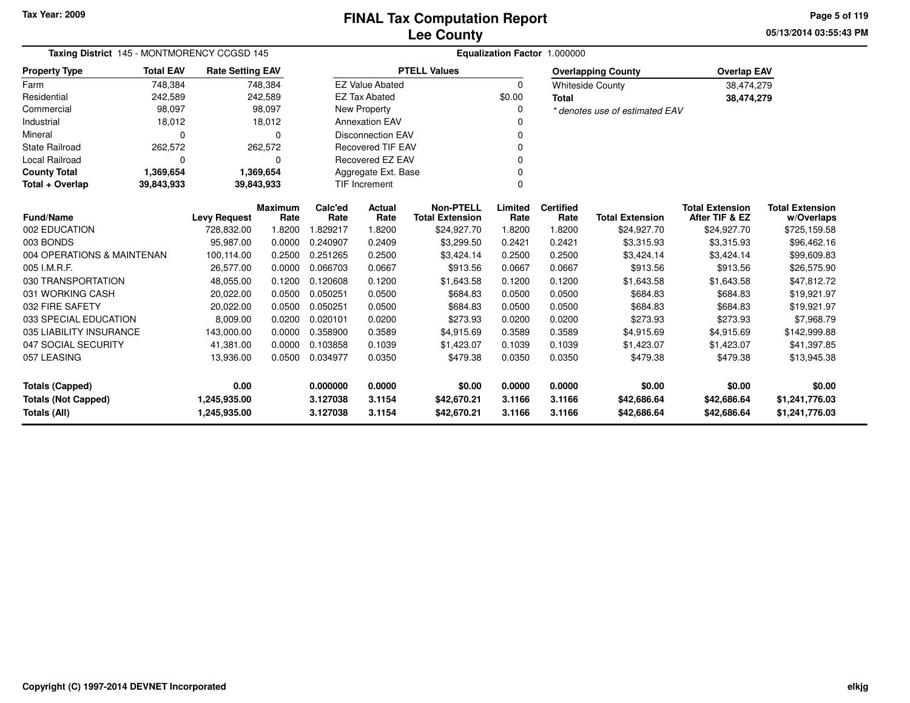**05/13/2014 03:55:43 PMPage 5 of 119**

| Taxing District 145 - MONTMORENCY CCGSD 145                  | Equalization Factor 1.000000                     |                                     |                |          |                        |                        |          |                  |                                |                        |                        |
|--------------------------------------------------------------|--------------------------------------------------|-------------------------------------|----------------|----------|------------------------|------------------------|----------|------------------|--------------------------------|------------------------|------------------------|
| <b>Property Type</b>                                         | <b>Total EAV</b>                                 | <b>Rate Setting EAV</b>             |                |          |                        | <b>PTELL Values</b>    |          |                  | <b>Overlapping County</b>      | <b>Overlap EAV</b>     |                        |
| Farm                                                         | 748,384                                          |                                     | 748,384        |          | <b>EZ Value Abated</b> |                        | $\Omega$ |                  | <b>Whiteside County</b>        | 38,474,279             |                        |
| Residential                                                  | 242,589                                          |                                     | 242,589        |          | <b>EZ Tax Abated</b>   |                        | \$0.00   | <b>Total</b>     |                                | 38,474,279             |                        |
| Commercial                                                   | 98,097                                           |                                     | 98,097         |          | New Property           |                        | $\Omega$ |                  | * denotes use of estimated EAV |                        |                        |
| Industrial                                                   | 18,012                                           |                                     | 18,012         |          | <b>Annexation EAV</b>  |                        |          |                  |                                |                        |                        |
| Mineral                                                      | <b>Disconnection EAV</b><br>$\Omega$<br>$\Omega$ |                                     |                |          |                        | 0                      |          |                  |                                |                        |                        |
| <b>State Railroad</b>                                        | 262,572                                          | 262,572<br><b>Recovered TIF EAV</b> |                |          |                        |                        |          |                  |                                |                        |                        |
| Local Railroad                                               | <b>Recovered EZ EAV</b><br>$\Omega$<br>0<br>0    |                                     |                |          |                        |                        |          |                  |                                |                        |                        |
| <b>County Total</b>                                          | 1,369,654                                        |                                     | 1,369,654      |          | Aggregate Ext. Base    |                        | $\Omega$ |                  |                                |                        |                        |
| 39,843,933<br>39,843,933<br>TIF Increment<br>Total + Overlap |                                                  |                                     |                |          |                        |                        | $\Omega$ |                  |                                |                        |                        |
|                                                              |                                                  |                                     | <b>Maximum</b> | Calc'ed  | <b>Actual</b>          | <b>Non-PTELL</b>       | Limited  | <b>Certified</b> |                                | <b>Total Extension</b> | <b>Total Extension</b> |
| <b>Fund/Name</b>                                             |                                                  | <b>Levy Request</b>                 | Rate           | Rate     | Rate                   | <b>Total Extension</b> | Rate     | Rate             | <b>Total Extension</b>         | After TIF & EZ         | w/Overlaps             |
| 002 EDUCATION                                                |                                                  | 728,832.00                          | 1.8200         | 1.829217 | 1.8200                 | \$24,927.70            | 1.8200   | 1.8200           | \$24,927.70                    | \$24,927.70            | \$725,159.58           |
| 003 BONDS                                                    |                                                  | 95,987.00                           | 0.0000         | 0.240907 | 0.2409                 | \$3,299.50             | 0.2421   | 0.2421           | \$3,315.93                     | \$3,315.93             | \$96,462.16            |
| 004 OPERATIONS & MAINTENAN                                   |                                                  | 100,114.00                          | 0.2500         | 0.251265 | 0.2500                 | \$3,424.14             | 0.2500   | 0.2500           | \$3,424.14                     | \$3,424.14             | \$99,609.83            |
| 005 I.M.R.F.                                                 |                                                  | 26.577.00                           | 0.0000         | 0.066703 | 0.0667                 | \$913.56               | 0.0667   | 0.0667           | \$913.56                       | \$913.56               | \$26,575.90            |
| 030 TRANSPORTATION                                           |                                                  | 48,055.00                           | 0.1200         | 0.120608 | 0.1200                 | \$1,643.58             | 0.1200   | 0.1200           | \$1,643.58                     | \$1,643.58             | \$47,812.72            |
| 031 WORKING CASH                                             |                                                  | 20,022.00                           | 0.0500         | 0.050251 | 0.0500                 | \$684.83               | 0.0500   | 0.0500           | \$684.83                       | \$684.83               | \$19,921.97            |
| 032 FIRE SAFETY                                              |                                                  | 20,022.00                           | 0.0500         | 0.050251 | 0.0500                 | \$684.83               | 0.0500   | 0.0500           | \$684.83                       | \$684.83               | \$19,921.97            |
| 033 SPECIAL EDUCATION                                        |                                                  | 8,009.00                            | 0.0200         | 0.020101 | 0.0200                 | \$273.93               | 0.0200   | 0.0200           | \$273.93                       | \$273.93               | \$7,968.79             |
| 035 LIABILITY INSURANCE                                      |                                                  | 143,000.00                          | 0.0000         | 0.358900 | 0.3589                 | \$4,915.69             | 0.3589   | 0.3589           | \$4,915.69                     | \$4,915.69             | \$142,999.88           |
| 047 SOCIAL SECURITY                                          |                                                  | 41,381.00                           | 0.0000         | 0.103858 | 0.1039                 | \$1,423.07             | 0.1039   | 0.1039           | \$1,423.07                     | \$1,423.07             | \$41,397.85            |
| 057 LEASING                                                  |                                                  | 13,936.00                           | 0.0500         | 0.034977 | 0.0350                 | \$479.38               | 0.0350   | 0.0350           | \$479.38                       | \$479.38               | \$13,945.38            |
| <b>Totals (Capped)</b>                                       |                                                  | 0.00                                |                | 0.000000 | 0.0000                 | \$0.00                 | 0.0000   | 0.0000           | \$0.00                         | \$0.00                 | \$0.00                 |
| <b>Totals (Not Capped)</b>                                   |                                                  | 1,245,935.00                        |                | 3.127038 | 3.1154                 | \$42,670.21            | 3.1166   | 3.1166           | \$42,686.64                    | \$42,686.64            | \$1,241,776.03         |
| <b>Totals (All)</b>                                          |                                                  | 1,245,935.00                        |                | 3.127038 | 3.1154                 | \$42,670.21            | 3.1166   | 3.1166           | \$42,686.64                    | \$42,686.64            | \$1,241,776.03         |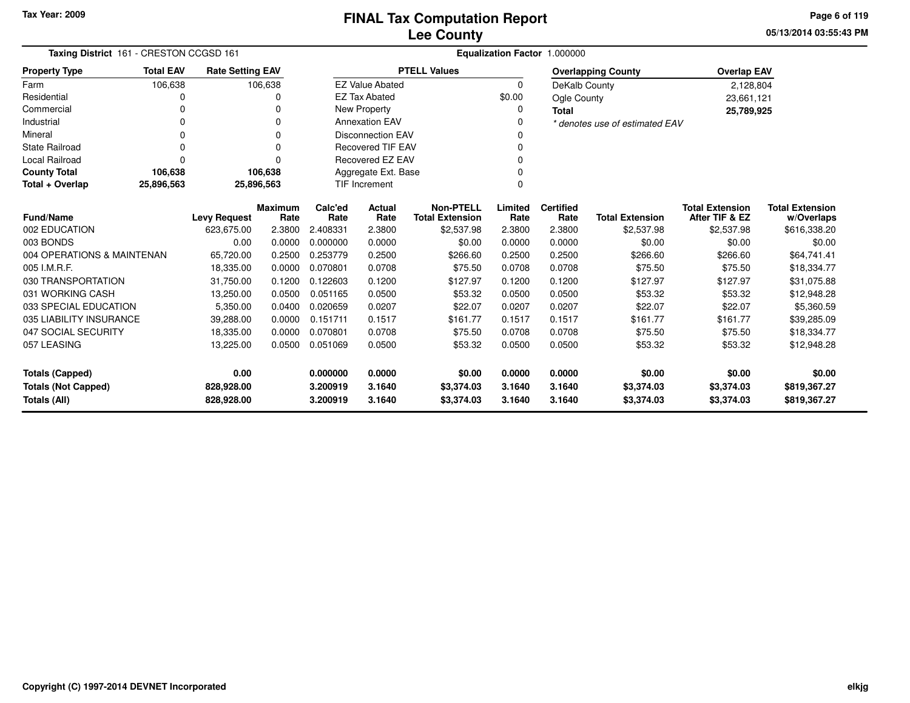**05/13/2014 03:55:43 PMPage 6 of 119**

| Taxing District 161 - CRESTON CCGSD 161  |                                           |                         |                        |                      |                          |                                            | Equalization Factor 1.000000 |                          |                                |                                          |                                      |
|------------------------------------------|-------------------------------------------|-------------------------|------------------------|----------------------|--------------------------|--------------------------------------------|------------------------------|--------------------------|--------------------------------|------------------------------------------|--------------------------------------|
| <b>Property Type</b>                     | <b>Total EAV</b>                          | <b>Rate Setting EAV</b> |                        |                      |                          | <b>PTELL Values</b>                        |                              |                          | <b>Overlapping County</b>      | <b>Overlap EAV</b>                       |                                      |
| Farm                                     | 106,638                                   |                         | 106,638                |                      | <b>EZ Value Abated</b>   |                                            | $\Omega$                     | DeKalb County            |                                | 2,128,804                                |                                      |
| Residential                              | 0                                         |                         | 0                      |                      | <b>EZ Tax Abated</b>     |                                            | \$0.00                       | Ogle County              |                                | 23,661,121                               |                                      |
| Commercial                               | $\Omega$                                  |                         | $\Omega$               |                      | New Property             |                                            | 0                            | <b>Total</b>             |                                | 25,789,925                               |                                      |
| Industrial                               | 0                                         |                         | $\Omega$               |                      | <b>Annexation EAV</b>    |                                            | 0                            |                          | * denotes use of estimated EAV |                                          |                                      |
| Mineral                                  | ი                                         |                         | $\Omega$               |                      | <b>Disconnection EAV</b> |                                            | 0                            |                          |                                |                                          |                                      |
| <b>State Railroad</b>                    | 0                                         |                         | O                      |                      | <b>Recovered TIF EAV</b> |                                            | 0                            |                          |                                |                                          |                                      |
| Local Railroad                           | 0                                         |                         | O                      |                      | <b>Recovered EZ EAV</b>  |                                            | 0                            |                          |                                |                                          |                                      |
| <b>County Total</b>                      | 106,638<br>106,638<br>Aggregate Ext. Base |                         |                        |                      |                          |                                            | 0                            |                          |                                |                                          |                                      |
| Total + Overlap                          | 25,896,563                                | 25,896,563              |                        | <b>TIF Increment</b> |                          |                                            | 0                            |                          |                                |                                          |                                      |
| <b>Fund/Name</b>                         |                                           | <b>Levy Request</b>     | <b>Maximum</b><br>Rate | Calc'ed<br>Rate      | Actual<br>Rate           | <b>Non-PTELL</b><br><b>Total Extension</b> | Limited<br>Rate              | <b>Certified</b><br>Rate | <b>Total Extension</b>         | <b>Total Extension</b><br>After TIF & EZ | <b>Total Extension</b><br>w/Overlaps |
| 002 EDUCATION                            |                                           | 623,675.00              | 2.3800                 | 2.408331             | 2.3800                   | \$2,537.98                                 | 2.3800                       | 2.3800                   | \$2,537.98                     | \$2,537.98                               | \$616,338.20                         |
| 003 BONDS                                |                                           | 0.00                    | 0.0000                 | 0.000000             | 0.0000                   | \$0.00                                     | 0.0000                       | 0.0000                   | \$0.00                         | \$0.00                                   | \$0.00                               |
| 004 OPERATIONS & MAINTENAN               |                                           | 65,720.00               | 0.2500                 | 0.253779             | 0.2500                   | \$266.60                                   | 0.2500                       | 0.2500                   | \$266.60                       | \$266.60                                 | \$64,741.41                          |
| 005 I.M.R.F.                             |                                           | 18,335.00               | 0.0000                 | 0.070801             | 0.0708                   | \$75.50                                    | 0.0708                       | 0.0708                   | \$75.50                        | \$75.50                                  | \$18,334.77                          |
| 030 TRANSPORTATION                       |                                           | 31,750.00               | 0.1200                 | 0.122603             | 0.1200                   | \$127.97                                   | 0.1200                       | 0.1200                   | \$127.97                       | \$127.97                                 | \$31,075.88                          |
| 031 WORKING CASH                         |                                           | 13,250.00               | 0.0500                 | 0.051165             | 0.0500                   | \$53.32                                    | 0.0500                       | 0.0500                   | \$53.32                        | \$53.32                                  | \$12,948.28                          |
| 033 SPECIAL EDUCATION                    |                                           | 5,350.00                | 0.0400                 | 0.020659             | 0.0207                   | \$22.07                                    | 0.0207                       | 0.0207                   | \$22.07                        | \$22.07                                  | \$5,360.59                           |
| 035 LIABILITY INSURANCE                  |                                           | 39,288.00               | 0.0000                 | 0.151711             | 0.1517                   | \$161.77                                   | 0.1517                       | 0.1517                   | \$161.77                       | \$161.77                                 | \$39,285.09                          |
| 047 SOCIAL SECURITY                      |                                           | 18,335.00               | 0.0000                 | 0.070801             | 0.0708                   | \$75.50                                    | 0.0708                       | 0.0708                   | \$75.50                        | \$75.50                                  | \$18,334.77                          |
| 057 LEASING                              |                                           | 13,225.00               | 0.0500                 | 0.051069             | 0.0500                   | \$53.32                                    | 0.0500                       | 0.0500                   | \$53.32                        | \$53.32                                  | \$12,948.28                          |
| <b>Totals (Capped)</b>                   |                                           | 0.00                    |                        | 0.000000             | 0.0000                   | \$0.00                                     | 0.0000                       | 0.0000                   | \$0.00                         | \$0.00                                   | \$0.00                               |
| <b>Totals (Not Capped)</b><br>828,928.00 |                                           |                         | 3.200919               | 3.1640               | \$3,374.03               | 3.1640                                     | 3.1640                       | \$3,374.03               | \$3,374.03                     | \$819,367.27                             |                                      |
| Totals (All)                             |                                           | 828,928.00              |                        | 3.200919             | 3.1640                   | \$3,374.03                                 | 3.1640                       | 3.1640                   | \$3,374.03                     | \$3,374.03                               | \$819,367.27                         |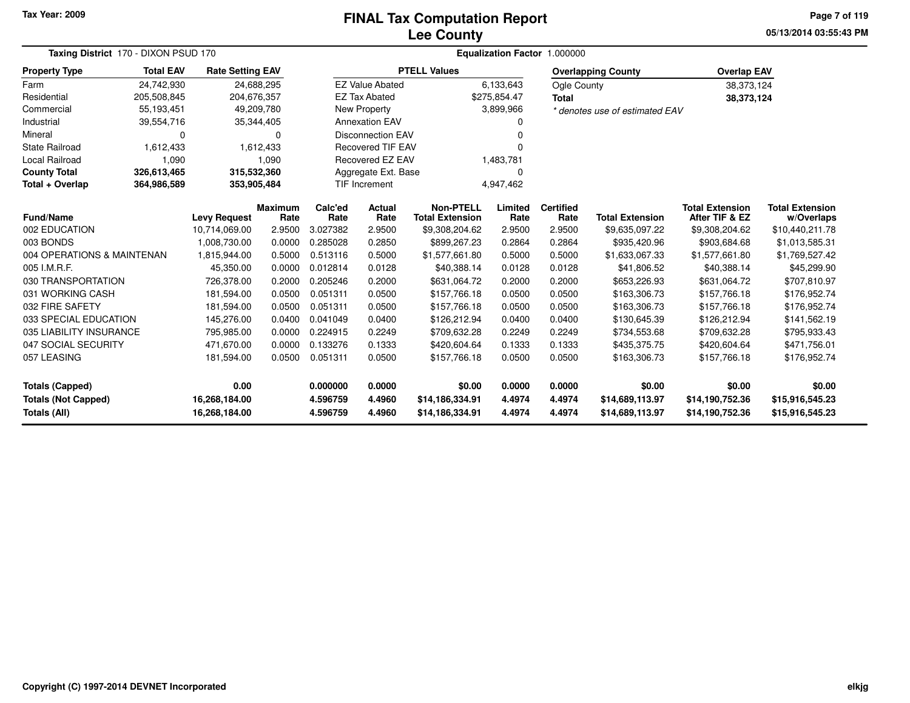#### **Lee CountyFINAL Tax Computation Report**

**05/13/2014 03:55:43 PM Page 7 of 119**

| Taxing District 170 - DIXON PSUD 170              |                                                                          | Equalization Factor 1.000000   |                        |                      |                          |                                            |                  |                          |                                    |                                          |                                      |
|---------------------------------------------------|--------------------------------------------------------------------------|--------------------------------|------------------------|----------------------|--------------------------|--------------------------------------------|------------------|--------------------------|------------------------------------|------------------------------------------|--------------------------------------|
| <b>Property Type</b>                              | <b>Total EAV</b><br><b>Rate Setting EAV</b><br>24,742,930<br>205,508,845 |                                |                        |                      |                          | <b>PTELL Values</b>                        |                  |                          | <b>Overlapping County</b>          | <b>Overlap EAV</b>                       |                                      |
| Farm                                              |                                                                          | 24,688,295                     |                        |                      | <b>EZ Value Abated</b>   |                                            | 6,133,643        | Ogle County              |                                    | 38,373,124                               |                                      |
| Residential                                       |                                                                          | 204,676,357                    |                        |                      | <b>EZ Tax Abated</b>     |                                            | \$275,854.47     | Total                    |                                    | 38,373,124                               |                                      |
| Commercial                                        | 55,193,451                                                               | 49,209,780                     |                        |                      | <b>New Property</b>      |                                            | 3,899,966        |                          | * denotes use of estimated EAV     |                                          |                                      |
| Industrial                                        | 39,554,716                                                               | 35,344,405                     |                        |                      | <b>Annexation EAV</b>    |                                            | n                |                          |                                    |                                          |                                      |
| Mineral                                           | 0                                                                        |                                | ŋ                      |                      | <b>Disconnection EAV</b> |                                            | $\Omega$         |                          |                                    |                                          |                                      |
| <b>State Railroad</b>                             | 1,612,433                                                                |                                | 1,612,433              |                      | <b>Recovered TIF EAV</b> |                                            | $\Omega$         |                          |                                    |                                          |                                      |
| Local Railroad                                    | 1,090                                                                    |                                | 1,090                  |                      | <b>Recovered EZ EAV</b>  |                                            | 1,483,781        |                          |                                    |                                          |                                      |
| <b>County Total</b>                               | 326,613,465<br>315,532,360<br>Aggregate Ext. Base                        |                                |                        |                      | $\Omega$                 |                                            |                  |                          |                                    |                                          |                                      |
| Total + Overlap                                   | 364,986,589                                                              | 353,905,484                    |                        |                      | <b>TIF Increment</b>     |                                            | 4,947,462        |                          |                                    |                                          |                                      |
| Fund/Name                                         |                                                                          | <b>Levy Request</b>            | <b>Maximum</b><br>Rate | Calc'ed<br>Rate      | Actual<br>Rate           | <b>Non-PTELL</b><br><b>Total Extension</b> | Limited<br>Rate  | <b>Certified</b><br>Rate | <b>Total Extension</b>             | <b>Total Extension</b><br>After TIF & EZ | <b>Total Extension</b><br>w/Overlaps |
| 002 EDUCATION                                     |                                                                          | 10,714,069.00                  | 2.9500                 | 3.027382             | 2.9500                   | \$9,308,204.62                             | 2.9500           | 2.9500                   | \$9,635,097.22                     | \$9,308,204.62                           | \$10,440,211.78                      |
| 003 BONDS                                         |                                                                          | 1,008,730.00                   | 0.0000                 | 0.285028             | 0.2850                   | \$899,267.23                               | 0.2864           | 0.2864                   | \$935,420.96                       | \$903,684.68                             | \$1,013,585.31                       |
| 004 OPERATIONS & MAINTENAN                        |                                                                          | 1,815,944.00                   | 0.5000                 | 0.513116             | 0.5000                   | \$1,577,661.80                             | 0.5000           | 0.5000                   | \$1,633,067.33                     | \$1,577,661.80                           | \$1,769,527.42                       |
| 005 I.M.R.F.                                      |                                                                          | 45,350.00                      | 0.0000                 | 0.012814             | 0.0128                   | \$40,388.14                                | 0.0128           | 0.0128                   | \$41,806.52                        | \$40,388.14                              | \$45,299.90                          |
| 030 TRANSPORTATION                                |                                                                          | 726,378.00                     | 0.2000                 | 0.205246             | 0.2000                   | \$631,064.72                               | 0.2000           | 0.2000                   | \$653,226.93                       | \$631,064.72                             | \$707,810.97                         |
| 031 WORKING CASH                                  |                                                                          | 181,594.00                     | 0.0500                 | 0.051311             | 0.0500                   | \$157,766.18                               | 0.0500           | 0.0500                   | \$163,306.73                       | \$157,766.18                             | \$176,952.74                         |
| 032 FIRE SAFETY                                   |                                                                          | 181,594.00                     | 0.0500                 | 0.051311             | 0.0500                   | \$157,766.18                               | 0.0500           | 0.0500                   | \$163,306.73                       | \$157,766.18                             | \$176,952.74                         |
| 033 SPECIAL EDUCATION                             |                                                                          | 145,276.00                     | 0.0400                 | 0.041049             | 0.0400                   | \$126,212.94                               | 0.0400           | 0.0400                   | \$130,645.39                       | \$126,212.94                             | \$141,562.19                         |
| 035 LIABILITY INSURANCE                           |                                                                          | 795,985.00                     | 0.0000                 | 0.224915             | 0.2249                   | \$709,632.28                               | 0.2249           | 0.2249                   | \$734,553.68                       | \$709,632.28                             | \$795,933.43                         |
| 047 SOCIAL SECURITY                               |                                                                          | 471,670.00                     | 0.0000                 | 0.133276             | 0.1333                   | \$420,604.64                               | 0.1333           | 0.1333                   | \$435,375.75                       | \$420,604.64                             | \$471,756.01                         |
| 057 LEASING                                       |                                                                          | 181,594.00                     | 0.0500                 | 0.051311             | 0.0500                   | \$157,766.18                               | 0.0500           | 0.0500                   | \$163,306.73                       | \$157,766.18                             | \$176,952.74                         |
| <b>Totals (Capped)</b>                            |                                                                          | 0.00                           |                        | 0.000000             | 0.0000                   | \$0.00                                     | 0.0000           | 0.0000                   | \$0.00                             | \$0.00                                   | \$0.00                               |
| <b>Totals (Not Capped)</b><br><b>Totals (All)</b> |                                                                          | 16,268,184.00<br>16,268,184.00 |                        | 4.596759<br>4.596759 | 4.4960<br>4.4960         | \$14,186,334.91<br>\$14,186,334.91         | 4.4974<br>4.4974 | 4.4974<br>4.4974         | \$14,689,113.97<br>\$14,689,113.97 | \$14,190,752.36<br>\$14,190,752.36       | \$15,916,545.23<br>\$15,916,545.23   |

۰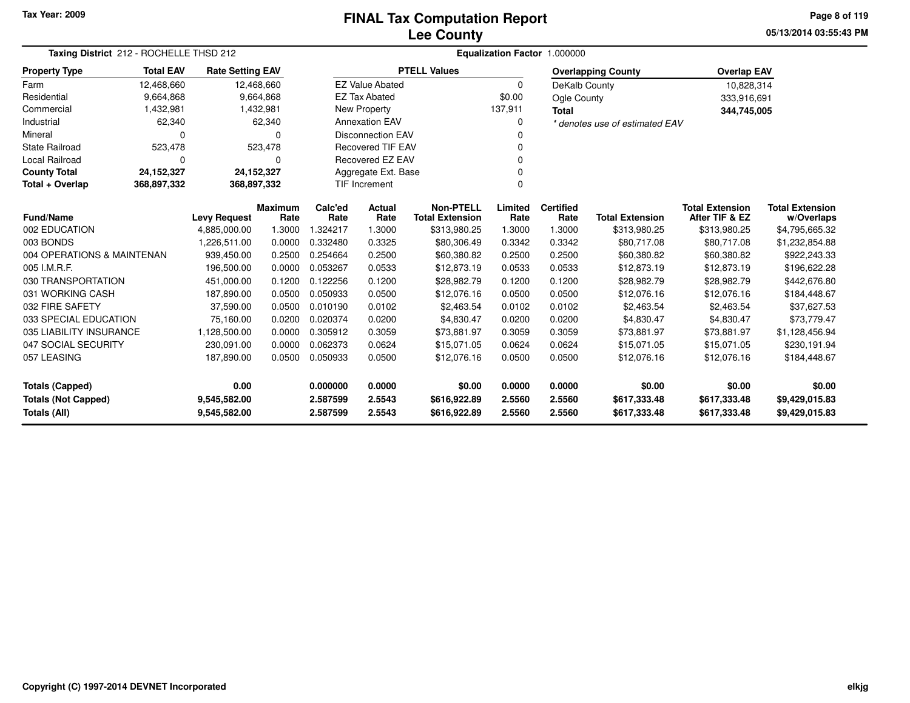**05/13/2014 03:55:43 PM Page 8 of 119**

| Taxing District 212 - ROCHELLE THSD 212    |                  |                         |                        | Equalization Factor 1.000000 |                          |                                            |                 |                          |                                |                                          |                                      |
|--------------------------------------------|------------------|-------------------------|------------------------|------------------------------|--------------------------|--------------------------------------------|-----------------|--------------------------|--------------------------------|------------------------------------------|--------------------------------------|
| <b>Property Type</b>                       | <b>Total EAV</b> | <b>Rate Setting EAV</b> |                        |                              |                          | <b>PTELL Values</b>                        |                 |                          | <b>Overlapping County</b>      | <b>Overlap EAV</b>                       |                                      |
| Farm                                       | 12,468,660       | 12,468,660              |                        |                              | <b>EZ Value Abated</b>   |                                            | $\mathbf 0$     | DeKalb County            |                                | 10,828,314                               |                                      |
| Residential                                | 9,664,868        |                         | 9,664,868              |                              | <b>EZ Tax Abated</b>     |                                            | \$0.00          | Ogle County              |                                | 333,916,691                              |                                      |
| Commercial                                 | 1,432,981        |                         | 1,432,981              |                              | New Property             |                                            | 137,911         | <b>Total</b>             |                                | 344,745,005                              |                                      |
| Industrial                                 | 62,340           |                         | 62,340                 |                              | <b>Annexation EAV</b>    |                                            | <sup>0</sup>    |                          | * denotes use of estimated EAV |                                          |                                      |
| Mineral                                    |                  |                         | n                      |                              | <b>Disconnection EAV</b> |                                            |                 |                          |                                |                                          |                                      |
| <b>State Railroad</b>                      | 523,478          |                         | 523,478                |                              | <b>Recovered TIF EAV</b> |                                            |                 |                          |                                |                                          |                                      |
| Local Railroad                             | 0                |                         | 0                      |                              | Recovered EZ EAV         |                                            |                 |                          |                                |                                          |                                      |
| <b>County Total</b>                        | 24,152,327       | 24,152,327              |                        |                              | Aggregate Ext. Base      |                                            |                 |                          |                                |                                          |                                      |
| Total + Overlap                            | 368,897,332      | 368,897,332             |                        |                              | <b>TIF Increment</b>     |                                            | $\Omega$        |                          |                                |                                          |                                      |
| <b>Fund/Name</b>                           |                  | <b>Levy Request</b>     | <b>Maximum</b><br>Rate | Calc'ed<br>Rate              | <b>Actual</b><br>Rate    | <b>Non-PTELL</b><br><b>Total Extension</b> | Limited<br>Rate | <b>Certified</b><br>Rate | <b>Total Extension</b>         | <b>Total Extension</b><br>After TIF & EZ | <b>Total Extension</b><br>w/Overlaps |
| 002 EDUCATION                              |                  | 4,885,000.00            | 1.3000                 | 1.324217                     | 1.3000                   | \$313,980.25                               | 1.3000          | 1.3000                   | \$313,980.25                   | \$313,980.25                             | \$4,795,665.32                       |
| 003 BONDS                                  |                  | 1,226,511.00            | 0.0000                 | 0.332480                     | 0.3325                   | \$80,306.49                                | 0.3342          | 0.3342                   | \$80,717.08                    | \$80,717.08                              | \$1,232,854.88                       |
| 004 OPERATIONS & MAINTENAN                 |                  | 939,450.00              | 0.2500                 | 0.254664                     | 0.2500                   | \$60,380.82                                | 0.2500          | 0.2500                   | \$60,380.82                    | \$60,380.82                              | \$922,243.33                         |
| 005 I.M.R.F.                               |                  | 196,500.00              | 0.0000                 | 0.053267                     | 0.0533                   | \$12,873.19                                | 0.0533          | 0.0533                   | \$12,873.19                    | \$12,873.19                              | \$196,622.28                         |
| 030 TRANSPORTATION                         |                  | 451,000.00              | 0.1200                 | 0.122256                     | 0.1200                   | \$28,982.79                                | 0.1200          | 0.1200                   | \$28,982.79                    | \$28,982.79                              | \$442,676.80                         |
| 031 WORKING CASH                           |                  | 187,890.00              | 0.0500                 | 0.050933                     | 0.0500                   | \$12,076.16                                | 0.0500          | 0.0500                   | \$12,076.16                    | \$12,076.16                              | \$184,448.67                         |
| 032 FIRE SAFETY                            |                  | 37,590.00               | 0.0500                 | 0.010190                     | 0.0102                   | \$2,463.54                                 | 0.0102          | 0.0102                   | \$2,463.54                     | \$2,463.54                               | \$37,627.53                          |
| 033 SPECIAL EDUCATION                      |                  | 75,160.00               | 0.0200                 | 0.020374                     | 0.0200                   | \$4,830.47                                 | 0.0200          | 0.0200                   | \$4,830.47                     | \$4,830.47                               | \$73,779.47                          |
| 035 LIABILITY INSURANCE                    |                  | 1,128,500.00            | 0.0000                 | 0.305912                     | 0.3059                   | \$73,881.97                                | 0.3059          | 0.3059                   | \$73,881.97                    | \$73,881.97                              | \$1,128,456.94                       |
| 047 SOCIAL SECURITY                        |                  | 230,091.00              | 0.0000                 | 0.062373                     | 0.0624                   | \$15,071.05                                | 0.0624          | 0.0624                   | \$15,071.05                    | \$15,071.05                              | \$230,191.94                         |
| 057 LEASING                                |                  | 187,890.00              | 0.0500                 | 0.050933                     | 0.0500                   | \$12,076.16                                | 0.0500          | 0.0500                   | \$12,076.16                    | \$12,076.16                              | \$184,448.67                         |
| 0.00<br><b>Totals (Capped)</b>             |                  |                         |                        | 0.000000                     | 0.0000                   | \$0.00                                     | 0.0000          | 0.0000                   | \$0.00                         | \$0.00                                   | \$0.00                               |
| <b>Totals (Not Capped)</b><br>9,545,582.00 |                  |                         |                        | 2.587599                     | 2.5543                   | \$616,922.89                               | 2.5560          | 2.5560                   | \$617,333.48                   | \$617,333.48                             | \$9,429,015.83                       |
| Totals (All)                               |                  | 9,545,582.00            |                        | 2.587599                     | 2.5543                   | \$616,922.89                               | 2.5560          | 2.5560                   | \$617,333.48                   | \$617,333.48                             | \$9,429,015.83                       |

۰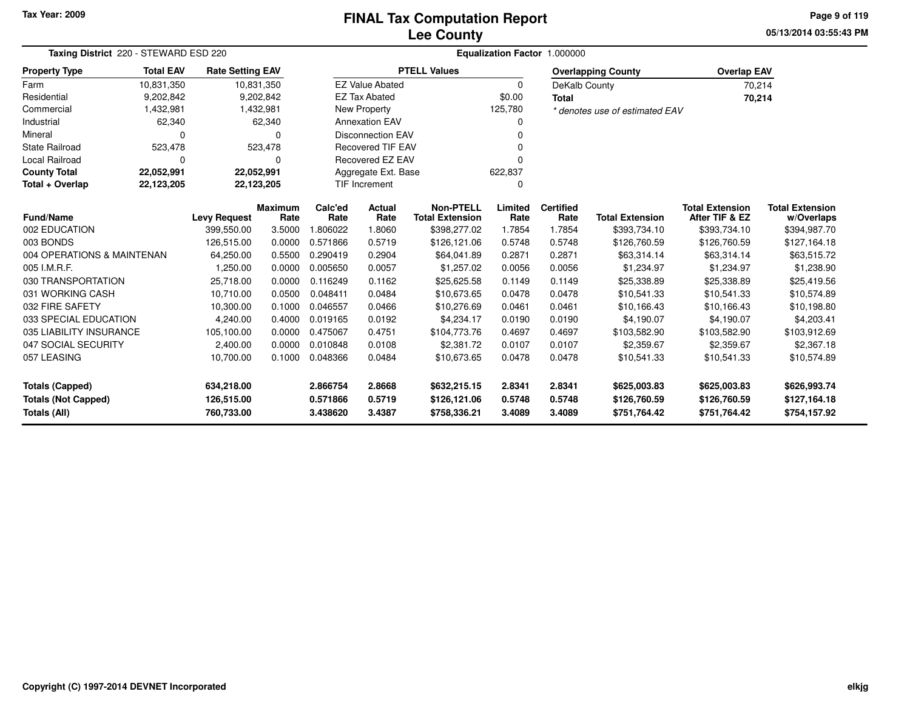**05/13/2014 03:55:43 PM Page 9 of 119**

| Taxing District 220 - STEWARD ESD 220    | <b>Equalization Factor 1.000000</b> |                         |                        |                 |                          |                                            |                 |                          |                                |                                          |                                      |
|------------------------------------------|-------------------------------------|-------------------------|------------------------|-----------------|--------------------------|--------------------------------------------|-----------------|--------------------------|--------------------------------|------------------------------------------|--------------------------------------|
| <b>Total EAV</b><br><b>Property Type</b> |                                     | <b>Rate Setting EAV</b> |                        |                 |                          | <b>PTELL Values</b>                        |                 |                          | <b>Overlapping County</b>      | <b>Overlap EAV</b>                       |                                      |
| Farm                                     | 10,831,350                          |                         | 10,831,350             |                 | <b>EZ Value Abated</b>   |                                            | 0               | DeKalb County            |                                |                                          | 70,214                               |
| Residential                              | 9,202,842                           |                         | 9,202,842              |                 | <b>EZ Tax Abated</b>     |                                            | \$0.00          | <b>Total</b>             |                                |                                          | 70,214                               |
| Commercial                               | 1,432,981                           |                         | 1,432,981              |                 | New Property             |                                            | 125,780         |                          | * denotes use of estimated EAV |                                          |                                      |
| Industrial                               | 62,340                              |                         | 62,340                 |                 | <b>Annexation EAV</b>    |                                            | 0               |                          |                                |                                          |                                      |
| Mineral                                  | $\Omega$                            |                         | $\Omega$               |                 | <b>Disconnection EAV</b> |                                            | 0               |                          |                                |                                          |                                      |
| <b>State Railroad</b>                    | 523,478                             |                         | 523,478                |                 | <b>Recovered TIF EAV</b> |                                            | 0               |                          |                                |                                          |                                      |
| <b>Local Railroad</b>                    | $\Omega$                            |                         | 0                      |                 | <b>Recovered EZ EAV</b>  |                                            | 0               |                          |                                |                                          |                                      |
| <b>County Total</b>                      | 22,052,991                          | 22,052,991              |                        |                 | Aggregate Ext. Base      |                                            | 622,837         |                          |                                |                                          |                                      |
| Total + Overlap                          | 22,123,205<br>22,123,205            |                         |                        |                 | <b>TIF Increment</b>     |                                            | 0               |                          |                                |                                          |                                      |
| <b>Fund/Name</b>                         |                                     | <b>Levy Request</b>     | <b>Maximum</b><br>Rate | Calc'ed<br>Rate | Actual<br>Rate           | <b>Non-PTELL</b><br><b>Total Extension</b> | Limited<br>Rate | <b>Certified</b><br>Rate | <b>Total Extension</b>         | <b>Total Extension</b><br>After TIF & EZ | <b>Total Extension</b><br>w/Overlaps |
| 002 EDUCATION                            |                                     | 399,550.00              | 3.5000                 | 1.806022        | 1.8060                   | \$398,277.02                               | 1.7854          | 1.7854                   | \$393,734.10                   | \$393,734.10                             | \$394,987.70                         |
| 003 BONDS                                |                                     | 126,515.00              | 0.0000                 | 0.571866        | 0.5719                   | \$126,121.06                               | 0.5748          | 0.5748                   | \$126,760.59                   | \$126,760.59                             | \$127,164.18                         |
| 004 OPERATIONS & MAINTENAN               |                                     | 64,250.00               | 0.5500                 | 0.290419        | 0.2904                   | \$64,041.89                                | 0.2871          | 0.2871                   | \$63,314.14                    | \$63,314.14                              | \$63,515.72                          |
| 005 I.M.R.F.                             |                                     | 1,250.00                | 0.0000                 | 0.005650        | 0.0057                   | \$1,257.02                                 | 0.0056          | 0.0056                   | \$1,234.97                     | \$1.234.97                               | \$1,238.90                           |
| 030 TRANSPORTATION                       |                                     | 25,718.00               | 0.0000                 | 0.116249        | 0.1162                   | \$25,625.58                                | 0.1149          | 0.1149                   | \$25,338.89                    | \$25,338.89                              | \$25,419.56                          |
| 031 WORKING CASH                         |                                     | 10,710.00               | 0.0500                 | 0.048411        | 0.0484                   | \$10,673.65                                | 0.0478          | 0.0478                   | \$10,541.33                    | \$10,541.33                              | \$10,574.89                          |
| 032 FIRE SAFETY                          |                                     | 10,300.00               | 0.1000                 | 0.046557        | 0.0466                   | \$10,276.69                                | 0.0461          | 0.0461                   | \$10,166.43                    | \$10,166.43                              | \$10,198.80                          |
| 033 SPECIAL EDUCATION                    |                                     | 4,240.00                | 0.4000                 | 0.019165        | 0.0192                   | \$4,234.17                                 | 0.0190          | 0.0190                   | \$4,190.07                     | \$4,190.07                               | \$4,203.41                           |
| 035 LIABILITY INSURANCE                  |                                     | 105,100.00              | 0.0000                 | 0.475067        | 0.4751                   | \$104,773.76                               | 0.4697          | 0.4697                   | \$103,582.90                   | \$103,582.90                             | \$103,912.69                         |
| 047 SOCIAL SECURITY                      |                                     | 2,400.00                | 0.0000                 | 0.010848        | 0.0108                   | \$2,381.72                                 | 0.0107          | 0.0107                   | \$2,359.67                     | \$2,359.67                               | \$2,367.18                           |
| 057 LEASING                              |                                     | 10,700.00               | 0.1000                 | 0.048366        | 0.0484                   | \$10,673.65                                | 0.0478          | 0.0478                   | \$10,541.33                    | \$10,541.33                              | \$10,574.89                          |
| <b>Totals (Capped)</b>                   |                                     | 634,218.00              |                        | 2.866754        | 2.8668                   | \$632,215.15                               | 2.8341          | 2.8341                   | \$625,003.83                   | \$625,003.83                             | \$626,993.74                         |
| <b>Totals (Not Capped)</b>               |                                     | 126,515.00              |                        | 0.571866        | 0.5719                   | \$126,121.06                               | 0.5748          | 0.5748                   | \$126,760.59                   | \$126,760.59                             | \$127,164.18                         |
| Totals (All)                             |                                     | 760,733.00              |                        | 3.438620        | 3.4387                   | \$758,336.21                               | 3.4089          | 3.4089                   | \$751,764.42                   | \$751,764.42                             | \$754,157.92                         |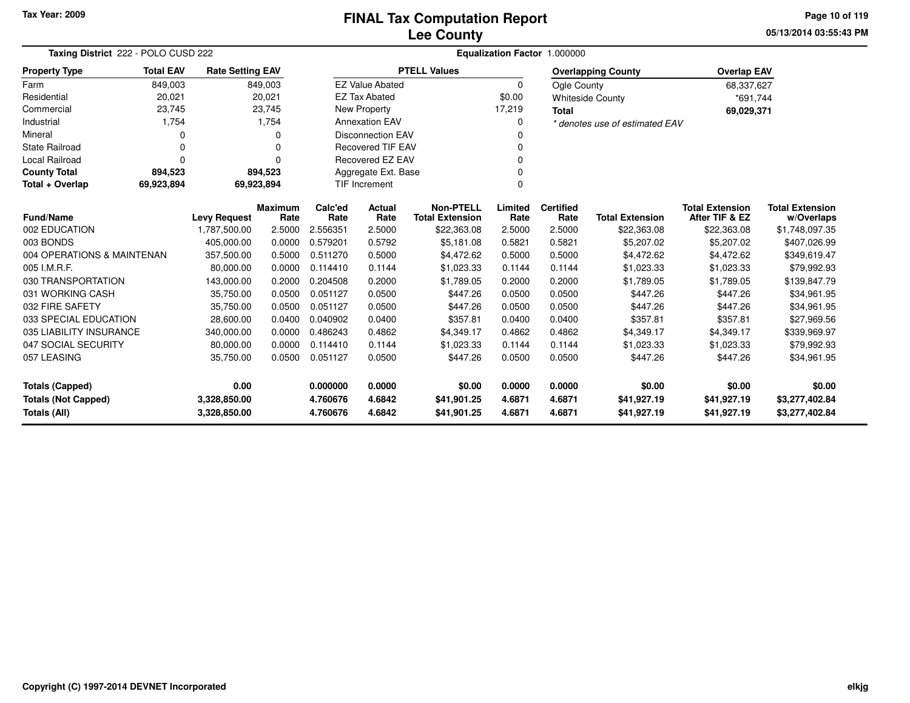**05/13/2014 03:55:43 PMPage 10 of 119**

| Taxing District 222 - POLO CUSD 222                                        |                                                           |                         |                |                      |                           |                                       |             | Equalization Factor 1.000000 |                                |                                          |                        |
|----------------------------------------------------------------------------|-----------------------------------------------------------|-------------------------|----------------|----------------------|---------------------------|---------------------------------------|-------------|------------------------------|--------------------------------|------------------------------------------|------------------------|
| <b>Property Type</b>                                                       | <b>Total EAV</b>                                          | <b>Rate Setting EAV</b> |                |                      |                           | <b>PTELL Values</b>                   |             |                              | <b>Overlapping County</b>      | <b>Overlap EAV</b>                       |                        |
| Farm                                                                       | 849,003                                                   |                         | 849,003        |                      | <b>EZ Value Abated</b>    |                                       | $\mathbf 0$ | Ogle County                  |                                | 68,337,627                               |                        |
| Residential                                                                | 20,021                                                    |                         | 20,021         |                      | <b>EZ Tax Abated</b>      |                                       | \$0.00      |                              | <b>Whiteside County</b>        | *691,744                                 |                        |
| Commercial                                                                 | 23,745                                                    |                         | 23,745         |                      | New Property              |                                       | 17,219      | <b>Total</b>                 |                                | 69,029,371                               |                        |
| Industrial                                                                 | 1,754                                                     |                         | 1,754          |                      | <b>Annexation EAV</b>     |                                       | $\Omega$    |                              | * denotes use of estimated EAV |                                          |                        |
| Mineral                                                                    | 0                                                         |                         | U              |                      | <b>Disconnection EAV</b>  |                                       | $\Omega$    |                              |                                |                                          |                        |
| <b>State Railroad</b>                                                      | $\mathbf 0$                                               |                         | 0              |                      | <b>Recovered TIF EAV</b>  |                                       | $\Omega$    |                              |                                |                                          |                        |
| Local Railroad                                                             | $\Omega$                                                  |                         | U              |                      | Recovered EZ EAV          |                                       | $\Omega$    |                              |                                |                                          |                        |
| <b>County Total</b>                                                        | 894,523                                                   |                         | 894,523        |                      | Aggregate Ext. Base       |                                       | 0           |                              |                                |                                          |                        |
| Total + Overlap                                                            | 69,923,894                                                | 69,923,894              |                |                      | $\Omega$<br>TIF Increment |                                       |             |                              |                                |                                          |                        |
|                                                                            | <b>Maximum</b><br><b>Fund/Name</b><br><b>Levy Request</b> |                         |                |                      | Actual                    | <b>Non-PTELL</b>                      | Limited     | <b>Certified</b>             |                                | <b>Total Extension</b><br>After TIF & EZ | <b>Total Extension</b> |
| 002 EDUCATION                                                              |                                                           |                         | Rate<br>2.5000 | Rate                 | Rate                      | <b>Total Extension</b><br>\$22,363.08 | Rate        | Rate                         | <b>Total Extension</b>         | \$22,363.08                              | w/Overlaps             |
| 003 BONDS                                                                  |                                                           | 1,787,500.00            | 0.0000         | 2.556351<br>0.579201 | 2.5000<br>0.5792          |                                       | 2.5000      | 2.5000                       | \$22,363.08                    |                                          | \$1,748,097.35         |
|                                                                            |                                                           | 405,000.00              |                |                      |                           | \$5,181.08                            | 0.5821      | 0.5821                       | \$5,207.02                     | \$5,207.02                               | \$407,026.99           |
| 004 OPERATIONS & MAINTENAN                                                 |                                                           | 357,500.00              | 0.5000         | 0.511270             | 0.5000                    | \$4,472.62                            | 0.5000      | 0.5000                       | \$4,472.62                     | \$4,472.62                               | \$349,619.47           |
| 005 I.M.R.F.                                                               |                                                           | 80.000.00               | 0.0000         | 0.114410             | 0.1144                    | \$1,023.33                            | 0.1144      | 0.1144                       | \$1,023.33                     | \$1,023.33                               | \$79.992.93            |
| 030 TRANSPORTATION                                                         |                                                           | 143,000.00              | 0.2000         | 0.204508             | 0.2000                    | \$1,789.05                            | 0.2000      | 0.2000                       | \$1,789.05                     | \$1,789.05                               | \$139,847.79           |
| 031 WORKING CASH                                                           |                                                           | 35,750.00               | 0.0500         | 0.051127             | 0.0500                    | \$447.26                              | 0.0500      | 0.0500                       | \$447.26                       | \$447.26                                 | \$34,961.95            |
| 032 FIRE SAFETY                                                            |                                                           | 35,750.00               | 0.0500         | 0.051127             | 0.0500                    | \$447.26                              | 0.0500      | 0.0500                       | \$447.26                       | \$447.26                                 | \$34,961.95            |
| 033 SPECIAL EDUCATION                                                      |                                                           | 28,600.00               | 0.0400         | 0.040902             | 0.0400                    | \$357.81                              | 0.0400      | 0.0400                       | \$357.81                       | \$357.81                                 | \$27,969.56            |
| 035 LIABILITY INSURANCE                                                    |                                                           | 340,000.00              | 0.0000         | 0.486243             | 0.4862                    | \$4,349.17                            | 0.4862      | 0.4862                       | \$4,349.17                     | \$4,349.17                               | \$339,969.97           |
| 047 SOCIAL SECURITY                                                        |                                                           | 80,000.00               | 0.0000         | 0.114410             | 0.1144                    | \$1,023.33                            | 0.1144      | 0.1144                       | \$1,023.33                     | \$1,023.33                               | \$79,992.93            |
| 057 LEASING                                                                |                                                           | 35,750.00               | 0.0500         | 0.051127             | 0.0500                    | \$447.26                              | 0.0500      | 0.0500                       | \$447.26                       | \$447.26                                 | \$34,961.95            |
| 0.00<br>Totals (Capped)                                                    |                                                           |                         |                | 0.000000             | 0.0000                    | \$0.00                                | 0.0000      | 0.0000                       | \$0.00                         | \$0.00                                   | \$0.00                 |
|                                                                            |                                                           |                         |                | 4.760676             | 4.6842                    | \$41,901.25                           | 4.6871      | 4.6871                       | \$41,927.19                    | \$41,927.19                              | \$3,277,402.84         |
| <b>Totals (Not Capped)</b><br>3,328,850.00<br>Totals (All)<br>3,328,850.00 |                                                           |                         |                | 4.760676             | 4.6842                    | \$41,901.25                           | 4.6871      | 4.6871                       | \$41,927.19                    | \$41,927.19                              | \$3,277,402.84         |

-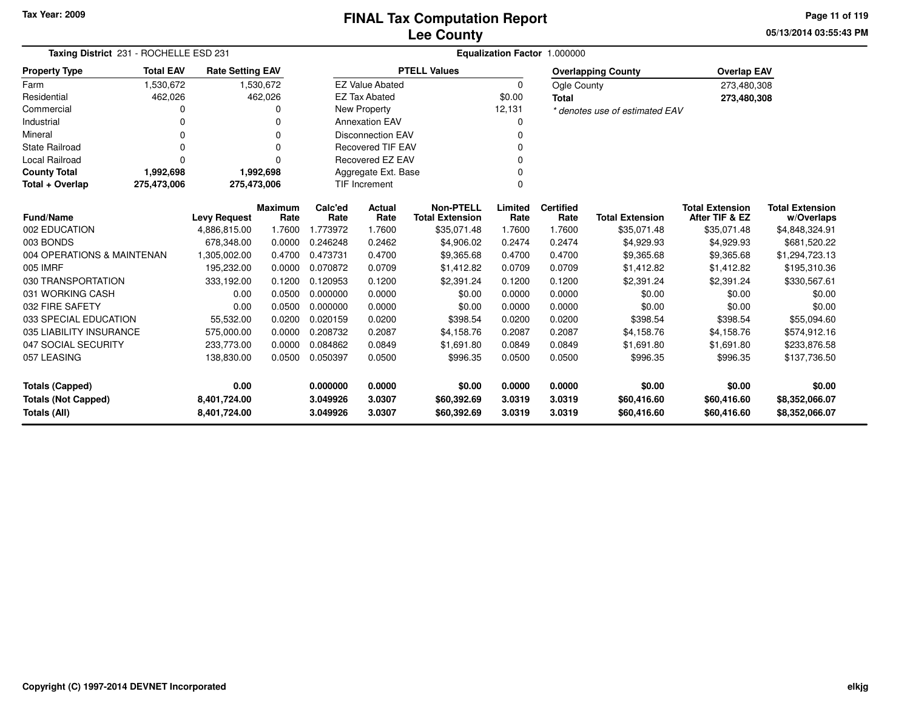**05/13/2014 03:55:43 PM Page 11 of 119**

| Taxing District 231 - ROCHELLE ESD 231     |                            |                         |                        |                 | Equalization Factor 1.000000 |                                            |                 |                          |                                |                                          |                                      |  |  |  |
|--------------------------------------------|----------------------------|-------------------------|------------------------|-----------------|------------------------------|--------------------------------------------|-----------------|--------------------------|--------------------------------|------------------------------------------|--------------------------------------|--|--|--|
| <b>Property Type</b>                       | <b>Total EAV</b>           | <b>Rate Setting EAV</b> |                        |                 |                              | <b>PTELL Values</b>                        |                 |                          | <b>Overlapping County</b>      | <b>Overlap EAV</b>                       |                                      |  |  |  |
| Farm                                       | 1,530,672                  |                         | 1,530,672              |                 | <b>EZ Value Abated</b>       |                                            | $\Omega$        | Ogle County              |                                | 273,480,308                              |                                      |  |  |  |
| Residential                                | 462,026                    |                         | 462,026                |                 | <b>EZ Tax Abated</b>         |                                            | \$0.00          | <b>Total</b>             |                                | 273,480,308                              |                                      |  |  |  |
| Commercial                                 |                            |                         |                        |                 | New Property                 |                                            | 12,131          |                          | * denotes use of estimated EAV |                                          |                                      |  |  |  |
| Industrial                                 |                            |                         | n                      |                 | <b>Annexation EAV</b>        |                                            | O               |                          |                                |                                          |                                      |  |  |  |
| Mineral                                    |                            |                         | 0                      |                 | <b>Disconnection EAV</b>     |                                            |                 |                          |                                |                                          |                                      |  |  |  |
| <b>State Railroad</b>                      |                            |                         | $\Omega$               |                 | <b>Recovered TIF EAV</b>     |                                            | $\Omega$        |                          |                                |                                          |                                      |  |  |  |
| Local Railroad                             | 0                          |                         | $\Omega$               |                 | Recovered EZ EAV             |                                            |                 |                          |                                |                                          |                                      |  |  |  |
| <b>County Total</b>                        | 1,992,698                  |                         | 1,992,698              |                 | Aggregate Ext. Base          |                                            | $\Omega$        |                          |                                |                                          |                                      |  |  |  |
| Total + Overlap                            | 275,473,006<br>275,473,006 |                         |                        |                 | TIF Increment                |                                            | 0               |                          |                                |                                          |                                      |  |  |  |
| <b>Fund/Name</b>                           |                            | <b>Levy Request</b>     | <b>Maximum</b><br>Rate | Calc'ed<br>Rate | Actual<br>Rate               | <b>Non-PTELL</b><br><b>Total Extension</b> | Limited<br>Rate | <b>Certified</b><br>Rate | <b>Total Extension</b>         | <b>Total Extension</b><br>After TIF & EZ | <b>Total Extension</b><br>w/Overlaps |  |  |  |
| 002 EDUCATION                              |                            | 4,886,815.00            | 1.7600                 | 1.773972        | 1.7600                       | \$35,071.48                                | 1.7600          | 1.7600                   | \$35,071.48                    | \$35,071.48                              | \$4,848,324.91                       |  |  |  |
| 003 BONDS                                  |                            | 678,348.00              | 0.0000                 | 0.246248        | 0.2462                       | \$4,906.02                                 | 0.2474          | 0.2474                   | \$4,929.93                     | \$4,929.93                               | \$681,520.22                         |  |  |  |
| 004 OPERATIONS & MAINTENAN                 |                            | 1,305,002.00            | 0.4700                 | 0.473731        | 0.4700                       | \$9,365.68                                 | 0.4700          | 0.4700                   | \$9,365.68                     | \$9,365.68                               | \$1,294,723.13                       |  |  |  |
| 005 IMRF                                   |                            | 195,232.00              | 0.0000                 | 0.070872        | 0.0709                       | \$1,412.82                                 | 0.0709          | 0.0709                   | \$1,412.82                     | \$1,412.82                               | \$195,310.36                         |  |  |  |
| 030 TRANSPORTATION                         |                            | 333,192.00              | 0.1200                 | 0.120953        | 0.1200                       | \$2,391.24                                 | 0.1200          | 0.1200                   | \$2,391.24                     | \$2,391.24                               | \$330,567.61                         |  |  |  |
| 031 WORKING CASH                           |                            | 0.00                    | 0.0500                 | 0.000000        | 0.0000                       | \$0.00                                     | 0.0000          | 0.0000                   | \$0.00                         | \$0.00                                   | \$0.00                               |  |  |  |
| 032 FIRE SAFETY                            |                            | 0.00                    | 0.0500                 | 0.000000        | 0.0000                       | \$0.00                                     | 0.0000          | 0.0000                   | \$0.00                         | \$0.00                                   | \$0.00                               |  |  |  |
| 033 SPECIAL EDUCATION                      |                            | 55,532.00               | 0.0200                 | 0.020159        | 0.0200                       | \$398.54                                   | 0.0200          | 0.0200                   | \$398.54                       | \$398.54                                 | \$55,094.60                          |  |  |  |
| 035 LIABILITY INSURANCE                    |                            | 575,000.00              | 0.0000                 | 0.208732        | 0.2087                       | \$4,158.76                                 | 0.2087          | 0.2087                   | \$4,158.76                     | \$4,158.76                               | \$574,912.16                         |  |  |  |
| 047 SOCIAL SECURITY                        |                            | 233,773.00              | 0.0000                 | 0.084862        | 0.0849                       | \$1,691.80                                 | 0.0849          | 0.0849                   | \$1,691.80                     | \$1,691.80                               | \$233,876.58                         |  |  |  |
| 057 LEASING                                |                            | 138,830.00              | 0.0500                 | 0.050397        | 0.0500                       | \$996.35                                   | 0.0500          | 0.0500                   | \$996.35                       | \$996.35                                 | \$137,736.50                         |  |  |  |
| <b>Totals (Capped)</b>                     |                            | 0.00                    |                        | 0.000000        | 0.0000                       | \$0.00                                     | 0.0000          | 0.0000                   | \$0.00                         | \$0.00                                   | \$0.00                               |  |  |  |
| <b>Totals (Not Capped)</b><br>8,401,724.00 |                            |                         |                        | 3.049926        | 3.0307                       | \$60,392.69                                | 3.0319          | 3.0319                   | \$60,416.60                    | \$60,416.60                              | \$8,352,066.07                       |  |  |  |
| Totals (All)                               |                            | 8,401,724.00            |                        | 3.049926        | 3.0307                       | \$60,392.69                                | 3.0319          | 3.0319                   | \$60,416.60                    | \$60,416.60                              | \$8,352,066.07                       |  |  |  |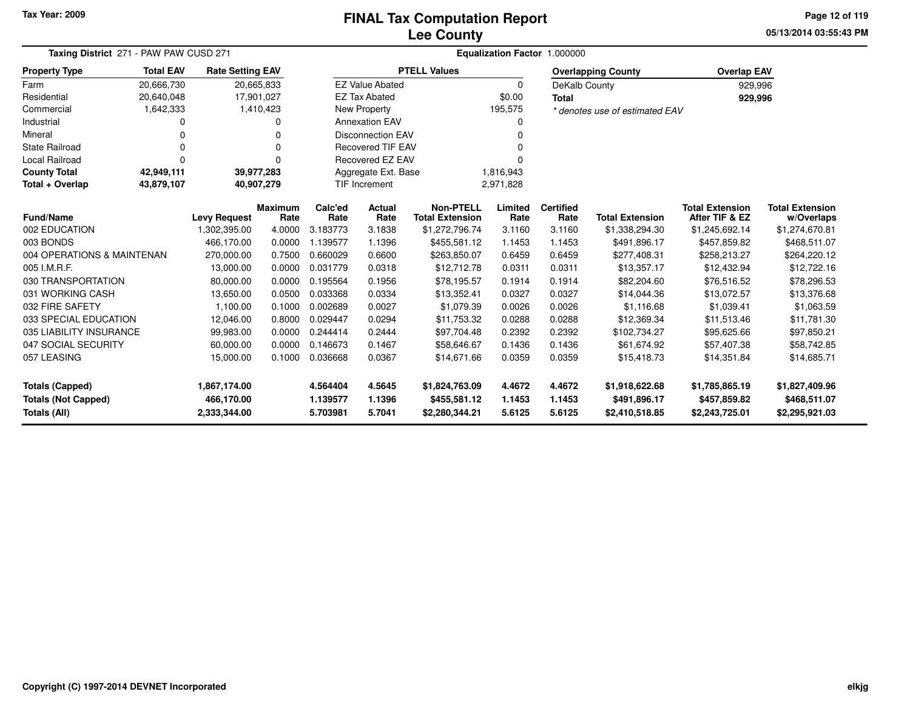# **Lee CountyFINAL Tax Computation Report**

**05/13/2014 03:55:43 PM Page 12 of 119**

| Taxing District 271 - PAW PAW CUSD 271 |                                                  |                         |                        |                 | Equalization Factor 1.000000     |                                            |                 |                          |                                |                                          |                                      |
|----------------------------------------|--------------------------------------------------|-------------------------|------------------------|-----------------|----------------------------------|--------------------------------------------|-----------------|--------------------------|--------------------------------|------------------------------------------|--------------------------------------|
| <b>Property Type</b>                   | <b>Total EAV</b>                                 | <b>Rate Setting EAV</b> |                        |                 |                                  | <b>PTELL Values</b>                        |                 |                          | <b>Overlapping County</b>      | <b>Overlap EAV</b>                       |                                      |
| Farm                                   | 20,666,730                                       |                         | 20,665,833             |                 | <b>EZ Value Abated</b>           |                                            | 0               | DeKalb County            |                                | 929,996                                  |                                      |
| Residential                            | 20,640,048                                       |                         | 17,901,027             |                 | <b>EZ Tax Abated</b>             |                                            | \$0.00          | <b>Total</b>             |                                | 929,996                                  |                                      |
| Commercial                             | 1,642,333                                        |                         | 1,410,423              |                 | New Property                     |                                            | 195,575         |                          | * denotes use of estimated EAV |                                          |                                      |
| Industrial                             | 0                                                |                         | 0                      |                 | <b>Annexation EAV</b>            |                                            | ი               |                          |                                |                                          |                                      |
| Mineral                                | <b>Disconnection EAV</b><br>0<br>0               |                         |                        |                 |                                  |                                            |                 |                          |                                |                                          |                                      |
| <b>State Railroad</b>                  | $\Omega$                                         |                         | $\Omega$               |                 | <b>Recovered TIF EAV</b>         |                                            |                 |                          |                                |                                          |                                      |
| <b>Local Railroad</b>                  | $\Omega$                                         |                         | $\Omega$               |                 | <b>Recovered EZ EAV</b>          |                                            |                 |                          |                                |                                          |                                      |
| <b>County Total</b>                    | 42,949,111                                       |                         | 39,977,283             |                 | Aggregate Ext. Base<br>1,816,943 |                                            |                 |                          |                                |                                          |                                      |
| Total + Overlap                        | <b>TIF Increment</b><br>43,879,107<br>40,907,279 |                         |                        |                 |                                  |                                            | 2,971,828       |                          |                                |                                          |                                      |
| <b>Fund/Name</b>                       |                                                  | <b>Levy Request</b>     | <b>Maximum</b><br>Rate | Calc'ed<br>Rate | Actual<br>Rate                   | <b>Non-PTELL</b><br><b>Total Extension</b> | Limited<br>Rate | <b>Certified</b><br>Rate | <b>Total Extension</b>         | <b>Total Extension</b><br>After TIF & EZ | <b>Total Extension</b><br>w/Overlaps |
| 002 EDUCATION                          |                                                  | 1,302,395.00            | 4.0000                 | 3.183773        | 3.1838                           | \$1,272,796.74                             | 3.1160          | 3.1160                   | \$1,338,294.30                 | \$1,245,692.14                           | \$1,274,670.81                       |
| 003 BONDS                              |                                                  | 466,170.00              | 0.0000                 | 1.139577        | 1.1396                           | \$455,581.12                               | 1.1453          | 1.1453                   | \$491,896.17                   | \$457,859.82                             | \$468,511.07                         |
| 004 OPERATIONS & MAINTENAN             |                                                  | 270,000.00              | 0.7500                 | 0.660029        | 0.6600                           | \$263,850.07                               | 0.6459          | 0.6459                   | \$277,408.31                   | \$258,213.27                             | \$264,220.12                         |
| 005 I.M.R.F.                           |                                                  | 13,000.00               | 0.0000                 | 0.031779        | 0.0318                           | \$12,712.78                                | 0.0311          | 0.0311                   | \$13,357.17                    | \$12,432.94                              | \$12,722.16                          |
| 030 TRANSPORTATION                     |                                                  | 80,000.00               | 0.0000                 | 0.195564        | 0.1956                           | \$78,195.57                                | 0.1914          | 0.1914                   | \$82,204.60                    | \$76,516.52                              | \$78,296.53                          |
| 031 WORKING CASH                       |                                                  | 13,650.00               | 0.0500                 | 0.033368        | 0.0334                           | \$13,352.41                                | 0.0327          | 0.0327                   | \$14,044.36                    | \$13,072.57                              | \$13,376.68                          |
| 032 FIRE SAFETY                        |                                                  | 1,100.00                | 0.1000                 | 0.002689        | 0.0027                           | \$1,079.39                                 | 0.0026          | 0.0026                   | \$1,116.68                     | \$1,039.41                               | \$1,063.59                           |
| 033 SPECIAL EDUCATION                  |                                                  | 12,046.00               | 0.8000                 | 0.029447        | 0.0294                           | \$11,753.32                                | 0.0288          | 0.0288                   | \$12,369.34                    | \$11,513.46                              | \$11,781.30                          |
| 035 LIABILITY INSURANCE                |                                                  | 99,983.00               | 0.0000                 | 0.244414        | 0.2444                           | \$97,704.48                                | 0.2392          | 0.2392                   | \$102,734.27                   | \$95,625.66                              | \$97,850.21                          |
| 047 SOCIAL SECURITY                    |                                                  | 60,000.00               | 0.0000                 | 0.146673        | 0.1467                           | \$58,646.67                                | 0.1436          | 0.1436                   | \$61.674.92                    | \$57,407.38                              | \$58,742.85                          |
| 057 LEASING                            |                                                  | 15,000.00               | 0.1000                 | 0.036668        | 0.0367                           | \$14,671.66                                | 0.0359          | 0.0359                   | \$15,418.73                    | \$14,351.84                              | \$14,685.71                          |
| <b>Totals (Capped)</b>                 |                                                  | 1,867,174.00            |                        | 4.564404        | 4.5645                           | \$1,824,763.09                             | 4.4672          | 4.4672                   | \$1,918,622.68                 | \$1,785,865.19                           | \$1,827,409.96                       |
| <b>Totals (Not Capped)</b>             |                                                  | 466,170.00              |                        | 1.139577        | 1.1396                           | \$455,581.12                               | 1.1453          | 1.1453                   | \$491,896.17                   | \$457,859.82                             | \$468,511.07                         |
| Totals (All)                           |                                                  | 2,333,344.00            |                        | 5.703981        | 5.7041                           | \$2,280,344.21                             | 5.6125          | 5.6125                   | \$2,410,518.85                 | \$2,243,725.01                           | \$2,295,921.03                       |

۰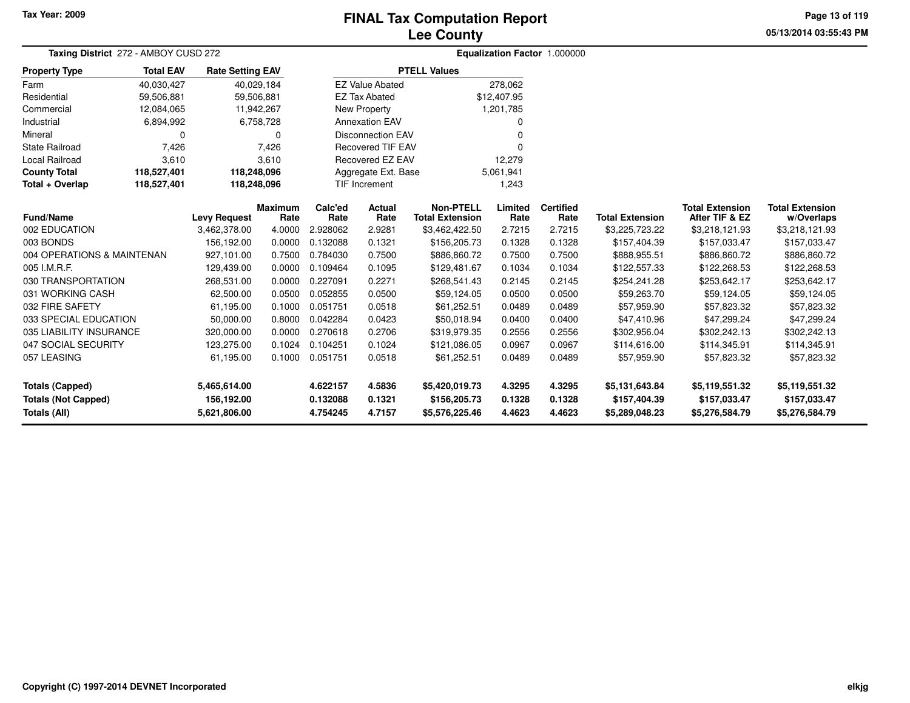# **Lee CountyFINAL Tax Computation Report**

**05/13/2014 03:55:43 PM Page 13 of 119**

| Taxing District 272 - AMBOY CUSD 272 |                            |                         |                 |                 |                          |                                            |                 | Equalization Factor 1.000000 |                        |                                          |                                      |
|--------------------------------------|----------------------------|-------------------------|-----------------|-----------------|--------------------------|--------------------------------------------|-----------------|------------------------------|------------------------|------------------------------------------|--------------------------------------|
| <b>Property Type</b>                 | <b>Total EAV</b>           | <b>Rate Setting EAV</b> |                 |                 |                          | <b>PTELL Values</b>                        |                 |                              |                        |                                          |                                      |
| Farm                                 | 40,030,427                 |                         | 40,029,184      |                 | <b>EZ Value Abated</b>   |                                            | 278,062         |                              |                        |                                          |                                      |
| Residential                          | 59,506,881                 | 59,506,881              |                 |                 | <b>EZ Tax Abated</b>     |                                            | \$12,407.95     |                              |                        |                                          |                                      |
| Commercial                           | 12,084,065                 |                         | 11,942,267      |                 | New Property             |                                            | 1,201,785       |                              |                        |                                          |                                      |
| Industrial                           | 6,894,992                  |                         | 6,758,728       |                 | <b>Annexation EAV</b>    |                                            |                 |                              |                        |                                          |                                      |
| Mineral                              | 0                          |                         | $\Omega$        |                 | <b>Disconnection EAV</b> |                                            |                 |                              |                        |                                          |                                      |
| <b>State Railroad</b>                | 7,426                      |                         | 7,426           |                 | <b>Recovered TIF EAV</b> |                                            |                 |                              |                        |                                          |                                      |
| <b>Local Railroad</b>                | 3,610                      |                         | 3,610           |                 | Recovered EZ EAV         |                                            | 12,279          |                              |                        |                                          |                                      |
| <b>County Total</b>                  | 118,527,401                | 118,248,096             |                 |                 | Aggregate Ext. Base      |                                            | 5,061,941       |                              |                        |                                          |                                      |
| Total + Overlap                      | 118,527,401<br>118,248,096 |                         |                 |                 | <b>TIF Increment</b>     |                                            | 1,243           |                              |                        |                                          |                                      |
| <b>Fund/Name</b>                     |                            | <b>Levy Request</b>     | Maximum<br>Rate | Calc'ed<br>Rate | Actual<br>Rate           | <b>Non-PTELL</b><br><b>Total Extension</b> | Limited<br>Rate | <b>Certified</b><br>Rate     | <b>Total Extension</b> | <b>Total Extension</b><br>After TIF & EZ | <b>Total Extension</b><br>w/Overlaps |
| 002 EDUCATION                        |                            | 3,462,378.00            | 4.0000          | 2.928062        | 2.9281                   | \$3,462,422.50                             | 2.7215          | 2.7215                       | \$3,225,723.22         | \$3,218,121.93                           | \$3,218,121.93                       |
| 003 BONDS                            |                            | 156,192.00              | 0.0000          | 0.132088        | 0.1321                   | \$156,205.73                               | 0.1328          | 0.1328                       | \$157,404.39           | \$157,033.47                             | \$157,033.47                         |
| 004 OPERATIONS & MAINTENAN           |                            | 927,101.00              | 0.7500          | 0.784030        | 0.7500                   | \$886,860.72                               | 0.7500          | 0.7500                       | \$888,955.51           | \$886,860.72                             | \$886,860.72                         |
| 005 I.M.R.F.                         |                            | 129,439.00              | 0.0000          | 0.109464        | 0.1095                   | \$129,481.67                               | 0.1034          | 0.1034                       | \$122,557.33           | \$122,268.53                             | \$122,268.53                         |
| 030 TRANSPORTATION                   |                            | 268,531.00              | 0.0000          | 0.227091        | 0.2271                   | \$268,541.43                               | 0.2145          | 0.2145                       | \$254,241.28           | \$253,642.17                             | \$253,642.17                         |
| 031 WORKING CASH                     |                            | 62,500.00               | 0.0500          | 0.052855        | 0.0500                   | \$59,124.05                                | 0.0500          | 0.0500                       | \$59,263.70            | \$59,124.05                              | \$59,124.05                          |
| 032 FIRE SAFETY                      |                            | 61,195.00               | 0.1000          | 0.051751        | 0.0518                   | \$61,252.51                                | 0.0489          | 0.0489                       | \$57,959.90            | \$57,823.32                              | \$57,823.32                          |
| 033 SPECIAL EDUCATION                |                            | 50,000.00               | 0.8000          | 0.042284        | 0.0423                   | \$50,018.94                                | 0.0400          | 0.0400                       | \$47,410.96            | \$47,299.24                              | \$47,299.24                          |
| 035 LIABILITY INSURANCE              |                            | 320,000.00              | 0.0000          | 0.270618        | 0.2706                   | \$319,979.35                               | 0.2556          | 0.2556                       | \$302,956.04           | \$302,242.13                             | \$302,242.13                         |
| 047 SOCIAL SECURITY                  |                            | 123,275.00              | 0.1024          | 0.104251        | 0.1024                   | \$121,086.05                               | 0.0967          | 0.0967                       | \$114,616.00           | \$114,345.91                             | \$114,345.91                         |
| 057 LEASING                          |                            | 61,195.00               | 0.1000          | 0.051751        | 0.0518                   | \$61,252.51                                | 0.0489          | 0.0489                       | \$57,959.90            | \$57,823.32                              | \$57,823.32                          |
| <b>Totals (Capped)</b>               |                            | 5,465,614.00            |                 | 4.622157        | 4.5836                   | \$5,420,019.73                             | 4.3295          | 4.3295                       | \$5,131,643.84         | \$5,119,551.32                           | \$5,119,551.32                       |
| <b>Totals (Not Capped)</b>           |                            | 156,192.00              |                 | 0.132088        | 0.1321                   | \$156,205.73                               | 0.1328          | 0.1328                       | \$157,404.39           | \$157,033.47                             | \$157,033.47                         |
| <b>Totals (All)</b>                  |                            | 5.621,806.00            |                 | 4.754245        | 4.7157                   | \$5,576,225.46                             | 4.4623          | 4.4623                       | \$5,289,048.23         | \$5,276,584.79                           | \$5,276,584.79                       |

 $\overline{\phantom{0}}$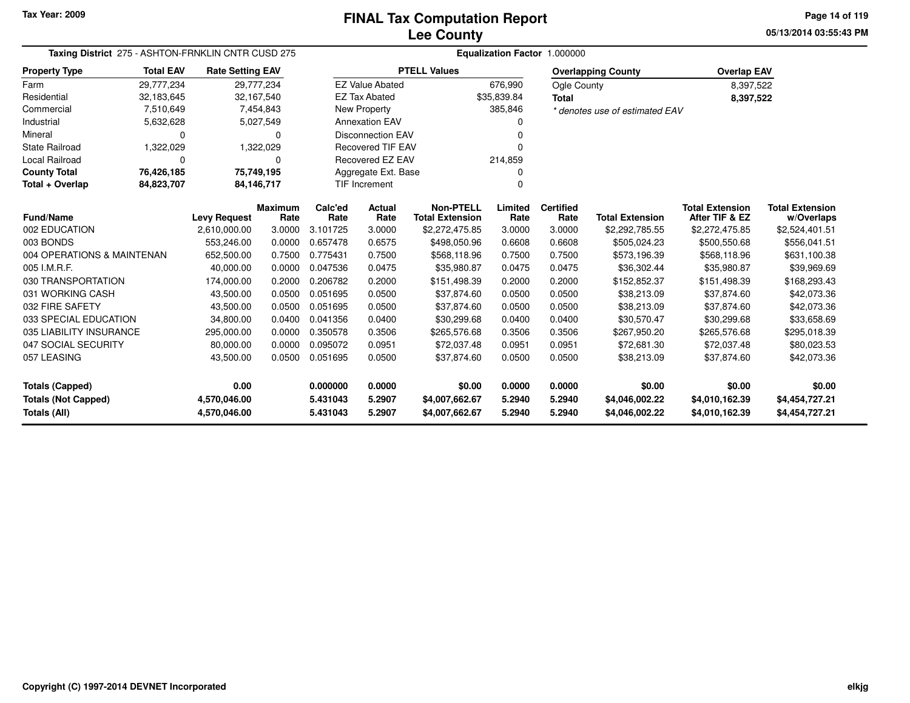**05/13/2014 03:55:43 PMPage 14 of 119**

| Taxing District 275 - ASHTON-FRNKLIN CNTR CUSD 275 |                  |                         |                        | Equalization Factor 1.000000 |                          |                                            |                 |                          |                                |                                          |                                      |  |
|----------------------------------------------------|------------------|-------------------------|------------------------|------------------------------|--------------------------|--------------------------------------------|-----------------|--------------------------|--------------------------------|------------------------------------------|--------------------------------------|--|
| <b>Property Type</b>                               | <b>Total EAV</b> | <b>Rate Setting EAV</b> |                        |                              |                          | <b>PTELL Values</b>                        |                 |                          | <b>Overlapping County</b>      | <b>Overlap EAV</b>                       |                                      |  |
| Farm                                               | 29,777,234       | 29,777,234              |                        |                              | <b>EZ Value Abated</b>   |                                            | 676,990         | Ogle County              |                                | 8,397,522                                |                                      |  |
| Residential                                        | 32,183,645       | 32,167,540              |                        |                              | <b>EZ Tax Abated</b>     |                                            | \$35,839.84     | <b>Total</b>             |                                | 8,397,522                                |                                      |  |
| Commercial                                         | 7,510,649        |                         | 7,454,843              |                              | <b>New Property</b>      |                                            | 385,846         |                          | * denotes use of estimated EAV |                                          |                                      |  |
| Industrial                                         | 5,632,628        |                         | 5,027,549              |                              | <b>Annexation EAV</b>    |                                            |                 |                          |                                |                                          |                                      |  |
| Mineral                                            | $\Omega$         |                         | $\Omega$               |                              | <b>Disconnection EAV</b> |                                            |                 |                          |                                |                                          |                                      |  |
| <b>State Railroad</b>                              | 1,322,029        |                         | 1,322,029              |                              | <b>Recovered TIF EAV</b> |                                            |                 |                          |                                |                                          |                                      |  |
| Local Railroad                                     | 0                |                         | 0                      |                              | Recovered EZ EAV         |                                            | 214,859         |                          |                                |                                          |                                      |  |
| <b>County Total</b>                                | 76,426,185       | 75,749,195              |                        |                              | Aggregate Ext. Base      |                                            |                 |                          |                                |                                          |                                      |  |
| Total + Overlap                                    | 84,823,707       | 84,146,717              |                        |                              | <b>TIF Increment</b>     |                                            |                 |                          |                                |                                          |                                      |  |
| Fund/Name                                          |                  | <b>Levy Request</b>     | <b>Maximum</b><br>Rate | Calc'ed<br>Rate              | Actual<br>Rate           | <b>Non-PTELL</b><br><b>Total Extension</b> | Limited<br>Rate | <b>Certified</b><br>Rate | <b>Total Extension</b>         | <b>Total Extension</b><br>After TIF & EZ | <b>Total Extension</b><br>w/Overlaps |  |
| 002 EDUCATION                                      |                  | 2,610,000.00            | 3.0000                 | 3.101725                     | 3.0000                   | \$2,272,475.85                             | 3.0000          | 3.0000                   | \$2,292,785.55                 | \$2,272,475.85                           | \$2,524,401.51                       |  |
| 003 BONDS                                          |                  | 553,246.00              | 0.0000                 | 0.657478                     | 0.6575                   | \$498,050.96                               | 0.6608          | 0.6608                   | \$505,024.23                   | \$500,550.68                             | \$556,041.51                         |  |
| 004 OPERATIONS & MAINTENAN                         |                  | 652,500.00              | 0.7500                 | 0.775431                     | 0.7500                   | \$568,118.96                               | 0.7500          | 0.7500                   | \$573,196.39                   | \$568,118.96                             | \$631,100.38                         |  |
| 005 I.M.R.F.                                       |                  | 40,000.00               | 0.0000                 | 0.047536                     | 0.0475                   | \$35,980.87                                | 0.0475          | 0.0475                   | \$36.302.44                    | \$35,980.87                              | \$39,969.69                          |  |
| 030 TRANSPORTATION                                 |                  | 174,000.00              | 0.2000                 | 0.206782                     | 0.2000                   | \$151,498.39                               | 0.2000          | 0.2000                   | \$152,852.37                   | \$151,498.39                             | \$168,293.43                         |  |
| 031 WORKING CASH                                   |                  | 43,500.00               | 0.0500                 | 0.051695                     | 0.0500                   | \$37,874.60                                | 0.0500          | 0.0500                   | \$38,213.09                    | \$37,874.60                              | \$42,073.36                          |  |
| 032 FIRE SAFETY                                    |                  | 43,500.00               | 0.0500                 | 0.051695                     | 0.0500                   | \$37,874.60                                | 0.0500          | 0.0500                   | \$38,213.09                    | \$37,874.60                              | \$42,073.36                          |  |
| 033 SPECIAL EDUCATION                              |                  | 34,800.00               | 0.0400                 | 0.041356                     | 0.0400                   | \$30,299.68                                | 0.0400          | 0.0400                   | \$30,570.47                    | \$30,299.68                              | \$33,658.69                          |  |
| 035 LIABILITY INSURANCE                            |                  | 295,000.00              | 0.0000                 | 0.350578                     | 0.3506                   | \$265,576.68                               | 0.3506          | 0.3506                   | \$267,950.20                   | \$265,576.68                             | \$295,018.39                         |  |
| 047 SOCIAL SECURITY                                |                  | 80,000.00               | 0.0000                 | 0.095072                     | 0.0951                   | \$72,037.48                                | 0.0951          | 0.0951                   | \$72,681.30                    | \$72,037.48                              | \$80,023.53                          |  |
| 057 LEASING                                        |                  | 43,500.00               | 0.0500                 | 0.051695                     | 0.0500                   | \$37,874.60                                | 0.0500          | 0.0500                   | \$38,213.09                    | \$37,874.60                              | \$42,073.36                          |  |
| <b>Totals (Capped)</b>                             | 0.00             |                         | 0.000000               | 0.0000                       | \$0.00                   | 0.0000                                     | 0.0000          | \$0.00                   | \$0.00                         | \$0.00                                   |                                      |  |
| <b>Totals (Not Capped)</b>                         | 4,570,046.00     |                         | 5.431043               | 5.2907                       | \$4,007,662.67           | 5.2940                                     | 5.2940          | \$4,046,002.22           | \$4,010,162.39                 | \$4,454,727.21                           |                                      |  |
| Totals (All)                                       |                  | 4,570,046.00            |                        | 5.431043                     | 5.2907                   | \$4,007,662.67                             | 5.2940          | 5.2940                   | \$4,046,002.22                 | \$4,010,162.39                           | \$4,454,727.21                       |  |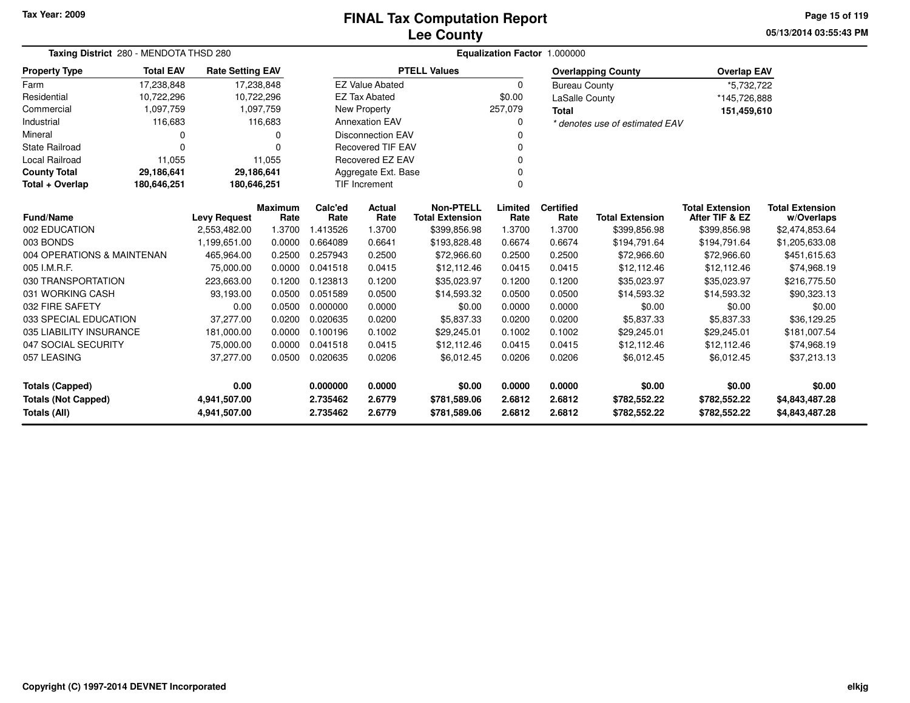#### **Lee CountyFINAL Tax Computation Report**

**05/13/2014 03:55:43 PMPage 15 of 119**

| Taxing District 280 - MENDOTA THSD 280     |                                                           |                         |                |                  |                          |                                            |                 | Equalization Factor 1.000000 |                                |                                          |                              |
|--------------------------------------------|-----------------------------------------------------------|-------------------------|----------------|------------------|--------------------------|--------------------------------------------|-----------------|------------------------------|--------------------------------|------------------------------------------|------------------------------|
| <b>Property Type</b>                       | <b>Total EAV</b>                                          | <b>Rate Setting EAV</b> |                |                  |                          | <b>PTELL Values</b>                        |                 |                              | <b>Overlapping County</b>      | <b>Overlap EAV</b>                       |                              |
| Farm                                       | 17,238,848                                                | 17,238,848              |                |                  | <b>EZ Value Abated</b>   |                                            | $\Omega$        | <b>Bureau County</b>         |                                | *5,732,722                               |                              |
| Residential                                | 10,722,296                                                | 10,722,296              |                |                  | <b>EZ Tax Abated</b>     |                                            | \$0.00          | <b>LaSalle County</b>        |                                | *145,726,888                             |                              |
| Commercial                                 | 1,097,759                                                 |                         | 1,097,759      |                  | New Property             |                                            | 257,079         | <b>Total</b>                 |                                | 151,459,610                              |                              |
| Industrial                                 | 116,683                                                   |                         | 116,683        |                  | <b>Annexation EAV</b>    |                                            | 0               |                              | * denotes use of estimated EAV |                                          |                              |
| Mineral                                    | 0                                                         |                         | 0              |                  | <b>Disconnection EAV</b> |                                            |                 |                              |                                |                                          |                              |
| <b>State Railroad</b>                      | $\Omega$                                                  |                         | 0              |                  | <b>Recovered TIF EAV</b> |                                            |                 |                              |                                |                                          |                              |
| <b>Local Railroad</b>                      | 11,055                                                    |                         | 11,055         |                  | <b>Recovered EZ EAV</b>  |                                            | <sup>0</sup>    |                              |                                |                                          |                              |
| <b>County Total</b>                        | 29,186,641                                                | 29,186,641              |                |                  | Aggregate Ext. Base      |                                            |                 |                              |                                |                                          |                              |
| Total + Overlap                            | 180,646,251                                               | 180,646,251             |                |                  | <b>TIF Increment</b>     |                                            | 0               |                              |                                |                                          |                              |
|                                            | <b>Maximum</b><br><b>Fund/Name</b><br><b>Levy Request</b> |                         |                |                  | <b>Actual</b><br>Rate    | <b>Non-PTELL</b><br><b>Total Extension</b> | Limited<br>Rate | <b>Certified</b><br>Rate     | <b>Total Extension</b>         | <b>Total Extension</b><br>After TIF & EZ | <b>Total Extension</b>       |
| 002 EDUCATION                              |                                                           | 2,553,482.00            | Rate<br>1.3700 | Rate<br>1.413526 | 1.3700                   | \$399,856.98                               | 1.3700          | 1.3700                       | \$399,856.98                   | \$399,856.98                             | w/Overlaps<br>\$2,474,853.64 |
| 003 BONDS                                  |                                                           | 1,199,651.00            | 0.0000         | 0.664089         | 0.6641                   | \$193,828.48                               | 0.6674          | 0.6674                       | \$194,791.64                   | \$194,791.64                             | \$1,205,633.08               |
| 004 OPERATIONS & MAINTENAN                 |                                                           | 465,964.00              | 0.2500         | 0.257943         | 0.2500                   | \$72,966.60                                | 0.2500          | 0.2500                       | \$72,966.60                    | \$72,966.60                              | \$451,615.63                 |
| 005 I.M.R.F.                               |                                                           | 75,000.00               | 0.0000         | 0.041518         | 0.0415                   | \$12,112.46                                | 0.0415          | 0.0415                       | \$12,112.46                    | \$12,112.46                              | \$74,968.19                  |
| 030 TRANSPORTATION                         |                                                           | 223,663.00              | 0.1200         | 0.123813         | 0.1200                   | \$35,023.97                                | 0.1200          | 0.1200                       | \$35,023.97                    | \$35,023.97                              | \$216,775.50                 |
| 031 WORKING CASH                           |                                                           | 93,193.00               | 0.0500         | 0.051589         | 0.0500                   | \$14,593.32                                | 0.0500          | 0.0500                       | \$14,593.32                    | \$14,593.32                              | \$90,323.13                  |
| 032 FIRE SAFETY                            |                                                           | 0.00                    | 0.0500         | 0.000000         | 0.0000                   | \$0.00                                     | 0.0000          | 0.0000                       | \$0.00                         | \$0.00                                   | \$0.00                       |
| 033 SPECIAL EDUCATION                      |                                                           | 37,277.00               | 0.0200         | 0.020635         | 0.0200                   | \$5,837.33                                 | 0.0200          | 0.0200                       | \$5,837.33                     | \$5,837.33                               | \$36,129.25                  |
| 035 LIABILITY INSURANCE                    |                                                           | 181,000.00              | 0.0000         | 0.100196         | 0.1002                   | \$29,245.01                                | 0.1002          | 0.1002                       | \$29,245.01                    | \$29,245.01                              | \$181,007.54                 |
| 047 SOCIAL SECURITY                        |                                                           | 75,000.00               | 0.0000         | 0.041518         | 0.0415                   | \$12,112.46                                | 0.0415          | 0.0415                       | \$12,112.46                    | \$12,112.46                              | \$74,968.19                  |
| 057 LEASING                                |                                                           | 37,277.00               | 0.0500         | 0.020635         | 0.0206                   | \$6,012.45                                 | 0.0206          | 0.0206                       | \$6,012.45                     | \$6,012.45                               | \$37,213.13                  |
| 0.00<br><b>Totals (Capped)</b>             |                                                           |                         |                | 0.000000         | 0.0000                   | \$0.00                                     | 0.0000          | 0.0000                       | \$0.00                         | \$0.00                                   | \$0.00                       |
| <b>Totals (Not Capped)</b><br>4,941,507.00 |                                                           |                         |                | 2.735462         | 2.6779                   | \$781,589.06                               | 2.6812          | 2.6812                       | \$782,552.22                   | \$782,552.22                             | \$4,843,487.28               |
| Totals (All)                               | 4,941,507.00                                              |                         | 2.735462       | 2.6779           | \$781,589.06             | 2.6812                                     | 2.6812          | \$782,552.22                 | \$782,552.22                   | \$4,843,487.28                           |                              |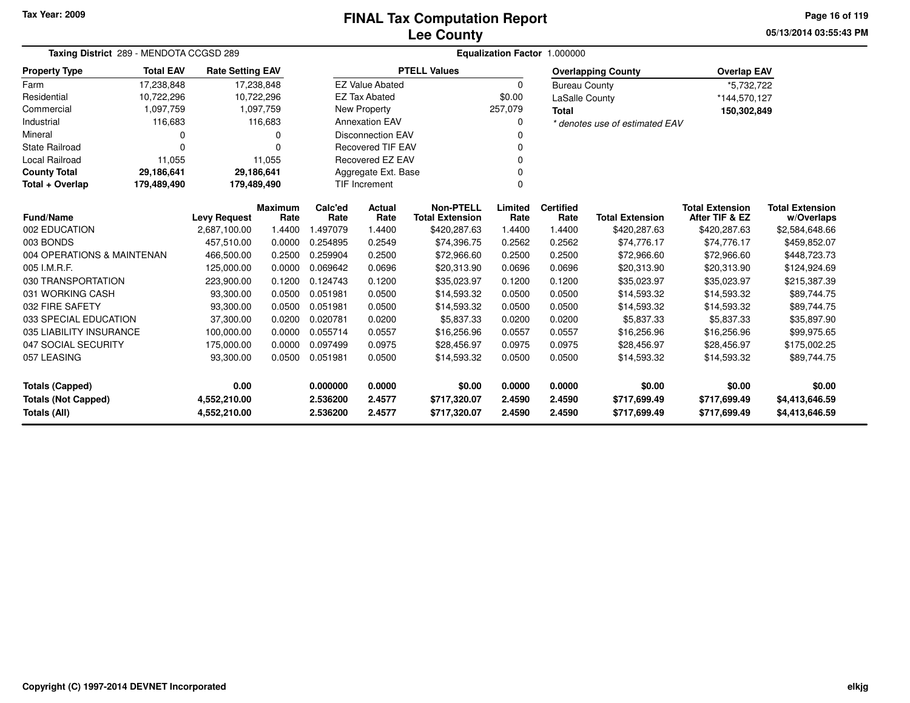# **Lee CountyFINAL Tax Computation Report**

**05/13/2014 03:55:43 PM Page 16 of 119**

| Taxing District 289 - MENDOTA CCGSD 289    |                                      |                         |                | Equalization Factor 1.000000 |                          |                        |          |                      |                                |                        |                        |  |
|--------------------------------------------|--------------------------------------|-------------------------|----------------|------------------------------|--------------------------|------------------------|----------|----------------------|--------------------------------|------------------------|------------------------|--|
| <b>Property Type</b>                       | <b>Total EAV</b>                     | <b>Rate Setting EAV</b> |                |                              |                          | <b>PTELL Values</b>    |          |                      | <b>Overlapping County</b>      | <b>Overlap EAV</b>     |                        |  |
| Farm                                       | 17,238,848                           | 17,238,848              |                |                              | <b>EZ Value Abated</b>   |                        | $\Omega$ | <b>Bureau County</b> |                                | *5,732,722             |                        |  |
| Residential                                | 10,722,296                           | 10,722,296              |                |                              | <b>EZ Tax Abated</b>     |                        | \$0.00   | LaSalle County       |                                | *144,570,127           |                        |  |
| Commercial                                 | 1,097,759                            |                         | 1,097,759      |                              | New Property             |                        | 257,079  | <b>Total</b>         |                                | 150,302,849            |                        |  |
| Industrial                                 | 116,683                              |                         | 116,683        |                              | <b>Annexation EAV</b>    |                        |          |                      | * denotes use of estimated EAV |                        |                        |  |
| Mineral                                    | 0                                    |                         | 0              |                              | <b>Disconnection EAV</b> |                        |          |                      |                                |                        |                        |  |
| <b>State Railroad</b>                      | 0                                    |                         | $\Omega$       |                              | Recovered TIF EAV        |                        |          |                      |                                |                        |                        |  |
| <b>Local Railroad</b>                      | 11,055<br>Recovered EZ EAV<br>11,055 |                         |                |                              |                          |                        |          |                      |                                |                        |                        |  |
| <b>County Total</b>                        | 29,186,641                           | 29,186,641              |                |                              | Aggregate Ext. Base      |                        |          |                      |                                |                        |                        |  |
| Total + Overlap                            | 179,489,490                          | 179,489,490             |                |                              | <b>TIF Increment</b>     |                        | $\Omega$ |                      |                                |                        |                        |  |
|                                            |                                      |                         | <b>Maximum</b> | Calc'ed                      | <b>Actual</b>            | <b>Non-PTELL</b>       | Limited  | <b>Certified</b>     |                                | <b>Total Extension</b> | <b>Total Extension</b> |  |
| <b>Fund/Name</b>                           |                                      | <b>Levy Request</b>     | Rate           | Rate                         | Rate                     | <b>Total Extension</b> | Rate     | Rate                 | <b>Total Extension</b>         | After TIF & EZ         | w/Overlaps             |  |
| 002 EDUCATION                              |                                      | 2.687.100.00            | 1.4400         | 1.497079                     | 1.4400                   | \$420,287.63           | 1.4400   | 1.4400               | \$420,287.63                   | \$420,287.63           | \$2,584,648.66         |  |
| 003 BONDS                                  |                                      | 457,510.00              | 0.0000         | 0.254895                     | 0.2549                   | \$74,396.75            | 0.2562   | 0.2562               | \$74,776.17                    | \$74,776.17            | \$459,852.07           |  |
| 004 OPERATIONS & MAINTENAN                 |                                      | 466,500.00              | 0.2500         | 0.259904                     | 0.2500                   | \$72,966.60            | 0.2500   | 0.2500               | \$72,966.60                    | \$72,966.60            | \$448,723.73           |  |
| 005 I.M.R.F.                               |                                      | 125,000.00              | 0.0000         | 0.069642                     | 0.0696                   | \$20,313.90            | 0.0696   | 0.0696               | \$20,313.90                    | \$20,313.90            | \$124,924.69           |  |
| 030 TRANSPORTATION                         |                                      | 223,900.00              | 0.1200         | 0.124743                     | 0.1200                   | \$35,023.97            | 0.1200   | 0.1200               | \$35,023.97                    | \$35,023.97            | \$215,387.39           |  |
| 031 WORKING CASH                           |                                      | 93,300.00               | 0.0500         | 0.051981                     | 0.0500                   | \$14,593.32            | 0.0500   | 0.0500               | \$14,593.32                    | \$14,593.32            | \$89,744.75            |  |
| 032 FIRE SAFETY                            |                                      | 93,300.00               | 0.0500         | 0.051981                     | 0.0500                   | \$14,593.32            | 0.0500   | 0.0500               | \$14,593.32                    | \$14,593.32            | \$89,744.75            |  |
| 033 SPECIAL EDUCATION                      |                                      | 37,300.00               | 0.0200         | 0.020781                     | 0.0200                   | \$5,837.33             | 0.0200   | 0.0200               | \$5,837.33                     | \$5,837.33             | \$35,897.90            |  |
| 035 LIABILITY INSURANCE                    |                                      | 100,000.00              | 0.0000         | 0.055714                     | 0.0557                   | \$16,256.96            | 0.0557   | 0.0557               | \$16,256.96                    | \$16,256.96            | \$99,975.65            |  |
| 047 SOCIAL SECURITY                        |                                      | 175,000.00              | 0.0000         | 0.097499                     | 0.0975                   | \$28,456.97            | 0.0975   | 0.0975               | \$28,456.97                    | \$28,456.97            | \$175,002.25           |  |
| 057 LEASING                                |                                      | 93,300.00               | 0.0500         | 0.051981                     | 0.0500                   | \$14,593.32            | 0.0500   | 0.0500               | \$14,593.32                    | \$14,593.32            | \$89,744.75            |  |
| <b>Totals (Capped)</b>                     |                                      | 0.00                    |                | 0.000000                     | 0.0000                   | \$0.00                 | 0.0000   | 0.0000               | \$0.00                         | \$0.00                 | \$0.00                 |  |
| <b>Totals (Not Capped)</b><br>4,552,210.00 |                                      |                         | 2.536200       | 2.4577                       | \$717,320.07             | 2.4590                 | 2.4590   | \$717,699.49         | \$717,699.49                   | \$4,413,646.59         |                        |  |
| <b>Totals (All)</b>                        |                                      | 4,552,210.00            |                | 2.536200                     | 2.4577                   | \$717,320.07           | 2.4590   | 2.4590               | \$717,699.49                   | \$717,699.49           | \$4,413,646.59         |  |

 $\overline{\phantom{0}}$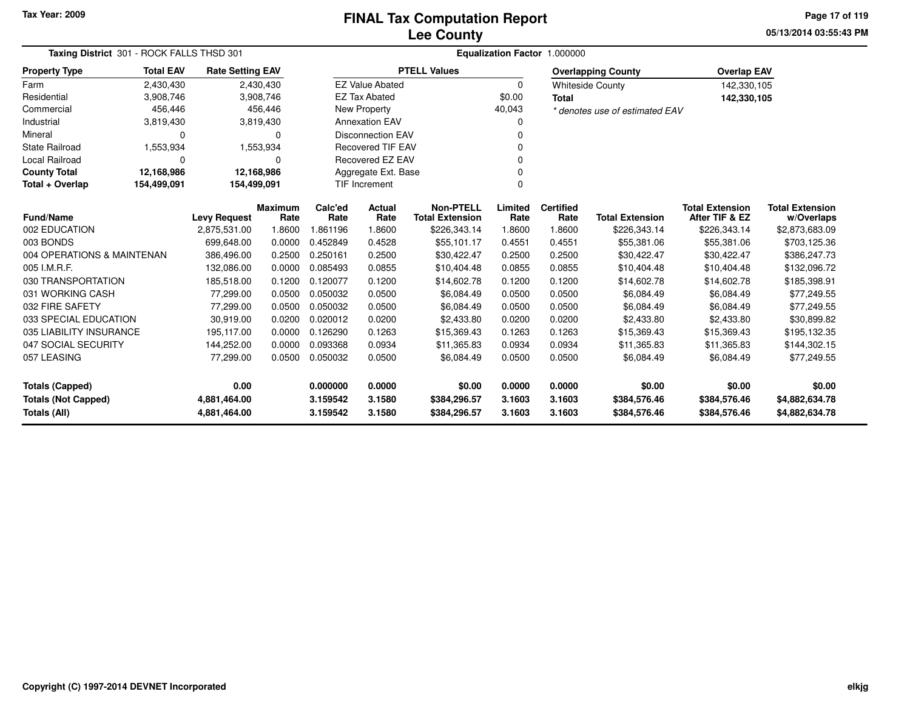**05/13/2014 03:55:43 PM Page 17 of 119**

| Taxing District 301 - ROCK FALLS THSD 301 |                  |                         |                 | Equalization Factor 1.000000 |                          |                                            |                 |                          |                                |                                          |                                      |  |
|-------------------------------------------|------------------|-------------------------|-----------------|------------------------------|--------------------------|--------------------------------------------|-----------------|--------------------------|--------------------------------|------------------------------------------|--------------------------------------|--|
| <b>Property Type</b>                      | <b>Total EAV</b> | <b>Rate Setting EAV</b> |                 |                              |                          | <b>PTELL Values</b>                        |                 |                          | <b>Overlapping County</b>      | <b>Overlap EAV</b>                       |                                      |  |
| Farm                                      | 2,430,430        |                         | 2,430,430       |                              | <b>EZ Value Abated</b>   |                                            | 0               |                          | <b>Whiteside County</b>        | 142,330,105                              |                                      |  |
| Residential                               | 3,908,746        |                         | 3,908,746       |                              | <b>EZ Tax Abated</b>     |                                            | \$0.00          | <b>Total</b>             |                                | 142,330,105                              |                                      |  |
| Commercial                                | 456,446          |                         | 456,446         |                              | New Property             |                                            | 40,043          |                          | * denotes use of estimated EAV |                                          |                                      |  |
| Industrial                                | 3,819,430        |                         | 3,819,430       |                              | <b>Annexation EAV</b>    |                                            |                 |                          |                                |                                          |                                      |  |
| Mineral                                   | 0                |                         | 0               |                              | <b>Disconnection EAV</b> |                                            |                 |                          |                                |                                          |                                      |  |
| <b>State Railroad</b>                     | 1,553,934        |                         | 1,553,934       |                              | <b>Recovered TIF EAV</b> |                                            |                 |                          |                                |                                          |                                      |  |
| Local Railroad                            | 0                |                         | $\Omega$        |                              | Recovered EZ EAV         |                                            |                 |                          |                                |                                          |                                      |  |
| <b>County Total</b>                       | 12,168,986       | 12,168,986              |                 |                              | Aggregate Ext. Base      |                                            | 0               |                          |                                |                                          |                                      |  |
| Total + Overlap                           | 154,499,091      | 154,499,091             |                 |                              | TIF Increment            |                                            | $\Omega$        |                          |                                |                                          |                                      |  |
| <b>Fund/Name</b>                          |                  | <b>Levy Request</b>     | Maximum<br>Rate | Calc'ed<br>Rate              | Actual<br>Rate           | <b>Non-PTELL</b><br><b>Total Extension</b> | Limited<br>Rate | <b>Certified</b><br>Rate | <b>Total Extension</b>         | <b>Total Extension</b><br>After TIF & EZ | <b>Total Extension</b><br>w/Overlaps |  |
| 002 EDUCATION                             |                  | 2,875,531.00            | 1.8600          | 1.861196                     | 1.8600                   | \$226,343.14                               | 1.8600          | 1.8600                   | \$226,343.14                   | \$226,343.14                             | \$2,873,683.09                       |  |
| 003 BONDS                                 |                  | 699,648.00              | 0.0000          | 0.452849                     | 0.4528                   | \$55,101.17                                | 0.4551          | 0.4551                   | \$55,381.06                    | \$55,381.06                              | \$703,125.36                         |  |
| 004 OPERATIONS & MAINTENAN                |                  | 386,496.00              | 0.2500          | 0.250161                     | 0.2500                   | \$30,422.47                                | 0.2500          | 0.2500                   | \$30,422.47                    | \$30,422.47                              | \$386,247.73                         |  |
| 005 I.M.R.F.                              |                  | 132,086.00              | 0.0000          | 0.085493                     | 0.0855                   | \$10,404.48                                | 0.0855          | 0.0855                   | \$10,404.48                    | \$10,404.48                              | \$132,096.72                         |  |
| 030 TRANSPORTATION                        |                  | 185,518.00              | 0.1200          | 0.120077                     | 0.1200                   | \$14,602.78                                | 0.1200          | 0.1200                   | \$14,602.78                    | \$14,602.78                              | \$185,398.91                         |  |
| 031 WORKING CASH                          |                  | 77,299.00               | 0.0500          | 0.050032                     | 0.0500                   | \$6,084.49                                 | 0.0500          | 0.0500                   | \$6,084.49                     | \$6,084.49                               | \$77,249.55                          |  |
| 032 FIRE SAFETY                           |                  | 77,299.00               | 0.0500          | 0.050032                     | 0.0500                   | \$6,084.49                                 | 0.0500          | 0.0500                   | \$6,084.49                     | \$6,084.49                               | \$77,249.55                          |  |
| 033 SPECIAL EDUCATION                     |                  | 30,919.00               | 0.0200          | 0.020012                     | 0.0200                   | \$2,433.80                                 | 0.0200          | 0.0200                   | \$2,433.80                     | \$2,433.80                               | \$30,899.82                          |  |
| 035 LIABILITY INSURANCE                   |                  | 195,117.00              | 0.0000          | 0.126290                     | 0.1263                   | \$15,369.43                                | 0.1263          | 0.1263                   | \$15,369.43                    | \$15,369.43                              | \$195,132.35                         |  |
| 047 SOCIAL SECURITY                       |                  | 144,252.00              | 0.0000          | 0.093368                     | 0.0934                   | \$11,365.83                                | 0.0934          | 0.0934                   | \$11,365.83                    | \$11,365.83                              | \$144,302.15                         |  |
| 057 LEASING                               |                  | 77,299.00               | 0.0500          | 0.050032                     | 0.0500                   | \$6,084.49                                 | 0.0500          | 0.0500                   | \$6,084.49                     | \$6,084.49                               | \$77,249.55                          |  |
| <b>Totals (Capped)</b>                    |                  | 0.00                    |                 | 0.000000                     | 0.0000                   | \$0.00                                     | 0.0000          | 0.0000                   | \$0.00                         | \$0.00                                   | \$0.00                               |  |
| <b>Totals (Not Capped)</b>                |                  | 4,881,464.00            |                 | 3.159542                     | 3.1580                   | \$384,296.57                               | 3.1603          | 3.1603                   | \$384,576.46                   | \$384,576.46                             | \$4,882,634.78                       |  |
| Totals (All)                              |                  | 4,881,464.00            |                 | 3.159542                     | 3.1580                   | \$384,296.57                               | 3.1603          | 3.1603                   | \$384,576.46                   | \$384,576.46                             | \$4,882,634.78                       |  |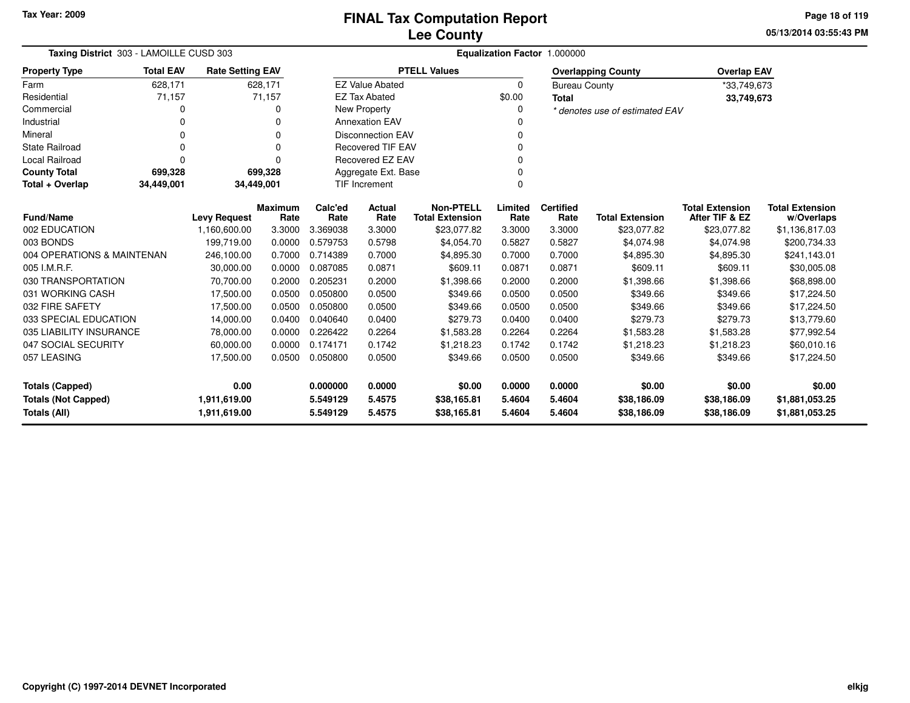**05/13/2014 03:55:43 PMPage 18 of 119**

| Taxing District 303 - LAMOILLE CUSD 303 |                                                                   |                     |                        | Equalization Factor 1.000000 |                          |                                            |                 |                          |                                |                                          |                                      |  |
|-----------------------------------------|-------------------------------------------------------------------|---------------------|------------------------|------------------------------|--------------------------|--------------------------------------------|-----------------|--------------------------|--------------------------------|------------------------------------------|--------------------------------------|--|
| <b>Property Type</b>                    | <b>Total EAV</b><br><b>Rate Setting EAV</b><br>628,171<br>628,171 |                     |                        |                              |                          | <b>PTELL Values</b>                        |                 |                          | <b>Overlapping County</b>      | <b>Overlap EAV</b>                       |                                      |  |
| Farm                                    |                                                                   |                     |                        |                              | <b>EZ Value Abated</b>   |                                            | $\Omega$        | <b>Bureau County</b>     |                                | *33,749,673                              |                                      |  |
| Residential                             | 71,157                                                            |                     | 71,157                 |                              | <b>EZ Tax Abated</b>     |                                            | \$0.00          | <b>Total</b>             |                                | 33,749,673                               |                                      |  |
| Commercial                              | 0                                                                 |                     | 0                      |                              | New Property             |                                            | $\Omega$        |                          | * denotes use of estimated EAV |                                          |                                      |  |
| Industrial                              | 0                                                                 |                     | 0                      |                              | <b>Annexation EAV</b>    |                                            |                 |                          |                                |                                          |                                      |  |
| Mineral                                 | 0                                                                 |                     | 0                      |                              | <b>Disconnection EAV</b> |                                            | 0               |                          |                                |                                          |                                      |  |
| <b>State Railroad</b>                   | 0                                                                 |                     | 0                      |                              | <b>Recovered TIF EAV</b> |                                            |                 |                          |                                |                                          |                                      |  |
| Local Railroad                          | 0                                                                 |                     | 0                      |                              | Recovered EZ EAV         |                                            | 0               |                          |                                |                                          |                                      |  |
| <b>County Total</b>                     | 699,328                                                           |                     | 699,328                |                              | Aggregate Ext. Base      |                                            |                 |                          |                                |                                          |                                      |  |
| Total + Overlap                         | 34,449,001                                                        | 34,449,001          |                        |                              | TIF Increment            |                                            | 0               |                          |                                |                                          |                                      |  |
| <b>Fund/Name</b>                        |                                                                   | <b>Levy Request</b> | <b>Maximum</b><br>Rate | Calc'ed<br>Rate              | Actual<br>Rate           | <b>Non-PTELL</b><br><b>Total Extension</b> | Limited<br>Rate | <b>Certified</b><br>Rate | <b>Total Extension</b>         | <b>Total Extension</b><br>After TIF & EZ | <b>Total Extension</b><br>w/Overlaps |  |
| 002 EDUCATION                           |                                                                   | 1,160,600.00        | 3.3000                 | 3.369038                     | 3.3000                   | \$23,077.82                                | 3.3000          | 3.3000                   | \$23,077.82                    | \$23,077.82                              | \$1,136,817.03                       |  |
| 003 BONDS                               |                                                                   | 199,719.00          | 0.0000                 | 0.579753                     | 0.5798                   | \$4,054.70                                 | 0.5827          | 0.5827                   | \$4,074.98                     | \$4,074.98                               | \$200,734.33                         |  |
| 004 OPERATIONS & MAINTENAN              |                                                                   | 246,100.00          | 0.7000                 | 0.714389                     | 0.7000                   | \$4,895.30                                 | 0.7000          | 0.7000                   | \$4,895.30                     | \$4,895.30                               | \$241,143.01                         |  |
| 005 I.M.R.F.                            |                                                                   | 30,000.00           | 0.0000                 | 0.087085                     | 0.0871                   | \$609.11                                   | 0.0871          | 0.0871                   | \$609.11                       | \$609.11                                 | \$30,005.08                          |  |
| 030 TRANSPORTATION                      |                                                                   | 70,700.00           | 0.2000                 | 0.205231                     | 0.2000                   | \$1,398.66                                 | 0.2000          | 0.2000                   | \$1,398.66                     | \$1,398.66                               | \$68,898.00                          |  |
| 031 WORKING CASH                        |                                                                   | 17,500.00           | 0.0500                 | 0.050800                     | 0.0500                   | \$349.66                                   | 0.0500          | 0.0500                   | \$349.66                       | \$349.66                                 | \$17,224.50                          |  |
| 032 FIRE SAFETY                         |                                                                   | 17,500.00           | 0.0500                 | 0.050800                     | 0.0500                   | \$349.66                                   | 0.0500          | 0.0500                   | \$349.66                       | \$349.66                                 | \$17,224.50                          |  |
| 033 SPECIAL EDUCATION                   |                                                                   | 14,000.00           | 0.0400                 | 0.040640                     | 0.0400                   | \$279.73                                   | 0.0400          | 0.0400                   | \$279.73                       | \$279.73                                 | \$13,779.60                          |  |
| 035 LIABILITY INSURANCE                 |                                                                   | 78,000.00           | 0.0000                 | 0.226422                     | 0.2264                   | \$1,583.28                                 | 0.2264          | 0.2264                   | \$1,583.28                     | \$1,583.28                               | \$77,992.54                          |  |
| 047 SOCIAL SECURITY                     |                                                                   | 60,000.00           | 0.0000                 | 0.174171                     | 0.1742                   | \$1,218.23                                 | 0.1742          | 0.1742                   | \$1,218.23                     | \$1,218.23                               | \$60,010.16                          |  |
| 057 LEASING                             |                                                                   | 17,500.00           | 0.0500                 | 0.050800                     | 0.0500                   | \$349.66                                   | 0.0500          | 0.0500                   | \$349.66                       | \$349.66                                 | \$17,224.50                          |  |
| <b>Totals (Capped)</b>                  |                                                                   | 0.00                |                        | 0.000000                     | 0.0000                   | \$0.00                                     | 0.0000          | 0.0000                   | \$0.00                         | \$0.00                                   | \$0.00                               |  |
| <b>Totals (Not Capped)</b>              |                                                                   | 1,911,619.00        |                        | 5.549129                     | 5.4575                   | \$38,165.81                                | 5.4604          | 5.4604                   | \$38,186.09                    | \$38,186.09                              | \$1,881,053.25                       |  |
| Totals (All)                            |                                                                   | 1,911,619.00        |                        | 5.549129                     | 5.4575                   | \$38,165.81                                | 5.4604          | 5.4604                   | \$38,186.09                    | \$38,186.09                              | \$1,881,053.25                       |  |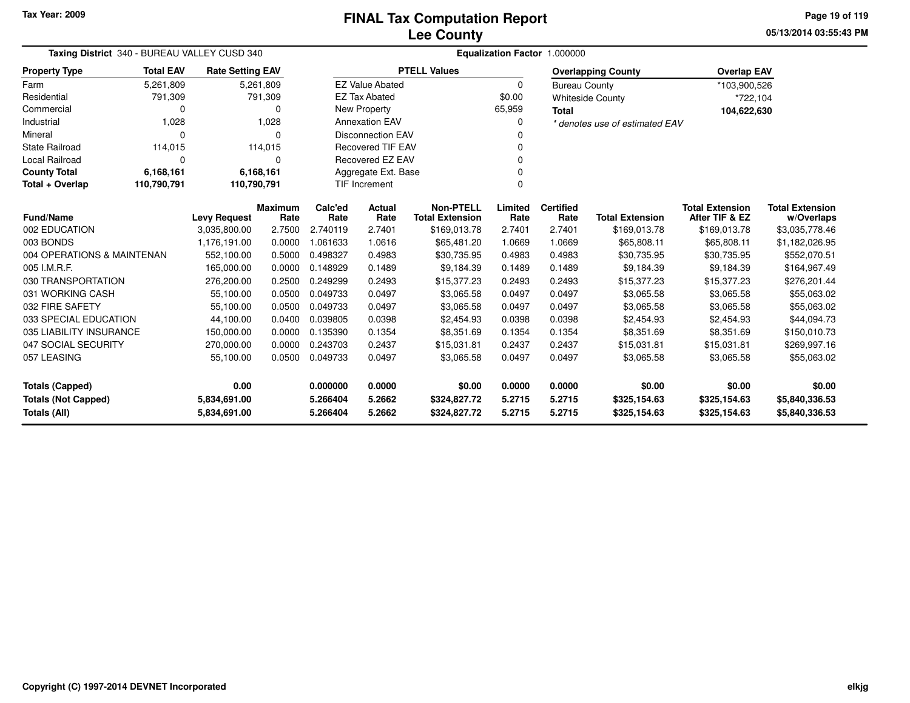**05/13/2014 03:55:43 PMPage 19 of 119**

| Taxing District 340 - BUREAU VALLEY CUSD 340                                     |                  |                                     |                        | Equalization Factor 1.000000 |                          |                                            |                 |                          |                                |                                          |                              |  |
|----------------------------------------------------------------------------------|------------------|-------------------------------------|------------------------|------------------------------|--------------------------|--------------------------------------------|-----------------|--------------------------|--------------------------------|------------------------------------------|------------------------------|--|
| <b>Property Type</b>                                                             | <b>Total EAV</b> | <b>Rate Setting EAV</b>             |                        |                              |                          | <b>PTELL Values</b>                        |                 |                          | <b>Overlapping County</b>      | <b>Overlap EAV</b>                       |                              |  |
| Farm                                                                             | 5,261,809        |                                     | 5,261,809              |                              | <b>EZ Value Abated</b>   |                                            | $\Omega$        | <b>Bureau County</b>     |                                | *103,900,526                             |                              |  |
| Residential                                                                      | 791,309          |                                     | 791,309                |                              | <b>EZ Tax Abated</b>     |                                            | \$0.00          |                          | <b>Whiteside County</b>        | *722,104                                 |                              |  |
| Commercial                                                                       | 0                |                                     | 0                      |                              | <b>New Property</b>      |                                            | 65,959          | <b>Total</b>             |                                | 104,622,630                              |                              |  |
| Industrial                                                                       | 1,028            |                                     | 1,028                  |                              | <b>Annexation EAV</b>    |                                            | 0               |                          | * denotes use of estimated EAV |                                          |                              |  |
| Mineral                                                                          | 0                |                                     | $\Omega$               |                              | <b>Disconnection EAV</b> |                                            | ŋ               |                          |                                |                                          |                              |  |
| <b>State Railroad</b>                                                            | 114,015          |                                     | 114,015                |                              | <b>Recovered TIF EAV</b> |                                            |                 |                          |                                |                                          |                              |  |
| <b>Local Railroad</b>                                                            | 0                |                                     | 0                      |                              | Recovered EZ EAV         |                                            | 0               |                          |                                |                                          |                              |  |
| <b>County Total</b>                                                              | 6,168,161        |                                     | 6,168,161              |                              | Aggregate Ext. Base      |                                            |                 |                          |                                |                                          |                              |  |
| Total + Overlap                                                                  | 110,790,791      | 110,790,791                         |                        |                              | <b>TIF Increment</b>     |                                            | 0               |                          |                                |                                          |                              |  |
| <b>Fund/Name</b>                                                                 |                  |                                     | <b>Maximum</b><br>Rate | Calc'ed<br>Rate              | <b>Actual</b><br>Rate    | <b>Non-PTELL</b><br><b>Total Extension</b> | Limited<br>Rate | <b>Certified</b><br>Rate | <b>Total Extension</b>         | <b>Total Extension</b><br>After TIF & EZ | <b>Total Extension</b>       |  |
| 002 EDUCATION                                                                    |                  | <b>Levy Request</b><br>3,035,800.00 | 2.7500                 | 2.740119                     | 2.7401                   | \$169,013.78                               | 2.7401          | 2.7401                   | \$169,013.78                   | \$169,013.78                             | w/Overlaps<br>\$3,035,778.46 |  |
| 003 BONDS                                                                        |                  | 1,176,191.00                        | 0.0000                 | 1.061633                     | 1.0616                   | \$65,481.20                                | 1.0669          | 1.0669                   | \$65,808.11                    | \$65,808.11                              | \$1,182,026.95               |  |
| 004 OPERATIONS & MAINTENAN                                                       |                  | 552,100.00                          | 0.5000                 | 0.498327                     | 0.4983                   | \$30,735.95                                | 0.4983          | 0.4983                   | \$30,735.95                    | \$30,735.95                              | \$552,070.51                 |  |
| 005 I.M.R.F.                                                                     |                  | 165,000.00                          | 0.0000                 | 0.148929                     | 0.1489                   | \$9,184.39                                 | 0.1489          | 0.1489                   | \$9,184.39                     | \$9,184.39                               | \$164,967.49                 |  |
| 030 TRANSPORTATION                                                               |                  | 276,200.00                          | 0.2500                 | 0.249299                     | 0.2493                   | \$15,377.23                                | 0.2493          | 0.2493                   | \$15,377.23                    | \$15,377.23                              | \$276,201.44                 |  |
| 031 WORKING CASH                                                                 |                  | 55,100.00                           | 0.0500                 | 0.049733                     | 0.0497                   | \$3,065.58                                 | 0.0497          | 0.0497                   | \$3,065.58                     | \$3,065.58                               | \$55,063.02                  |  |
| 032 FIRE SAFETY                                                                  |                  | 55,100.00                           | 0.0500                 | 0.049733                     | 0.0497                   | \$3,065.58                                 | 0.0497          | 0.0497                   | \$3,065.58                     | \$3,065.58                               | \$55,063.02                  |  |
| 033 SPECIAL EDUCATION                                                            |                  | 44,100.00                           | 0.0400                 | 0.039805                     | 0.0398                   | \$2,454.93                                 | 0.0398          | 0.0398                   | \$2,454.93                     | \$2,454.93                               | \$44,094.73                  |  |
| 035 LIABILITY INSURANCE                                                          |                  | 150,000.00                          | 0.0000                 | 0.135390                     | 0.1354                   | \$8,351.69                                 | 0.1354          | 0.1354                   | \$8,351.69                     | \$8,351.69                               | \$150,010.73                 |  |
| 047 SOCIAL SECURITY<br>270,000.00<br>0.0000<br>0.243703<br>0.2437<br>\$15,031.81 |                  |                                     |                        |                              | 0.2437                   | 0.2437                                     | \$15,031.81     | \$15,031.81              | \$269,997.16                   |                                          |                              |  |
| 057 LEASING                                                                      |                  | 55,100.00                           | 0.0500                 | 0.049733                     | 0.0497                   | \$3,065.58                                 | 0.0497          | 0.0497                   | \$3,065.58                     | \$3,065.58                               | \$55,063.02                  |  |
| 0.00<br><b>Totals (Capped)</b>                                                   |                  |                                     |                        | 0.000000                     | 0.0000                   | \$0.00                                     | 0.0000          | 0.0000                   | \$0.00                         | \$0.00                                   | \$0.00                       |  |
| <b>Totals (Not Capped)</b>                                                       |                  | 5,834,691.00                        |                        | 5.266404                     | 5.2662                   | \$324,827.72                               | 5.2715          | 5.2715                   | \$325,154.63                   | \$325,154.63                             | \$5,840,336.53               |  |
| Totals (All)                                                                     |                  | 5,834,691.00                        |                        | 5.266404                     | 5.2662                   | \$324,827.72                               | 5.2715          | 5.2715                   | \$325,154.63                   | \$325,154.63                             | \$5,840,336.53               |  |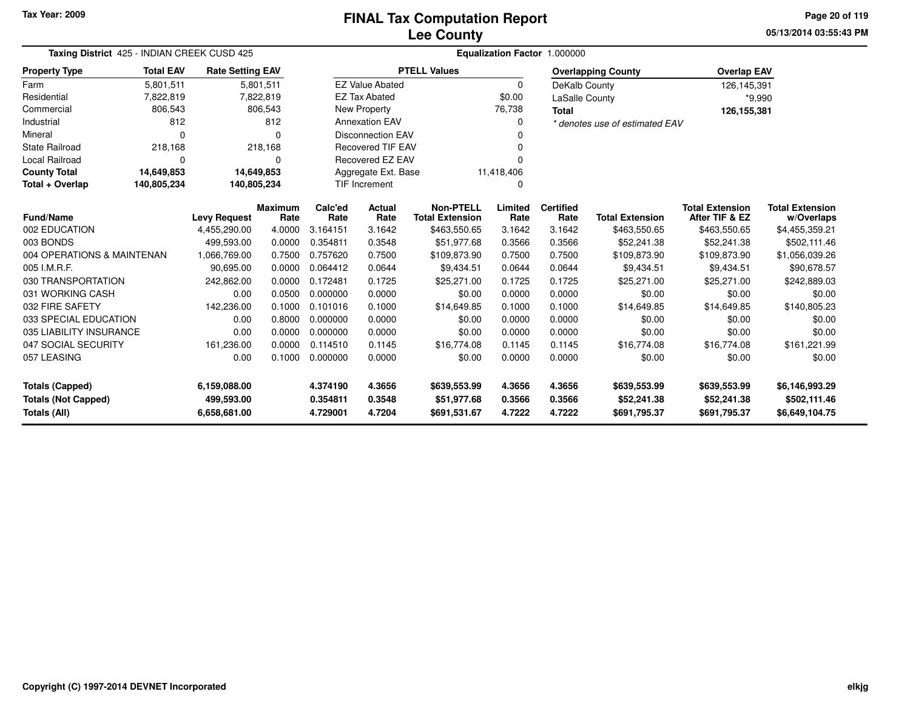**05/13/2014 03:55:43 PMPage 20 of 119**

| Taxing District 425 - INDIAN CREEK CUSD 425                                                     |                                                                                    |                     |                  | Equalization Factor 1.000000 |                          |                        |                  |                  |                                |                        |                        |
|-------------------------------------------------------------------------------------------------|------------------------------------------------------------------------------------|---------------------|------------------|------------------------------|--------------------------|------------------------|------------------|------------------|--------------------------------|------------------------|------------------------|
| <b>Property Type</b>                                                                            | <b>Total EAV</b><br><b>Rate Setting EAV</b><br>5,801,511<br>5,801,511<br>7,822,819 |                     |                  |                              |                          | <b>PTELL Values</b>    |                  |                  | <b>Overlapping County</b>      | <b>Overlap EAV</b>     |                        |
| Farm                                                                                            |                                                                                    |                     |                  |                              | <b>EZ Value Abated</b>   |                        | $\Omega$         | DeKalb County    |                                | 126,145,391            |                        |
| Residential                                                                                     | 7,822,819                                                                          |                     |                  |                              | <b>EZ Tax Abated</b>     |                        | \$0.00           | LaSalle County   |                                | $*9,990$               |                        |
| Commercial                                                                                      | 806,543                                                                            |                     | 806,543          |                              | <b>New Property</b>      |                        | 76,738           | <b>Total</b>     |                                | 126,155,381            |                        |
| Industrial                                                                                      | 812                                                                                |                     | 812              |                              | <b>Annexation EAV</b>    |                        | 0                |                  | * denotes use of estimated EAV |                        |                        |
| Mineral                                                                                         | $\Omega$                                                                           |                     | $\Omega$         |                              | <b>Disconnection EAV</b> |                        | ŋ                |                  |                                |                        |                        |
| <b>State Railroad</b>                                                                           | 218,168                                                                            |                     | 218,168          |                              | <b>Recovered TIF EAV</b> |                        |                  |                  |                                |                        |                        |
| <b>Local Railroad</b>                                                                           | 0                                                                                  |                     | $\Omega$         |                              | Recovered EZ EAV         |                        | O                |                  |                                |                        |                        |
| <b>County Total</b>                                                                             | 14,649,853                                                                         | 14,649,853          |                  |                              | Aggregate Ext. Base      |                        | 11,418,406       |                  |                                |                        |                        |
| Total + Overlap                                                                                 | 140,805,234<br><b>TIF Increment</b><br>140,805,234<br>O                            |                     |                  |                              |                          |                        |                  |                  |                                |                        |                        |
|                                                                                                 |                                                                                    |                     | <b>Maximum</b>   | Calc'ed                      | Actual                   | <b>Non-PTELL</b>       | Limited          | <b>Certified</b> |                                | <b>Total Extension</b> | <b>Total Extension</b> |
| <b>Fund/Name</b>                                                                                |                                                                                    | <b>Levy Request</b> | Rate             | Rate                         | Rate                     | <b>Total Extension</b> | Rate             | Rate             | <b>Total Extension</b>         | After TIF & EZ         | w/Overlaps             |
| 002 EDUCATION<br>003 BONDS                                                                      |                                                                                    | 4,455,290.00        | 4.0000           | 3.164151<br>0.354811         | 3.1642                   | \$463,550.65           | 3.1642           | 3.1642           | \$463,550.65                   | \$463,550.65           | \$4,455,359.21         |
|                                                                                                 |                                                                                    | 499,593.00          | 0.0000           |                              | 0.3548                   | \$51,977.68            | 0.3566           | 0.3566           | \$52,241.38                    | \$52,241.38            | \$502,111.46           |
| 004 OPERATIONS & MAINTENAN                                                                      |                                                                                    | 1,066,769.00        | 0.7500           | 0.757620                     | 0.7500                   | \$109,873.90           | 0.7500           | 0.7500           | \$109,873.90                   | \$109,873.90           | \$1,056,039.26         |
| 005 I.M.R.F.                                                                                    |                                                                                    | 90,695.00           | 0.0000           | 0.064412                     | 0.0644                   | \$9,434.51             | 0.0644           | 0.0644           | \$9,434.51                     | \$9,434.51             | \$90,678.57            |
| 030 TRANSPORTATION                                                                              |                                                                                    | 242,862.00          | 0.0000           | 0.172481<br>0.000000         | 0.1725                   | \$25,271.00            | 0.1725           | 0.1725           | \$25,271.00                    | \$25,271.00            | \$242,889.03           |
| 031 WORKING CASH<br>032 FIRE SAFETY                                                             |                                                                                    | 0.00<br>142,236.00  | 0.0500<br>0.1000 | 0.101016                     | 0.0000<br>0.1000         | \$0.00<br>\$14,649.85  | 0.0000<br>0.1000 | 0.0000<br>0.1000 | \$0.00<br>\$14,649.85          | \$0.00<br>\$14,649.85  | \$0.00<br>\$140,805.23 |
| 033 SPECIAL EDUCATION                                                                           |                                                                                    | 0.00                | 0.8000           | 0.000000                     | 0.0000                   | \$0.00                 | 0.0000           | 0.0000           | \$0.00                         | \$0.00                 | \$0.00                 |
|                                                                                                 |                                                                                    |                     |                  |                              |                          | \$0.00                 | 0.0000           | 0.0000           | \$0.00                         | \$0.00                 | \$0.00                 |
| 035 LIABILITY INSURANCE<br>0.0000<br>0.000000<br>0.00<br>0.0000<br>0.0000<br>0.114510<br>0.1145 |                                                                                    |                     |                  | \$16,774.08                  | 0.1145                   | 0.1145                 | \$16,774.08      | \$16,774.08      | \$161,221.99                   |                        |                        |
| 047 SOCIAL SECURITY<br>161,236.00                                                               |                                                                                    | 0.1000              | 0.000000         | 0.0000                       | \$0.00                   | 0.0000                 | 0.0000           | \$0.00           | \$0.00                         | \$0.00                 |                        |
| 057 LEASING<br>0.00                                                                             |                                                                                    |                     |                  |                              |                          |                        |                  |                  |                                |                        |                        |
| 6,159,088.00<br><b>Totals (Capped)</b>                                                          |                                                                                    |                     |                  | 4.374190                     | 4.3656                   | \$639,553.99           | 4.3656           | 4.3656           | \$639,553.99                   | \$639,553.99           | \$6,146,993.29         |
| <b>Totals (Not Capped)</b><br>499,593.00                                                        |                                                                                    |                     |                  | 0.354811                     | 0.3548                   | \$51,977.68            | 0.3566           | 0.3566           | \$52,241.38                    | \$52,241.38            | \$502,111.46           |
| Totals (All)                                                                                    |                                                                                    | 6,658,681.00        |                  | 4.729001                     | 4.7204                   | \$691,531.67           | 4.7222           | 4.7222           | \$691,795.37                   | \$691,795.37           | \$6,649,104.75         |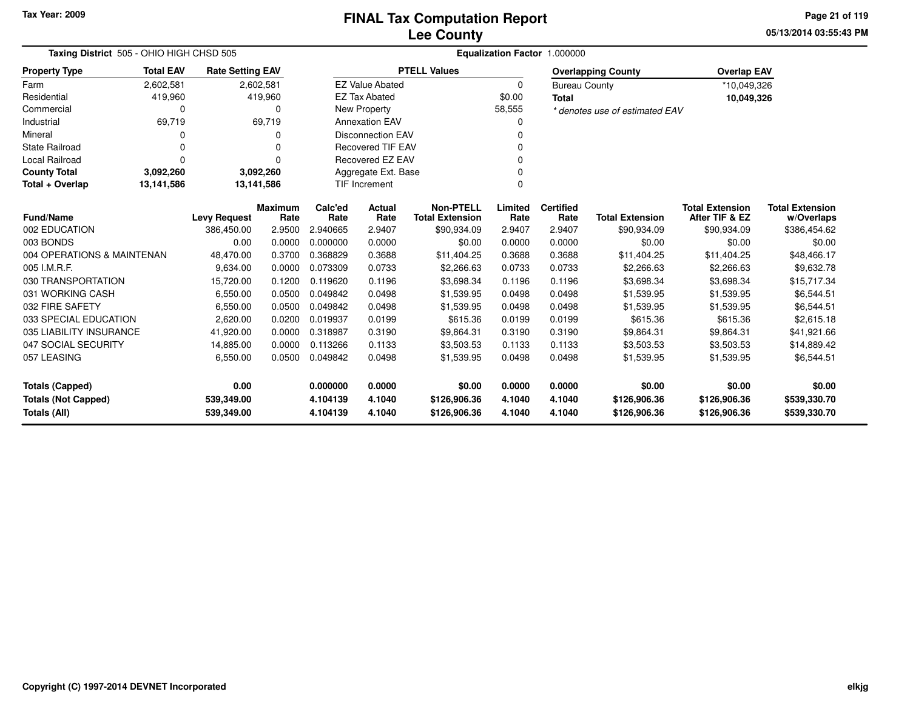**05/13/2014 03:55:43 PM Page 21 of 119**

| Taxing District 505 - OHIO HIGH CHSD 505 | Equalization Factor 1.000000 |                         |                 |                 |                          |                                            |                 |                          |                                |                                          |                                      |
|------------------------------------------|------------------------------|-------------------------|-----------------|-----------------|--------------------------|--------------------------------------------|-----------------|--------------------------|--------------------------------|------------------------------------------|--------------------------------------|
| <b>Property Type</b>                     | <b>Total EAV</b>             | <b>Rate Setting EAV</b> |                 |                 |                          | <b>PTELL Values</b>                        |                 |                          | <b>Overlapping County</b>      | <b>Overlap EAV</b>                       |                                      |
| Farm                                     | 2,602,581                    | 2,602,581               |                 |                 | <b>EZ Value Abated</b>   |                                            | 0               | <b>Bureau County</b>     |                                | *10,049,326                              |                                      |
| Residential                              | 419,960                      |                         | 419,960         |                 | <b>EZ Tax Abated</b>     |                                            | \$0.00          | <b>Total</b>             |                                | 10,049,326                               |                                      |
| Commercial                               | 0                            |                         | 0               |                 | <b>New Property</b>      |                                            | 58,555          |                          | * denotes use of estimated EAV |                                          |                                      |
| Industrial                               | 69,719                       |                         | 69,719          |                 | <b>Annexation EAV</b>    |                                            |                 |                          |                                |                                          |                                      |
| Mineral                                  |                              |                         | O               |                 | <b>Disconnection EAV</b> |                                            |                 |                          |                                |                                          |                                      |
| <b>State Railroad</b>                    |                              |                         | 0               |                 | <b>Recovered TIF EAV</b> |                                            |                 |                          |                                |                                          |                                      |
| Local Railroad                           | 0                            |                         | $\Omega$        |                 | <b>Recovered EZ EAV</b>  |                                            |                 |                          |                                |                                          |                                      |
| <b>County Total</b>                      | 3,092,260                    | 3,092,260               |                 |                 | Aggregate Ext. Base      |                                            |                 |                          |                                |                                          |                                      |
| Total + Overlap                          | 13,141,586                   | 13,141,586              |                 |                 | <b>TIF Increment</b>     |                                            | $\Omega$        |                          |                                |                                          |                                      |
| <b>Fund/Name</b>                         |                              | <b>Levy Request</b>     | Maximum<br>Rate | Calc'ed<br>Rate | <b>Actual</b><br>Rate    | <b>Non-PTELL</b><br><b>Total Extension</b> | Limited<br>Rate | <b>Certified</b><br>Rate | <b>Total Extension</b>         | <b>Total Extension</b><br>After TIF & EZ | <b>Total Extension</b><br>w/Overlaps |
| 002 EDUCATION                            |                              | 386,450.00              | 2.9500          | 2.940665        | 2.9407                   | \$90,934.09                                | 2.9407          | 2.9407                   | \$90,934.09                    | \$90,934.09                              | \$386,454.62                         |
| 003 BONDS                                |                              | 0.00                    | 0.0000          | 0.000000        | 0.0000                   | \$0.00                                     | 0.0000          | 0.0000                   | \$0.00                         | \$0.00                                   | \$0.00                               |
| 004 OPERATIONS & MAINTENAN               |                              | 48,470.00               | 0.3700          | 0.368829        | 0.3688                   | \$11,404.25                                | 0.3688          | 0.3688                   | \$11,404.25                    | \$11,404.25                              | \$48,466.17                          |
| 005 I.M.R.F.                             |                              | 9,634.00                | 0.0000          | 0.073309        | 0.0733                   | \$2,266.63                                 | 0.0733          | 0.0733                   | \$2,266.63                     | \$2,266.63                               | \$9,632.78                           |
| 030 TRANSPORTATION                       |                              | 15,720.00               | 0.1200          | 0.119620        | 0.1196                   | \$3,698.34                                 | 0.1196          | 0.1196                   | \$3,698.34                     | \$3,698.34                               | \$15,717.34                          |
| 031 WORKING CASH                         |                              | 6,550.00                | 0.0500          | 0.049842        | 0.0498                   | \$1,539.95                                 | 0.0498          | 0.0498                   | \$1,539.95                     | \$1,539.95                               | \$6,544.51                           |
| 032 FIRE SAFETY                          |                              | 6,550.00                | 0.0500          | 0.049842        | 0.0498                   | \$1,539.95                                 | 0.0498          | 0.0498                   | \$1,539.95                     | \$1,539.95                               | \$6,544.51                           |
| 033 SPECIAL EDUCATION                    |                              | 2,620.00                | 0.0200          | 0.019937        | 0.0199                   | \$615.36                                   | 0.0199          | 0.0199                   | \$615.36                       | \$615.36                                 | \$2,615.18                           |
| 035 LIABILITY INSURANCE                  |                              | 41,920.00               | 0.0000          | 0.318987        | 0.3190                   | \$9,864.31                                 | 0.3190          | 0.3190                   | \$9,864.31                     | \$9,864.31                               | \$41,921.66                          |
| 047 SOCIAL SECURITY                      |                              | 14,885.00               | 0.0000          | 0.113266        | 0.1133                   | \$3,503.53                                 | 0.1133          | 0.1133                   | \$3,503.53                     | \$3,503.53                               | \$14,889.42                          |
| 057 LEASING                              |                              | 6,550.00                | 0.0500          | 0.049842        | 0.0498                   | \$1,539.95                                 | 0.0498          | 0.0498                   | \$1,539.95                     | \$1,539.95                               | \$6,544.51                           |
| <b>Totals (Capped)</b>                   | 0.00                         |                         | 0.000000        | 0.0000          | \$0.00                   | 0.0000                                     | 0.0000          | \$0.00                   | \$0.00                         | \$0.00                                   |                                      |
| <b>Totals (Not Capped)</b>               | 539,349.00                   |                         | 4.104139        | 4.1040          | \$126,906.36             | 4.1040                                     | 4.1040          | \$126,906.36             | \$126,906.36                   | \$539,330.70                             |                                      |
| Totals (All)                             |                              | 539,349.00              |                 | 4.104139        | 4.1040                   | \$126,906.36                               | 4.1040          | 4.1040                   | \$126,906.36                   | \$126,906.36                             | \$539,330.70                         |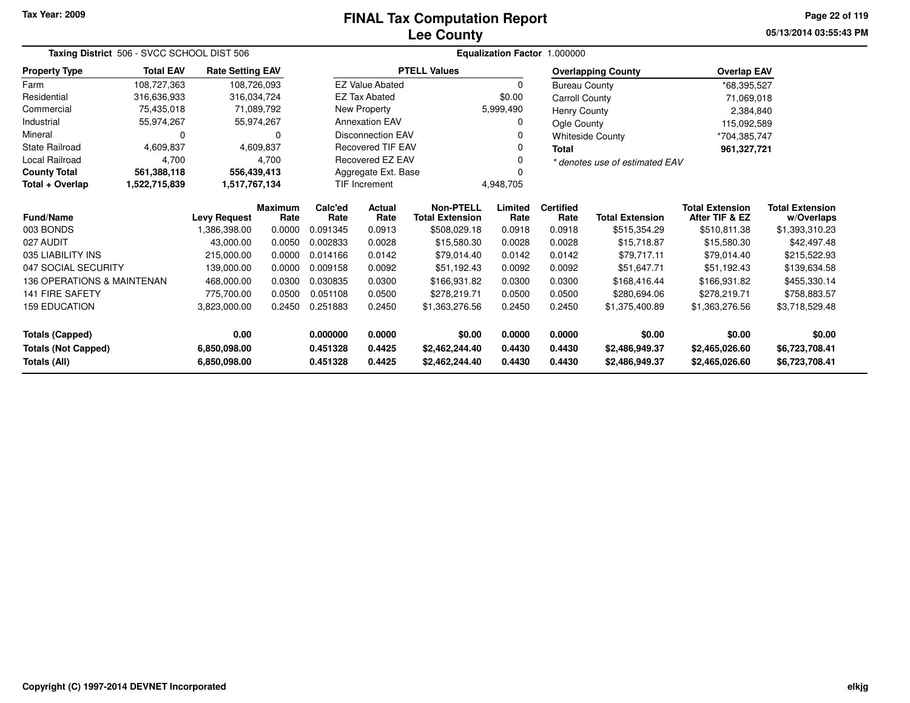# **Lee CountyFINAL Tax Computation Report**

**05/13/2014 03:55:43 PM Page 22 of 119**

|                                                                                                                              | Taxing District 506 - SVCC SCHOOL DIST 506<br><b>Rate Setting EAV</b> |                     |                        |                 |                          |                                            | <b>Equalization Factor</b> | 1.000000                 |                                |                                          |                                      |
|------------------------------------------------------------------------------------------------------------------------------|-----------------------------------------------------------------------|---------------------|------------------------|-----------------|--------------------------|--------------------------------------------|----------------------------|--------------------------|--------------------------------|------------------------------------------|--------------------------------------|
| <b>Property Type</b>                                                                                                         | <b>Total EAV</b>                                                      |                     |                        |                 |                          | <b>PTELL Values</b>                        |                            |                          | <b>Overlapping County</b>      | <b>Overlap EAV</b>                       |                                      |
| Farm                                                                                                                         | 108,727,363                                                           | 108,726,093         |                        |                 | <b>EZ Value Abated</b>   |                                            | 0                          | <b>Bureau County</b>     |                                | *68,395,527                              |                                      |
| Residential                                                                                                                  | 316,636,933                                                           | 316,034,724         |                        |                 | <b>EZ Tax Abated</b>     |                                            | \$0.00                     | <b>Carroll County</b>    |                                | 71,069,018                               |                                      |
| Commercial                                                                                                                   | 75,435,018                                                            |                     | 71,089,792             |                 | New Property             |                                            | 5,999,490                  | <b>Henry County</b>      |                                | 2,384,840                                |                                      |
| Industrial                                                                                                                   | 55,974,267                                                            | 55,974,267          |                        |                 | <b>Annexation EAV</b>    |                                            | 0                          | Ogle County              |                                | 115,092,589                              |                                      |
| Mineral                                                                                                                      | $\Omega$                                                              |                     | 0                      |                 | <b>Disconnection EAV</b> |                                            | 0                          |                          | <b>Whiteside County</b>        | *704,385,747                             |                                      |
| <b>State Railroad</b>                                                                                                        | 4,609,837                                                             |                     | 4,609,837              |                 | <b>Recovered TIF EAV</b> |                                            | 0                          | <b>Total</b>             |                                | 961,327,721                              |                                      |
| Local Railroad                                                                                                               | 4.700                                                                 |                     | 4,700                  |                 | Recovered EZ EAV         |                                            | 0                          |                          | * denotes use of estimated EAV |                                          |                                      |
| <b>County Total</b>                                                                                                          | 561,388,118                                                           | 556,439,413         |                        |                 | Aggregate Ext. Base      |                                            | $\Omega$                   |                          |                                |                                          |                                      |
| Total + Overlap                                                                                                              | 1,522,715,839                                                         | 1,517,767,134       |                        |                 | TIF Increment            |                                            | 4,948,705                  |                          |                                |                                          |                                      |
| <b>Fund/Name</b>                                                                                                             |                                                                       | <b>Levy Request</b> | <b>Maximum</b><br>Rate | Calc'ed<br>Rate | <b>Actual</b><br>Rate    | <b>Non-PTELL</b><br><b>Total Extension</b> | Limited<br>Rate            | <b>Certified</b><br>Rate | <b>Total Extension</b>         | <b>Total Extension</b><br>After TIF & EZ | <b>Total Extension</b><br>w/Overlaps |
| 003 BONDS                                                                                                                    |                                                                       | 1,386,398.00        | 0.0000                 | 0.091345        | 0.0913                   | \$508,029.18                               | 0.0918                     | 0.0918                   | \$515,354.29                   | \$510,811.38                             | \$1,393,310.23                       |
| 027 AUDIT                                                                                                                    |                                                                       | 43,000.00           | 0.0050                 | 0.002833        | 0.0028                   | \$15,580.30                                | 0.0028                     | 0.0028                   | \$15,718.87                    | \$15,580.30                              | \$42,497.48                          |
| 035 LIABILITY INS                                                                                                            |                                                                       | 215,000.00          | 0.0000                 | 0.014166        | 0.0142                   | \$79,014.40                                | 0.0142                     | 0.0142                   | \$79,717.11                    | \$79,014.40                              | \$215,522.93                         |
| 047 SOCIAL SECURITY                                                                                                          |                                                                       | 139,000.00          | 0.0000                 | 0.009158        | 0.0092                   | \$51,192.43                                | 0.0092                     | 0.0092                   | \$51,647.71                    | \$51,192.43                              | \$139,634.58                         |
| 136 OPERATIONS & MAINTENAN                                                                                                   |                                                                       | 468,000.00          | 0.0300                 | 0.030835        | 0.0300                   | \$166,931.82                               | 0.0300                     | 0.0300                   | \$168,416.44                   | \$166,931.82                             | \$455,330.14                         |
| <b>141 FIRE SAFETY</b>                                                                                                       |                                                                       | 775,700.00          | 0.0500                 | 0.051108        | 0.0500                   | \$278,219.71                               | 0.0500                     | 0.0500                   | \$280,694.06                   | \$278,219.71                             | \$758,883.57                         |
| 0.2450<br><b>159 EDUCATION</b><br>0.251883<br>0.2450<br>0.2450<br>0.2450<br>3,823,000.00<br>\$1,363,276.56<br>\$1,375,400.89 |                                                                       |                     |                        |                 | \$1,363,276.56           | \$3,718,529.48                             |                            |                          |                                |                                          |                                      |
| <b>Totals (Capped)</b><br>0.00                                                                                               |                                                                       |                     |                        | 0.000000        | 0.0000                   | \$0.00                                     | 0.0000                     | 0.0000                   | \$0.00                         | \$0.00                                   | \$0.00                               |
| <b>Totals (Not Capped)</b>                                                                                                   |                                                                       | 6,850,098.00        |                        | 0.451328        | 0.4425                   | \$2,462,244.40                             | 0.4430                     | 0.4430                   | \$2,486,949.37                 | \$2,465,026.60                           | \$6,723,708.41                       |
| Totals (All)                                                                                                                 |                                                                       | 6,850,098.00        |                        | 0.451328        | 0.4425                   | \$2,462,244.40                             | 0.4430                     | 0.4430                   | \$2,486,949.37                 | \$2,465,026.60                           | \$6,723,708.41                       |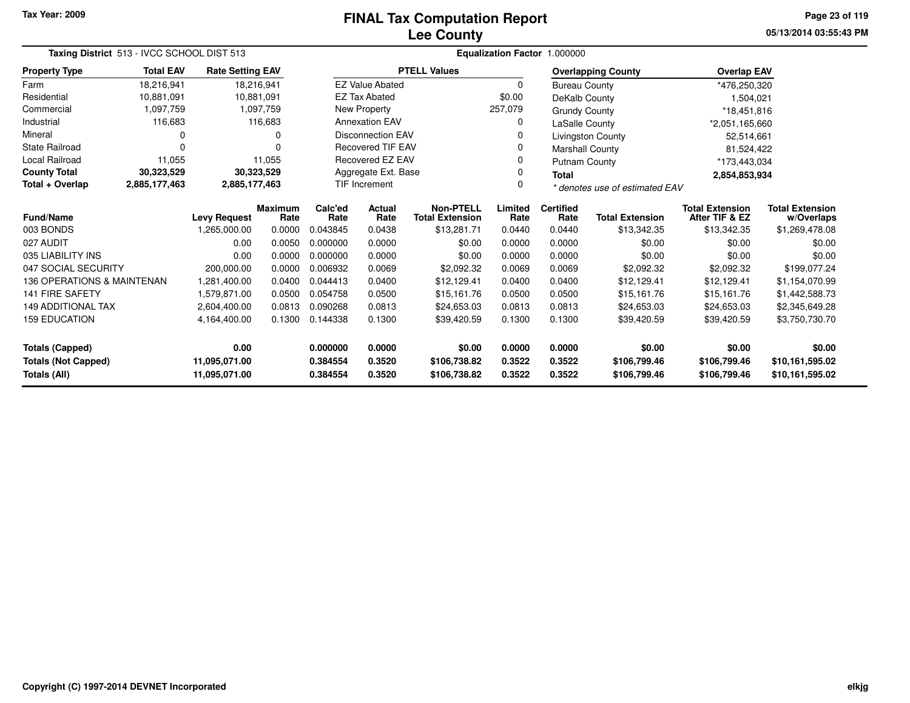# **Lee CountyFINAL Tax Computation Report**

**05/13/2014 03:55:43 PM Page 23 of 119**

| Taxing District 513 - IVCC SCHOOL DIST 513<br><b>Total EAV</b><br><b>Rate Setting EAV</b> |                     |                      |                        |                              |                                                      |                                            |                              | Equalization Factor 1.000000 |                                    |                                          |                                      |
|-------------------------------------------------------------------------------------------|---------------------|----------------------|------------------------|------------------------------|------------------------------------------------------|--------------------------------------------|------------------------------|------------------------------|------------------------------------|------------------------------------------|--------------------------------------|
| <b>Property Type</b>                                                                      |                     |                      |                        |                              |                                                      | <b>PTELL Values</b>                        |                              |                              | <b>Overlapping County</b>          | <b>Overlap EAV</b>                       |                                      |
| Farm                                                                                      | 18,216,941          |                      | 18,216,941             |                              | <b>EZ Value Abated</b>                               |                                            | $\Omega$                     | <b>Bureau County</b>         |                                    | *476,250,320                             |                                      |
| Residential                                                                               | 10,881,091          | 10,881,091           |                        |                              | <b>EZ Tax Abated</b>                                 |                                            | \$0.00                       | DeKalb County                |                                    | 1,504,021                                |                                      |
| Commercial                                                                                | 1,097,759           |                      | 1,097,759              |                              | New Property                                         |                                            | 257,079                      | <b>Grundy County</b>         |                                    | *18,451,816                              |                                      |
| Industrial                                                                                | 116,683             |                      | 116,683                |                              | <b>Annexation EAV</b>                                |                                            | 0                            | LaSalle County               |                                    | *2,051,165,660                           |                                      |
| Mineral                                                                                   | 0                   |                      | 0                      |                              | <b>Disconnection EAV</b>                             |                                            | 0                            |                              | <b>Livingston County</b>           | 52,514,661                               |                                      |
| <b>State Railroad</b>                                                                     | $\Omega$            |                      | ∩                      |                              | <b>Recovered TIF EAV</b>                             |                                            | 0                            | <b>Marshall County</b>       |                                    | 81,524,422                               |                                      |
| <b>Local Railroad</b>                                                                     | 11,055              |                      | 11,055                 |                              | Recovered EZ EAV                                     |                                            | 0                            | Putnam County                |                                    | *173,443,034                             |                                      |
| <b>County Total</b>                                                                       | 30,323,529          |                      | 30,323,529             |                              | Aggregate Ext. Base                                  |                                            | 0                            | <b>Total</b>                 |                                    | 2,854,853,934                            |                                      |
| Total + Overlap                                                                           | 2,885,177,463       | 2,885,177,463        |                        |                              | TIF Increment<br>0<br>* denotes use of estimated EAV |                                            |                              |                              |                                    |                                          |                                      |
| <b>Fund/Name</b>                                                                          | <b>Levy Request</b> |                      | <b>Maximum</b><br>Rate | Calc'ed<br>Rate              | <b>Actual</b><br>Rate                                | <b>Non-PTELL</b><br><b>Total Extension</b> | Limited<br>Rate              | <b>Certified</b><br>Rate     | <b>Total Extension</b>             | <b>Total Extension</b><br>After TIF & EZ | <b>Total Extension</b><br>w/Overlaps |
| 003 BONDS                                                                                 |                     | 1,265,000.00         | 0.0000                 | 0.043845                     | 0.0438                                               | \$13,281.71                                | 0.0440                       | 0.0440                       | \$13,342.35                        | \$13,342.35                              | \$1,269,478.08                       |
| 027 AUDIT                                                                                 |                     | 0.00                 | 0.0050                 | 0.000000                     | 0.0000                                               | \$0.00                                     | 0.0000                       | 0.0000                       | \$0.00                             | \$0.00                                   | \$0.00                               |
| 035 LIABILITY INS                                                                         |                     | 0.00                 | 0.0000                 | 0.000000                     | 0.0000                                               | \$0.00                                     | 0.0000                       | 0.0000                       | \$0.00                             | \$0.00                                   | \$0.00                               |
| 047 SOCIAL SECURITY                                                                       |                     | 200,000.00           | 0.0000                 | 0.006932                     | 0.0069                                               | \$2,092.32                                 | 0.0069                       | 0.0069                       | \$2,092.32                         | \$2,092.32                               | \$199,077.24                         |
| 136 OPERATIONS & MAINTENAN                                                                |                     | 1,281,400.00         | 0.0400                 | 0.044413                     | 0.0400                                               | \$12.129.41                                | 0.0400                       | 0.0400                       | \$12.129.41                        | \$12,129.41                              | \$1,154,070.99                       |
| <b>141 FIRE SAFETY</b>                                                                    |                     | 1,579,871.00         | 0.0500                 | 0.054758                     | 0.0500                                               | \$15,161.76                                | 0.0500                       | 0.0500                       | \$15,161.76                        | \$15,161.76                              | \$1,442,588.73                       |
| <b>149 ADDITIONAL TAX</b>                                                                 |                     | 2,604,400.00         | 0.0813                 | 0.090268                     | 0.0813                                               | \$24,653.03                                | 0.0813                       | 0.0813                       | \$24,653.03                        | \$24,653.03                              | \$2,345,649.28                       |
| <b>159 EDUCATION</b><br>0.1300<br>0.144338<br>0.1300<br>4,164,400.00                      |                     |                      | \$39,420.59            | 0.1300                       | 0.1300                                               | \$39,420.59                                | \$39,420.59                  | \$3,750,730.70               |                                    |                                          |                                      |
| <b>Totals (Capped)</b>                                                                    |                     | 0.00                 |                        | 0.000000                     | 0.0000                                               | \$0.00                                     | 0.0000                       | 0.0000                       | \$0.00                             | \$0.00                                   | \$0.00                               |
| <b>Totals (Not Capped)</b><br>11,095,071.00<br>Totals (All)<br>11,095,071.00              |                     | 0.384554<br>0.384554 | 0.3520<br>0.3520       | \$106,738.82<br>\$106,738.82 | 0.3522<br>0.3522                                     | 0.3522<br>0.3522                           | \$106,799.46<br>\$106,799.46 | \$106,799.46<br>\$106,799.46 | \$10,161,595.02<br>\$10,161,595.02 |                                          |                                      |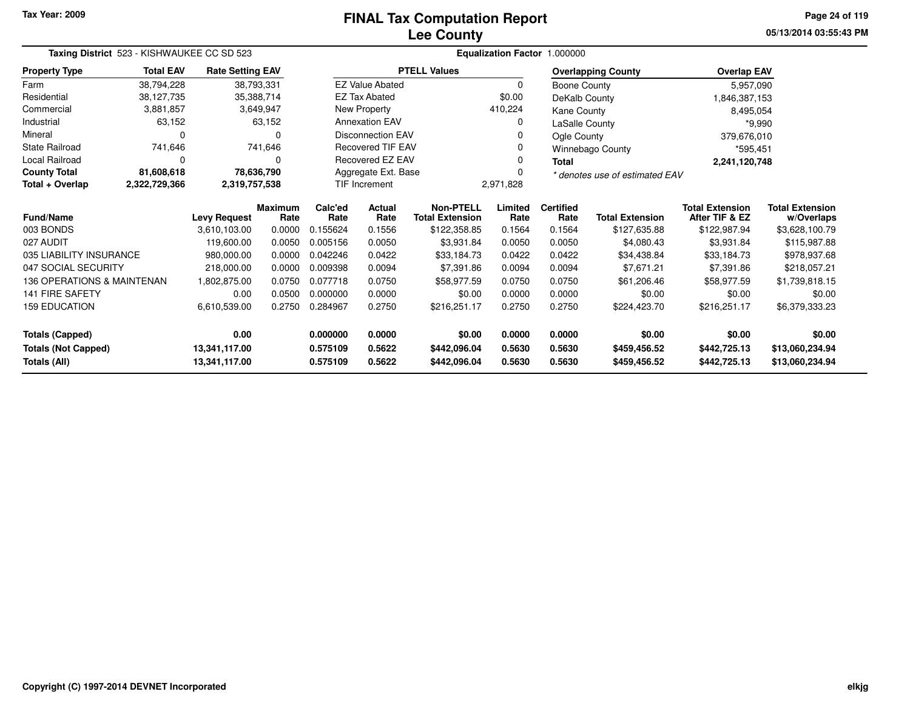# **Lee CountyFINAL Tax Computation Report**

**05/13/2014 03:55:43 PM Page 24 of 119**

|                                                                                      | Taxing District 523 - KISHWAUKEE CC SD 523<br><b>Total EAV</b><br><b>Rate Setting EAV</b> |                     |                        |                 |                          |                                            |                 | Equalization Factor 1.000000 |                                |                                          |                                      |
|--------------------------------------------------------------------------------------|-------------------------------------------------------------------------------------------|---------------------|------------------------|-----------------|--------------------------|--------------------------------------------|-----------------|------------------------------|--------------------------------|------------------------------------------|--------------------------------------|
| <b>Property Type</b>                                                                 |                                                                                           |                     |                        |                 |                          | <b>PTELL Values</b>                        |                 |                              | <b>Overlapping County</b>      | <b>Overlap EAV</b>                       |                                      |
| Farm                                                                                 | 38,794,228                                                                                |                     | 38,793,331             |                 | <b>EZ Value Abated</b>   |                                            | 0               | Boone County                 |                                | 5,957,090                                |                                      |
| Residential                                                                          | 38,127,735                                                                                |                     | 35,388,714             |                 | <b>EZ Tax Abated</b>     |                                            | \$0.00          | DeKalb County                |                                | 1,846,387,153                            |                                      |
| Commercial                                                                           | 3,881,857                                                                                 |                     | 3,649,947              |                 | New Property             |                                            | 410,224         | Kane County                  |                                | 8,495,054                                |                                      |
| Industrial                                                                           | 63,152                                                                                    |                     | 63,152                 |                 | <b>Annexation EAV</b>    |                                            | 0               | LaSalle County               |                                | $*9,990$                                 |                                      |
| Mineral                                                                              | 0                                                                                         |                     | $\Omega$               |                 | <b>Disconnection EAV</b> |                                            |                 | Ogle County                  |                                | 379,676,010                              |                                      |
| <b>State Railroad</b>                                                                | 741,646                                                                                   |                     | 741,646                |                 | <b>Recovered TIF EAV</b> |                                            | 0               |                              | Winnebago County               | *595,451                                 |                                      |
| Local Railroad                                                                       | 0                                                                                         |                     | $\Omega$               |                 | Recovered EZ EAV         |                                            | 0               | <b>Total</b>                 |                                | 2,241,120,748                            |                                      |
| <b>County Total</b>                                                                  | 81,608,618                                                                                |                     | 78,636,790             |                 | Aggregate Ext. Base      |                                            |                 |                              | * denotes use of estimated EAV |                                          |                                      |
| Total + Overlap                                                                      | 2,322,729,366                                                                             | 2,319,757,538       |                        |                 | <b>TIF Increment</b>     |                                            | 2,971,828       |                              |                                |                                          |                                      |
| Fund/Name                                                                            |                                                                                           | <b>Levy Request</b> | <b>Maximum</b><br>Rate | Calc'ed<br>Rate | <b>Actual</b><br>Rate    | <b>Non-PTELL</b><br><b>Total Extension</b> | Limited<br>Rate | <b>Certified</b><br>Rate     | <b>Total Extension</b>         | <b>Total Extension</b><br>After TIF & EZ | <b>Total Extension</b><br>w/Overlaps |
| 003 BONDS                                                                            |                                                                                           | 3,610,103.00        | 0.0000                 | 0.155624        | 0.1556                   | \$122,358.85                               | 0.1564          | 0.1564                       | \$127,635.88                   | \$122,987.94                             | \$3,628,100.79                       |
| 027 AUDIT                                                                            |                                                                                           | 119,600.00          | 0.0050                 | 0.005156        | 0.0050                   | \$3,931.84                                 | 0.0050          | 0.0050                       | \$4,080.43                     | \$3,931.84                               | \$115,987.88                         |
| 035 LIABILITY INSURANCE                                                              |                                                                                           | 980,000.00          | 0.0000                 | 0.042246        | 0.0422                   | \$33,184.73                                | 0.0422          | 0.0422                       | \$34,438.84                    | \$33,184.73                              | \$978,937.68                         |
| 047 SOCIAL SECURITY                                                                  |                                                                                           | 218,000.00          | 0.0000                 | 0.009398        | 0.0094                   | \$7,391.86                                 | 0.0094          | 0.0094                       | \$7,671.21                     | \$7,391.86                               | \$218,057.21                         |
| <b>136 OPERATIONS &amp; MAINTENAN</b>                                                |                                                                                           | 1,802,875.00        | 0.0750                 | 0.077718        | 0.0750                   | \$58,977.59                                | 0.0750          | 0.0750                       | \$61,206.46                    | \$58,977.59                              | \$1,739,818.15                       |
| <b>141 FIRE SAFETY</b>                                                               |                                                                                           | 0.00                | 0.0500                 | 0.000000        | 0.0000                   | \$0.00                                     | 0.0000          | 0.0000                       | \$0.00                         | \$0.00                                   | \$0.00                               |
| <b>159 EDUCATION</b><br>6,610,539.00<br>0.2750<br>0.284967<br>0.2750<br>\$216,251.17 |                                                                                           | 0.2750              | 0.2750                 | \$224,423.70    | \$216,251.17             | \$6,379,333.23                             |                 |                              |                                |                                          |                                      |
| Totals (Capped)                                                                      |                                                                                           | 0.00                |                        | 0.000000        | 0.0000                   | \$0.00                                     | 0.0000          | 0.0000                       | \$0.00                         | \$0.00                                   | \$0.00                               |
| <b>Totals (Not Capped)</b><br>13,341,117.00                                          |                                                                                           | 0.575109            | 0.5622                 | \$442,096.04    | 0.5630                   | 0.5630                                     | \$459,456.52    | \$442,725.13                 | \$13,060,234.94                |                                          |                                      |
| Totals (All)                                                                         |                                                                                           | 13,341,117.00       |                        | 0.575109        | 0.5622                   | \$442,096.04                               | 0.5630          | 0.5630                       | \$459,456.52                   | \$442,725.13                             | \$13,060,234.94                      |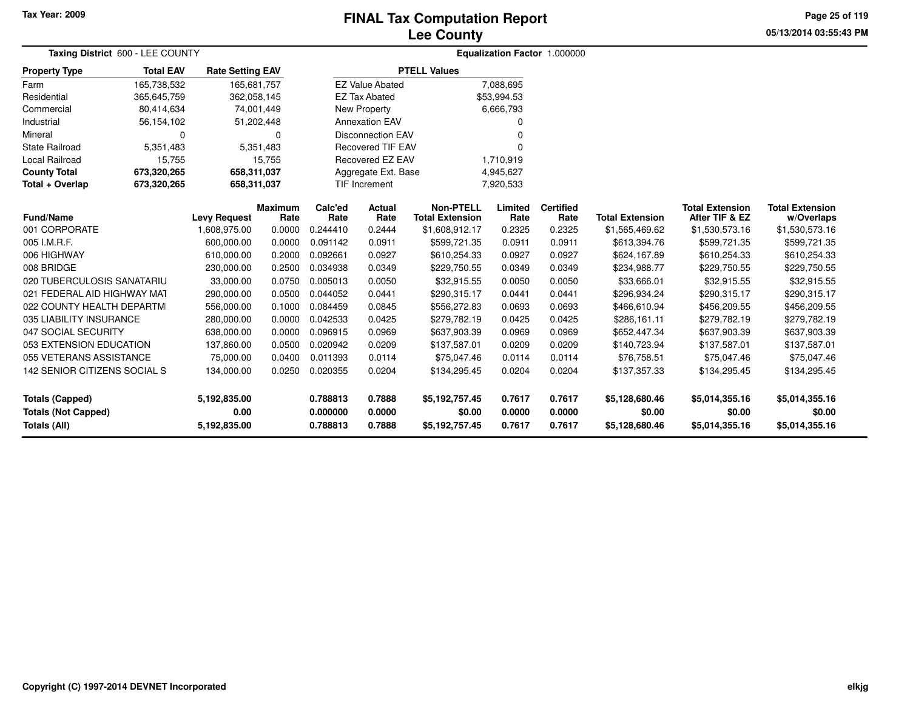## **Lee CountyFINAL Tax Computation Report**

**05/13/2014 03:55:43 PM Page 25 of 119**

| Taxing District 600 - LEE COUNTY           |                  |                         |                |                      |                          |                          |                  | <b>Equalization Factor 1.000000</b> |                          |                          |                          |  |
|--------------------------------------------|------------------|-------------------------|----------------|----------------------|--------------------------|--------------------------|------------------|-------------------------------------|--------------------------|--------------------------|--------------------------|--|
| <b>Property Type</b>                       | <b>Total EAV</b> | <b>Rate Setting EAV</b> |                |                      |                          | <b>PTELL Values</b>      |                  |                                     |                          |                          |                          |  |
| Farm                                       | 165,738,532      | 165.681.757             |                |                      | <b>EZ Value Abated</b>   |                          | 7,088,695        |                                     |                          |                          |                          |  |
| Residential                                | 365,645,759      | 362,058,145             |                |                      | <b>EZ Tax Abated</b>     |                          | \$53,994.53      |                                     |                          |                          |                          |  |
| Commercial                                 | 80,414,634       | 74,001,449              |                |                      | New Property             |                          | 6,666,793        |                                     |                          |                          |                          |  |
| Industrial                                 | 56,154,102       | 51,202,448              |                |                      | <b>Annexation EAV</b>    |                          |                  |                                     |                          |                          |                          |  |
| Mineral                                    | $\Omega$         |                         | 0              |                      | <b>Disconnection EAV</b> |                          |                  |                                     |                          |                          |                          |  |
| <b>State Railroad</b>                      | 5,351,483        |                         | 5,351,483      |                      | <b>Recovered TIF EAV</b> |                          |                  |                                     |                          |                          |                          |  |
| Local Railroad                             | 15,755           |                         | 15,755         |                      | Recovered EZ EAV         |                          | 1,710,919        |                                     |                          |                          |                          |  |
| <b>County Total</b>                        | 673,320,265      | 658,311,037             |                |                      | Aggregate Ext. Base      |                          | 4,945,627        |                                     |                          |                          |                          |  |
| Total + Overlap                            | 673,320,265      | 658,311,037             |                |                      | TIF Increment            |                          | 7,920,533        |                                     |                          |                          |                          |  |
|                                            |                  |                         | <b>Maximum</b> | Calc'ed              | <b>Actual</b>            | <b>Non-PTELL</b>         | Limited          | <b>Certified</b>                    |                          | <b>Total Extension</b>   | <b>Total Extension</b>   |  |
| <b>Fund/Name</b>                           |                  | <b>Levy Request</b>     | Rate           | Rate                 | Rate                     | <b>Total Extension</b>   | Rate             | Rate                                | <b>Total Extension</b>   | After TIF & EZ           | w/Overlaps               |  |
| 001 CORPORATE                              |                  | 1,608,975.00            | 0.0000         | 0.244410             | 0.2444                   | \$1,608,912.17           | 0.2325           | 0.2325                              | \$1,565,469.62           | \$1,530,573.16           | \$1,530,573.16           |  |
| 005 I.M.R.F.                               |                  | 600,000.00              | 0.0000         | 0.091142             | 0.0911                   | \$599,721.35             | 0.0911           | 0.0911                              | \$613,394.76             | \$599,721.35             | \$599,721.35             |  |
| 006 HIGHWAY                                |                  | 610,000.00              | 0.2000         | 0.092661             | 0.0927                   | \$610,254.33             | 0.0927           | 0.0927                              | \$624,167.89             | \$610,254.33             | \$610,254.33             |  |
| 008 BRIDGE                                 |                  | 230,000.00              | 0.2500         | 0.034938             | 0.0349                   | \$229,750.55             | 0.0349           | 0.0349                              | \$234,988.77             | \$229,750.55             | \$229,750.55             |  |
| 020 TUBERCULOSIS SANATARIU                 |                  | 33,000.00               | 0.0750         | 0.005013             | 0.0050                   | \$32,915.55              | 0.0050           | 0.0050                              | \$33,666.01              | \$32,915.55              | \$32,915.55              |  |
| 021 FEDERAL AID HIGHWAY MAT                |                  | 290,000.00              | 0.0500         | 0.044052             | 0.0441                   | \$290,315.17             | 0.0441           | 0.0441                              | \$296,934.24             | \$290,315.17             | \$290,315.17             |  |
| 022 COUNTY HEALTH DEPARTMI                 |                  | 556,000.00              | 0.1000         | 0.084459             | 0.0845                   | \$556,272.83             | 0.0693           | 0.0693                              | \$466,610.94             | \$456,209.55             | \$456,209.55             |  |
| 035 LIABILITY INSURANCE                    |                  | 280,000.00              | 0.0000         | 0.042533             | 0.0425                   | \$279,782.19             | 0.0425           | 0.0425                              | \$286,161.11             | \$279,782.19             | \$279,782.19             |  |
| 047 SOCIAL SECURITY                        |                  | 638,000.00              | 0.0000         | 0.096915             | 0.0969                   | \$637,903.39             | 0.0969           | 0.0969                              | \$652,447.34             | \$637,903.39             | \$637,903.39             |  |
| 053 EXTENSION EDUCATION                    |                  | 137,860.00              | 0.0500         | 0.020942             | 0.0209                   | \$137,587.01             | 0.0209           | 0.0209                              | \$140,723.94             | \$137,587.01             | \$137,587.01             |  |
| 055 VETERANS ASSISTANCE                    |                  | 75,000.00               | 0.0400         | 0.011393             | 0.0114                   | \$75,047.46              | 0.0114           | 0.0114                              | \$76,758.51              | \$75,047.46              | \$75,047.46              |  |
| 142 SENIOR CITIZENS SOCIAL S               |                  | 134,000.00              | 0.0250         | 0.020355             | 0.0204                   | \$134,295.45             | 0.0204           | 0.0204                              | \$137,357.33             | \$134,295.45             | \$134,295.45             |  |
| <b>Totals (Capped)</b>                     |                  | 5,192,835.00            |                | 0.788813             | 0.7888                   | \$5,192,757.45           | 0.7617           | 0.7617                              | \$5,128,680.46           | \$5,014,355.16           | \$5,014,355.16           |  |
| <b>Totals (Not Capped)</b><br>Totals (All) |                  | 0.00<br>5,192,835.00    |                | 0.000000<br>0.788813 | 0.0000<br>0.7888         | \$0.00<br>\$5,192,757.45 | 0.0000<br>0.7617 | 0.0000<br>0.7617                    | \$0.00<br>\$5,128,680.46 | \$0.00<br>\$5,014,355.16 | \$0.00<br>\$5,014,355.16 |  |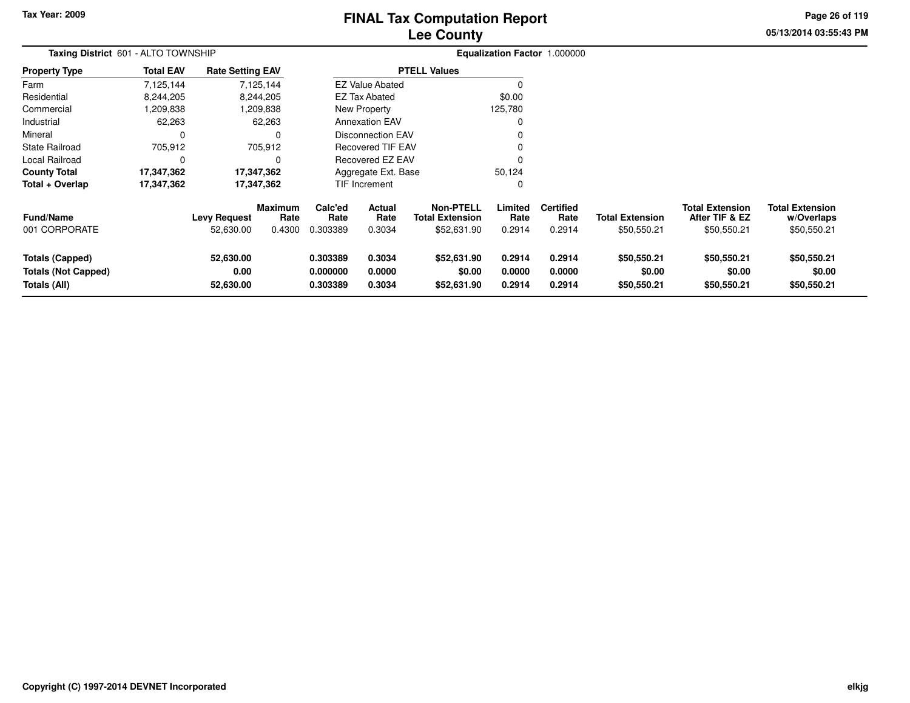# **Lee CountyFINAL Tax Computation Report**

**05/13/2014 03:55:43 PM Page 26 of 119**

| Taxing District 601 - ALTO TOWNSHIP                                         |                  |                                  |                           |                                  |                            |                                                           |                            | Equalization Factor 1.000000       |                                       |                                                         |                                                     |
|-----------------------------------------------------------------------------|------------------|----------------------------------|---------------------------|----------------------------------|----------------------------|-----------------------------------------------------------|----------------------------|------------------------------------|---------------------------------------|---------------------------------------------------------|-----------------------------------------------------|
| <b>Property Type</b>                                                        | <b>Total EAV</b> | <b>Rate Setting EAV</b>          |                           |                                  |                            | <b>PTELL Values</b>                                       |                            |                                    |                                       |                                                         |                                                     |
| Farm                                                                        | 7,125,144        |                                  | 7,125,144                 |                                  | <b>EZ Value Abated</b>     |                                                           |                            |                                    |                                       |                                                         |                                                     |
| Residential                                                                 | 8,244,205        |                                  | 8,244,205                 |                                  | <b>EZ Tax Abated</b>       |                                                           | \$0.00                     |                                    |                                       |                                                         |                                                     |
| Commercial                                                                  | 838,209,39       |                                  | 1,209,838                 |                                  | New Property               |                                                           | 125,780                    |                                    |                                       |                                                         |                                                     |
| Industrial                                                                  | 62,263           |                                  | 62,263                    |                                  | <b>Annexation EAV</b>      |                                                           | 0                          |                                    |                                       |                                                         |                                                     |
| Mineral                                                                     |                  |                                  |                           |                                  | <b>Disconnection EAV</b>   |                                                           |                            |                                    |                                       |                                                         |                                                     |
| State Railroad                                                              | 705,912          |                                  | 705,912                   |                                  | Recovered TIF EAV          |                                                           |                            |                                    |                                       |                                                         |                                                     |
| Local Railroad                                                              |                  |                                  | O                         |                                  | Recovered EZ EAV           |                                                           | ŋ                          |                                    |                                       |                                                         |                                                     |
| <b>County Total</b>                                                         | 17,347,362       |                                  | 17,347,362                |                                  | Aggregate Ext. Base        |                                                           | 50,124                     |                                    |                                       |                                                         |                                                     |
| Total + Overlap                                                             | 17,347,362       |                                  | 17,347,362                |                                  | TIF Increment              |                                                           | 0                          |                                    |                                       |                                                         |                                                     |
| Fund/Name<br>001 CORPORATE                                                  |                  | <b>Levy Request</b><br>52,630.00 | Maximum<br>Rate<br>0.4300 | Calc'ed<br>Rate<br>0.303389      | Actual<br>Rate<br>0.3034   | <b>Non-PTELL</b><br><b>Total Extension</b><br>\$52,631.90 | Limited<br>Rate<br>0.2914  | <b>Certified</b><br>Rate<br>0.2914 | <b>Total Extension</b><br>\$50,550.21 | <b>Total Extension</b><br>After TIF & EZ<br>\$50,550.21 | <b>Total Extension</b><br>w/Overlaps<br>\$50,550.21 |
| <b>Totals (Capped)</b><br><b>Totals (Not Capped)</b><br><b>Totals (All)</b> |                  | 52,630.00<br>0.00<br>52,630.00   |                           | 0.303389<br>0.000000<br>0.303389 | 0.3034<br>0.0000<br>0.3034 | \$52,631.90<br>\$0.00<br>\$52,631.90                      | 0.2914<br>0.0000<br>0.2914 | 0.2914<br>0.0000<br>0.2914         | \$50,550.21<br>\$0.00<br>\$50,550.21  | \$50,550.21<br>\$0.00<br>\$50,550.21                    | \$50,550.21<br>\$0.00<br>\$50,550.21                |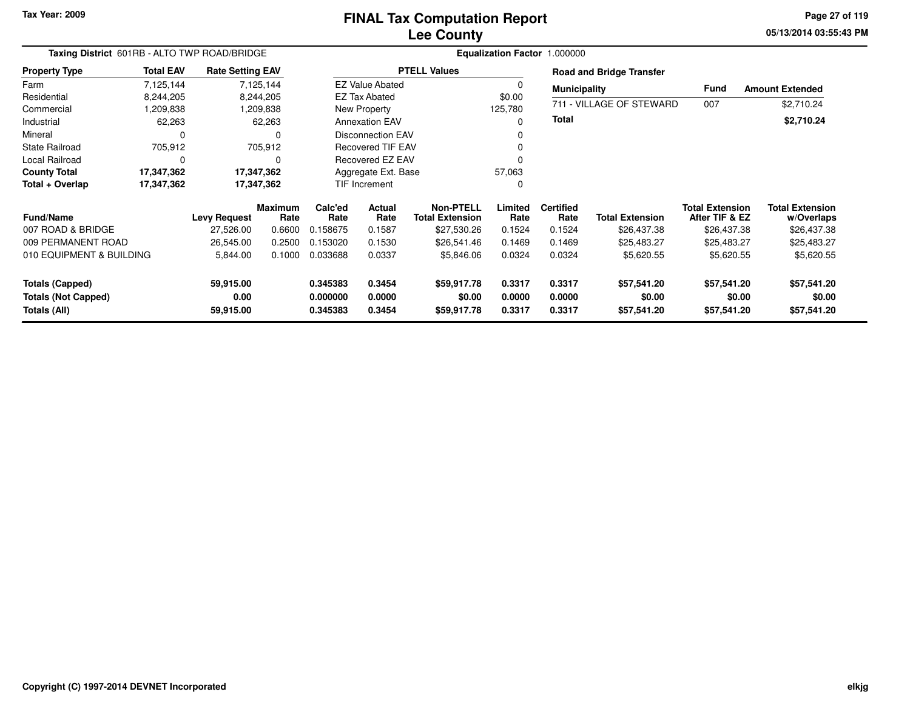# **Lee CountyFINAL Tax Computation Report**

**05/13/2014 03:55:43 PM Page 27 of 119**

| Taxing District 601RB - ALTO TWP ROAD/BRIDGE                    |                                                                       |                     |                                      | Equalization Factor 1.000000 |                        |                                            |                  |                          |                                 |                                          |                                      |  |
|-----------------------------------------------------------------|-----------------------------------------------------------------------|---------------------|--------------------------------------|------------------------------|------------------------|--------------------------------------------|------------------|--------------------------|---------------------------------|------------------------------------------|--------------------------------------|--|
| <b>Property Type</b>                                            | <b>Total EAV</b><br><b>Rate Setting EAV</b><br>7,125,144<br>7,125,144 |                     |                                      |                              |                        | <b>PTELL Values</b>                        |                  |                          | <b>Road and Bridge Transfer</b> |                                          |                                      |  |
| Farm                                                            |                                                                       |                     |                                      |                              | <b>EZ Value Abated</b> |                                            |                  | <b>Municipality</b>      |                                 | <b>Fund</b>                              | <b>Amount Extended</b>               |  |
| Residential                                                     | 8,244,205                                                             |                     | 8,244,205                            |                              | <b>EZ Tax Abated</b>   |                                            | \$0.00           |                          |                                 |                                          |                                      |  |
| Commercial                                                      | ,209,838                                                              |                     | 1,209,838                            |                              | <b>New Property</b>    |                                            | 125,780          |                          | 711 - VILLAGE OF STEWARD        | 007                                      | \$2,710.24                           |  |
| Industrial                                                      | 62,263                                                                |                     | 62,263                               |                              | <b>Annexation EAV</b>  |                                            |                  | <b>Total</b>             |                                 |                                          | \$2,710.24                           |  |
| Mineral                                                         | $\Omega$                                                              |                     | <b>Disconnection EAV</b><br>$\Omega$ |                              |                        |                                            |                  |                          |                                 |                                          |                                      |  |
| <b>State Railroad</b>                                           | 705,912<br>705,912                                                    |                     |                                      | <b>Recovered TIF EAV</b>     |                        |                                            |                  |                          |                                 |                                          |                                      |  |
| Local Railroad                                                  | 0<br>0                                                                |                     |                                      |                              | Recovered EZ EAV       |                                            |                  |                          |                                 |                                          |                                      |  |
| <b>County Total</b>                                             | 17,347,362<br>17,347,362                                              |                     |                                      |                              | Aggregate Ext. Base    |                                            | 57,063           |                          |                                 |                                          |                                      |  |
| Total + Overlap                                                 | 17,347,362                                                            | 17,347,362          |                                      | TIF Increment                |                        | 0                                          |                  |                          |                                 |                                          |                                      |  |
| <b>Fund/Name</b>                                                |                                                                       | <b>Levy Request</b> | <b>Maximum</b><br>Rate               | Calc'ed<br>Rate              | Actual<br>Rate         | <b>Non-PTELL</b><br><b>Total Extension</b> | Limited<br>Rate  | <b>Certified</b><br>Rate | <b>Total Extension</b>          | <b>Total Extension</b><br>After TIF & EZ | <b>Total Extension</b><br>w/Overlaps |  |
| 007 ROAD & BRIDGE                                               |                                                                       | 27,526.00           | 0.6600                               | 0.158675                     | 0.1587                 | \$27,530.26                                | 0.1524           | 0.1524                   | \$26,437.38                     | \$26,437.38                              | \$26,437.38                          |  |
| 009 PERMANENT ROAD                                              |                                                                       | 26,545.00           | 0.2500                               | 0.153020                     | 0.1530                 | \$26,541.46                                | 0.1469           | 0.1469                   | \$25,483.27                     | \$25,483.27                              | \$25,483.27                          |  |
| 010 EQUIPMENT & BUILDING                                        |                                                                       | 5,844.00            | 0.1000                               | 0.033688                     | 0.0337                 | \$5,846.06                                 | 0.0324           | 0.0324                   | \$5,620.55                      | \$5,620.55                               | \$5,620.55                           |  |
| <b>Totals (Capped)</b><br>59,915.00                             |                                                                       | 0.345383            | 0.3454                               | \$59,917.78                  | 0.3317                 | 0.3317                                     | \$57,541.20      | \$57,541.20              | \$57,541.20                     |                                          |                                      |  |
| <b>Totals (Not Capped)</b><br>0.00<br>Totals (All)<br>59,915.00 |                                                                       |                     | 0.000000<br>0.345383                 | 0.0000<br>0.3454             | \$0.00<br>\$59,917.78  | 0.0000<br>0.3317                           | 0.0000<br>0.3317 | \$0.00<br>\$57,541.20    | \$0.00<br>\$57,541.20           | \$0.00<br>\$57,541.20                    |                                      |  |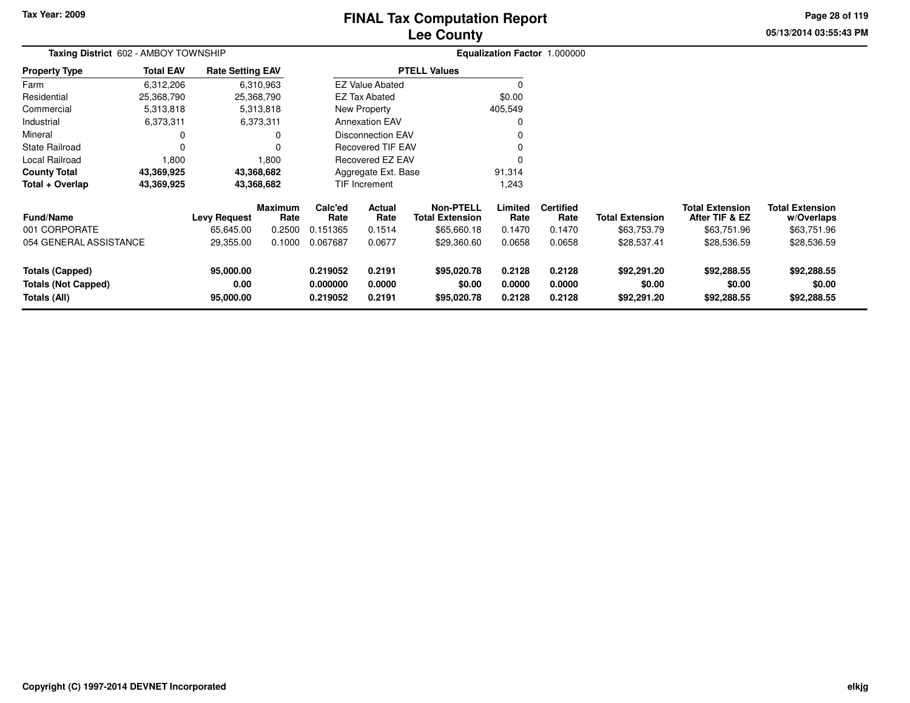# **Lee CountyFINAL Tax Computation Report**

**05/13/2014 03:55:43 PM Page 28 of 119**

| Taxing District 602 - AMBOY TOWNSHIP                                 |                  |                                  |                           |                                  |                            |                                                           |                            | Equalization Factor 1.000000       |                                       |                                                         |                                                     |
|----------------------------------------------------------------------|------------------|----------------------------------|---------------------------|----------------------------------|----------------------------|-----------------------------------------------------------|----------------------------|------------------------------------|---------------------------------------|---------------------------------------------------------|-----------------------------------------------------|
| <b>Property Type</b>                                                 | <b>Total EAV</b> | <b>Rate Setting EAV</b>          |                           |                                  |                            | <b>PTELL Values</b>                                       |                            |                                    |                                       |                                                         |                                                     |
| Farm                                                                 | 6,312,206        |                                  | 6,310,963                 |                                  | <b>EZ Value Abated</b>     |                                                           |                            |                                    |                                       |                                                         |                                                     |
| Residential                                                          | 25,368,790       |                                  | 25,368,790                |                                  | <b>EZ Tax Abated</b>       |                                                           | \$0.00                     |                                    |                                       |                                                         |                                                     |
| Commercial                                                           | 5,313,818        |                                  | 5,313,818                 |                                  | New Property               |                                                           | 405,549                    |                                    |                                       |                                                         |                                                     |
| Industrial                                                           | 6,373,311        |                                  | 6,373,311                 |                                  | <b>Annexation EAV</b>      |                                                           |                            |                                    |                                       |                                                         |                                                     |
| Mineral                                                              | 0                |                                  | 0                         |                                  | <b>Disconnection EAV</b>   |                                                           |                            |                                    |                                       |                                                         |                                                     |
| <b>State Railroad</b>                                                | $\Omega$         |                                  | 0                         |                                  | <b>Recovered TIF EAV</b>   |                                                           |                            |                                    |                                       |                                                         |                                                     |
| Local Railroad                                                       | 1,800            |                                  | 1,800                     |                                  | Recovered EZ EAV           |                                                           |                            |                                    |                                       |                                                         |                                                     |
| <b>County Total</b>                                                  | 43,369,925       |                                  | 43,368,682                |                                  | Aggregate Ext. Base        |                                                           | 91,314                     |                                    |                                       |                                                         |                                                     |
| Total + Overlap                                                      | 43,369,925       |                                  | 43,368,682                |                                  | TIF Increment              |                                                           | 1,243                      |                                    |                                       |                                                         |                                                     |
| <b>Fund/Name</b><br>001 CORPORATE                                    |                  | <b>Levy Request</b><br>65,645.00 | Maximum<br>Rate<br>0.2500 | Calc'ed<br>Rate<br>0.151365      | Actual<br>Rate<br>0.1514   | <b>Non-PTELL</b><br><b>Total Extension</b><br>\$65,660.18 | Limited<br>Rate<br>0.1470  | <b>Certified</b><br>Rate<br>0.1470 | <b>Total Extension</b><br>\$63,753.79 | <b>Total Extension</b><br>After TIF & EZ<br>\$63,751.96 | <b>Total Extension</b><br>w/Overlaps<br>\$63,751.96 |
| 054 GENERAL ASSISTANCE                                               |                  | 29,355.00                        | 0.1000                    | 0.067687                         | 0.0677                     | \$29,360.60                                               | 0.0658                     | 0.0658                             | \$28,537.41                           | \$28,536.59                                             | \$28,536.59                                         |
| <b>Totals (Capped)</b><br><b>Totals (Not Capped)</b><br>Totals (All) |                  | 95,000.00<br>0.00<br>95,000.00   |                           | 0.219052<br>0.000000<br>0.219052 | 0.2191<br>0.0000<br>0.2191 | \$95,020.78<br>\$0.00<br>\$95,020.78                      | 0.2128<br>0.0000<br>0.2128 | 0.2128<br>0.0000<br>0.2128         | \$92,291.20<br>\$0.00<br>\$92,291.20  | \$92,288.55<br>\$0.00<br>\$92,288.55                    | \$92,288.55<br>\$0.00<br>\$92,288.55                |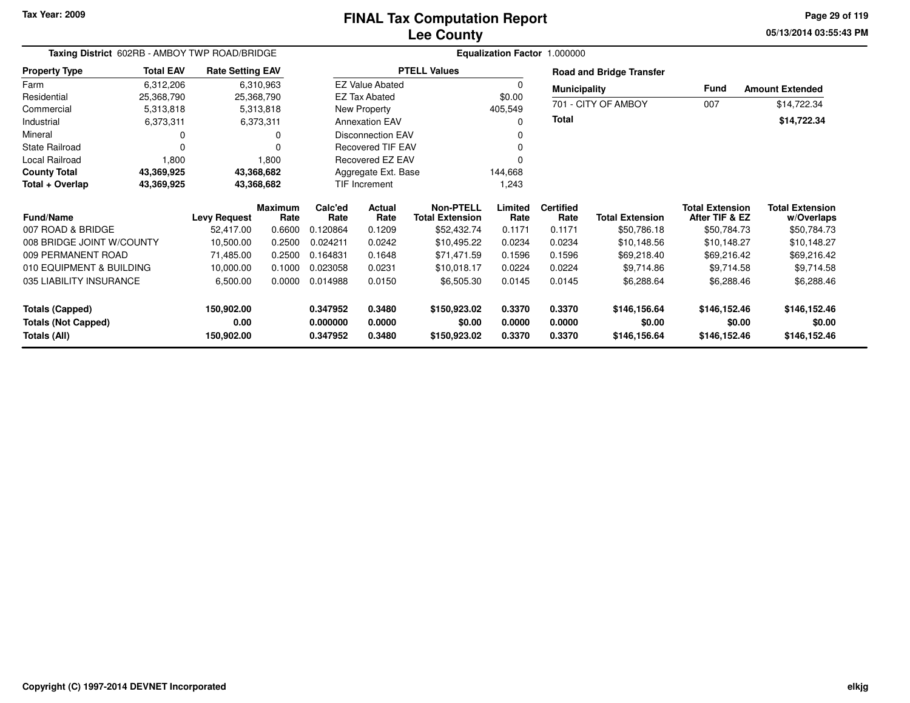## **Lee CountyFINAL Tax Computation Report**

**05/13/2014 03:55:43 PM Page 29 of 119**

| Taxing District 602RB - AMBOY TWP ROAD/BRIDGE<br><b>Rate Setting EAV</b> |                  |                     |                          | Equalization Factor 1.000000 |                          |                                            |                 |                          |                                 |                                          |                                      |
|--------------------------------------------------------------------------|------------------|---------------------|--------------------------|------------------------------|--------------------------|--------------------------------------------|-----------------|--------------------------|---------------------------------|------------------------------------------|--------------------------------------|
| <b>Property Type</b>                                                     | <b>Total EAV</b> |                     |                          |                              |                          | <b>PTELL Values</b>                        |                 |                          | <b>Road and Bridge Transfer</b> |                                          |                                      |
| Farm                                                                     | 6,312,206        |                     | 6,310,963                |                              | <b>EZ Value Abated</b>   |                                            | 0               | <b>Municipality</b>      |                                 | <b>Fund</b>                              | <b>Amount Extended</b>               |
| Residential                                                              | 25,368,790       | 25,368,790          |                          |                              | <b>EZ Tax Abated</b>     |                                            | \$0.00          |                          |                                 |                                          |                                      |
| Commercial                                                               | 5,313,818        |                     | 5,313,818                |                              | New Property             |                                            | 405,549         |                          | 701 - CITY OF AMBOY             | 007                                      | \$14,722.34                          |
| Industrial                                                               | 6,373,311        |                     | 6,373,311                |                              | <b>Annexation EAV</b>    |                                            | 0               | Total                    |                                 |                                          | \$14,722.34                          |
| Mineral                                                                  | 0                |                     | <b>Disconnection EAV</b> |                              | 0                        |                                            |                 |                          |                                 |                                          |                                      |
| State Railroad                                                           | $\Omega$         |                     |                          |                              | <b>Recovered TIF EAV</b> |                                            | 0               |                          |                                 |                                          |                                      |
| Local Railroad                                                           | 1,800            |                     | 1,800                    |                              | Recovered EZ EAV         |                                            |                 |                          |                                 |                                          |                                      |
| <b>County Total</b>                                                      | 43,369,925       | 43,368,682          |                          |                              | Aggregate Ext. Base      |                                            | 144,668         |                          |                                 |                                          |                                      |
| Total + Overlap                                                          | 43,369,925       | 43,368,682          |                          |                              | TIF Increment            |                                            | 1,243           |                          |                                 |                                          |                                      |
| <b>Fund/Name</b>                                                         |                  | <b>Levy Request</b> | <b>Maximum</b><br>Rate   | Calc'ed<br>Rate              | Actual<br>Rate           | <b>Non-PTELL</b><br><b>Total Extension</b> | Limited<br>Rate | <b>Certified</b><br>Rate | <b>Total Extension</b>          | <b>Total Extension</b><br>After TIF & EZ | <b>Total Extension</b><br>w/Overlaps |
| 007 ROAD & BRIDGE                                                        |                  | 52,417.00           | 0.6600                   | 0.120864                     | 0.1209                   | \$52,432.74                                | 0.1171          | 0.1171                   | \$50,786.18                     | \$50,784.73                              | \$50,784.73                          |
| 008 BRIDGE JOINT W/COUNTY                                                |                  | 10,500.00           | 0.2500                   | 0.024211                     | 0.0242                   | \$10,495.22                                | 0.0234          | 0.0234                   | \$10,148.56                     | \$10,148.27                              | \$10,148.27                          |
| 009 PERMANENT ROAD                                                       |                  | 71,485.00           | 0.2500                   | 0.164831                     | 0.1648                   | \$71,471.59                                | 0.1596          | 0.1596                   | \$69,218.40                     | \$69,216.42                              | \$69,216.42                          |
| 010 EQUIPMENT & BUILDING                                                 |                  | 10,000.00           | 0.1000                   | 0.023058                     | 0.0231                   | \$10,018.17                                | 0.0224          | 0.0224                   | \$9,714.86                      | \$9,714.58                               | \$9,714.58                           |
| 035 LIABILITY INSURANCE                                                  |                  | 6,500.00            | 0.0000                   | 0.014988                     | 0.0150                   | \$6,505.30                                 | 0.0145          | 0.0145                   | \$6,288.64                      | \$6,288.46                               | \$6,288.46                           |
| <b>Totals (Capped)</b>                                                   |                  | 150,902.00          |                          | 0.347952                     | 0.3480                   | \$150,923.02                               | 0.3370          | 0.3370                   | \$146,156.64                    | \$146,152.46                             | \$146,152.46                         |
| <b>Totals (Not Capped)</b>                                               |                  | 0.00                |                          | 0.000000                     | 0.0000                   | \$0.00                                     | 0.0000          | 0.0000                   | \$0.00                          | \$0.00                                   | \$0.00                               |
| Totals (All)                                                             |                  | 150,902.00          |                          | 0.347952                     | 0.3480                   | \$150,923.02                               | 0.3370          | 0.3370                   | \$146,156.64                    | \$146,152.46                             | \$146,152.46                         |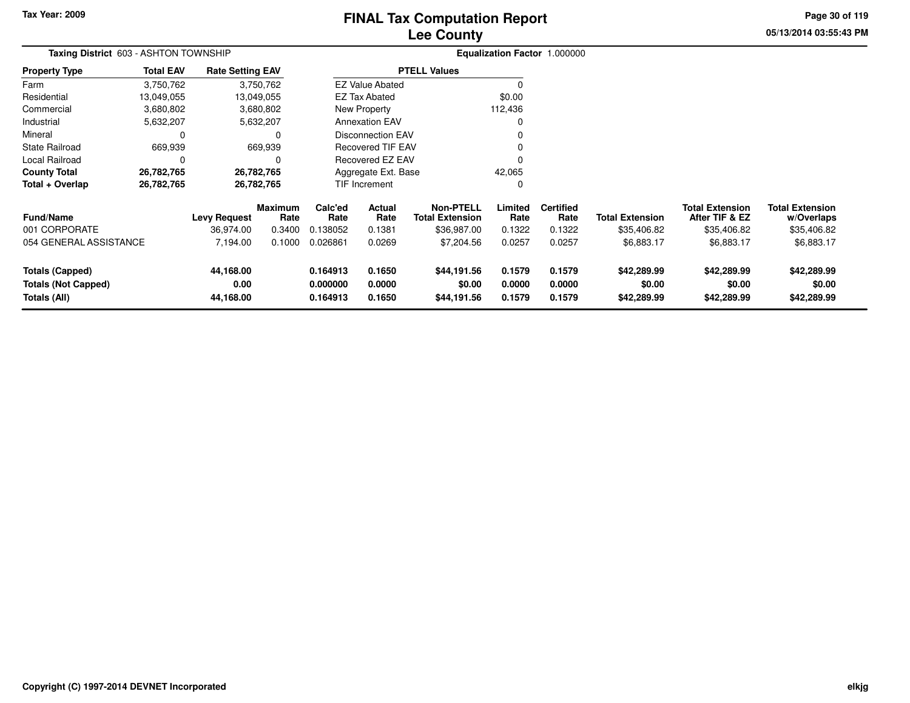# **Lee CountyFINAL Tax Computation Report**

**05/13/2014 03:55:43 PM Page 30 of 119**

| Taxing District 603 - ASHTON TOWNSHIP                                |                  |                                |                 | Equalization Factor 1.000000     |                            |                                            |                            |                            |                                      |                                          |                                      |
|----------------------------------------------------------------------|------------------|--------------------------------|-----------------|----------------------------------|----------------------------|--------------------------------------------|----------------------------|----------------------------|--------------------------------------|------------------------------------------|--------------------------------------|
| <b>Property Type</b>                                                 | <b>Total EAV</b> | <b>Rate Setting EAV</b>        |                 |                                  |                            | <b>PTELL Values</b>                        |                            |                            |                                      |                                          |                                      |
| Farm                                                                 | 3,750,762        |                                | 3,750,762       |                                  | <b>EZ Value Abated</b>     |                                            |                            |                            |                                      |                                          |                                      |
| Residential                                                          | 13,049,055       |                                | 13,049,055      |                                  | <b>EZ Tax Abated</b>       |                                            | \$0.00                     |                            |                                      |                                          |                                      |
| Commercial                                                           | 3,680,802        |                                | 3,680,802       |                                  | New Property               |                                            | 112,436                    |                            |                                      |                                          |                                      |
| Industrial                                                           | 5,632,207        |                                | 5,632,207       |                                  | <b>Annexation EAV</b>      |                                            |                            |                            |                                      |                                          |                                      |
| Mineral                                                              | 0                |                                | 0               |                                  | <b>Disconnection EAV</b>   |                                            |                            |                            |                                      |                                          |                                      |
| <b>State Railroad</b>                                                | 669,939          |                                | 669,939         |                                  | <b>Recovered TIF EAV</b>   |                                            |                            |                            |                                      |                                          |                                      |
| Local Railroad                                                       | 0                |                                | $\Omega$        |                                  | <b>Recovered EZ EAV</b>    |                                            |                            |                            |                                      |                                          |                                      |
| <b>County Total</b>                                                  | 26,782,765       |                                | 26,782,765      |                                  | Aggregate Ext. Base        |                                            | 42,065                     |                            |                                      |                                          |                                      |
| Total + Overlap                                                      | 26,782,765       |                                | 26,782,765      |                                  | <b>TIF Increment</b>       |                                            |                            |                            |                                      |                                          |                                      |
| <b>Fund/Name</b>                                                     |                  | <b>Levy Request</b>            | Maximum<br>Rate | Calc'ed<br>Rate                  | <b>Actual</b><br>Rate      | <b>Non-PTELL</b><br><b>Total Extension</b> | Limited<br>Rate            | <b>Certified</b><br>Rate   | <b>Total Extension</b>               | <b>Total Extension</b><br>After TIF & EZ | <b>Total Extension</b><br>w/Overlaps |
| 001 CORPORATE                                                        |                  | 36,974.00                      | 0.3400          | 0.138052                         | 0.1381                     | \$36,987.00                                | 0.1322                     | 0.1322                     | \$35,406.82                          | \$35,406.82                              | \$35,406.82                          |
| 054 GENERAL ASSISTANCE                                               |                  | 7,194.00                       | 0.1000          | 0.026861                         | 0.0269                     | \$7,204.56                                 | 0.0257                     | 0.0257                     | \$6,883.17                           | \$6,883.17                               | \$6,883.17                           |
| <b>Totals (Capped)</b><br><b>Totals (Not Capped)</b><br>Totals (All) |                  | 44,168.00<br>0.00<br>44,168.00 |                 | 0.164913<br>0.000000<br>0.164913 | 0.1650<br>0.0000<br>0.1650 | \$44,191.56<br>\$0.00<br>\$44,191.56       | 0.1579<br>0.0000<br>0.1579 | 0.1579<br>0.0000<br>0.1579 | \$42,289.99<br>\$0.00<br>\$42,289.99 | \$42,289.99<br>\$0.00<br>\$42,289.99     | \$42,289.99<br>\$0.00<br>\$42,289.99 |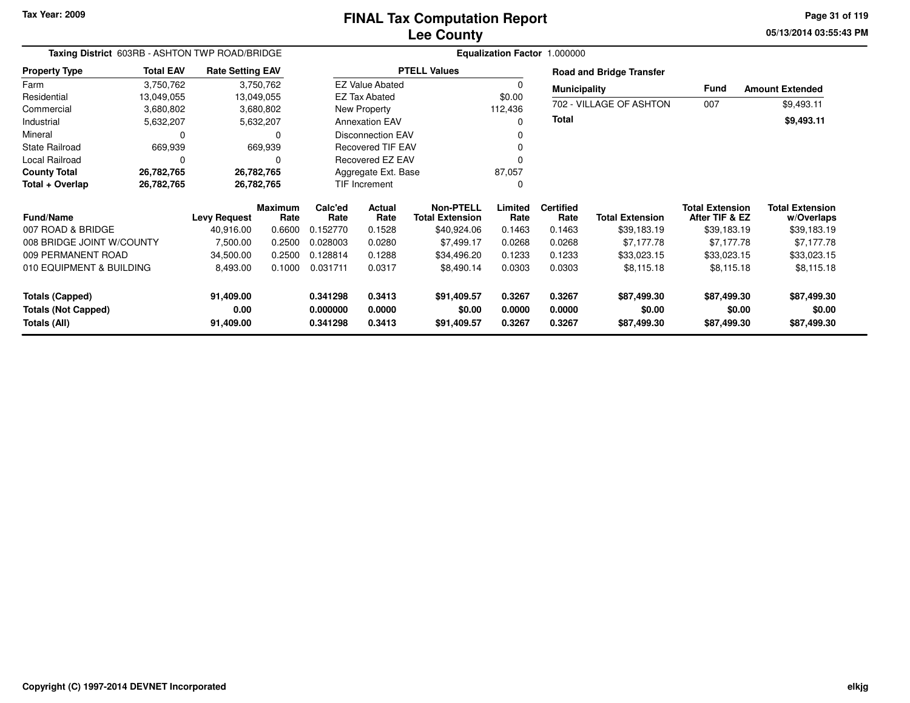**05/13/2014 03:55:43 PM Page 31 of 119**

| Taxing District 603RB - ASHTON TWP ROAD/BRIDGE                                                         |                         |                         |                                  |                            |                                      |                                     |                            | Equalization Factor 1.000000         |                                      |                                          |                                      |
|--------------------------------------------------------------------------------------------------------|-------------------------|-------------------------|----------------------------------|----------------------------|--------------------------------------|-------------------------------------|----------------------------|--------------------------------------|--------------------------------------|------------------------------------------|--------------------------------------|
| <b>Property Type</b>                                                                                   | <b>Total EAV</b>        | <b>Rate Setting EAV</b> |                                  |                            |                                      | <b>PTELL Values</b>                 |                            |                                      | <b>Road and Bridge Transfer</b>      |                                          |                                      |
| Farm                                                                                                   | 3,750,762               |                         | 3,750,762                        |                            | <b>EZ Value Abated</b>               |                                     | $\Omega$                   | <b>Municipality</b>                  |                                      | <b>Fund</b>                              | <b>Amount Extended</b>               |
| Residential<br>Commercial                                                                              | 13,049,055<br>3,680,802 | 13,049,055              | 3,680,802                        |                            | <b>EZ Tax Abated</b><br>New Property |                                     | \$0.00<br>112,436          |                                      | 702 - VILLAGE OF ASHTON              | 007                                      | \$9,493.11                           |
| Industrial                                                                                             | 5,632,207               |                         | 5,632,207                        |                            | <b>Annexation EAV</b>                |                                     | 0                          | <b>Total</b>                         |                                      |                                          | \$9,493.11                           |
| Mineral                                                                                                | 0                       |                         | 0                                |                            | <b>Disconnection EAV</b>             |                                     | 0                          |                                      |                                      |                                          |                                      |
| <b>State Railroad</b>                                                                                  | 669,939                 |                         | 669,939                          |                            | <b>Recovered TIF EAV</b>             |                                     |                            |                                      |                                      |                                          |                                      |
| Local Railroad                                                                                         | $\Omega$                |                         | $\Omega$                         |                            | Recovered EZ EAV                     |                                     | $\Omega$                   |                                      |                                      |                                          |                                      |
| <b>County Total</b>                                                                                    | 26,782,765              | 26,782,765              |                                  |                            | Aggregate Ext. Base                  |                                     | 87,057                     |                                      |                                      |                                          |                                      |
| Total + Overlap                                                                                        | 26,782,765              | 26,782,765              |                                  |                            | <b>TIF Increment</b>                 |                                     | 0                          |                                      |                                      |                                          |                                      |
| <b>Fund/Name</b>                                                                                       |                         | <b>Levy Request</b>     | <b>Maximum</b><br>Rate           | Calc'ed<br>Rate            | Actual<br>Rate                       | Non-PTELL<br><b>Total Extension</b> | Limited<br>Rate            | <b>Certified</b><br>Rate             | <b>Total Extension</b>               | <b>Total Extension</b><br>After TIF & EZ | <b>Total Extension</b><br>w/Overlaps |
| 007 ROAD & BRIDGE                                                                                      |                         | 40,916.00               | 0.6600                           | 0.152770                   | 0.1528                               | \$40,924.06                         | 0.1463                     | 0.1463                               | \$39,183.19                          | \$39,183.19                              | \$39,183.19                          |
| 008 BRIDGE JOINT W/COUNTY                                                                              |                         | 7,500.00                | 0.2500                           | 0.028003                   | 0.0280                               | \$7,499.17                          | 0.0268                     | 0.0268                               | \$7,177.78                           | \$7,177.78                               | \$7,177.78                           |
| 009 PERMANENT ROAD                                                                                     |                         | 34,500.00               | 0.2500                           | 0.128814                   | 0.1288                               | \$34,496.20                         | 0.1233                     | 0.1233                               | \$33,023.15                          | \$33,023.15                              | \$33,023.15                          |
| 010 EQUIPMENT & BUILDING                                                                               |                         | 8,493.00                | 0.1000                           | 0.031711                   | 0.0317                               | \$8,490.14                          | 0.0303                     | 0.0303                               | \$8,115.18                           | \$8,115.18                               | \$8,115.18                           |
| <b>Totals (Capped)</b><br>91,409.00<br><b>Totals (Not Capped)</b><br>0.00<br>Totals (All)<br>91,409.00 |                         |                         | 0.341298<br>0.000000<br>0.341298 | 0.3413<br>0.0000<br>0.3413 | \$91,409.57<br>\$0.00<br>\$91,409.57 | 0.3267<br>0.0000<br>0.3267          | 0.3267<br>0.0000<br>0.3267 | \$87,499.30<br>\$0.00<br>\$87,499.30 | \$87,499.30<br>\$0.00<br>\$87,499.30 | \$87,499.30<br>\$0.00<br>\$87,499.30     |                                      |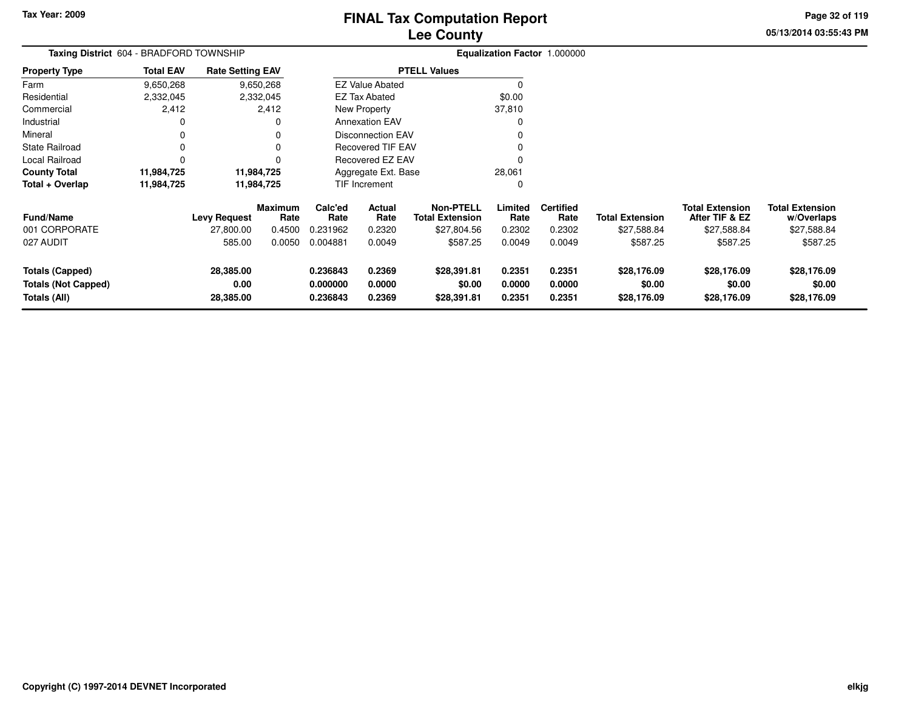**05/13/2014 03:55:43 PM Page 32 of 119**

| Taxing District 604 - BRADFORD TOWNSHIP                              | Equalization Factor 1.000000 |                                |                        |                                  |                            |                                            |                            |                            |                                      |                                          |                                      |
|----------------------------------------------------------------------|------------------------------|--------------------------------|------------------------|----------------------------------|----------------------------|--------------------------------------------|----------------------------|----------------------------|--------------------------------------|------------------------------------------|--------------------------------------|
| <b>Property Type</b>                                                 | <b>Total EAV</b>             | <b>Rate Setting EAV</b>        |                        |                                  |                            | <b>PTELL Values</b>                        |                            |                            |                                      |                                          |                                      |
| Farm                                                                 | 9,650,268                    |                                | 9,650,268              |                                  | <b>EZ Value Abated</b>     |                                            |                            |                            |                                      |                                          |                                      |
| Residential                                                          | 2,332,045                    |                                | 2,332,045              |                                  | <b>EZ Tax Abated</b>       |                                            | \$0.00                     |                            |                                      |                                          |                                      |
| Commercial                                                           | 2,412                        |                                | 2,412                  |                                  | New Property               |                                            | 37,810                     |                            |                                      |                                          |                                      |
| Industrial                                                           | 0                            |                                |                        |                                  | <b>Annexation EAV</b>      |                                            |                            |                            |                                      |                                          |                                      |
| Mineral                                                              | 0                            |                                |                        |                                  | <b>Disconnection EAV</b>   |                                            |                            |                            |                                      |                                          |                                      |
| <b>State Railroad</b>                                                | 0                            |                                |                        |                                  | <b>Recovered TIF EAV</b>   |                                            |                            |                            |                                      |                                          |                                      |
| <b>Local Railroad</b>                                                | 0                            |                                |                        | <b>Recovered EZ EAV</b>          |                            |                                            |                            |                            |                                      |                                          |                                      |
| <b>County Total</b>                                                  | 11,984,725                   |                                | 11,984,725             |                                  | Aggregate Ext. Base        |                                            | 28,061                     |                            |                                      |                                          |                                      |
| Total + Overlap                                                      | 11,984,725                   |                                | 11,984,725             |                                  | TIF Increment              |                                            |                            |                            |                                      |                                          |                                      |
| <b>Fund/Name</b>                                                     |                              | <b>Levy Request</b>            | <b>Maximum</b><br>Rate | Calc'ed<br>Rate                  | Actual<br>Rate             | <b>Non-PTELL</b><br><b>Total Extension</b> | Limited<br>Rate            | <b>Certified</b><br>Rate   | <b>Total Extension</b>               | <b>Total Extension</b><br>After TIF & EZ | <b>Total Extension</b><br>w/Overlaps |
| 001 CORPORATE                                                        |                              | 27,800.00                      | 0.4500                 | 0.231962                         | 0.2320                     | \$27,804.56                                | 0.2302                     | 0.2302                     | \$27,588.84                          | \$27,588.84                              | \$27,588.84                          |
| 027 AUDIT                                                            |                              | 585.00                         | 0.0050                 | 0.004881                         | 0.0049                     | \$587.25                                   | 0.0049                     | 0.0049                     | \$587.25                             | \$587.25                                 | \$587.25                             |
| <b>Totals (Capped)</b><br><b>Totals (Not Capped)</b><br>Totals (All) |                              | 28,385.00<br>0.00<br>28,385.00 |                        | 0.236843<br>0.000000<br>0.236843 | 0.2369<br>0.0000<br>0.2369 | \$28,391.81<br>\$0.00<br>\$28,391.81       | 0.2351<br>0.0000<br>0.2351 | 0.2351<br>0.0000<br>0.2351 | \$28,176.09<br>\$0.00<br>\$28,176.09 | \$28,176.09<br>\$0.00<br>\$28,176.09     | \$28,176.09<br>\$0.00<br>\$28,176.09 |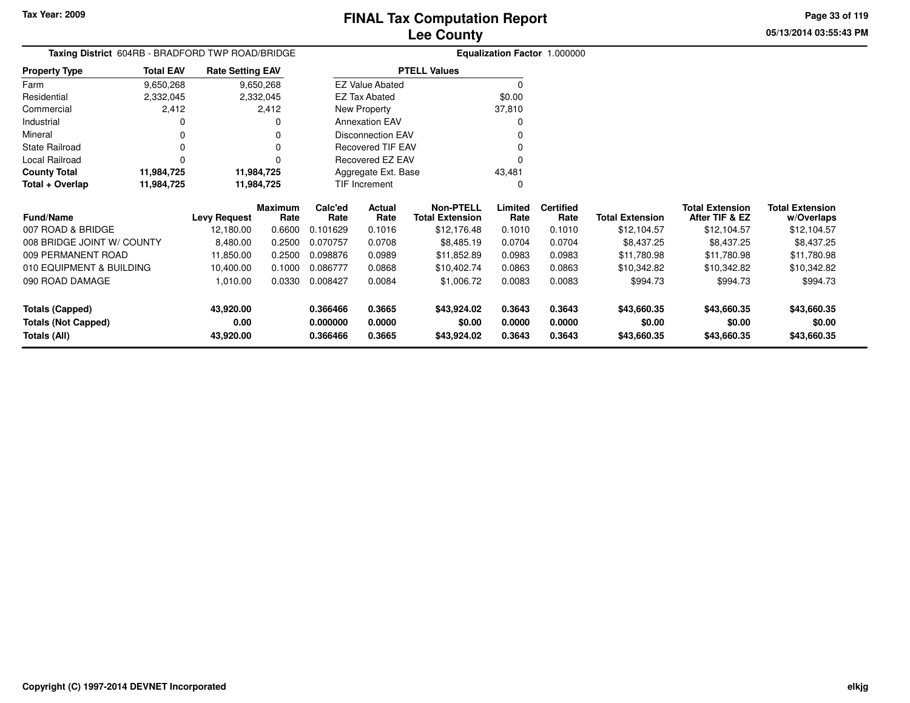**05/13/2014 03:55:43 PMPage 33 of 119**

# **Equalization Factor** 1.000000

|                      |                  | Taxing District 604RB - BRADFORD TWP ROAD/BRIDGE |                          | <b>Equalization Factor</b> |
|----------------------|------------------|--------------------------------------------------|--------------------------|----------------------------|
| <b>Property Type</b> | <b>Total EAV</b> | <b>Rate Setting EAV</b>                          | <b>PTELL Values</b>      |                            |
| Farm                 | 9,650,268        | 9,650,268                                        | <b>EZ Value Abated</b>   |                            |
| Residential          | 2,332,045        | 2,332,045                                        | EZ Tax Abated            | \$0.00                     |
| Commercial           | 2,412            | 2.412                                            | New Property             | 37,810                     |
| Industrial           |                  | 0                                                | <b>Annexation EAV</b>    |                            |
| Mineral              |                  | 0                                                | <b>Disconnection EAV</b> |                            |
| State Railroad       |                  |                                                  | Recovered TIF EAV        |                            |
| Local Railroad       |                  |                                                  | Recovered EZ EAV         | 0                          |
| <b>County Total</b>  | 11,984,725       | 11,984,725                                       | Aggregate Ext. Base      | 43.481                     |
| Total + Overlap      | 11,984,725       | 11,984,725                                       | <b>TIF Increment</b>     |                            |

| <b>Fund/Name</b>           | <b>Levy Request</b> | <b>Maximum</b><br>Rate | Calc'ed<br>Rate | <b>Actual</b><br>Rate | Non-PTELL<br><b>Total Extension</b> | Limited<br>Rate | <b>Certified</b><br>Rate | Total Extension | <b>Total Extension</b><br>After TIF & EZ | <b>Total Extension</b><br>w/Overlaps |
|----------------------------|---------------------|------------------------|-----------------|-----------------------|-------------------------------------|-----------------|--------------------------|-----------------|------------------------------------------|--------------------------------------|
| 007 ROAD & BRIDGE          | 12.180.00           | 0.6600                 | 0.101629        | 0.1016                | \$12.176.48                         | 0.1010          | 0.1010                   | \$12.104.57     | \$12.104.57                              | \$12,104.57                          |
| 008 BRIDGE JOINT W/ COUNTY | 8.480.00            | 0.2500                 | 0.070757        | 0.0708                | \$8,485.19                          | 0.0704          | 0.0704                   | \$8,437.25      | \$8.437.25                               | \$8,437.25                           |
| 009 PERMANENT ROAD         | 11.850.00           | 0.2500                 | 0.098876        | 0.0989                | \$11.852.89                         | 0.0983          | 0.0983                   | \$11.780.98     | \$11.780.98                              | \$11.780.98                          |
| 010 EQUIPMENT & BUILDING   | 10.400.00           | 0.1000                 | 0.086777        | 0.0868                | \$10,402.74                         | 0.0863          | 0.0863                   | \$10,342.82     | \$10.342.82                              | \$10,342.82                          |
| 090 ROAD DAMAGE            | 1.010.00            | 0.0330                 | 0.008427        | 0.0084                | \$1,006.72                          | 0.0083          | 0.0083                   | \$994.73        | \$994.73                                 | \$994.73                             |
| Totals (Capped)            | 43,920.00           |                        | 0.366466        | 0.3665                | \$43,924.02                         | 0.3643          | 0.3643                   | \$43,660.35     | \$43,660.35                              | \$43,660.35                          |
| <b>Totals (Not Capped)</b> | 0.00                |                        | 0.000000        | 0.0000                | \$0.00                              | 0.0000          | 0.0000                   | \$0.00          | \$0.00                                   | \$0.00                               |
| Totals (All)               | 43,920.00           |                        | 0.366466        | 0.3665                | \$43,924.02                         | 0.3643          | 0.3643                   | \$43,660.35     | \$43,660.35                              | \$43,660.35                          |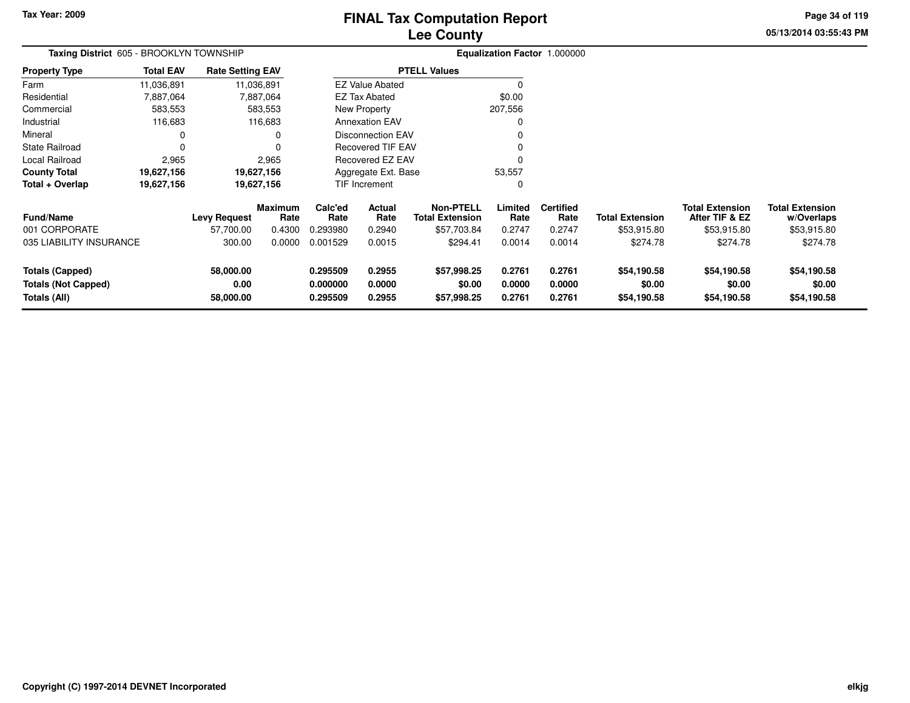**05/13/2014 03:55:43 PM Page 34 of 119**

| Taxing District 605 - BROOKLYN TOWNSHIP                              |                  |                                |                 | Equalization Factor 1.000000     |                            |                                            |                            |                            |                                      |                                          |                                      |
|----------------------------------------------------------------------|------------------|--------------------------------|-----------------|----------------------------------|----------------------------|--------------------------------------------|----------------------------|----------------------------|--------------------------------------|------------------------------------------|--------------------------------------|
| <b>Property Type</b>                                                 | <b>Total EAV</b> | <b>Rate Setting EAV</b>        |                 |                                  |                            | <b>PTELL Values</b>                        |                            |                            |                                      |                                          |                                      |
| Farm                                                                 | 11,036,891       |                                | 11,036,891      |                                  | <b>EZ Value Abated</b>     |                                            | 0                          |                            |                                      |                                          |                                      |
| Residential                                                          | 7,887,064        |                                | 7,887,064       |                                  | EZ Tax Abated              |                                            | \$0.00                     |                            |                                      |                                          |                                      |
| Commercial                                                           | 583,553          |                                | 583,553         |                                  | New Property               |                                            | 207,556                    |                            |                                      |                                          |                                      |
| Industrial                                                           | 116,683          |                                | 116,683         |                                  | <b>Annexation EAV</b>      |                                            | 0                          |                            |                                      |                                          |                                      |
| Mineral                                                              | 0                |                                | 0               |                                  | <b>Disconnection EAV</b>   |                                            | O                          |                            |                                      |                                          |                                      |
| <b>State Railroad</b>                                                | 0                |                                | 0               |                                  | <b>Recovered TIF EAV</b>   |                                            |                            |                            |                                      |                                          |                                      |
| Local Railroad                                                       | 2,965            |                                | 2,965           |                                  | Recovered EZ EAV           |                                            |                            |                            |                                      |                                          |                                      |
| <b>County Total</b>                                                  | 19,627,156       |                                | 19,627,156      |                                  | Aggregate Ext. Base        |                                            | 53,557                     |                            |                                      |                                          |                                      |
| Total + Overlap                                                      | 19,627,156       |                                | 19,627,156      |                                  | TIF Increment              |                                            | 0                          |                            |                                      |                                          |                                      |
| <b>Fund/Name</b>                                                     |                  | Levy Request                   | Maximum<br>Rate | Calc'ed<br>Rate                  | Actual<br>Rate             | <b>Non-PTELL</b><br><b>Total Extension</b> | Limited<br>Rate            | <b>Certified</b><br>Rate   | <b>Total Extension</b>               | <b>Total Extension</b><br>After TIF & EZ | <b>Total Extension</b><br>w/Overlaps |
| 001 CORPORATE                                                        |                  | 57,700.00                      | 0.4300          | 0.293980                         | 0.2940                     | \$57,703.84                                | 0.2747                     | 0.2747                     | \$53,915.80                          | \$53,915.80                              | \$53,915.80                          |
| 035 LIABILITY INSURANCE                                              |                  | 300.00                         | 0.0000          | 0.001529                         | 0.0015                     | \$294.41                                   | 0.0014                     | 0.0014                     | \$274.78                             | \$274.78                                 | \$274.78                             |
| <b>Totals (Capped)</b><br><b>Totals (Not Capped)</b><br>Totals (All) |                  | 58,000.00<br>0.00<br>58,000.00 |                 | 0.295509<br>0.000000<br>0.295509 | 0.2955<br>0.0000<br>0.2955 | \$57,998.25<br>\$0.00<br>\$57,998.25       | 0.2761<br>0.0000<br>0.2761 | 0.2761<br>0.0000<br>0.2761 | \$54,190.58<br>\$0.00<br>\$54,190.58 | \$54,190.58<br>\$0.00<br>\$54,190.58     | \$54,190.58<br>\$0.00<br>\$54,190.58 |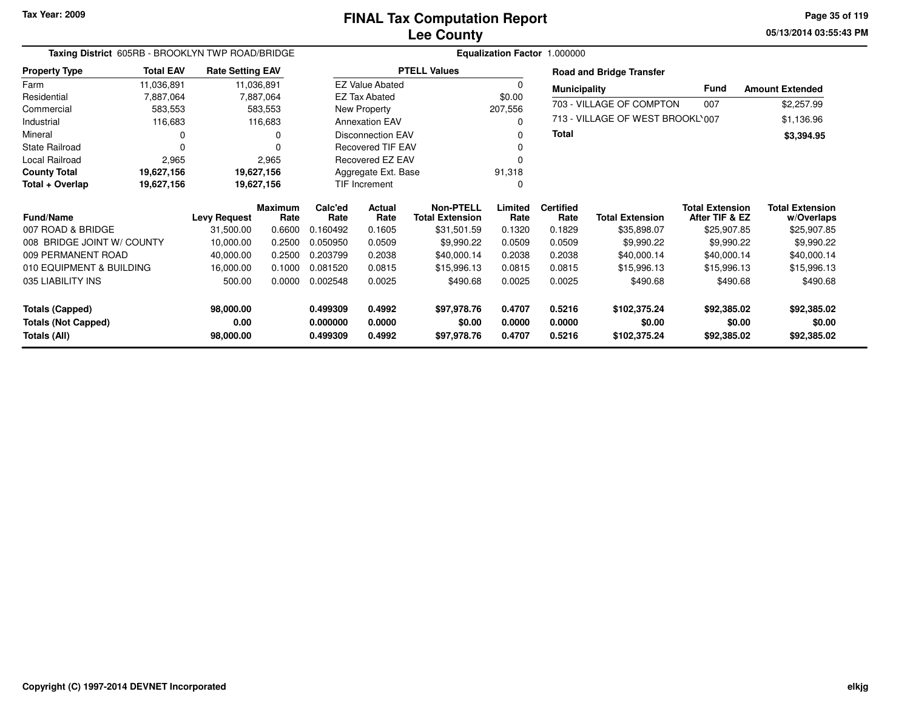**05/13/2014 03:55:43 PM Page 35 of 119**

| Taxing District 605RB - BROOKLYN TWP ROAD/BRIDGE |                                                                         |                     |                        |                 | Equalization Factor 1.000000 |                                            |                 |                          |                                  |                                          |                                      |
|--------------------------------------------------|-------------------------------------------------------------------------|---------------------|------------------------|-----------------|------------------------------|--------------------------------------------|-----------------|--------------------------|----------------------------------|------------------------------------------|--------------------------------------|
| <b>Property Type</b>                             | <b>Total EAV</b><br><b>Rate Setting EAV</b><br>11,036,891<br>11,036,891 |                     |                        |                 |                              | <b>PTELL Values</b>                        |                 |                          | <b>Road and Bridge Transfer</b>  |                                          |                                      |
| Farm                                             |                                                                         |                     |                        |                 | <b>EZ Value Abated</b>       |                                            | $\Omega$        | <b>Municipality</b>      |                                  | <b>Fund</b>                              | <b>Amount Extended</b>               |
| Residential                                      | 7,887,064                                                               |                     | 7,887,064              |                 | <b>EZ Tax Abated</b>         |                                            | \$0.00          |                          |                                  |                                          |                                      |
| Commercial                                       | 583,553                                                                 |                     | 583,553                |                 | New Property                 |                                            | 207,556         |                          | 703 - VILLAGE OF COMPTON         | 007                                      | \$2,257.99                           |
| Industrial                                       | 116,683                                                                 |                     | 116,683                |                 | <b>Annexation EAV</b>        |                                            | $\Omega$        |                          | 713 - VILLAGE OF WEST BROOKL'007 |                                          | \$1,136.96                           |
| Mineral                                          | 0                                                                       |                     | 0                      |                 | <b>Disconnection EAV</b>     |                                            |                 | <b>Total</b>             |                                  |                                          | \$3,394.95                           |
| <b>State Railroad</b>                            | $\Omega$                                                                | 0                   |                        |                 | <b>Recovered TIF EAV</b>     |                                            |                 |                          |                                  |                                          |                                      |
| Local Railroad                                   | 2,965                                                                   |                     | 2,965                  |                 | Recovered EZ EAV             |                                            |                 |                          |                                  |                                          |                                      |
| <b>County Total</b>                              | 19,627,156                                                              |                     | 19,627,156             |                 | Aggregate Ext. Base          |                                            | 91,318          |                          |                                  |                                          |                                      |
| Total + Overlap                                  | 19,627,156                                                              |                     | 19,627,156             |                 | <b>TIF Increment</b>         |                                            |                 |                          |                                  |                                          |                                      |
| <b>Fund/Name</b>                                 |                                                                         | <b>Levy Request</b> | <b>Maximum</b><br>Rate | Calc'ed<br>Rate | Actual<br>Rate               | <b>Non-PTELL</b><br><b>Total Extension</b> | Limited<br>Rate | <b>Certified</b><br>Rate | <b>Total Extension</b>           | <b>Total Extension</b><br>After TIF & EZ | <b>Total Extension</b><br>w/Overlaps |
| 007 ROAD & BRIDGE                                |                                                                         | 31,500.00           | 0.6600                 | 0.160492        | 0.1605                       | \$31,501.59                                | 0.1320          | 0.1829                   | \$35,898.07                      | \$25,907.85                              | \$25,907.85                          |
| 008 BRIDGE JOINT W/ COUNTY                       |                                                                         | 10,000.00           | 0.2500                 | 0.050950        | 0.0509                       | \$9,990.22                                 | 0.0509          | 0.0509                   | \$9,990.22                       | \$9,990.22                               | \$9,990.22                           |
| 009 PERMANENT ROAD                               |                                                                         | 40,000.00           | 0.2500                 | 0.203799        | 0.2038                       | \$40,000.14                                | 0.2038          | 0.2038                   | \$40,000.14                      | \$40,000.14                              | \$40,000.14                          |
| 010 EQUIPMENT & BUILDING                         |                                                                         | 16,000.00           | 0.1000                 | 0.081520        | 0.0815                       | \$15,996.13                                | 0.0815          | 0.0815                   | \$15,996.13                      | \$15,996.13                              | \$15,996.13                          |
| 035 LIABILITY INS                                |                                                                         | 500.00              | 0.0000                 | 0.002548        | 0.0025                       | \$490.68                                   | 0.0025          | 0.0025                   | \$490.68                         | \$490.68                                 | \$490.68                             |
| <b>Totals (Capped)</b>                           |                                                                         | 98,000.00           |                        | 0.499309        | 0.4992                       | \$97,978.76                                | 0.4707          | 0.5216                   | \$102,375.24                     | \$92,385.02                              | \$92,385.02                          |
| <b>Totals (Not Capped)</b>                       |                                                                         | 0.00                |                        | 0.000000        | 0.0000                       | \$0.00                                     | 0.0000          | 0.0000                   | \$0.00                           | \$0.00                                   | \$0.00                               |
| Totals (All)<br>98,000.00                        |                                                                         |                     | 0.499309               | 0.4992          | \$97,978.76                  | 0.4707                                     | 0.5216          | \$102,375.24             | \$92,385.02                      | \$92,385.02                              |                                      |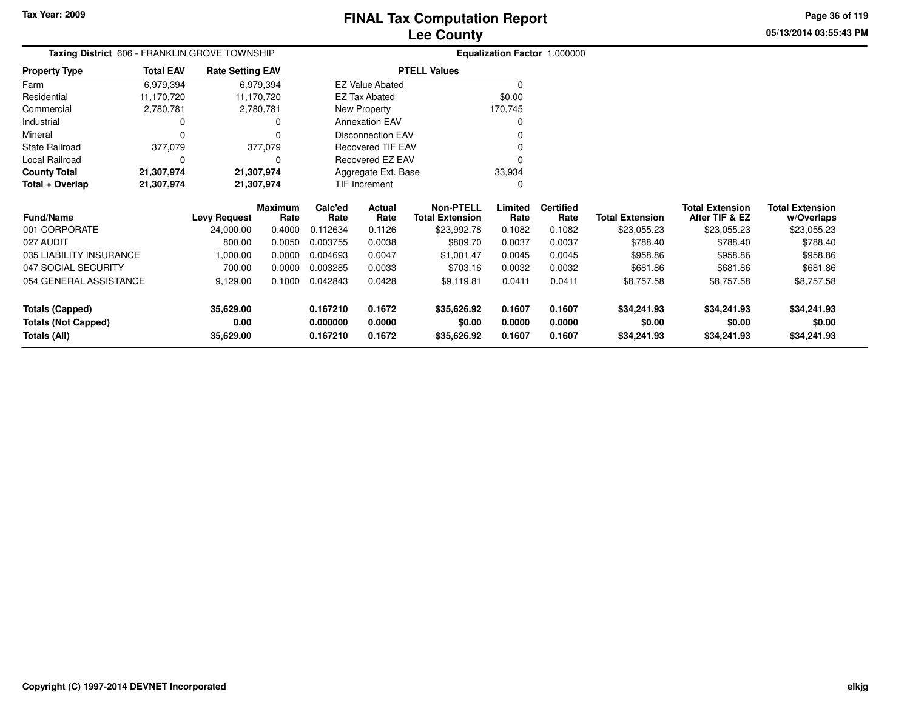**05/13/2014 03:55:43 PM Page 36 of 119**

| Taxing District 606 - FRANKLIN GROVE TOWNSHIP |                  |                         |                 | Equalization Factor 1.000000 |                          |                                            |                 |                          |                        |                                          |                                      |
|-----------------------------------------------|------------------|-------------------------|-----------------|------------------------------|--------------------------|--------------------------------------------|-----------------|--------------------------|------------------------|------------------------------------------|--------------------------------------|
| <b>Property Type</b>                          | <b>Total EAV</b> | <b>Rate Setting EAV</b> |                 |                              |                          | <b>PTELL Values</b>                        |                 |                          |                        |                                          |                                      |
| Farm                                          | 6,979,394        | 6,979,394               |                 | <b>EZ Value Abated</b>       |                          |                                            | $\Omega$        |                          |                        |                                          |                                      |
| Residential                                   | 11,170,720       | 11,170,720              |                 | EZ Tax Abated                |                          |                                            | \$0.00          |                          |                        |                                          |                                      |
| Commercial                                    | 2,780,781        | 2,780,781               |                 | New Property                 |                          |                                            | 170,745         |                          |                        |                                          |                                      |
| Industrial                                    |                  |                         | 0               |                              | <b>Annexation EAV</b>    |                                            | 0               |                          |                        |                                          |                                      |
| Mineral                                       | $\Omega$         |                         | 0               |                              | <b>Disconnection EAV</b> |                                            |                 |                          |                        |                                          |                                      |
| State Railroad                                | 377,079          |                         | 377,079         |                              | <b>Recovered TIF EAV</b> |                                            |                 |                          |                        |                                          |                                      |
| Local Railroad                                | $\Omega$         |                         | 0               | Recovered EZ EAV             |                          |                                            |                 |                          |                        |                                          |                                      |
| <b>County Total</b>                           | 21,307,974       | 21,307,974              |                 | Aggregate Ext. Base          |                          |                                            | 33,934          |                          |                        |                                          |                                      |
| Total + Overlap                               | 21,307,974       | 21,307,974              |                 | TIF Increment<br>$\Omega$    |                          |                                            |                 |                          |                        |                                          |                                      |
| Fund/Name                                     |                  | <b>Levy Request</b>     | Maximum<br>Rate | Calc'ed<br>Rate              | Actual<br>Rate           | <b>Non-PTELL</b><br><b>Total Extension</b> | Limited<br>Rate | <b>Certified</b><br>Rate | <b>Total Extension</b> | <b>Total Extension</b><br>After TIF & EZ | <b>Total Extension</b><br>w/Overlaps |
| 001 CORPORATE                                 |                  | 24,000.00               | 0.4000          | 0.112634                     | 0.1126                   | \$23,992.78                                | 0.1082          | 0.1082                   | \$23,055.23            | \$23,055.23                              | \$23,055.23                          |
| 027 AUDIT                                     |                  | 800.00                  | 0.0050          | 0.003755                     | 0.0038                   | \$809.70                                   | 0.0037          | 0.0037                   | \$788.40               | \$788.40                                 | \$788.40                             |
| 035 LIABILITY INSURANCE                       |                  | 1,000.00                | 0.0000          | 0.004693                     | 0.0047                   | \$1,001.47                                 | 0.0045          | 0.0045                   | \$958.86               | \$958.86                                 | \$958.86                             |
| 047 SOCIAL SECURITY                           |                  | 700.00                  | 0.0000          | 0.003285                     | 0.0033                   | \$703.16                                   | 0.0032          | 0.0032                   | \$681.86               | \$681.86                                 | \$681.86                             |
| 054 GENERAL ASSISTANCE                        |                  | 9,129.00                | 0.1000          | 0.042843                     | 0.0428                   | \$9,119.81                                 | 0.0411          | 0.0411                   | \$8,757.58             | \$8,757.58                               | \$8,757.58                           |
| <b>Totals (Capped)</b>                        |                  | 35,629.00               |                 | 0.167210                     | 0.1672                   | \$35,626.92                                | 0.1607          | 0.1607                   | \$34,241.93            | \$34,241.93                              | \$34,241.93                          |
| <b>Totals (Not Capped)</b>                    |                  | 0.00                    |                 | 0.000000                     | 0.0000                   | \$0.00                                     | 0.0000          | 0.0000                   | \$0.00                 | \$0.00                                   | \$0.00                               |
| <b>Totals (All)</b>                           |                  | 35,629.00               |                 | 0.167210                     | 0.1672                   | \$35,626.92                                | 0.1607          | 0.1607                   | \$34,241.93            | \$34,241.93                              | \$34,241.93                          |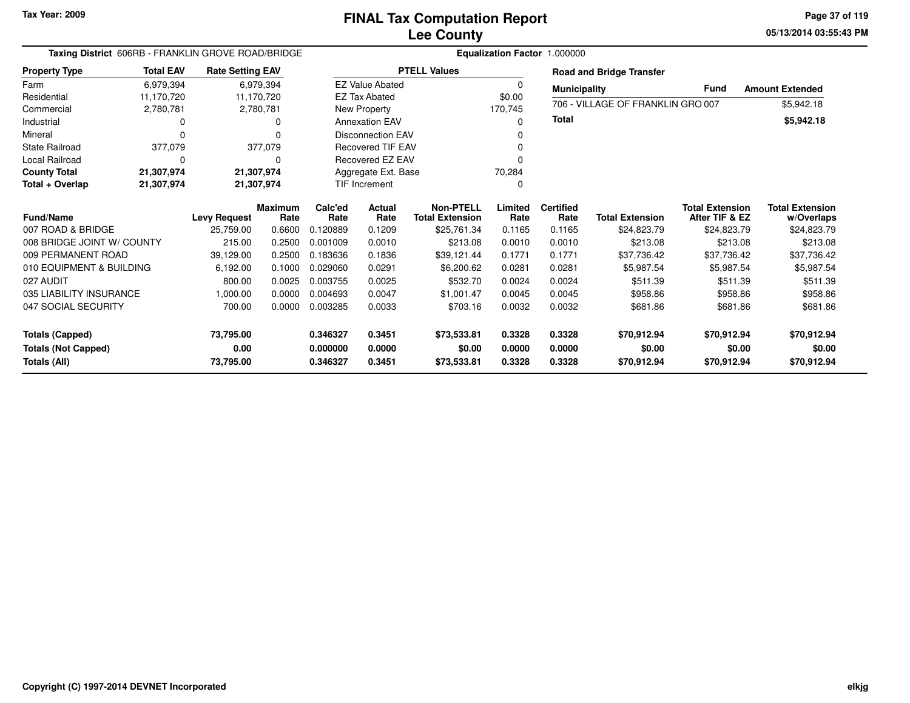**05/13/2014 03:55:43 PM Page 37 of 119**

| Taxing District 606RB - FRANKLIN GROVE ROAD/BRIDGE<br><b>Rate Setting EAV</b> |                  |                     |                        |                 |                          |                                            |                 | Equalization Factor 1.000000 |                                   |                                          |                                      |
|-------------------------------------------------------------------------------|------------------|---------------------|------------------------|-----------------|--------------------------|--------------------------------------------|-----------------|------------------------------|-----------------------------------|------------------------------------------|--------------------------------------|
| <b>Property Type</b>                                                          | <b>Total EAV</b> |                     |                        |                 |                          | <b>PTELL Values</b>                        |                 |                              | <b>Road and Bridge Transfer</b>   |                                          |                                      |
| Farm                                                                          | 6,979,394        |                     | 6,979,394              |                 | <b>EZ Value Abated</b>   |                                            | 0               | <b>Municipality</b>          |                                   | Fund                                     | <b>Amount Extended</b>               |
| Residential                                                                   | 11,170,720       |                     | 11,170,720             |                 | <b>EZ Tax Abated</b>     |                                            | \$0.00          |                              | 706 - VILLAGE OF FRANKLIN GRO 007 |                                          |                                      |
| Commercial                                                                    | 2,780,781        |                     | 2,780,781              |                 | New Property             |                                            | 170,745         |                              |                                   |                                          | \$5,942.18                           |
| Industrial                                                                    |                  |                     | O                      |                 | <b>Annexation EAV</b>    |                                            | O               | <b>Total</b>                 |                                   |                                          | \$5,942.18                           |
| Mineral                                                                       |                  |                     | 0                      |                 | <b>Disconnection EAV</b> |                                            |                 |                              |                                   |                                          |                                      |
| <b>State Railroad</b>                                                         | 377,079          |                     | 377,079                |                 | <b>Recovered TIF EAV</b> |                                            |                 |                              |                                   |                                          |                                      |
| <b>Local Railroad</b>                                                         | O                |                     | 0                      |                 | Recovered EZ EAV         |                                            | O               |                              |                                   |                                          |                                      |
| <b>County Total</b>                                                           | 21,307,974       |                     | 21,307,974             |                 | Aggregate Ext. Base      |                                            | 70,284          |                              |                                   |                                          |                                      |
| Total + Overlap                                                               | 21,307,974       |                     | 21,307,974             |                 | <b>TIF Increment</b>     |                                            | 0               |                              |                                   |                                          |                                      |
| <b>Fund/Name</b>                                                              |                  | <b>Levy Request</b> | <b>Maximum</b><br>Rate | Calc'ed<br>Rate | <b>Actual</b><br>Rate    | <b>Non-PTELL</b><br><b>Total Extension</b> | Limited<br>Rate | <b>Certified</b><br>Rate     | <b>Total Extension</b>            | <b>Total Extension</b><br>After TIF & EZ | <b>Total Extension</b><br>w/Overlaps |
| 007 ROAD & BRIDGE                                                             |                  | 25,759.00           | 0.6600                 | 0.120889        | 0.1209                   | \$25,761.34                                | 0.1165          | 0.1165                       | \$24,823.79                       | \$24,823.79                              | \$24,823.79                          |
| 008 BRIDGE JOINT W/ COUNTY                                                    |                  | 215.00              | 0.2500                 | 0.001009        | 0.0010                   | \$213.08                                   | 0.0010          | 0.0010                       | \$213.08                          | \$213.08                                 | \$213.08                             |
| 009 PERMANENT ROAD                                                            |                  | 39,129.00           | 0.2500                 | 0.183636        | 0.1836                   | \$39,121.44                                | 0.1771          | 0.1771                       | \$37,736.42                       | \$37,736.42                              | \$37,736.42                          |
| 010 EQUIPMENT & BUILDING                                                      |                  | 6,192.00            | 0.1000                 | 0.029060        | 0.0291                   | \$6,200.62                                 | 0.0281          | 0.0281                       | \$5,987.54                        | \$5,987.54                               | \$5,987.54                           |
| 027 AUDIT                                                                     |                  | 800.00              | 0.0025                 | 0.003755        | 0.0025                   | \$532.70                                   | 0.0024          | 0.0024                       | \$511.39                          | \$511.39                                 | \$511.39                             |
| 035 LIABILITY INSURANCE                                                       |                  | 1,000.00            | 0.0000                 | 0.004693        | 0.0047                   | \$1,001.47                                 | 0.0045          | 0.0045                       | \$958.86                          | \$958.86                                 | \$958.86                             |
| 047 SOCIAL SECURITY                                                           |                  | 700.00              | 0.0000                 | 0.003285        | 0.0033                   | \$703.16                                   | 0.0032          | 0.0032                       | \$681.86                          | \$681.86                                 | \$681.86                             |
| <b>Totals (Capped)</b>                                                        |                  | 73,795.00           |                        | 0.346327        | 0.3451                   | \$73,533.81                                | 0.3328          | 0.3328                       | \$70,912.94                       | \$70,912.94                              | \$70,912.94                          |
|                                                                               |                  | 0.00                |                        | 0.000000        | 0.0000                   | \$0.00                                     | 0.0000          | 0.0000                       | \$0.00                            | \$0.00                                   | \$0.00                               |
| <b>Totals (Not Capped)</b><br>Totals (All)                                    |                  | 73,795.00           |                        | 0.346327        | 0.3451                   | \$73,533.81                                | 0.3328          | 0.3328                       | \$70,912.94                       | \$70,912.94                              | \$70,912.94                          |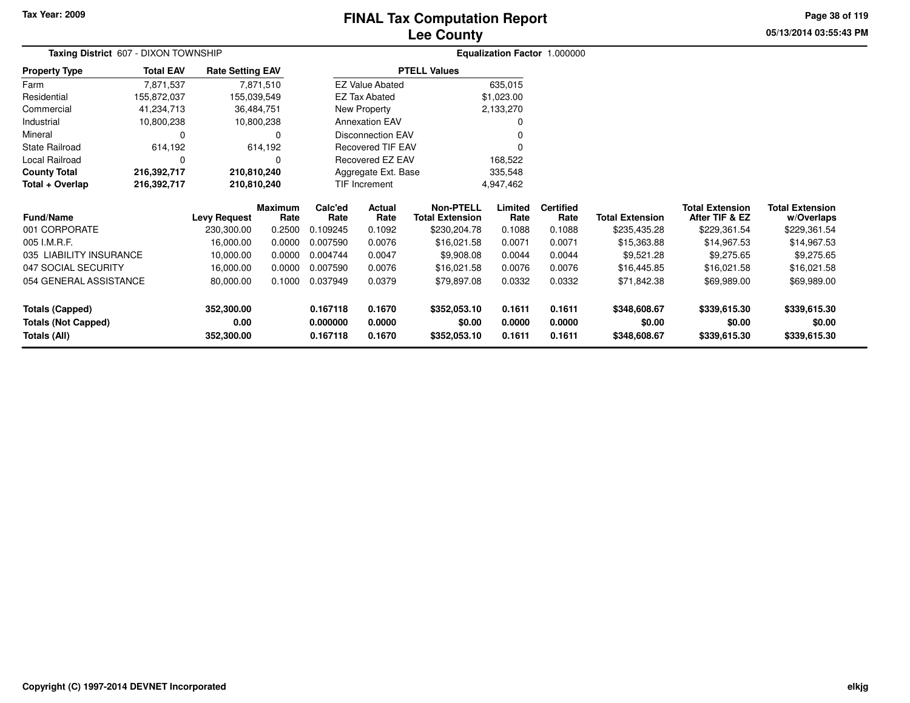# **Lee CountyFINAL Tax Computation Report**

**05/13/2014 03:55:43 PM Page 38 of 119**

| Taxing District 607 - DIXON TOWNSHIP                    |                  | Equalization Factor 1.000000 |                        |                 |                                                                                                                         |                                            |                 |                          |                        |                                          |                                      |  |
|---------------------------------------------------------|------------------|------------------------------|------------------------|-----------------|-------------------------------------------------------------------------------------------------------------------------|--------------------------------------------|-----------------|--------------------------|------------------------|------------------------------------------|--------------------------------------|--|
| <b>Property Type</b>                                    | <b>Total EAV</b> | <b>Rate Setting EAV</b>      |                        |                 |                                                                                                                         | <b>PTELL Values</b>                        |                 |                          |                        |                                          |                                      |  |
| Farm                                                    | 7,871,537        |                              | 7,871,510              |                 | 635,015<br><b>EZ Value Abated</b><br>EZ Tax Abated<br>New Property<br><b>Annexation EAV</b><br><b>Disconnection EAV</b> |                                            |                 |                          |                        |                                          |                                      |  |
| Residential                                             | 155,872,037      |                              | 155,039,549            |                 |                                                                                                                         |                                            | \$1,023.00      |                          |                        |                                          |                                      |  |
| Commercial                                              | 41,234,713       |                              | 36,484,751             |                 |                                                                                                                         |                                            | 2,133,270       |                          |                        |                                          |                                      |  |
| Industrial                                              | 10,800,238       |                              | 10,800,238             |                 |                                                                                                                         |                                            |                 |                          |                        |                                          |                                      |  |
| Mineral                                                 |                  |                              | 0                      |                 |                                                                                                                         |                                            |                 |                          |                        |                                          |                                      |  |
| State Railroad                                          | 614,192          |                              | 614,192                |                 | <b>Recovered TIF EAV</b>                                                                                                |                                            |                 |                          |                        |                                          |                                      |  |
| Local Railroad                                          | 0                |                              | 0                      |                 | Recovered EZ EAV<br>168,522                                                                                             |                                            |                 |                          |                        |                                          |                                      |  |
| <b>County Total</b>                                     | 216,392,717      | 210,810,240                  |                        |                 | Aggregate Ext. Base<br>335,548                                                                                          |                                            |                 |                          |                        |                                          |                                      |  |
| Total + Overlap                                         | 216,392,717      | 210,810,240                  |                        | TIF Increment   |                                                                                                                         |                                            | 4,947,462       |                          |                        |                                          |                                      |  |
| <b>Fund/Name</b>                                        |                  | <b>Levy Request</b>          | <b>Maximum</b><br>Rate | Calc'ed<br>Rate | Actual<br>Rate                                                                                                          | <b>Non-PTELL</b><br><b>Total Extension</b> | Limited<br>Rate | <b>Certified</b><br>Rate | <b>Total Extension</b> | <b>Total Extension</b><br>After TIF & EZ | <b>Total Extension</b><br>w/Overlaps |  |
| 001 CORPORATE                                           |                  | 230,300.00                   | 0.2500                 | 0.109245        | 0.1092                                                                                                                  | \$230,204.78                               | 0.1088          | 0.1088                   | \$235,435.28           | \$229,361.54                             | \$229,361.54                         |  |
| 005 I.M.R.F.                                            |                  | 16,000.00                    | 0.0000                 | 0.007590        | 0.0076                                                                                                                  | \$16,021.58                                | 0.0071          | 0.0071                   | \$15,363.88            | \$14,967.53                              | \$14,967.53                          |  |
| 035 LIABILITY INSURANCE                                 |                  | 10,000.00                    | 0.0000                 | 0.004744        | 0.0047                                                                                                                  | \$9,908.08                                 | 0.0044          | 0.0044                   | \$9,521.28             | \$9,275.65                               | \$9,275.65                           |  |
| 047 SOCIAL SECURITY                                     |                  | 16,000.00                    | 0.0000                 | 0.007590        | 0.0076                                                                                                                  | \$16,021.58                                | 0.0076          | 0.0076                   | \$16,445.85            | \$16,021.58                              | \$16,021.58                          |  |
| 054 GENERAL ASSISTANCE                                  |                  | 80,000.00                    | 0.1000                 | 0.037949        | 0.0379<br>\$79,897.08                                                                                                   |                                            | 0.0332          | 0.0332                   | \$71,842.38            | \$69,989.00                              | \$69,989.00                          |  |
| <b>Totals (Capped)</b>                                  |                  | 352,300.00                   |                        | 0.167118        | 0.1670                                                                                                                  | \$352,053.10                               | 0.1611          | 0.1611                   | \$348,608.67           | \$339,615.30                             | \$339,615.30                         |  |
| <b>Totals (Not Capped)</b>                              |                  | 0.00                         |                        | 0.000000        | 0.0000                                                                                                                  | \$0.00                                     | 0.0000          | 0.0000                   | \$0.00                 | \$0.00                                   | \$0.00                               |  |
| <b>Totals (All)</b><br>0.1670<br>352,300.00<br>0.167118 |                  | \$352,053.10                 | 0.1611                 | 0.1611          | \$348,608.67                                                                                                            | \$339,615.30                               | \$339,615.30    |                          |                        |                                          |                                      |  |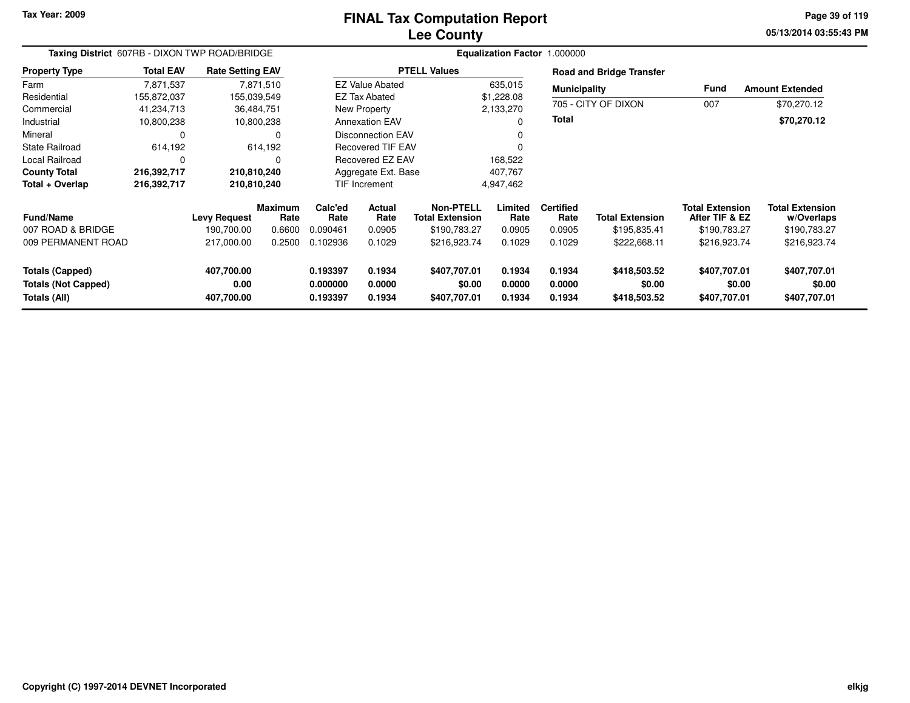#### **Lee CountyFINAL Tax Computation Report**

**05/13/2014 03:55:43 PM Page 39 of 119**

| Taxing District 607RB - DIXON TWP ROAD/BRIDGE                        |                  |                                  |                        |                                  |                            |                                            |                            | Equalization Factor 1.000000 |                                        |                                          |                                        |
|----------------------------------------------------------------------|------------------|----------------------------------|------------------------|----------------------------------|----------------------------|--------------------------------------------|----------------------------|------------------------------|----------------------------------------|------------------------------------------|----------------------------------------|
| <b>Property Type</b>                                                 | <b>Total EAV</b> | <b>Rate Setting EAV</b>          |                        |                                  |                            | <b>PTELL Values</b>                        |                            |                              | <b>Road and Bridge Transfer</b>        |                                          |                                        |
| Farm                                                                 | 7.871.537        |                                  | 7,871,510              |                                  | <b>EZ Value Abated</b>     |                                            | 635,015                    | <b>Municipality</b>          |                                        | Fund                                     | <b>Amount Extended</b>                 |
| Residential                                                          | 155,872,037      | 155,039,549                      |                        |                                  | <b>EZ Tax Abated</b>       |                                            | \$1,228.08                 |                              |                                        |                                          |                                        |
| Commercial                                                           | 41,234,713       | 36,484,751                       |                        |                                  | New Property               |                                            | 2,133,270                  |                              | 705 - CITY OF DIXON                    | 007                                      | \$70,270.12                            |
| Industrial                                                           | 10,800,238       |                                  | 10,800,238             |                                  | <b>Annexation EAV</b>      |                                            | $\Omega$                   | Total                        |                                        |                                          | \$70,270.12                            |
| Mineral                                                              | $\Omega$         |                                  | 0                      |                                  | <b>Disconnection EAV</b>   |                                            | 0                          |                              |                                        |                                          |                                        |
| <b>State Railroad</b>                                                | 614,192          |                                  | 614,192                |                                  | Recovered TIF EAV          |                                            | $\Omega$                   |                              |                                        |                                          |                                        |
| Local Railroad                                                       | $\Omega$         |                                  | 0                      |                                  | <b>Recovered EZ EAV</b>    |                                            | 168,522                    |                              |                                        |                                          |                                        |
| <b>County Total</b>                                                  | 216,392,717      | 210,810,240                      |                        |                                  | Aggregate Ext. Base        |                                            | 407,767                    |                              |                                        |                                          |                                        |
| Total + Overlap                                                      | 216,392,717      | 210,810,240                      |                        |                                  | <b>TIF Increment</b>       |                                            | 4,947,462                  |                              |                                        |                                          |                                        |
| <b>Fund/Name</b>                                                     |                  | <b>Levy Request</b>              | <b>Maximum</b><br>Rate | Calc'ed<br>Rate                  | <b>Actual</b><br>Rate      | <b>Non-PTELL</b><br><b>Total Extension</b> | Limited<br>Rate            | <b>Certified</b><br>Rate     | <b>Total Extension</b>                 | <b>Total Extension</b><br>After TIF & EZ | <b>Total Extension</b><br>w/Overlaps   |
| 007 ROAD & BRIDGE                                                    |                  | 190,700.00                       | 0.6600                 | 0.090461                         | 0.0905                     | \$190,783.27                               | 0.0905                     | 0.0905                       | \$195,835.41                           | \$190,783.27                             | \$190,783.27                           |
| 009 PERMANENT ROAD                                                   |                  | 217,000.00                       | 0.2500                 | 0.102936                         | 0.1029                     | \$216,923.74                               | 0.1029                     | 0.1029                       | \$222,668.11                           | \$216,923.74                             | \$216,923.74                           |
| <b>Totals (Capped)</b><br><b>Totals (Not Capped)</b><br>Totals (All) |                  | 407,700.00<br>0.00<br>407,700.00 |                        | 0.193397<br>0.000000<br>0.193397 | 0.1934<br>0.0000<br>0.1934 | \$407,707.01<br>\$0.00<br>\$407,707.01     | 0.1934<br>0.0000<br>0.1934 | 0.1934<br>0.0000<br>0.1934   | \$418,503.52<br>\$0.00<br>\$418,503.52 | \$407,707.01<br>\$0.00<br>\$407,707.01   | \$407,707.01<br>\$0.00<br>\$407,707.01 |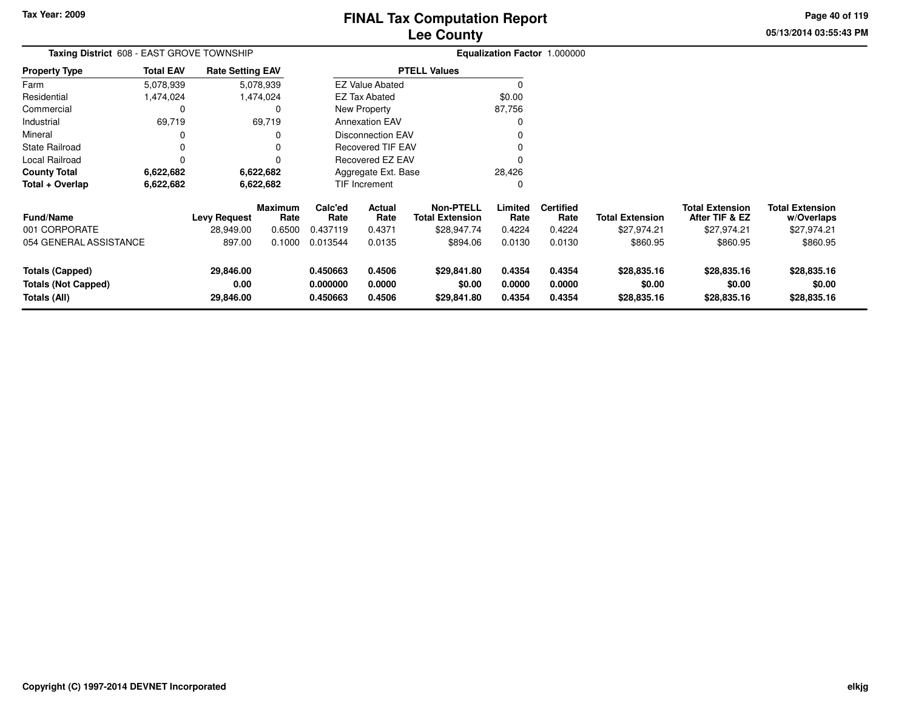**05/13/2014 03:55:43 PM Page 40 of 119**

| Taxing District 608 - EAST GROVE TOWNSHIP                            |                  |                                |                        |                                  |                                                      | Equalization Factor 1.000000               |                            |                            |                                      |                                          |                                      |
|----------------------------------------------------------------------|------------------|--------------------------------|------------------------|----------------------------------|------------------------------------------------------|--------------------------------------------|----------------------------|----------------------------|--------------------------------------|------------------------------------------|--------------------------------------|
| <b>Property Type</b>                                                 | <b>Total EAV</b> | <b>Rate Setting EAV</b>        |                        |                                  |                                                      | <b>PTELL Values</b>                        |                            |                            |                                      |                                          |                                      |
| Farm                                                                 | 5,078,939        |                                | 5,078,939              |                                  | <b>EZ Value Abated</b>                               |                                            | $\Omega$                   |                            |                                      |                                          |                                      |
| Residential                                                          | 1,474,024        |                                | 1,474,024              |                                  | EZ Tax Abated                                        |                                            | \$0.00                     |                            |                                      |                                          |                                      |
| Commercial                                                           | 0                |                                | 0                      |                                  | New Property                                         |                                            | 87,756                     |                            |                                      |                                          |                                      |
| Industrial                                                           | 69,719           |                                | 69,719                 |                                  | <b>Annexation EAV</b>                                |                                            | $\Omega$                   |                            |                                      |                                          |                                      |
| Mineral                                                              | 0                |                                | 0                      |                                  | <b>Disconnection EAV</b><br><b>Recovered TIF EAV</b> |                                            |                            |                            |                                      |                                          |                                      |
| <b>State Railroad</b>                                                | 0                |                                | 0                      |                                  |                                                      |                                            |                            |                            |                                      |                                          |                                      |
| Local Railroad                                                       | 0                |                                | 0                      |                                  | <b>Recovered EZ EAV</b>                              |                                            |                            |                            |                                      |                                          |                                      |
| <b>County Total</b>                                                  | 6,622,682        |                                | 6,622,682              |                                  | Aggregate Ext. Base                                  |                                            | 28,426                     |                            |                                      |                                          |                                      |
| Total + Overlap                                                      | 6,622,682        |                                | 6,622,682              |                                  | TIF Increment                                        |                                            | 0                          |                            |                                      |                                          |                                      |
| <b>Fund/Name</b>                                                     |                  | <b>Levy Request</b>            | <b>Maximum</b><br>Rate | Calc'ed<br>Rate                  | Actual<br>Rate                                       | <b>Non-PTELL</b><br><b>Total Extension</b> | Limited<br>Rate            | <b>Certified</b><br>Rate   | <b>Total Extension</b>               | <b>Total Extension</b><br>After TIF & EZ | <b>Total Extension</b><br>w/Overlaps |
| 001 CORPORATE                                                        |                  | 28,949.00                      | 0.6500                 | 0.437119                         | 0.4371                                               | \$28,947.74                                | 0.4224                     | 0.4224                     | \$27,974.21                          | \$27,974.21                              | \$27,974.21                          |
| 054 GENERAL ASSISTANCE                                               |                  | 897.00                         | 0.1000                 | 0.013544                         | 0.0135                                               | \$894.06                                   | 0.0130                     | 0.0130                     | \$860.95                             | \$860.95                                 | \$860.95                             |
| <b>Totals (Capped)</b><br><b>Totals (Not Capped)</b><br>Totals (All) |                  | 29,846.00<br>0.00<br>29,846.00 |                        | 0.450663<br>0.000000<br>0.450663 | 0.4506<br>0.0000<br>0.4506                           | \$29,841.80<br>\$0.00<br>\$29,841.80       | 0.4354<br>0.0000<br>0.4354 | 0.4354<br>0.0000<br>0.4354 | \$28,835.16<br>\$0.00<br>\$28,835.16 | \$28,835.16<br>\$0.00<br>\$28,835.16     | \$28,835.16<br>\$0.00<br>\$28,835.16 |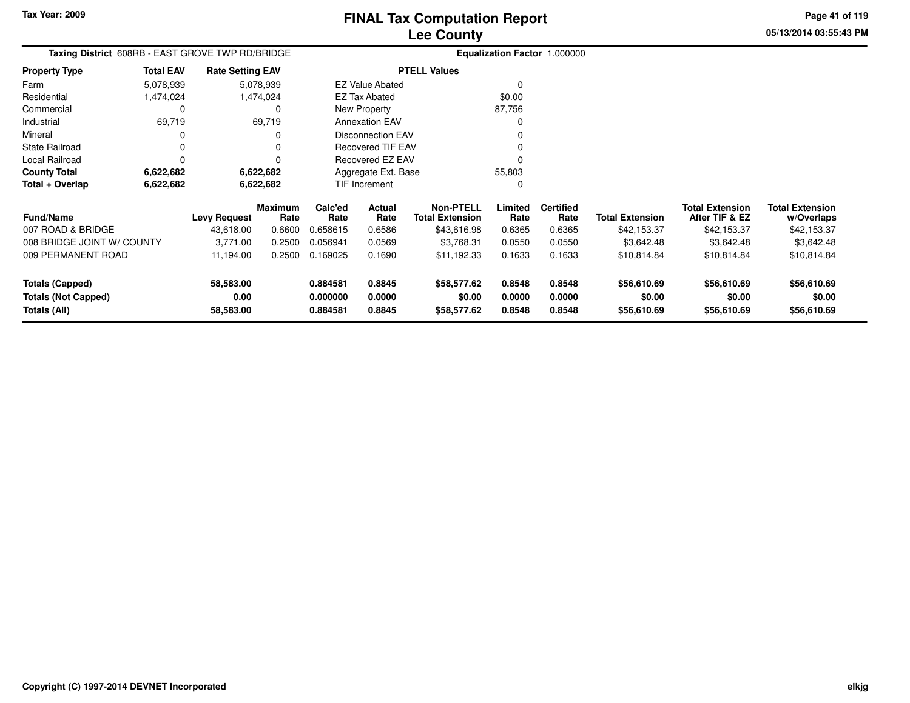**05/13/2014 03:55:43 PM Page 41 of 119**

| <b>Taxing District</b> 608RB - EAST GROVE TWP RD/BRIDGE |                  |                         |                 |                      |                          |                                            |                  | <b>Equalization Factor 1.000000</b> |                        |                                          |                                      |
|---------------------------------------------------------|------------------|-------------------------|-----------------|----------------------|--------------------------|--------------------------------------------|------------------|-------------------------------------|------------------------|------------------------------------------|--------------------------------------|
| <b>Property Type</b>                                    | <b>Total EAV</b> | <b>Rate Setting EAV</b> |                 |                      |                          | <b>PTELL Values</b>                        |                  |                                     |                        |                                          |                                      |
| Farm                                                    | 5,078,939        |                         | 5,078,939       |                      | <b>EZ Value Abated</b>   |                                            |                  |                                     |                        |                                          |                                      |
| Residential                                             | 1,474,024        |                         | 1,474,024       |                      | EZ Tax Abated            |                                            | \$0.00           |                                     |                        |                                          |                                      |
| Commercial                                              |                  |                         |                 |                      | New Property             |                                            | 87,756           |                                     |                        |                                          |                                      |
| Industrial                                              | 69,719           |                         | 69,719          |                      | <b>Annexation EAV</b>    |                                            |                  |                                     |                        |                                          |                                      |
| Mineral                                                 |                  |                         |                 |                      | <b>Disconnection EAV</b> |                                            |                  |                                     |                        |                                          |                                      |
| <b>State Railroad</b>                                   |                  |                         |                 |                      | <b>Recovered TIF EAV</b> |                                            |                  |                                     |                        |                                          |                                      |
| Local Railroad                                          |                  |                         |                 |                      | <b>Recovered EZ EAV</b>  |                                            |                  |                                     |                        |                                          |                                      |
| <b>County Total</b>                                     | 6,622,682        |                         | 6,622,682       |                      | Aggregate Ext. Base      |                                            | 55,803           |                                     |                        |                                          |                                      |
| Total + Overlap                                         | 6,622,682        |                         | 6,622,682       |                      | TIF Increment            |                                            |                  |                                     |                        |                                          |                                      |
| <b>Fund/Name</b>                                        |                  | <b>Levy Request</b>     | Maximum<br>Rate | Calc'ed<br>Rate      | Actual<br>Rate           | <b>Non-PTELL</b><br><b>Total Extension</b> | Limited<br>Rate  | <b>Certified</b><br>Rate            | <b>Total Extension</b> | <b>Total Extension</b><br>After TIF & EZ | <b>Total Extension</b><br>w/Overlaps |
| 007 ROAD & BRIDGE                                       |                  | 43,618.00               | 0.6600          | 0.658615             | 0.6586                   | \$43,616.98                                | 0.6365           | 0.6365                              | \$42,153.37            | \$42,153.37                              | \$42,153.37                          |
| 008 BRIDGE JOINT W/ COUNTY                              |                  | 3,771.00                | 0.2500          | 0.056941             | 0.0569                   | \$3,768.31                                 | 0.0550           | 0.0550                              | \$3,642.48             | \$3,642.48                               | \$3,642.48                           |
| 009 PERMANENT ROAD                                      |                  | 11,194.00               | 0.2500          | 0.169025             | 0.1690                   | \$11,192.33                                | 0.1633           | 0.1633                              | \$10,814.84            | \$10,814.84                              | \$10,814.84                          |
| <b>Totals (Capped)</b>                                  |                  | 58,583.00               |                 | 0.884581             | 0.8845                   | \$58,577.62                                | 0.8548           | 0.8548                              | \$56,610.69            | \$56,610.69                              | \$56,610.69                          |
| <b>Totals (Not Capped)</b><br>Totals (All)              |                  | 0.00<br>58,583.00       |                 | 0.000000<br>0.884581 | 0.0000<br>0.8845         | \$0.00<br>\$58,577.62                      | 0.0000<br>0.8548 | 0.0000<br>0.8548                    | \$0.00<br>\$56,610.69  | \$0.00<br>\$56,610.69                    | \$0.00<br>\$56,610.69                |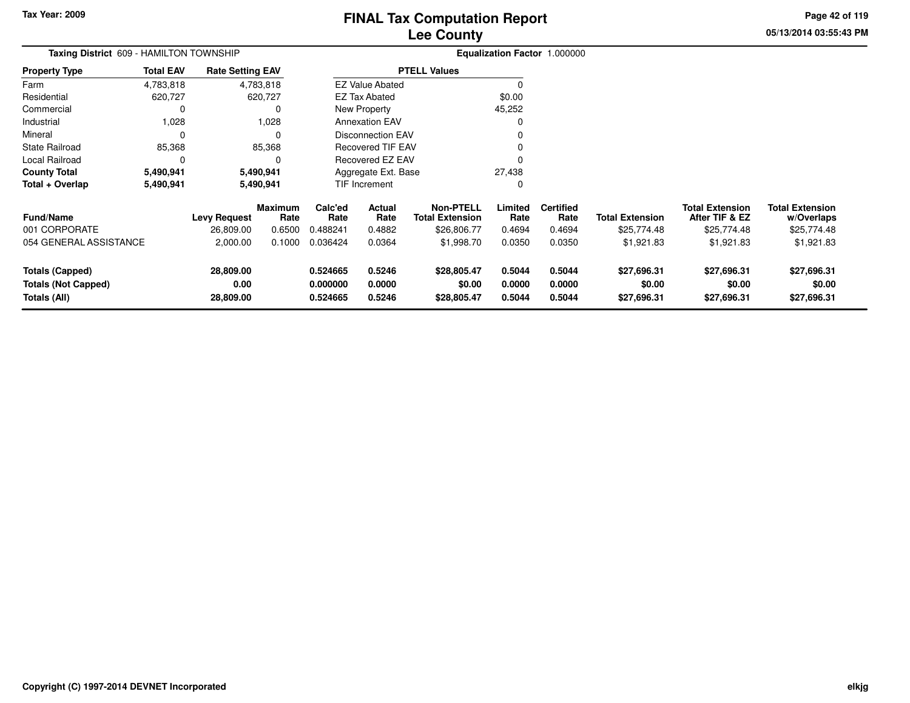**05/13/2014 03:55:43 PM Page 42 of 119**

|                                                                      | Taxing District 609 - HAMILTON TOWNSHIP<br><b>Rate Setting EAV</b> |                                |                 |                                  | Equalization Factor 1.000000 |                                            |                            |                            |                                      |                                          |                                      |
|----------------------------------------------------------------------|--------------------------------------------------------------------|--------------------------------|-----------------|----------------------------------|------------------------------|--------------------------------------------|----------------------------|----------------------------|--------------------------------------|------------------------------------------|--------------------------------------|
| <b>Property Type</b>                                                 | <b>Total EAV</b>                                                   |                                |                 |                                  |                              | <b>PTELL Values</b>                        |                            |                            |                                      |                                          |                                      |
| Farm                                                                 | 4,783,818                                                          |                                | 4,783,818       |                                  | <b>EZ Value Abated</b>       |                                            |                            |                            |                                      |                                          |                                      |
| Residential                                                          | 620,727                                                            |                                | 620,727         |                                  | EZ Tax Abated                |                                            | \$0.00                     |                            |                                      |                                          |                                      |
| Commercial                                                           |                                                                    |                                | 0               |                                  | New Property                 |                                            | 45,252                     |                            |                                      |                                          |                                      |
| Industrial                                                           | 1,028                                                              |                                | 1,028           |                                  | <b>Annexation EAV</b>        |                                            |                            |                            |                                      |                                          |                                      |
| Mineral                                                              |                                                                    |                                | $\Omega$        |                                  | <b>Disconnection EAV</b>     |                                            |                            |                            |                                      |                                          |                                      |
| State Railroad                                                       | 85,368                                                             |                                | 85,368          |                                  | <b>Recovered TIF EAV</b>     |                                            |                            |                            |                                      |                                          |                                      |
| Local Railroad                                                       |                                                                    |                                | O               |                                  | Recovered EZ EAV             |                                            |                            |                            |                                      |                                          |                                      |
| County Total                                                         | 5,490,941                                                          |                                | 5,490,941       |                                  | Aggregate Ext. Base          |                                            | 27,438                     |                            |                                      |                                          |                                      |
| Total + Overlap                                                      | 5,490,941                                                          |                                | 5,490,941       |                                  | TIF Increment                |                                            | 0                          |                            |                                      |                                          |                                      |
| <b>Fund/Name</b>                                                     |                                                                    | <b>Levy Request</b>            | Maximum<br>Rate | Calc'ed<br>Rate                  | Actual<br>Rate               | <b>Non-PTELL</b><br><b>Total Extension</b> | Limited<br>Rate            | <b>Certified</b><br>Rate   | <b>Total Extension</b>               | <b>Total Extension</b><br>After TIF & EZ | <b>Total Extension</b><br>w/Overlaps |
| 001 CORPORATE                                                        |                                                                    | 26,809.00                      | 0.6500          | 0.488241                         | 0.4882                       | \$26,806.77                                | 0.4694                     | 0.4694                     | \$25,774.48                          | \$25,774.48                              | \$25,774.48                          |
| 054 GENERAL ASSISTANCE                                               |                                                                    | 2,000.00                       | 0.1000          | 0.036424                         | 0.0364                       | \$1,998.70                                 | 0.0350                     | 0.0350                     | \$1,921.83                           | \$1,921.83                               | \$1,921.83                           |
| <b>Totals (Capped)</b><br><b>Totals (Not Capped)</b><br>Totals (All) |                                                                    | 28,809.00<br>0.00<br>28,809.00 |                 | 0.524665<br>0.000000<br>0.524665 | 0.5246<br>0.0000<br>0.5246   | \$28,805.47<br>\$0.00<br>\$28,805.47       | 0.5044<br>0.0000<br>0.5044 | 0.5044<br>0.0000<br>0.5044 | \$27,696.31<br>\$0.00<br>\$27,696.31 | \$27,696.31<br>\$0.00<br>\$27,696.31     | \$27,696.31<br>\$0.00<br>\$27,696.31 |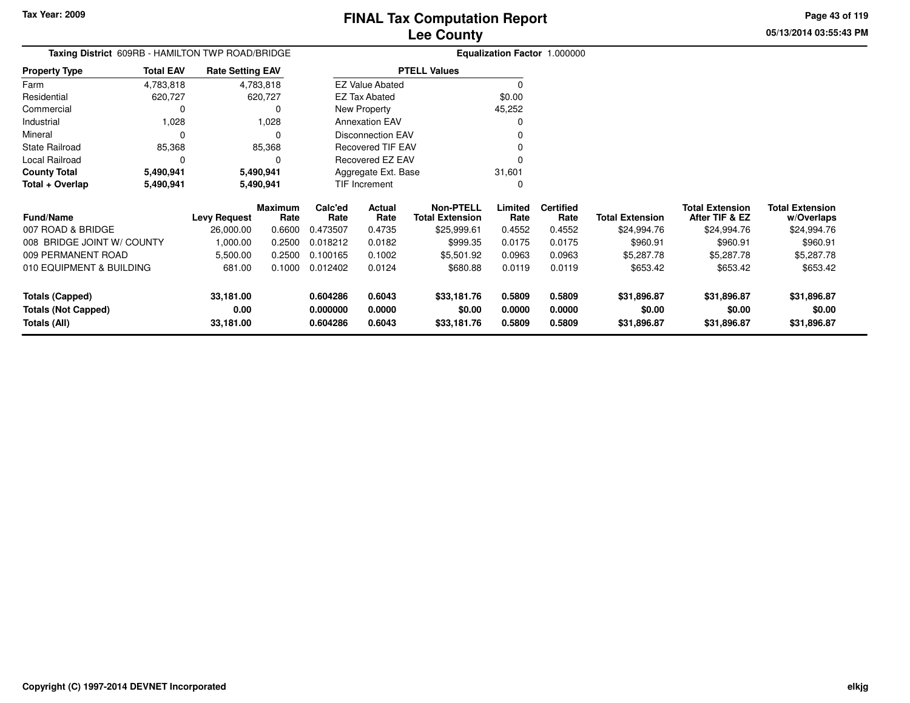**05/13/2014 03:55:43 PMPage 43 of 119**

# **Equalization Factor** 1.000000

|                      |                  | Taxing District 609RB - HAMILTON TWP ROAD/BRIDGE |                          | <b>Equalization Factor</b> |
|----------------------|------------------|--------------------------------------------------|--------------------------|----------------------------|
| <b>Property Type</b> | <b>Total EAV</b> | <b>Rate Setting EAV</b>                          | <b>PTELL Values</b>      |                            |
| Farm                 | 4,783,818        | 4,783,818                                        | <b>EZ Value Abated</b>   | 0                          |
| Residential          | 620.727          | 620.727                                          | EZ Tax Abated            | \$0.00                     |
| Commercial           |                  | 0                                                | New Property             | 45,252                     |
| Industrial           | 1.028            | 1.028                                            | <b>Annexation EAV</b>    | 0                          |
| Mineral              | 0                | 0                                                | Disconnection EAV        | 0                          |
| State Railroad       | 85,368           | 85,368                                           | <b>Recovered TIF EAV</b> | 0                          |
| Local Railroad       |                  | 0                                                | Recovered EZ EAV         | 0                          |
| <b>County Total</b>  | 5,490,941        | 5,490,941                                        | Aggregate Ext. Base      | 31,601                     |
| Total + Overlap      | 5,490,941        | 5,490,941                                        | <b>TIF Increment</b>     | 0                          |

| <b>Fund/Name</b>           | <b>Levy Request</b> | <b>Maximum</b><br>Rate | Calc'ed<br>Rate | Actual<br>Rate | Non-PTELL<br><b>Total Extension</b> | Limited<br>Rate | <b>Certified</b><br>Rate | <b>Total Extension</b> | <b>Total Extension</b><br>After TIF & EZ | <b>Total Extension</b><br>w/Overlaps |
|----------------------------|---------------------|------------------------|-----------------|----------------|-------------------------------------|-----------------|--------------------------|------------------------|------------------------------------------|--------------------------------------|
| 007 ROAD & BRIDGE          | 26,000.00           | 0.6600                 | 0.473507        | 0.4735         | \$25,999.61                         | 0.4552          | 0.4552                   | \$24,994.76            | \$24,994.76                              | \$24,994.76                          |
| 008 BRIDGE JOINT W/ COUNTY | 1.000.00            | 0.2500                 | 0.018212        | 0.0182         | \$999.35                            | 0.0175          | 0.0175                   | \$960.91               | \$960.91                                 | \$960.91                             |
| 009 PERMANENT ROAD         | 5.500.00            | 0.2500                 | 0.100165        | 0.1002         | \$5,501.92                          | 0.0963          | 0.0963                   | \$5,287.78             | \$5,287.78                               | \$5,287.78                           |
| 010 EQUIPMENT & BUILDING   | 681.00              | 0.1000                 | 0.012402        | 0.0124         | \$680.88                            | 0.0119          | 0.0119                   | \$653.42               | \$653.42                                 | \$653.42                             |
| Totals (Capped)            | 33,181.00           |                        | 0.604286        | 0.6043         | \$33,181.76                         | 0.5809          | 0.5809                   | \$31,896.87            | \$31,896.87                              | \$31,896.87                          |
| <b>Totals (Not Capped)</b> | 0.00                |                        | 0.000000        | 0.0000         | \$0.00                              | 0.0000          | 0.0000                   | \$0.00                 | \$0.00                                   | \$0.00                               |
| Totals (All)               | 33,181.00           |                        | 0.604286        | 0.6043         | \$33,181.76                         | 0.5809          | 0.5809                   | \$31,896.87            | \$31,896.87                              | \$31,896.87                          |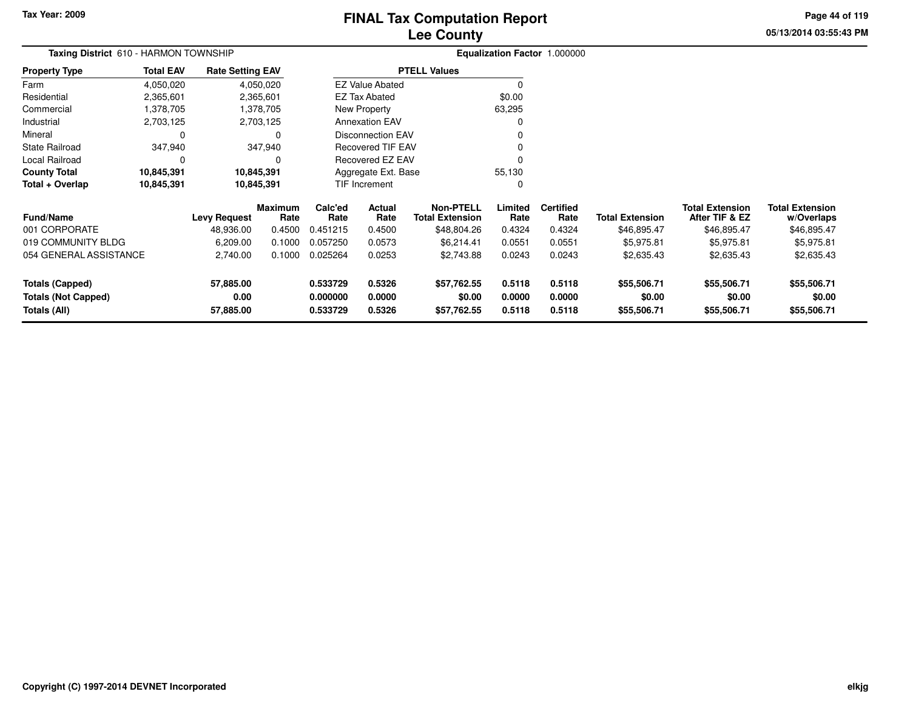# **Lee CountyFINAL Tax Computation Report**

**05/13/2014 03:55:43 PMPage 44 of 119**

| Taxing District 610 - HARMON TOWNSHIP |                          |                         |                        |                      |                          | <b>Equalization Factor 1.000000</b>        |                 |                          |                        |                                          |                                      |
|---------------------------------------|--------------------------|-------------------------|------------------------|----------------------|--------------------------|--------------------------------------------|-----------------|--------------------------|------------------------|------------------------------------------|--------------------------------------|
| <b>Property Type</b>                  | <b>Total EAV</b>         | <b>Rate Setting EAV</b> |                        |                      |                          | <b>PTELL Values</b>                        |                 |                          |                        |                                          |                                      |
| Farm                                  | 4,050,020                |                         | 4,050,020              |                      | <b>EZ Value Abated</b>   |                                            |                 |                          |                        |                                          |                                      |
| Residential                           | 2,365,601                |                         | 2,365,601              |                      | <b>EZ Tax Abated</b>     |                                            | \$0.00          |                          |                        |                                          |                                      |
| Commercial                            | 1,378,705                |                         | 1,378,705              |                      | New Property             |                                            | 63,295          |                          |                        |                                          |                                      |
| Industrial                            | 2,703,125                |                         | 2,703,125              |                      | <b>Annexation EAV</b>    |                                            |                 |                          |                        |                                          |                                      |
| Mineral                               | $\Omega$                 |                         |                        |                      | <b>Disconnection EAV</b> |                                            |                 |                          |                        |                                          |                                      |
| <b>State Railroad</b>                 | 347,940                  |                         | 347,940                |                      | <b>Recovered TIF EAV</b> |                                            |                 |                          |                        |                                          |                                      |
| Local Railroad                        | $\Omega$                 |                         |                        |                      | Recovered EZ EAV         |                                            |                 |                          |                        |                                          |                                      |
| <b>County Total</b>                   | 10,845,391<br>10,845,391 |                         |                        |                      | Aggregate Ext. Base      |                                            | 55,130          |                          |                        |                                          |                                      |
| Total + Overlap                       | 10,845,391               | 10,845,391              |                        | <b>TIF Increment</b> |                          |                                            | 0               |                          |                        |                                          |                                      |
| Fund/Name                             |                          | <b>Levy Request</b>     | <b>Maximum</b><br>Rate | Calc'ed<br>Rate      | Actual<br>Rate           | <b>Non-PTELL</b><br><b>Total Extension</b> | Limited<br>Rate | <b>Certified</b><br>Rate | <b>Total Extension</b> | <b>Total Extension</b><br>After TIF & EZ | <b>Total Extension</b><br>w/Overlaps |
| 001 CORPORATE                         |                          | 48,936.00               | 0.4500                 | 0.451215             | 0.4500                   | \$48,804.26                                | 0.4324          | 0.4324                   | \$46,895.47            | \$46,895.47                              | \$46,895.47                          |
| 019 COMMUNITY BLDG                    |                          | 6,209.00                | 0.1000                 | 0.057250             | 0.0573                   | \$6,214.41                                 | 0.0551          | 0.0551                   | \$5,975.81             | \$5,975.81                               | \$5,975.81                           |
| 054 GENERAL ASSISTANCE                |                          | 2,740.00                | 0.1000                 | 0.025264             | 0.0253                   | \$2,743.88                                 | 0.0243          | 0.0243                   | \$2,635.43             | \$2,635.43                               | \$2,635.43                           |
| <b>Totals (Capped)</b>                |                          | 57,885.00               |                        | 0.533729             | 0.5326                   | \$57,762.55                                | 0.5118          | 0.5118                   | \$55,506.71            | \$55,506.71                              | \$55,506.71                          |
| 0.00<br><b>Totals (Not Capped)</b>    |                          | 0.000000                | 0.0000                 | \$0.00               | 0.0000                   | 0.0000                                     | \$0.00          | \$0.00                   | \$0.00                 |                                          |                                      |
| Totals (All)<br>57,885.00             |                          |                         | 0.533729               | 0.5326               | \$57,762.55              | 0.5118                                     | 0.5118          | \$55,506.71              | \$55,506.71            | \$55,506.71                              |                                      |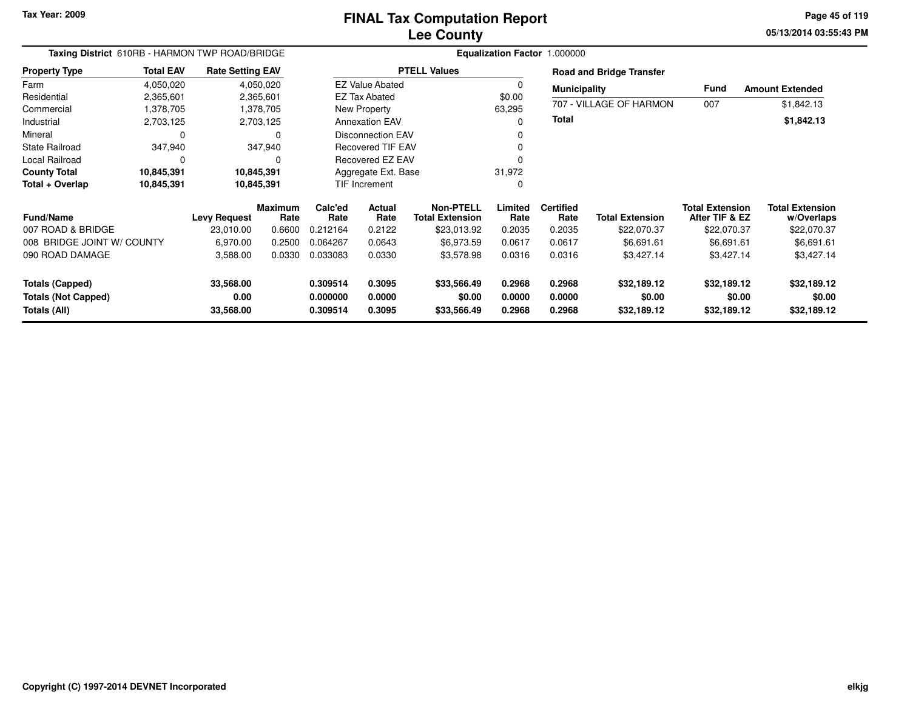**05/13/2014 03:55:43 PM Page 45 of 119**

| Taxing District 610RB - HARMON TWP ROAD/BRIDGE<br><b>Rate Setting EAV</b> |                  |                                |                        |                                  | Equalization Factor 1.000000 |                                      |                            |                            |                                      |                                          |                                      |  |
|---------------------------------------------------------------------------|------------------|--------------------------------|------------------------|----------------------------------|------------------------------|--------------------------------------|----------------------------|----------------------------|--------------------------------------|------------------------------------------|--------------------------------------|--|
| <b>Property Type</b>                                                      | <b>Total EAV</b> |                                |                        |                                  |                              | <b>PTELL Values</b>                  |                            |                            | <b>Road and Bridge Transfer</b>      |                                          |                                      |  |
| Farm                                                                      | 4,050,020        |                                | 4,050,020              |                                  | <b>EZ Value Abated</b>       |                                      | 0                          | <b>Municipality</b>        |                                      | Fund                                     | <b>Amount Extended</b>               |  |
| Residential                                                               | 2,365,601        |                                | 2,365,601              |                                  | <b>EZ Tax Abated</b>         |                                      | \$0.00                     |                            |                                      |                                          |                                      |  |
| Commercial                                                                | 1,378,705        |                                | 1,378,705              |                                  | New Property                 |                                      | 63,295                     |                            | 707 - VILLAGE OF HARMON              | 007                                      | \$1,842.13                           |  |
| Industrial                                                                | 2,703,125        |                                | 2,703,125              |                                  | <b>Annexation EAV</b>        |                                      | 0                          | <b>Total</b>               |                                      |                                          | \$1,842.13                           |  |
| Mineral                                                                   | $\Omega$         |                                |                        |                                  | <b>Disconnection EAV</b>     |                                      |                            |                            |                                      |                                          |                                      |  |
| <b>State Railroad</b>                                                     | 347,940          |                                | 347,940                |                                  | Recovered TIF EAV            |                                      |                            |                            |                                      |                                          |                                      |  |
| Local Railroad                                                            | $\Omega$         |                                |                        |                                  | Recovered EZ EAV             |                                      |                            |                            |                                      |                                          |                                      |  |
| <b>County Total</b>                                                       | 10,845,391       | 10,845,391                     |                        | Aggregate Ext. Base              |                              | 31,972                               |                            |                            |                                      |                                          |                                      |  |
| Total + Overlap                                                           | 10,845,391       | 10,845,391                     |                        | <b>TIF Increment</b>             |                              | 0                                    |                            |                            |                                      |                                          |                                      |  |
| <b>Fund/Name</b>                                                          |                  | <b>Levy Request</b>            | <b>Maximum</b><br>Rate | Calc'ed<br>Rate                  | <b>Actual</b><br>Rate        | Non-PTELL<br><b>Total Extension</b>  | Limited<br>Rate            | <b>Certified</b><br>Rate   | <b>Total Extension</b>               | <b>Total Extension</b><br>After TIF & EZ | <b>Total Extension</b><br>w/Overlaps |  |
| 007 ROAD & BRIDGE                                                         |                  | 23,010.00                      | 0.6600                 | 0.212164                         | 0.2122                       | \$23,013.92                          | 0.2035                     | 0.2035                     | \$22,070.37                          | \$22,070.37                              | \$22,070.37                          |  |
| 008 BRIDGE JOINT W/ COUNTY                                                |                  | 6,970.00                       | 0.2500                 | 0.064267                         | 0.0643                       | \$6,973.59                           | 0.0617                     | 0.0617                     | \$6,691.61                           | \$6,691.61                               | \$6,691.61                           |  |
| 090 ROAD DAMAGE                                                           |                  | 3,588.00                       | 0.0330                 | 0.033083                         | 0.0330                       | \$3,578.98                           | 0.0316                     | 0.0316                     | \$3,427.14                           | \$3,427.14                               | \$3,427.14                           |  |
| <b>Totals (Capped)</b><br><b>Totals (Not Capped)</b><br>Totals (All)      |                  | 33,568.00<br>0.00<br>33,568.00 |                        | 0.309514<br>0.000000<br>0.309514 | 0.3095<br>0.0000<br>0.3095   | \$33,566.49<br>\$0.00<br>\$33,566.49 | 0.2968<br>0.0000<br>0.2968 | 0.2968<br>0.0000<br>0.2968 | \$32,189.12<br>\$0.00<br>\$32,189.12 | \$32,189.12<br>\$0.00<br>\$32,189.12     | \$32,189.12<br>\$0.00<br>\$32,189.12 |  |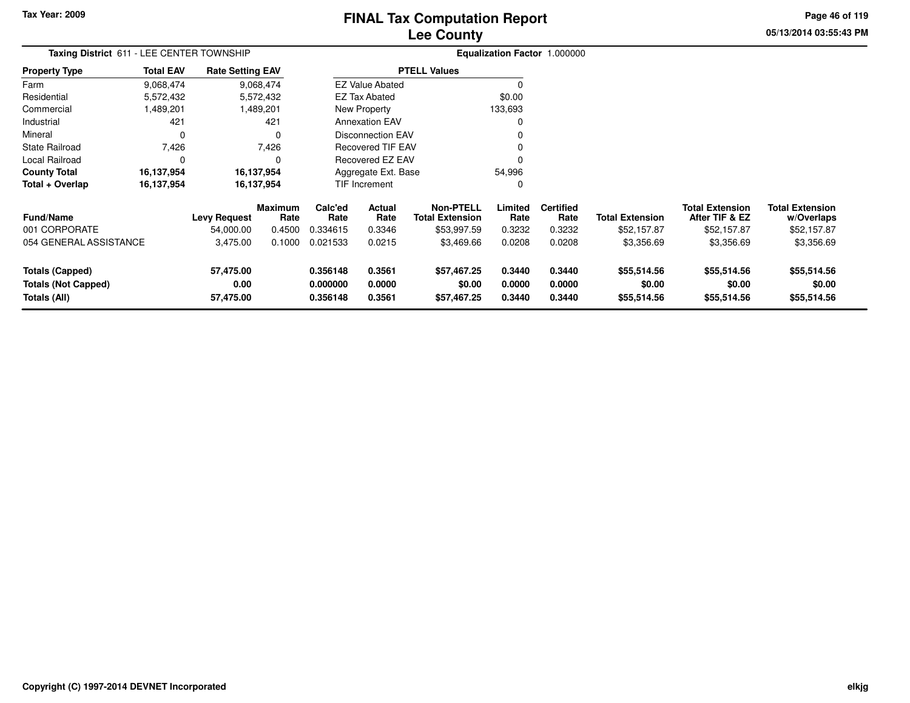# **Lee CountyFINAL Tax Computation Report**

**05/13/2014 03:55:43 PM Page 46 of 119**

| Taxing District 611 - LEE CENTER TOWNSHIP                            |                  | Equalization Factor 1.000000   |                        |                                  |                                                      |                                            |                            |                            |                                      |                                          |                                      |
|----------------------------------------------------------------------|------------------|--------------------------------|------------------------|----------------------------------|------------------------------------------------------|--------------------------------------------|----------------------------|----------------------------|--------------------------------------|------------------------------------------|--------------------------------------|
| <b>Property Type</b>                                                 | <b>Total EAV</b> | <b>Rate Setting EAV</b>        |                        |                                  |                                                      | <b>PTELL Values</b>                        |                            |                            |                                      |                                          |                                      |
| Farm                                                                 | 9,068,474        |                                | 9,068,474              |                                  | <b>EZ Value Abated</b>                               |                                            |                            |                            |                                      |                                          |                                      |
| Residential                                                          | 5,572,432        |                                | 5,572,432              |                                  | <b>EZ Tax Abated</b>                                 |                                            | \$0.00                     |                            |                                      |                                          |                                      |
| Commercial                                                           | 1,489,201        |                                | 1,489,201              |                                  | New Property                                         |                                            | 133,693                    |                            |                                      |                                          |                                      |
| Industrial                                                           | 421              |                                | 421                    |                                  | <b>Annexation EAV</b>                                |                                            |                            |                            |                                      |                                          |                                      |
| Mineral                                                              | 0                |                                | 0                      |                                  | <b>Disconnection EAV</b><br><b>Recovered TIF EAV</b> |                                            |                            |                            |                                      |                                          |                                      |
| State Railroad                                                       | 7,426            |                                | 7,426                  |                                  | Recovered EZ EAV                                     |                                            |                            |                            |                                      |                                          |                                      |
| Local Railroad                                                       | 0                |                                | 0                      |                                  |                                                      |                                            |                            |                            |                                      |                                          |                                      |
| <b>County Total</b>                                                  | 16,137,954       |                                | 16,137,954             |                                  | 54,996<br>Aggregate Ext. Base                        |                                            |                            |                            |                                      |                                          |                                      |
| Total + Overlap                                                      | 16,137,954       |                                | 16,137,954             |                                  | TIF Increment                                        |                                            |                            |                            |                                      |                                          |                                      |
| Fund/Name                                                            |                  | <b>Levy Request</b>            | <b>Maximum</b><br>Rate | Calc'ed<br>Rate                  | Actual<br>Rate                                       | <b>Non-PTELL</b><br><b>Total Extension</b> | Limited<br>Rate            | <b>Certified</b><br>Rate   | <b>Total Extension</b>               | <b>Total Extension</b><br>After TIF & EZ | <b>Total Extension</b><br>w/Overlaps |
| 001 CORPORATE                                                        |                  | 54,000.00                      | 0.4500                 | 0.334615                         | 0.3346                                               | \$53,997.59                                | 0.3232                     | 0.3232                     | \$52,157.87                          | \$52,157.87                              | \$52,157.87                          |
| 054 GENERAL ASSISTANCE                                               |                  | 3,475.00                       | 0.1000                 | 0.021533                         | 0.0215                                               | \$3,469.66                                 | 0.0208                     | 0.0208                     | \$3,356.69                           | \$3,356.69                               | \$3,356.69                           |
| <b>Totals (Capped)</b><br><b>Totals (Not Capped)</b><br>Totals (All) |                  | 57,475.00<br>0.00<br>57,475.00 |                        | 0.356148<br>0.000000<br>0.356148 | 0.3561<br>0.0000<br>0.3561                           | \$57,467.25<br>\$0.00<br>\$57,467.25       | 0.3440<br>0.0000<br>0.3440 | 0.3440<br>0.0000<br>0.3440 | \$55,514.56<br>\$0.00<br>\$55,514.56 | \$55,514.56<br>\$0.00<br>\$55,514.56     | \$55,514.56<br>\$0.00<br>\$55,514.56 |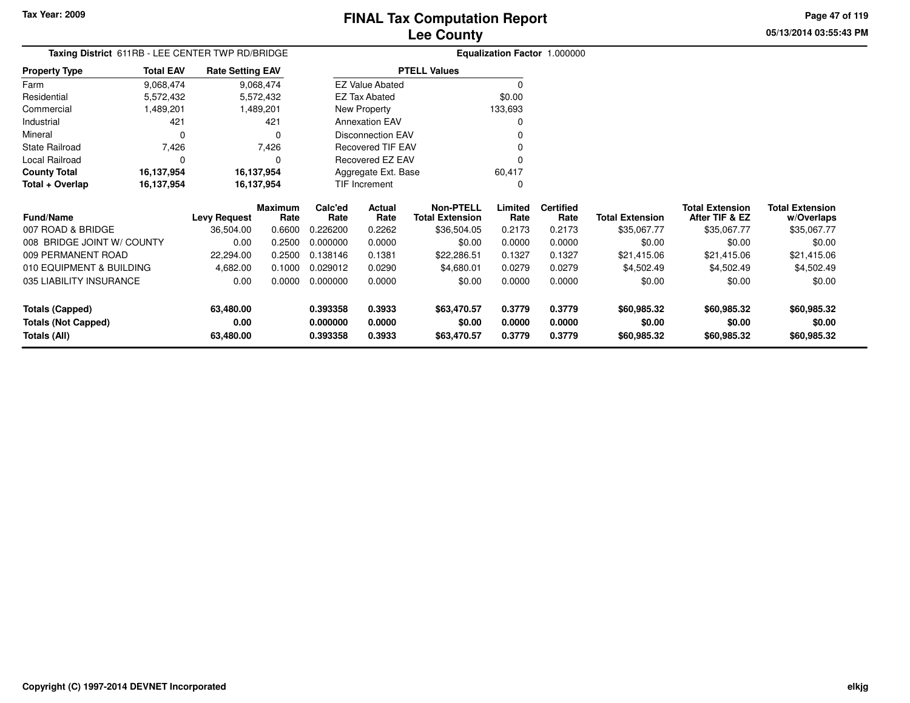**Totals (All)**

# **Lee CountyFINAL Tax Computation Report**

**0.393358 0.3933 \$63,470.57 0.3779 0.3779 \$60,985.32 \$60,985.32 \$60,985.32**

**05/13/2014 03:55:43 PMPage 47 of 119**

| Taxing District 611RB - LEE CENTER TWP RD/BRIDGE<br><b>Rate Setting EAV</b> |                  |                     |                 |                   |                          |                                            |                 | Equalization Factor 1.000000 |                        |                                          |                                      |
|-----------------------------------------------------------------------------|------------------|---------------------|-----------------|-------------------|--------------------------|--------------------------------------------|-----------------|------------------------------|------------------------|------------------------------------------|--------------------------------------|
| <b>Property Type</b>                                                        | <b>Total EAV</b> |                     |                 |                   |                          | <b>PTELL Values</b>                        |                 |                              |                        |                                          |                                      |
| Farm                                                                        | 9,068,474        |                     | 9,068,474       |                   | <b>EZ Value Abated</b>   |                                            | $\Omega$        |                              |                        |                                          |                                      |
| Residential                                                                 | 5,572,432        |                     | 5,572,432       |                   | EZ Tax Abated            |                                            | \$0.00          |                              |                        |                                          |                                      |
| Commercial                                                                  | 1,489,201        |                     | 1,489,201       |                   | New Property             |                                            | 133,693         |                              |                        |                                          |                                      |
| Industrial                                                                  | 421              |                     | 421             |                   | <b>Annexation EAV</b>    |                                            | 0               |                              |                        |                                          |                                      |
| Mineral                                                                     | $\Omega$         |                     | 0               |                   | <b>Disconnection EAV</b> |                                            |                 |                              |                        |                                          |                                      |
| <b>State Railroad</b>                                                       | 7,426            |                     | 7,426           | Recovered TIF EAV |                          |                                            |                 |                              |                        |                                          |                                      |
| Local Railroad                                                              | 0                |                     | $\Omega$        |                   | Recovered EZ EAV         |                                            |                 |                              |                        |                                          |                                      |
| <b>County Total</b>                                                         | 16,137,954       | 16,137,954          |                 |                   | Aggregate Ext. Base      |                                            | 60,417          |                              |                        |                                          |                                      |
| Total + Overlap                                                             | 16,137,954       | 16,137,954          |                 | TIF Increment     |                          |                                            | $\Omega$        |                              |                        |                                          |                                      |
| <b>Fund/Name</b>                                                            |                  | <b>Levy Request</b> | Maximum<br>Rate | Calc'ed<br>Rate   | Actual<br>Rate           | <b>Non-PTELL</b><br><b>Total Extension</b> | Limited<br>Rate | <b>Certified</b><br>Rate     | <b>Total Extension</b> | <b>Total Extension</b><br>After TIF & EZ | <b>Total Extension</b><br>w/Overlaps |
| 007 ROAD & BRIDGE                                                           |                  | 36,504.00           | 0.6600          | 0.226200          | 0.2262                   | \$36,504.05                                | 0.2173          | 0.2173                       | \$35,067.77            | \$35,067.77                              | \$35,067.77                          |
| 008 BRIDGE JOINT W/ COUNTY                                                  |                  | 0.00                | 0.2500          | 0.000000          | 0.0000                   | \$0.00                                     | 0.0000          | 0.0000                       | \$0.00                 | \$0.00                                   | \$0.00                               |
| 009 PERMANENT ROAD                                                          |                  | 22,294.00           | 0.2500          | 0.138146          | 0.1381                   | \$22,286.51                                | 0.1327          | 0.1327                       | \$21,415.06            | \$21,415.06                              | \$21,415.06                          |
| 010 EQUIPMENT & BUILDING                                                    |                  | 4,682.00            | 0.1000          | 0.029012          | 0.0290                   | \$4,680.01                                 | 0.0279          | 0.0279                       | \$4,502.49             | \$4,502.49                               | \$4,502.49                           |
| 035 LIABILITY INSURANCE                                                     |                  | 0.00                | 0.0000          | 0.000000          | 0.0000                   | \$0.00                                     | 0.0000          | 0.0000                       | \$0.00                 | \$0.00                                   | \$0.00                               |
| <b>Totals (Capped)</b>                                                      |                  | 63,480.00           |                 | 0.393358          | 0.3933                   | \$63,470.57                                | 0.3779          | 0.3779                       | \$60,985.32            | \$60,985.32                              | \$60,985.32                          |
| <b>Totals (Not Capped)</b>                                                  |                  | 0.00                |                 | 0.000000          | 0.0000                   | \$0.00                                     | 0.0000          | 0.0000                       | \$0.00                 | \$0.00                                   | \$0.00                               |
| Totals (All)                                                                |                  | 63,480.00           |                 | 0.393358          | 0.3933                   | \$63,470.57                                | 0.3779          | 0.3779                       | \$60,985.32            | \$60,985.32                              | \$60,985.32                          |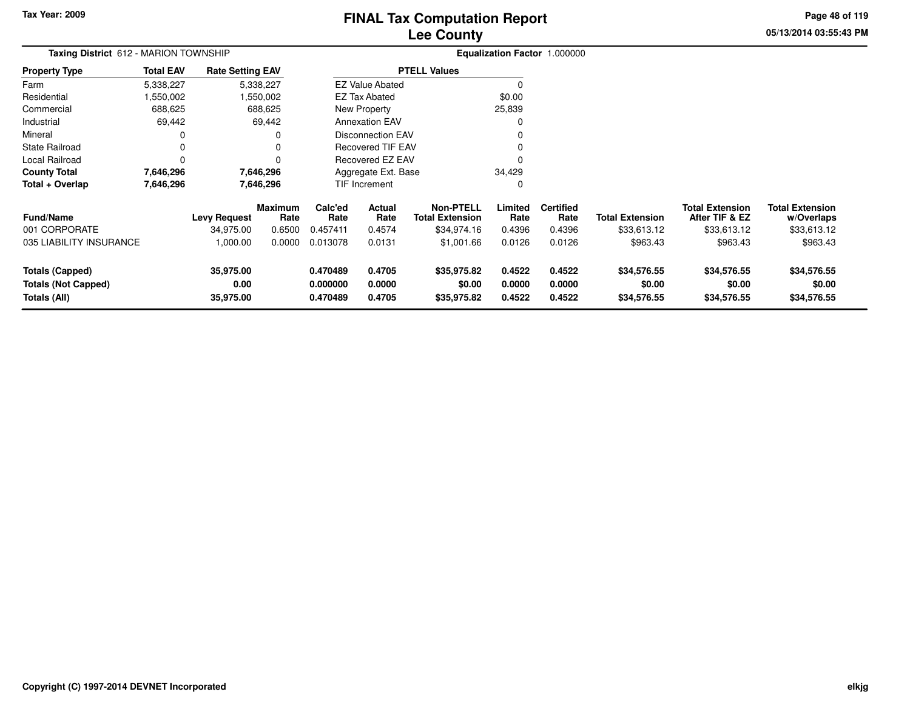# **Lee CountyFINAL Tax Computation Report**

**05/13/2014 03:55:43 PM Page 48 of 119**

| Taxing District 612 - MARION TOWNSHIP                                |                  |                                |                 |                                  |                            |                                      |                            | Equalization Factor 1.000000 |                                      |                                          |                                      |
|----------------------------------------------------------------------|------------------|--------------------------------|-----------------|----------------------------------|----------------------------|--------------------------------------|----------------------------|------------------------------|--------------------------------------|------------------------------------------|--------------------------------------|
| <b>Property Type</b>                                                 | <b>Total EAV</b> | <b>Rate Setting EAV</b>        |                 |                                  |                            | <b>PTELL Values</b>                  |                            |                              |                                      |                                          |                                      |
| Farm                                                                 | 5,338,227        |                                | 5,338,227       |                                  | <b>EZ Value Abated</b>     |                                      | $\Omega$                   |                              |                                      |                                          |                                      |
| Residential                                                          | 1,550,002        |                                | 1,550,002       |                                  | EZ Tax Abated              |                                      | \$0.00                     |                              |                                      |                                          |                                      |
| Commercial                                                           | 688,625          |                                | 688,625         |                                  | New Property               |                                      | 25,839                     |                              |                                      |                                          |                                      |
| Industrial                                                           | 69,442           |                                | 69,442          |                                  | <b>Annexation EAV</b>      |                                      | 0                          |                              |                                      |                                          |                                      |
| Mineral                                                              |                  |                                |                 |                                  | <b>Disconnection EAV</b>   |                                      |                            |                              |                                      |                                          |                                      |
| <b>State Railroad</b>                                                |                  |                                |                 |                                  | <b>Recovered TIF EAV</b>   |                                      |                            |                              |                                      |                                          |                                      |
| Local Railroad                                                       |                  |                                |                 |                                  | Recovered EZ EAV           |                                      |                            |                              |                                      |                                          |                                      |
| <b>County Total</b>                                                  | 7,646,296        |                                | 7,646,296       |                                  | Aggregate Ext. Base        |                                      | 34,429                     |                              |                                      |                                          |                                      |
| Total + Overlap                                                      | 7,646,296        |                                | 7,646,296       |                                  | TIF Increment              |                                      | 0                          |                              |                                      |                                          |                                      |
| <b>Fund/Name</b>                                                     |                  | <b>Levy Request</b>            | Maximum<br>Rate | Calc'ed<br>Rate                  | Actual<br>Rate             | Non-PTELL<br><b>Total Extension</b>  | Limited<br>Rate            | <b>Certified</b><br>Rate     | <b>Total Extension</b>               | <b>Total Extension</b><br>After TIF & EZ | <b>Total Extension</b><br>w/Overlaps |
| 001 CORPORATE                                                        |                  | 34.975.00                      | 0.6500          | 0.457411                         | 0.4574                     | \$34,974.16                          | 0.4396                     | 0.4396                       | \$33,613.12                          | \$33,613.12                              | \$33,613.12                          |
| 035 LIABILITY INSURANCE                                              |                  | 1,000.00                       | 0.0000          | 0.013078                         | 0.0131                     | \$1,001.66                           | 0.0126                     | 0.0126                       | \$963.43                             | \$963.43                                 | \$963.43                             |
| <b>Totals (Capped)</b><br><b>Totals (Not Capped)</b><br>Totals (All) |                  | 35,975.00<br>0.00<br>35,975.00 |                 | 0.470489<br>0.000000<br>0.470489 | 0.4705<br>0.0000<br>0.4705 | \$35,975.82<br>\$0.00<br>\$35,975.82 | 0.4522<br>0.0000<br>0.4522 | 0.4522<br>0.0000<br>0.4522   | \$34,576.55<br>\$0.00<br>\$34,576.55 | \$34,576.55<br>\$0.00<br>\$34,576.55     | \$34,576.55<br>\$0.00<br>\$34,576.55 |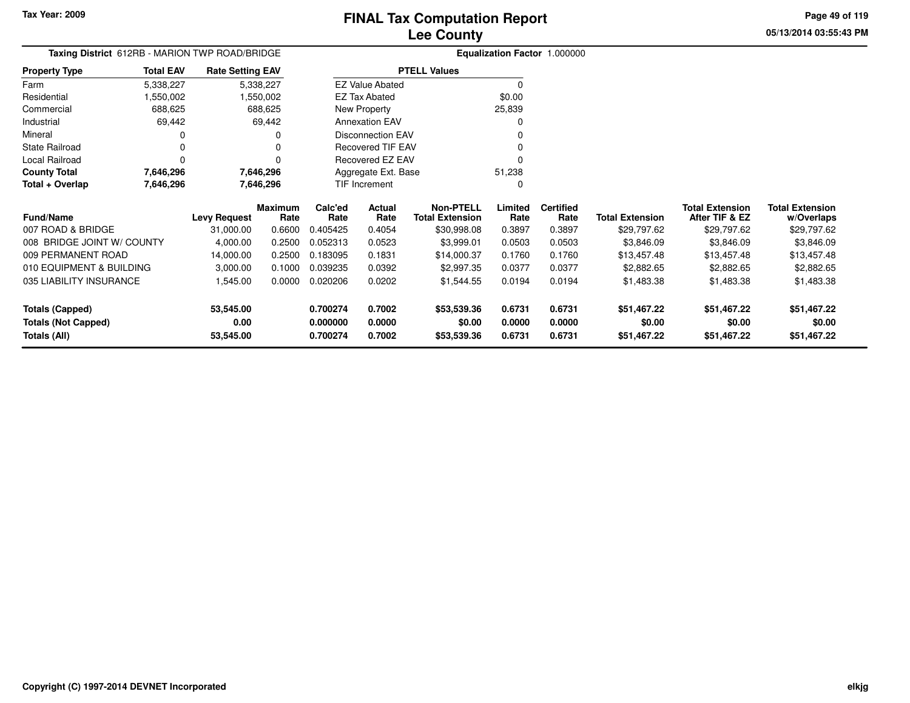**0.700274 0.7002 \$53,539.36 0.6731 0.6731 \$51,467.22 \$51,467.22 \$51,467.22**

**05/13/2014 03:55:43 PMPage 49 of 119**

| Taxing District 612RB - MARION TWP ROAD/BRIDGE |                  |                         |                        | <b>Equalization Factor 1.000000</b> |                          |                                            |                 |                          |                        |                                          |                                      |  |  |
|------------------------------------------------|------------------|-------------------------|------------------------|-------------------------------------|--------------------------|--------------------------------------------|-----------------|--------------------------|------------------------|------------------------------------------|--------------------------------------|--|--|
| <b>Property Type</b>                           | <b>Total EAV</b> | <b>Rate Setting EAV</b> |                        |                                     | <b>PTELL Values</b>      |                                            |                 |                          |                        |                                          |                                      |  |  |
| Farm                                           | 5,338,227        |                         | 5,338,227              |                                     | <b>EZ Value Abated</b>   |                                            | $\Omega$        |                          |                        |                                          |                                      |  |  |
| Residential                                    | .550,002         |                         | .550,002               |                                     | EZ Tax Abated            |                                            | \$0.00          |                          |                        |                                          |                                      |  |  |
| Commercial                                     | 688,625          |                         | 688,625                |                                     | New Property             |                                            | 25,839          |                          |                        |                                          |                                      |  |  |
| Industrial                                     | 69,442           |                         | 69,442                 |                                     | <b>Annexation EAV</b>    |                                            | $\Omega$        |                          |                        |                                          |                                      |  |  |
| Mineral                                        |                  |                         | 0                      |                                     | <b>Disconnection EAV</b> |                                            |                 |                          |                        |                                          |                                      |  |  |
| State Railroad                                 | 0                |                         |                        |                                     | <b>Recovered TIF EAV</b> |                                            |                 |                          |                        |                                          |                                      |  |  |
| Local Railroad                                 | 0                |                         | 0                      |                                     | Recovered EZ EAV         |                                            | O               |                          |                        |                                          |                                      |  |  |
| <b>County Total</b>                            | 7,646,296        |                         | 7,646,296              |                                     | Aggregate Ext. Base      |                                            | 51,238          |                          |                        |                                          |                                      |  |  |
| Total + Overlap                                | 7,646,296        |                         | 7,646,296              |                                     | TIF Increment            |                                            | C               |                          |                        |                                          |                                      |  |  |
| <b>Fund/Name</b>                               |                  | <b>Levy Request</b>     | <b>Maximum</b><br>Rate | Calc'ed<br>Rate                     | Actual<br>Rate           | <b>Non-PTELL</b><br><b>Total Extension</b> | Limited<br>Rate | <b>Certified</b><br>Rate | <b>Total Extension</b> | <b>Total Extension</b><br>After TIF & EZ | <b>Total Extension</b><br>w/Overlaps |  |  |
| 007 ROAD & BRIDGE                              |                  | 31,000.00               | 0.6600                 | 0.405425                            | 0.4054                   | \$30,998.08                                | 0.3897          | 0.3897                   | \$29,797.62            | \$29,797.62                              | \$29,797.62                          |  |  |
| 008 BRIDGE JOINT W/ COUNTY                     |                  | 4,000.00                | 0.2500                 | 0.052313                            | 0.0523                   | \$3,999.01                                 | 0.0503          | 0.0503                   | \$3,846.09             | \$3,846.09                               | \$3,846.09                           |  |  |
| 009 PERMANENT ROAD                             |                  | 14,000.00               | 0.2500                 | 0.183095                            | 0.1831                   | \$14,000.37                                | 0.1760          | 0.1760                   | \$13,457.48            | \$13,457.48                              | \$13,457.48                          |  |  |
| 010 EQUIPMENT & BUILDING                       |                  | 3,000.00                | 0.1000                 | 0.039235                            | 0.0392                   | \$2,997.35                                 | 0.0377          | 0.0377                   | \$2,882.65             | \$2,882.65                               | \$2,882.65                           |  |  |
| 035 LIABILITY INSURANCE                        |                  | 1,545.00                | 0.0000                 | 0.020206                            | 0.0202                   | \$1,544.55                                 | 0.0194          | 0.0194                   | \$1,483.38             | \$1,483.38                               | \$1,483.38                           |  |  |
| <b>Totals (Capped)</b>                         |                  | 53,545.00               |                        | 0.700274                            | 0.7002                   | \$53,539.36                                | 0.6731          | 0.6731                   | \$51,467.22            | \$51,467.22                              | \$51,467.22                          |  |  |
| <b>Totals (Not Capped)</b>                     |                  | 0.00                    |                        | 0.000000                            | 0.0000                   | \$0.00                                     | 0.0000          | 0.0000                   | \$0.00                 | \$0.00                                   | \$0.00                               |  |  |
| Totals (All)                                   |                  | 53,545.00               |                        | 0.700274                            | 0.7002                   | \$53,539.36                                | 0.6731          | 0.6731                   | \$51,467.22            | \$51,467.22                              | \$51,467.22                          |  |  |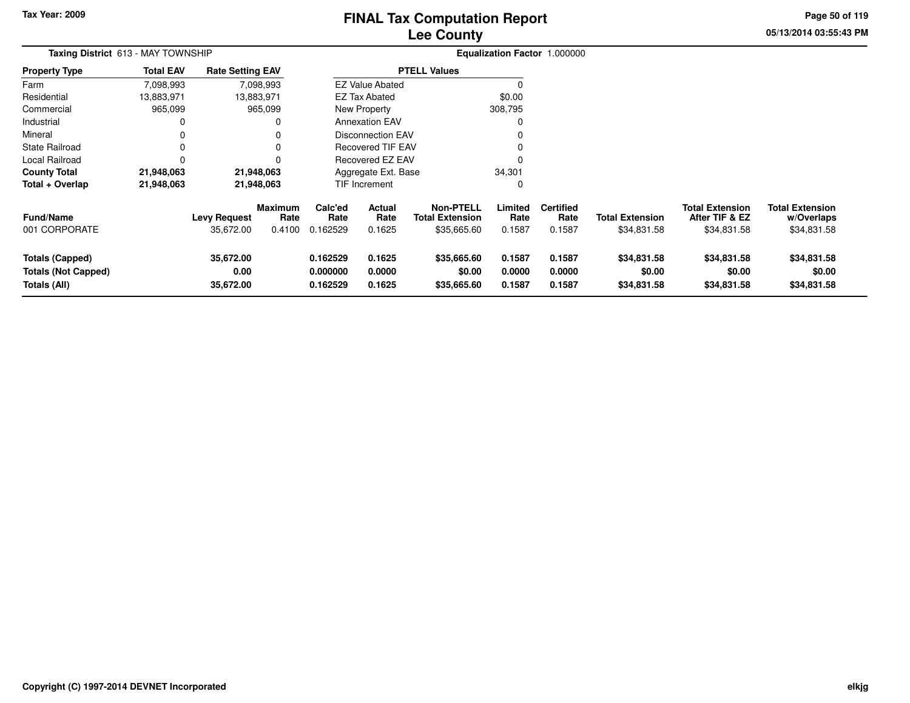# **Lee CountyFINAL Tax Computation Report**

**05/13/2014 03:55:43 PM Page 50 of 119**

| Taxing District 613 - MAY TOWNSHIP                                   |                  |                                  |                                  |                                  |                                 |                                                           |                            | Equalization Factor 1.000000       |                                       |                                                         |                                                     |  |
|----------------------------------------------------------------------|------------------|----------------------------------|----------------------------------|----------------------------------|---------------------------------|-----------------------------------------------------------|----------------------------|------------------------------------|---------------------------------------|---------------------------------------------------------|-----------------------------------------------------|--|
| Property Type                                                        | <b>Total EAV</b> | <b>Rate Setting EAV</b>          |                                  |                                  |                                 | <b>PTELL Values</b>                                       |                            |                                    |                                       |                                                         |                                                     |  |
| Farm                                                                 | 7,098,993        |                                  | 7,098,993                        |                                  | <b>EZ Value Abated</b>          |                                                           |                            |                                    |                                       |                                                         |                                                     |  |
| Residential                                                          | 13,883,971       | 13,883,971                       |                                  |                                  | <b>EZ Tax Abated</b>            |                                                           | \$0.00                     |                                    |                                       |                                                         |                                                     |  |
| Commercial                                                           | 965,099          |                                  | 965,099                          |                                  | New Property                    |                                                           | 308,795                    |                                    |                                       |                                                         |                                                     |  |
| Industrial                                                           | 0                |                                  |                                  |                                  | <b>Annexation EAV</b>           |                                                           |                            |                                    |                                       |                                                         |                                                     |  |
| Mineral                                                              |                  |                                  |                                  |                                  | <b>Disconnection EAV</b>        |                                                           |                            |                                    |                                       |                                                         |                                                     |  |
| State Railroad                                                       |                  |                                  |                                  |                                  | <b>Recovered TIF EAV</b>        |                                                           |                            |                                    |                                       |                                                         |                                                     |  |
| Local Railroad                                                       |                  |                                  |                                  |                                  | Recovered EZ EAV                |                                                           |                            |                                    |                                       |                                                         |                                                     |  |
| County Total                                                         | 21,948,063       | 21,948,063                       |                                  |                                  | Aggregate Ext. Base             |                                                           | 34,301                     |                                    |                                       |                                                         |                                                     |  |
| Total + Overlap                                                      | 21,948,063       | 21,948,063                       |                                  |                                  | TIF Increment                   |                                                           | 0                          |                                    |                                       |                                                         |                                                     |  |
| Fund/Name<br>001 CORPORATE                                           |                  | <b>Levy Request</b><br>35,672.00 | <b>Maximum</b><br>Rate<br>0.4100 | Calc'ed<br>Rate<br>0.162529      | <b>Actual</b><br>Rate<br>0.1625 | <b>Non-PTELL</b><br><b>Total Extension</b><br>\$35,665.60 | Limited<br>Rate<br>0.1587  | <b>Certified</b><br>Rate<br>0.1587 | <b>Total Extension</b><br>\$34,831.58 | <b>Total Extension</b><br>After TIF & EZ<br>\$34,831.58 | <b>Total Extension</b><br>w/Overlaps<br>\$34,831.58 |  |
| <b>Totals (Capped)</b><br><b>Totals (Not Capped)</b><br>Totals (All) |                  | 35,672.00<br>0.00<br>35,672.00   |                                  | 0.162529<br>0.000000<br>0.162529 | 0.1625<br>0.0000<br>0.1625      | \$35,665.60<br>\$0.00<br>\$35,665.60                      | 0.1587<br>0.0000<br>0.1587 | 0.1587<br>0.0000<br>0.1587         | \$34,831.58<br>\$0.00<br>\$34,831.58  | \$34,831.58<br>\$0.00<br>\$34,831.58                    | \$34,831.58<br>\$0.00<br>\$34,831.58                |  |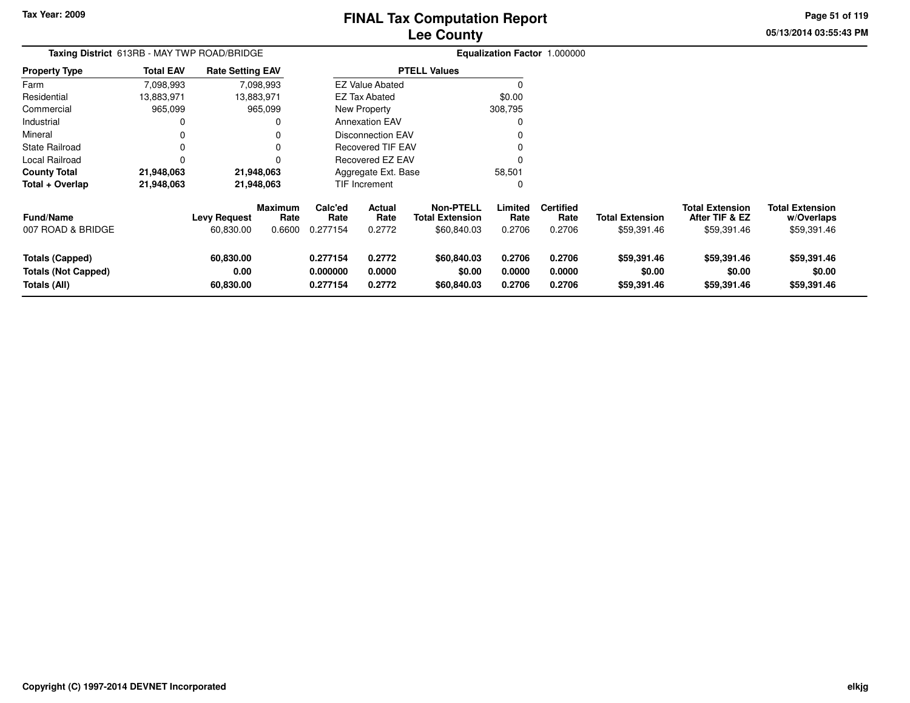**Totals (Not Capped)**

**Totals (All)**

**0.00**

**60,830.00**

# **Lee CountyFINAL Tax Computation Report**

**0.277154 0.2772 \$60,840.03 0.2706 0.2706 \$59,391.46 \$59,391.46 \$59,391.46**

**0.000000 0.0000 \$0.00 0.0000 0.0000 \$0.00 \$0.00 \$0.00**

**0.277154 0.2772 \$60,840.03 0.2706 0.2706 \$59,391.46 \$59,391.46 \$59,391.46**

**05/13/2014 03:55:43 PMPage 51 of 119**

| Taxing District 613RB - MAY TWP ROAD/BRIDGE |                  |                         |                        |                 |                          |                                     | Equalization Factor 1.000000 |                          |                        |                                          |                                      |
|---------------------------------------------|------------------|-------------------------|------------------------|-----------------|--------------------------|-------------------------------------|------------------------------|--------------------------|------------------------|------------------------------------------|--------------------------------------|
| <b>Property Type</b>                        | <b>Total EAV</b> | <b>Rate Setting EAV</b> |                        |                 |                          | <b>PTELL Values</b>                 |                              |                          |                        |                                          |                                      |
| Farm                                        | 7,098,993        |                         | 7,098,993              |                 | <b>EZ Value Abated</b>   |                                     |                              |                          |                        |                                          |                                      |
| Residential                                 | 13,883,971       |                         | 13,883,971             |                 | EZ Tax Abated            |                                     | \$0.00                       |                          |                        |                                          |                                      |
| Commercial                                  | 965,099          |                         | 965,099                |                 | New Property             |                                     | 308,795                      |                          |                        |                                          |                                      |
| Industrial                                  | 0                |                         | 0                      |                 | <b>Annexation EAV</b>    |                                     | $\Omega$                     |                          |                        |                                          |                                      |
| Mineral                                     | 0                |                         | 0                      |                 | <b>Disconnection EAV</b> |                                     | 0                            |                          |                        |                                          |                                      |
| <b>State Railroad</b>                       | 0                |                         | 0                      |                 | <b>Recovered TIF EAV</b> |                                     |                              |                          |                        |                                          |                                      |
| Local Railroad                              | $\Omega$         |                         | 0                      |                 | Recovered EZ EAV         |                                     | C                            |                          |                        |                                          |                                      |
| <b>County Total</b>                         | 21,948,063       |                         | 21,948,063             |                 | Aggregate Ext. Base      |                                     | 58,501                       |                          |                        |                                          |                                      |
| Total + Overlap                             | 21,948,063       |                         | 21,948,063             |                 | TIF Increment            |                                     | $\Omega$                     |                          |                        |                                          |                                      |
| <b>Fund/Name</b>                            |                  | <b>Levy Request</b>     | <b>Maximum</b><br>Rate | Calc'ed<br>Rate | <b>Actual</b><br>Rate    | <b>Non-PTELL</b><br>Total Extension | Limited<br>Rate              | <b>Certified</b><br>Rate | <b>Total Extension</b> | <b>Total Extension</b><br>After TIF & EZ | <b>Total Extension</b><br>w/Overlaps |
| 007 ROAD & BRIDGE                           |                  | 60,830.00               | 0.6600                 | 0.277154        | 0.2772                   | \$60,840.03                         | 0.2706                       | 0.2706                   | \$59,391.46            | \$59,391.46                              | \$59,391.46                          |
| <b>Totals (Capped)</b>                      |                  | 60,830.00               |                        | 0.277154        | 0.2772                   | \$60,840.03                         | 0.2706                       | 0.2706                   | \$59,391.46            | \$59,391.46                              | \$59,391.46                          |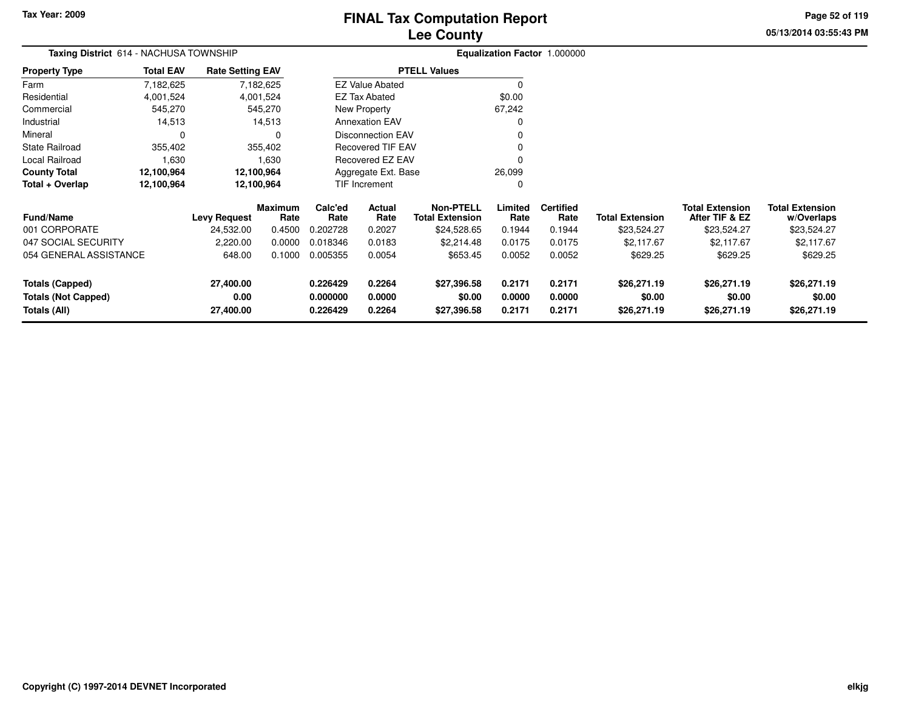# **Lee CountyFINAL Tax Computation Report**

**05/13/2014 03:55:43 PM Page 52 of 119**

| Taxing District 614 - NACHUSA TOWNSHIP |                  |                         |                 |                 |                          | Equalization Factor 1.000000               |                 |                          |                        |                                          |                                      |
|----------------------------------------|------------------|-------------------------|-----------------|-----------------|--------------------------|--------------------------------------------|-----------------|--------------------------|------------------------|------------------------------------------|--------------------------------------|
| <b>Property Type</b>                   | <b>Total EAV</b> | <b>Rate Setting EAV</b> |                 |                 |                          | <b>PTELL Values</b>                        |                 |                          |                        |                                          |                                      |
| Farm                                   | 7,182,625        |                         | 7,182,625       |                 | <b>EZ Value Abated</b>   |                                            | $\Omega$        |                          |                        |                                          |                                      |
| Residential                            | 4,001,524        |                         | 4,001,524       |                 | <b>EZ Tax Abated</b>     |                                            | \$0.00          |                          |                        |                                          |                                      |
| Commercial                             | 545,270          |                         | 545,270         |                 | New Property             |                                            | 67,242          |                          |                        |                                          |                                      |
| Industrial                             | 14,513           |                         | 14,513          |                 | <b>Annexation EAV</b>    |                                            |                 |                          |                        |                                          |                                      |
| Mineral                                |                  |                         | 0               |                 | Disconnection EAV        |                                            |                 |                          |                        |                                          |                                      |
| <b>State Railroad</b>                  | 355,402          |                         | 355,402         |                 | <b>Recovered TIF EAV</b> |                                            |                 |                          |                        |                                          |                                      |
| Local Railroad                         | 1,630            |                         | 1,630           |                 | Recovered EZ EAV         |                                            |                 |                          |                        |                                          |                                      |
| <b>County Total</b>                    | 12,100,964       |                         | 12,100,964      |                 | Aggregate Ext. Base      |                                            | 26,099          |                          |                        |                                          |                                      |
| Total + Overlap                        | 12,100,964       |                         | 12,100,964      |                 | TIF Increment            |                                            | $\Omega$        |                          |                        |                                          |                                      |
| <b>Fund/Name</b>                       |                  | <b>Levy Request</b>     | Maximum<br>Rate | Calc'ed<br>Rate | Actual<br>Rate           | <b>Non-PTELL</b><br><b>Total Extension</b> | Limited<br>Rate | <b>Certified</b><br>Rate | <b>Total Extension</b> | <b>Total Extension</b><br>After TIF & EZ | <b>Total Extension</b><br>w/Overlaps |
| 001 CORPORATE                          |                  | 24,532.00               | 0.4500          | 0.202728        | 0.2027                   | \$24,528.65                                | 0.1944          | 0.1944                   | \$23,524.27            | \$23,524.27                              | \$23,524.27                          |
| 047 SOCIAL SECURITY                    |                  | 2,220.00                | 0.0000          | 0.018346        | 0.0183                   | \$2,214.48                                 | 0.0175          | 0.0175                   | \$2,117.67             | \$2,117.67                               | \$2,117.67                           |
| 054 GENERAL ASSISTANCE                 |                  | 648.00                  | 0.1000          | 0.005355        | 0.0054                   | \$653.45                                   | 0.0052          | 0.0052                   | \$629.25               | \$629.25                                 | \$629.25                             |
| <b>Totals (Capped)</b>                 |                  | 27,400.00               |                 | 0.226429        | 0.2264                   | \$27,396.58                                | 0.2171          | 0.2171                   | \$26,271.19            | \$26,271.19                              | \$26,271.19                          |
| <b>Totals (Not Capped)</b>             |                  | 0.00                    |                 | 0.000000        | 0.0000                   | \$0.00                                     | 0.0000          | 0.0000                   | \$0.00                 | \$0.00                                   | \$0.00                               |
| Totals (All)                           |                  | 27,400.00               |                 | 0.226429        | 0.2264                   | \$27,396.58                                | 0.2171          | 0.2171                   | \$26,271.19            | \$26,271.19                              | \$26,271.19                          |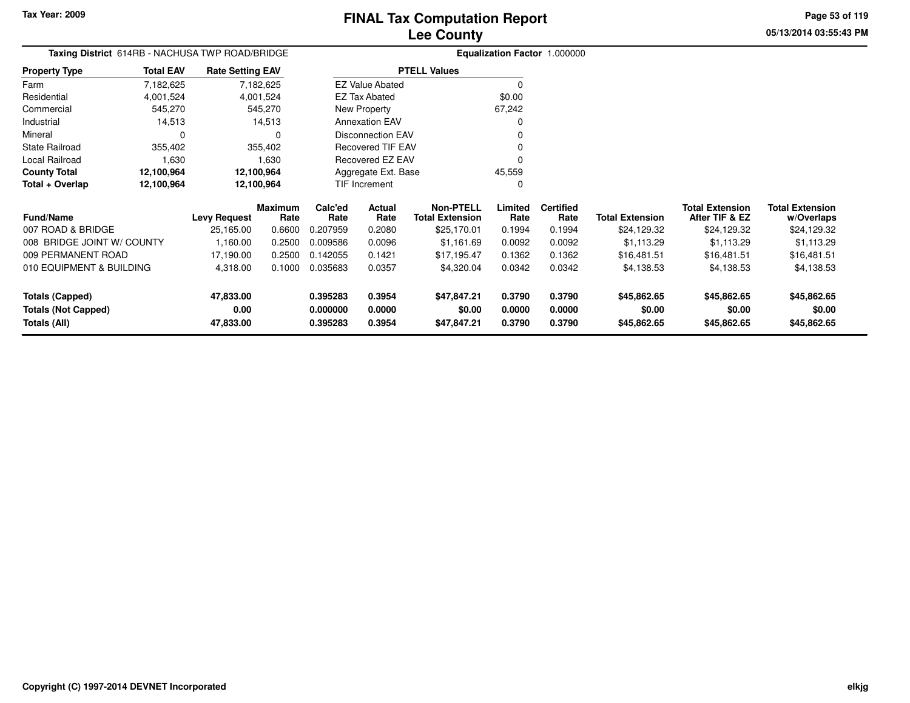**Property Type**

Local Railroad 1,630

**County Total 12,100,964 12,100,964**

FarmResidential

Mineral

#### **Lee CountyFINAL Tax Computation Report**

<sup>0</sup>

45,559 $\Omega$  **05/13/2014 03:55:43 PMPage 53 of 119**

#### **Equalization Factor** 1.000000 **Taxing District** 614RB - NACHUSA TWP ROAD/BRIDGE4,001,524 4,001,524 545,270 Commercial 545,270 545,270 14,513 Industrial 14,513  $\mathbf 0$  0 0355,402 State Railroad 355,402 7,182,6254,001,524 7,182,625**Total EAV Rate Setting EAV PTELL Values**  $\overline{0}$  \$0.00 67,242 $\mathbf 0$ Annexation EAV v o Disconnection EAV $\sim$  0 Recovered TIF EAV0 v New Property EZ Tax AbatedEZ Value Abated

Recovered EZ EAV

Aggregate Ext. Base

1,630

12,100,964

| Total + Overlap                            | 12.100.964 |                     | 12,100,964      |                      | <b>TIF Increment</b> |                                            |                  |                          |                        |                                          |                                      |
|--------------------------------------------|------------|---------------------|-----------------|----------------------|----------------------|--------------------------------------------|------------------|--------------------------|------------------------|------------------------------------------|--------------------------------------|
| <b>Fund/Name</b>                           |            | <b>Levy Request</b> | Maximum<br>Rate | Calc'ed<br>Rate      | Actual<br>Rate       | <b>Non-PTELL</b><br><b>Total Extension</b> | Limited<br>Rate  | <b>Certified</b><br>Rate | <b>Total Extension</b> | <b>Total Extension</b><br>After TIF & EZ | <b>Total Extension</b><br>w/Overlaps |
| 007 ROAD & BRIDGE                          |            | 25,165.00           | 0.6600          | 0.207959             | 0.2080               | \$25,170.01                                | 0.1994           | 0.1994                   | \$24,129.32            | \$24.129.32                              | \$24,129.32                          |
| 008 BRIDGE JOINT W/ COUNTY                 |            | 1.160.00            | 0.2500          | 0.009586             | 0.0096               | \$1.161.69                                 | 0.0092           | 0.0092                   | \$1.113.29             | \$1.113.29                               | \$1,113.29                           |
| 009 PERMANENT ROAD                         |            | 17,190.00           | 0.2500          | 0.142055             | 0.1421               | \$17.195.47                                | 0.1362           | 0.1362                   | \$16,481.51            | \$16,481.51                              | \$16,481.51                          |
| 010 EQUIPMENT & BUILDING                   |            | 4,318.00            | 0.1000          | 0.035683             | 0.0357               | \$4,320.04                                 | 0.0342           | 0.0342                   | \$4,138.53             | \$4,138.53                               | \$4,138.53                           |
| Totals (Capped)                            |            | 47,833.00           |                 | 0.395283             | 0.3954               | \$47,847.21                                | 0.3790           | 0.3790                   | \$45,862.65            | \$45,862.65                              | \$45,862.65                          |
| <b>Totals (Not Capped)</b><br>Totals (All) |            | 0.00<br>47,833.00   |                 | 0.000000<br>0.395283 | 0.0000<br>0.3954     | \$0.00<br>\$47,847.21                      | 0.0000<br>0.3790 | 0.0000<br>0.3790         | \$0.00<br>\$45,862.65  | \$0.00<br>\$45,862.65                    | \$0.00<br>\$45,862.65                |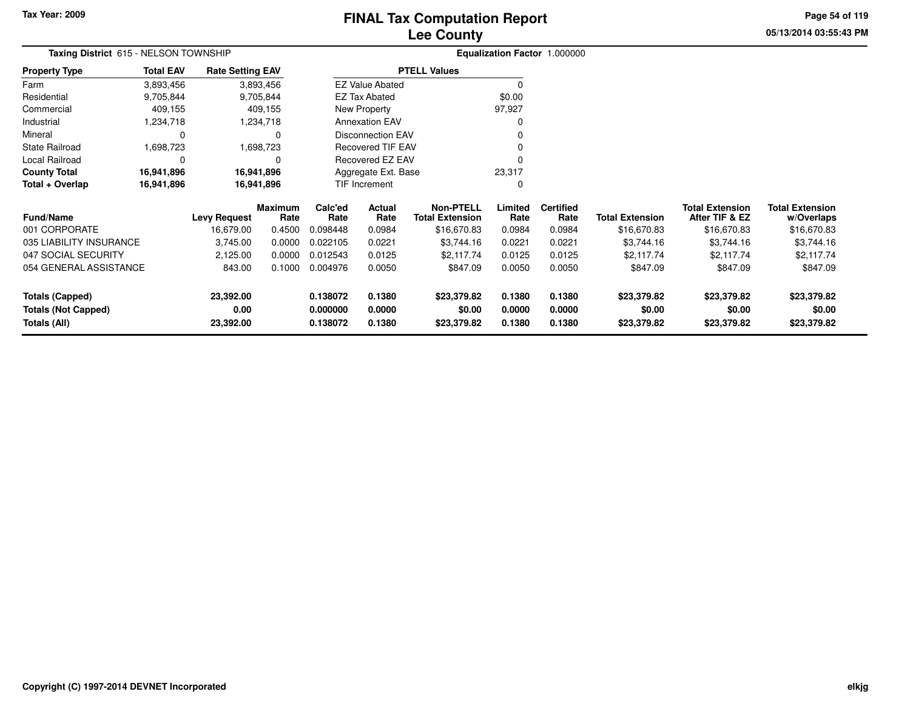# **Lee CountyFINAL Tax Computation Report**

**05/13/2014 03:55:43 PMPage 54 of 119**

| <b>I HAL THA COMPHAND LICPORT</b> |  |
|-----------------------------------|--|
| <b>Lee County</b>                 |  |
|                                   |  |

|                      | <b>Taxing District</b> 615 - NELSON TOWNSHIP |                         |                          | <b>Equalization Factor 1.000000</b> |
|----------------------|----------------------------------------------|-------------------------|--------------------------|-------------------------------------|
| <b>Property Type</b> | <b>Total EAV</b>                             | <b>Rate Setting EAV</b> | <b>PTELL Values</b>      |                                     |
| Farm                 | 3,893,456                                    | 3,893,456               | <b>EZ Value Abated</b>   |                                     |
| Residential          | 9,705,844                                    | 9,705,844               | <b>EZ Tax Abated</b>     | \$0.00                              |
| Commercial           | 409.155                                      | 409.155                 | New Property             | 97.927                              |
| Industrial           | 1.234.718                                    | 1,234,718               | <b>Annexation EAV</b>    | 0                                   |
| Mineral              | 0                                            | 0                       | <b>Disconnection EAV</b> | 0                                   |
| State Railroad       | 1.698.723                                    | 1,698,723               | <b>Recovered TIF EAV</b> | 0                                   |
| Local Railroad       | 0                                            | 0                       | Recovered EZ EAV         |                                     |
| <b>County Total</b>  | 16,941,896                                   | 16,941,896              | Aggregate Ext. Base      | 23.317                              |
| Total + Overlap      | 16,941,896                                   | 16,941,896              | <b>TIF Increment</b>     | 0                                   |

| <b>Fund/Name</b>                    | <b>Levy Request</b> | <b>Maximum</b><br>Rate | Calc'ed<br>Rate      | Actual<br>Rate   | Non-PTELL<br>Total Extension | Limited<br>Rate  | <b>Certified</b><br>Rate | <b>Total Extension</b> | <b>Total Extension</b><br>After TIF & EZ | <b>Total Extension</b><br>w/Overlaps |
|-------------------------------------|---------------------|------------------------|----------------------|------------------|------------------------------|------------------|--------------------------|------------------------|------------------------------------------|--------------------------------------|
| 001 CORPORATE                       | 16.679.00           | 0.4500                 | 0.098448             | 0.0984           | \$16,670.83                  | 0.0984           | 0.0984                   | \$16,670.83            | \$16,670.83                              | \$16,670.83                          |
| 035 LIABILITY INSURANCE             | 3,745.00            | 0.0000                 | 0.022105             | 0.0221           | \$3,744.16                   | 0.0221           | 0.0221                   | \$3.744.16             | \$3,744.16                               | \$3,744.16                           |
| 047 SOCIAL SECURITY                 | 2.125.00            | 0.0000                 | 0.012543             | 0.0125           | \$2.117.74                   | 0.0125           | 0.0125                   | \$2.117.74             | \$2.117.74                               | \$2.117.74                           |
| 054 GENERAL ASSISTANCE              | 843.00              | 0.1000                 | 0.004976             | 0.0050           | \$847.09                     | 0.0050           | 0.0050                   | \$847.09               | \$847.09                                 | \$847.09                             |
| Totals (Capped)                     | 23,392.00           |                        | 0.138072             | 0.1380           | \$23,379.82                  | 0.1380           | 0.1380                   | \$23,379.82            | \$23,379.82                              | \$23,379.82                          |
| Totals (Not Capped)<br>Totals (All) | 0.00<br>23,392.00   |                        | 0.000000<br>0.138072 | 0.0000<br>0.1380 | \$0.00<br>\$23,379.82        | 0.0000<br>0.1380 | 0.0000<br>0.1380         | \$0.00<br>\$23,379.82  | \$0.00<br>\$23,379.82                    | \$0.00<br>\$23,379.82                |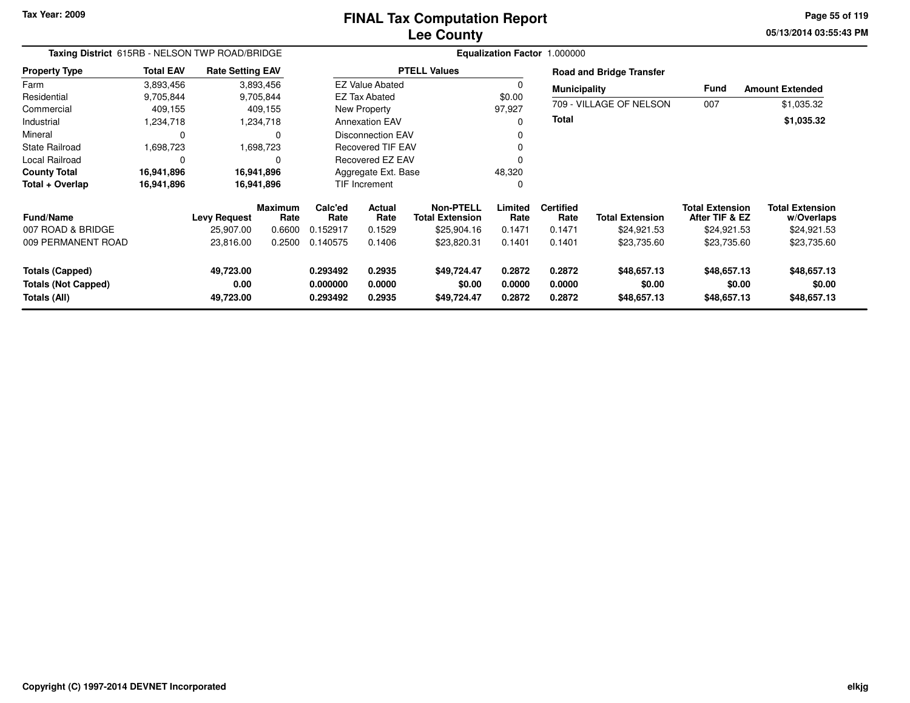#### **Lee CountyFINAL Tax Computation Report**

**05/13/2014 03:55:43 PM Page 55 of 119**

| Taxing District 615RB - NELSON TWP ROAD/BRIDGE                       |                  |                                |                        |                                  |                            |                                            |                            | Equalization Factor 1.000000 |                                      |                                          |                                      |  |  |
|----------------------------------------------------------------------|------------------|--------------------------------|------------------------|----------------------------------|----------------------------|--------------------------------------------|----------------------------|------------------------------|--------------------------------------|------------------------------------------|--------------------------------------|--|--|
| <b>Property Type</b>                                                 | <b>Total EAV</b> | <b>Rate Setting EAV</b>        |                        |                                  |                            | <b>PTELL Values</b>                        |                            |                              | <b>Road and Bridge Transfer</b>      |                                          |                                      |  |  |
| Farm                                                                 | 3,893,456        |                                | 3,893,456              |                                  | <b>EZ Value Abated</b>     |                                            | 0                          | <b>Municipality</b>          |                                      | <b>Fund</b>                              | <b>Amount Extended</b>               |  |  |
| Residential                                                          | 9,705,844        |                                | 9,705,844              |                                  | <b>EZ Tax Abated</b>       |                                            | \$0.00                     |                              |                                      |                                          |                                      |  |  |
| Commercial                                                           | 409,155          |                                | 409,155                |                                  | New Property               |                                            | 97,927                     |                              | 709 - VILLAGE OF NELSON              | 007                                      | \$1,035.32                           |  |  |
| Industrial                                                           | 1,234,718        |                                | 1,234,718              |                                  | <b>Annexation EAV</b>      |                                            | $\Omega$                   | Total                        |                                      |                                          | \$1,035.32                           |  |  |
| Mineral                                                              | 0                |                                | 0                      |                                  | <b>Disconnection EAV</b>   |                                            | 0                          |                              |                                      |                                          |                                      |  |  |
| <b>State Railroad</b>                                                | 1,698,723        |                                | 1,698,723              |                                  | Recovered TIF EAV          |                                            | 0                          |                              |                                      |                                          |                                      |  |  |
| Local Railroad                                                       | 0                |                                | $\Omega$               |                                  | <b>Recovered EZ EAV</b>    |                                            | $\Omega$                   |                              |                                      |                                          |                                      |  |  |
| <b>County Total</b>                                                  | 16,941,896       |                                | 16,941,896             |                                  | Aggregate Ext. Base        |                                            | 48,320                     |                              |                                      |                                          |                                      |  |  |
| Total + Overlap                                                      | 16,941,896       |                                | 16,941,896             |                                  | <b>TIF Increment</b>       |                                            | 0                          |                              |                                      |                                          |                                      |  |  |
| <b>Fund/Name</b>                                                     |                  | <b>Levy Request</b>            | <b>Maximum</b><br>Rate | Calc'ed<br>Rate                  | <b>Actual</b><br>Rate      | <b>Non-PTELL</b><br><b>Total Extension</b> | Limited<br>Rate            | <b>Certified</b><br>Rate     | <b>Total Extension</b>               | <b>Total Extension</b><br>After TIF & EZ | <b>Total Extension</b><br>w/Overlaps |  |  |
| 007 ROAD & BRIDGE                                                    |                  | 25,907.00                      | 0.6600                 | 0.152917                         | 0.1529                     | \$25,904.16                                | 0.1471                     | 0.1471                       | \$24,921.53                          | \$24,921.53                              | \$24,921.53                          |  |  |
| 009 PERMANENT ROAD                                                   |                  | 23,816.00                      | 0.2500                 | 0.140575                         | 0.1406                     | \$23,820.31                                | 0.1401                     | 0.1401                       | \$23,735.60                          | \$23,735.60                              | \$23,735.60                          |  |  |
| <b>Totals (Capped)</b><br><b>Totals (Not Capped)</b><br>Totals (All) |                  | 49,723.00<br>0.00<br>49,723.00 |                        | 0.293492<br>0.000000<br>0.293492 | 0.2935<br>0.0000<br>0.2935 | \$49,724.47<br>\$0.00<br>\$49,724.47       | 0.2872<br>0.0000<br>0.2872 | 0.2872<br>0.0000<br>0.2872   | \$48,657.13<br>\$0.00<br>\$48,657.13 | \$48,657.13<br>\$0.00<br>\$48,657.13     | \$48,657.13<br>\$0.00<br>\$48,657.13 |  |  |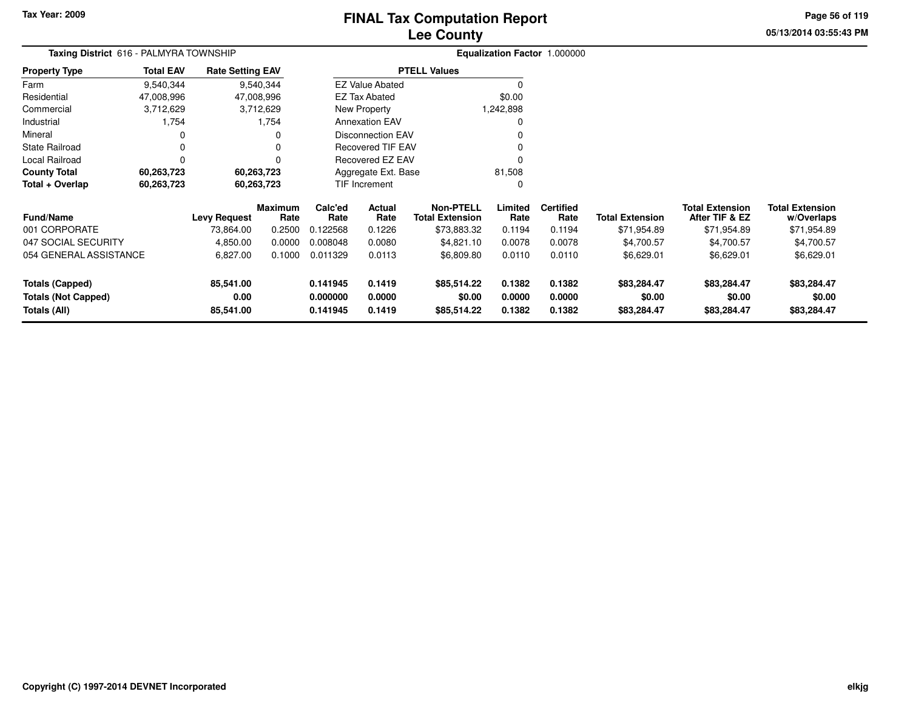**Totals (Not Capped)**

**Totals (All)**

**0.00**

**85,541.00**

# **Lee CountyFINAL Tax Computation Report**

**0.000000 0.0000 \$0.00 0.0000 0.0000 \$0.00 \$0.00 \$0.00**

**0.141945 0.1419 \$85,514.22 0.1382 0.1382 \$83,284.47 \$83,284.47 \$83,284.47**

**05/13/2014 03:55:43 PMPage 56 of 119**

| Taxing District 616 - PALMYRA TOWNSHIP |                  |                         |                        | Equalization Factor 1.000000 |                          |                                            |                 |                          |                        |                                          |                                      |
|----------------------------------------|------------------|-------------------------|------------------------|------------------------------|--------------------------|--------------------------------------------|-----------------|--------------------------|------------------------|------------------------------------------|--------------------------------------|
| <b>Property Type</b>                   | <b>Total EAV</b> | <b>Rate Setting EAV</b> |                        | <b>PTELL Values</b>          |                          |                                            |                 |                          |                        |                                          |                                      |
| Farm                                   | 9,540,344        |                         | 9,540,344              |                              | <b>EZ Value Abated</b>   |                                            | $\Omega$        |                          |                        |                                          |                                      |
| Residential                            | 47,008,996       |                         | 47,008,996             |                              | <b>EZ Tax Abated</b>     |                                            | \$0.00          |                          |                        |                                          |                                      |
| Commercial                             | 3,712,629        |                         | 3,712,629              |                              | New Property             |                                            | 1,242,898       |                          |                        |                                          |                                      |
| Industrial                             | 1,754            |                         | 1,754                  |                              | <b>Annexation EAV</b>    |                                            | 0               |                          |                        |                                          |                                      |
| Mineral                                | 0                |                         | 0                      |                              | <b>Disconnection EAV</b> |                                            |                 |                          |                        |                                          |                                      |
| <b>State Railroad</b>                  | 0                |                         | 0                      |                              | <b>Recovered TIF EAV</b> |                                            |                 |                          |                        |                                          |                                      |
| Local Railroad                         | 0                |                         | 0                      |                              | Recovered EZ EAV         |                                            | 0               |                          |                        |                                          |                                      |
| <b>County Total</b>                    | 60,263,723       |                         | 60,263,723             |                              | Aggregate Ext. Base      |                                            | 81,508          |                          |                        |                                          |                                      |
| Total + Overlap                        | 60,263,723       |                         | 60,263,723             |                              | TIF Increment            |                                            | $\Omega$        |                          |                        |                                          |                                      |
| <b>Fund/Name</b>                       |                  | <b>Levy Request</b>     | <b>Maximum</b><br>Rate | Calc'ed<br>Rate              | Actual<br>Rate           | <b>Non-PTELL</b><br><b>Total Extension</b> | Limited<br>Rate | <b>Certified</b><br>Rate | <b>Total Extension</b> | <b>Total Extension</b><br>After TIF & EZ | <b>Total Extension</b><br>w/Overlaps |
| 001 CORPORATE                          |                  | 73,864.00               | 0.2500                 | 0.122568                     | 0.1226                   | \$73,883.32                                | 0.1194          | 0.1194                   | \$71,954.89            | \$71,954.89                              | \$71,954.89                          |
| 047 SOCIAL SECURITY                    |                  | 4,850.00                | 0.0000                 | 0.008048                     | 0.0080                   | \$4,821.10                                 | 0.0078          | 0.0078                   | \$4,700.57             | \$4,700.57                               | \$4,700.57                           |
| 054 GENERAL ASSISTANCE                 |                  | 6,827.00                | 0.1000                 | 0.011329                     | 0.0113                   | \$6,809.80                                 | 0.0110          | 0.0110                   | \$6,629.01             | \$6,629.01                               | \$6,629.01                           |
| <b>Totals (Capped)</b>                 |                  | 85,541.00               |                        | 0.141945                     | 0.1419                   | \$85,514.22                                | 0.1382          | 0.1382                   | \$83,284.47            | \$83,284.47                              | \$83,284.47                          |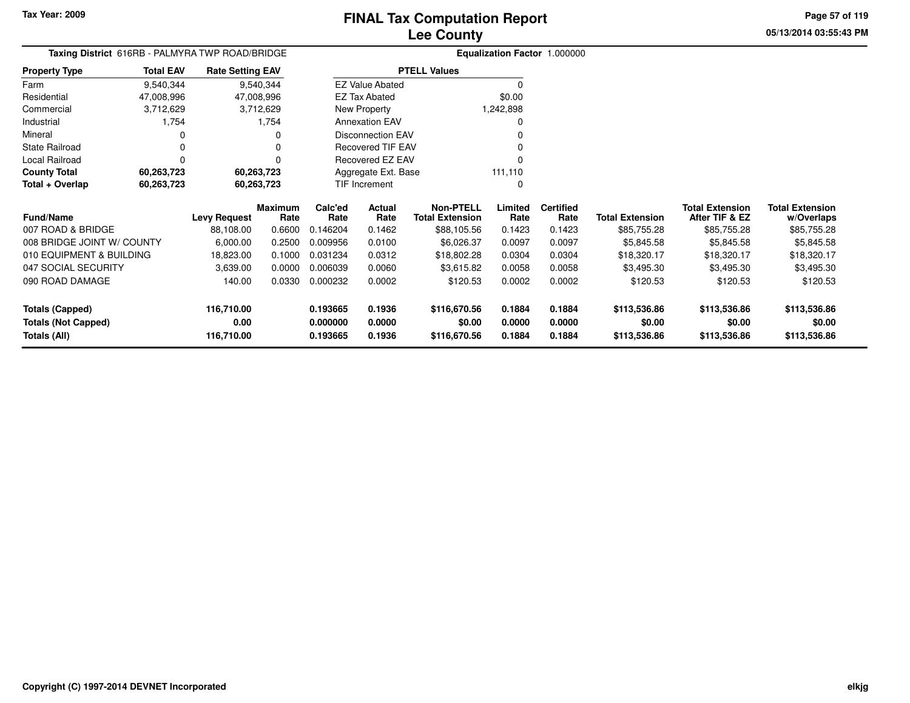Farm

Mineral

#### **Lee CountyFINAL Tax Computation Report**

**05/13/2014 03:55:43 PMPage 57 of 119**

#### **Equalization Factor** 1.000000 **Taxing District** 616RB - PALMYRA TWP ROAD/BRIDGE**Property Type**47,008,996 47,008,996 3,712,629 ResidentialCommercial 3,712,629 1,754 Industrial 1,754  $\mathbf 0$  0 0 $\mathsf 0$ State Railroad 0 0  $\mathsf 0$ Local Railroad 0 0 60,263,723 **County Total 60,263,723 60,263,723**60,263,723 **Total + Overlap 60,263,723 60,263,723** 9,540,34447,008,996 **Levy Request Rate LimitedAfter TIF & EZTotal ExtensionRate**e Rate Rate Total Extension Rate Rate Total Extension **Maximum Calc'ed RateActualRate**e Total Extension Rate Rate **Non-PTELLL** Limited Certified **Total Extension**9,540,344**Total EAV Rate Setting EAV PTELL Values**  $\overline{\overline{0}}$  \$0.00 1,242,898 $\pmb{0}$ Annexation EAV v o Disconnection EAV $\sim$  0 Recovered TIF EAV0 v Recovered EZ EAV0<br>منسوعات اللہ اللہ علم اللہ علم اللہ علم اللہ علم اللہ علم اللہ علم اللہ علم اللہ علم اللہ علم اللہ علم اللہ عل 111,110 $\mathbf 0$ New Property EZ Tax AbatedEZ Value AbatedAggregate Ext. BaseTIF Increment0

| <b>Fund/Name</b>           | <b>Levy Request</b> | Maximum<br>Rate | Calc'ed<br>Rate | Actual<br>Rate | <b>Non-PTELL</b><br><b>Total Extension</b> | Limited<br>Rate | Certified<br>Rate | <b>Total Extension</b> | <b>Total Extension</b><br>After TIF & EZ | Total Extension<br>w/Overlaps |
|----------------------------|---------------------|-----------------|-----------------|----------------|--------------------------------------------|-----------------|-------------------|------------------------|------------------------------------------|-------------------------------|
| 007 ROAD & BRIDGE          | 88,108.00           | 0.6600          | 0.146204        | 0.1462         | \$88,105.56                                | 0.1423          | 0.1423            | \$85,755.28            | \$85,755.28                              | \$85,755.28                   |
| 008 BRIDGE JOINT W/ COUNTY | 6,000.00            | 0.2500          | 0.009956        | 0.0100         | \$6,026.37                                 | 0.0097          | 0.0097            | \$5.845.58             | \$5,845.58                               | \$5,845.58                    |
| 010 EQUIPMENT & BUILDING   | 18,823.00           | 0.1000          | 0.031234        | 0.0312         | \$18,802.28                                | 0.0304          | 0.0304            | \$18,320.17            | \$18,320.17                              | \$18,320.17                   |
| 047 SOCIAL SECURITY        | 3,639.00            | 0.0000          | 0.006039        | 0.0060         | \$3,615.82                                 | 0.0058          | 0.0058            | \$3.495.30             | \$3,495.30                               | \$3,495.30                    |
| 090 ROAD DAMAGE            | 140.00              | 0.0330          | 0.000232        | 0.0002         | \$120.53                                   | 0.0002          | 0.0002            | \$120.53               | \$120.53                                 | \$120.53                      |
| Totals (Capped)            | 116.710.00          |                 | 0.193665        | 0.1936         | \$116,670.56                               | 0.1884          | 0.1884            | \$113,536.86           | \$113,536.86                             | \$113,536.86                  |
| <b>Totals (Not Capped)</b> | 0.00                |                 | 0.000000        | 0.0000         | \$0.00                                     | 0.0000          | 0.0000            | \$0.00                 | \$0.00                                   | \$0.00                        |
| Totals (All)               | 116.710.00          |                 | 0.193665        | 0.1936         | \$116,670.56                               | 0.1884          | 0.1884            | \$113,536.86           | \$113,536.86                             | \$113,536.86                  |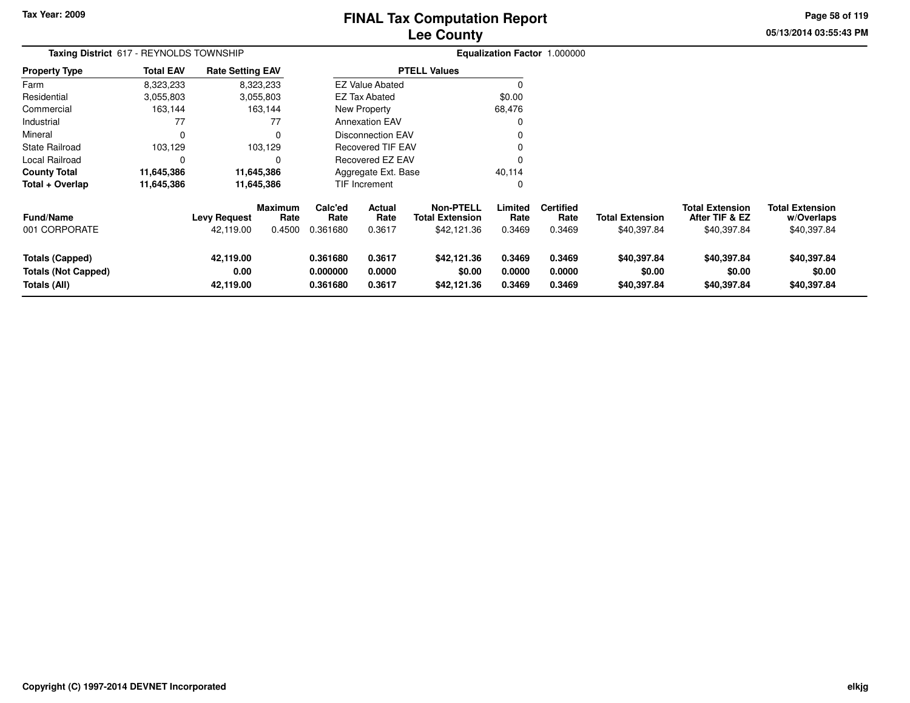# **Lee CountyFINAL Tax Computation Report**

**05/13/2014 03:55:43 PM Page 58 of 119**

| Taxing District 617 - REYNOLDS TOWNSHIP                              |                  |                                  |                           |                                  | Equalization Factor 1.000000 |                                                           |                            |                                    |                                       |                                                         |                                                     |
|----------------------------------------------------------------------|------------------|----------------------------------|---------------------------|----------------------------------|------------------------------|-----------------------------------------------------------|----------------------------|------------------------------------|---------------------------------------|---------------------------------------------------------|-----------------------------------------------------|
| Property Type                                                        | <b>Total EAV</b> | <b>Rate Setting EAV</b>          |                           |                                  |                              | <b>PTELL Values</b>                                       |                            |                                    |                                       |                                                         |                                                     |
| Farm                                                                 | 8,323,233        |                                  | 8,323,233                 |                                  | <b>EZ Value Abated</b>       |                                                           |                            |                                    |                                       |                                                         |                                                     |
| Residential                                                          | 3,055,803        |                                  | 3,055,803                 |                                  | <b>EZ Tax Abated</b>         |                                                           | \$0.00                     |                                    |                                       |                                                         |                                                     |
| Commercial                                                           | 163,144          |                                  | 163,144                   |                                  | New Property                 |                                                           | 68,476                     |                                    |                                       |                                                         |                                                     |
| Industrial                                                           | 77               |                                  | 77                        |                                  | <b>Annexation EAV</b>        |                                                           |                            |                                    |                                       |                                                         |                                                     |
| Mineral                                                              | 0                |                                  |                           |                                  | <b>Disconnection EAV</b>     |                                                           |                            |                                    |                                       |                                                         |                                                     |
| <b>State Railroad</b>                                                | 103,129          |                                  | 103,129                   |                                  | <b>Recovered TIF EAV</b>     |                                                           |                            |                                    |                                       |                                                         |                                                     |
| Local Railroad                                                       |                  |                                  |                           |                                  | Recovered EZ EAV             |                                                           |                            |                                    |                                       |                                                         |                                                     |
| County Total                                                         | 11,645,386       |                                  | 11,645,386                |                                  | Aggregate Ext. Base          |                                                           | 40,114                     |                                    |                                       |                                                         |                                                     |
| Total + Overlap                                                      | 11,645,386       |                                  | 11,645,386                |                                  | <b>TIF Increment</b>         |                                                           | 0                          |                                    |                                       |                                                         |                                                     |
| Fund/Name<br>001 CORPORATE                                           |                  | <b>Levy Request</b><br>42,119.00 | Maximum<br>Rate<br>0.4500 | Calc'ed<br>Rate<br>0.361680      | Actual<br>Rate<br>0.3617     | <b>Non-PTELL</b><br><b>Total Extension</b><br>\$42,121.36 | Limited<br>Rate<br>0.3469  | <b>Certified</b><br>Rate<br>0.3469 | <b>Total Extension</b><br>\$40,397.84 | <b>Total Extension</b><br>After TIF & EZ<br>\$40,397.84 | <b>Total Extension</b><br>w/Overlaps<br>\$40,397.84 |
| <b>Totals (Capped)</b><br><b>Totals (Not Capped)</b><br>Totals (All) |                  | 42,119.00<br>0.00<br>42,119.00   |                           | 0.361680<br>0.000000<br>0.361680 | 0.3617<br>0.0000<br>0.3617   | \$42,121.36<br>\$0.00<br>\$42,121.36                      | 0.3469<br>0.0000<br>0.3469 | 0.3469<br>0.0000<br>0.3469         | \$40,397.84<br>\$0.00<br>\$40,397.84  | \$40,397.84<br>\$0.00<br>\$40,397.84                    | \$40,397.84<br>\$0.00<br>\$40,397.84                |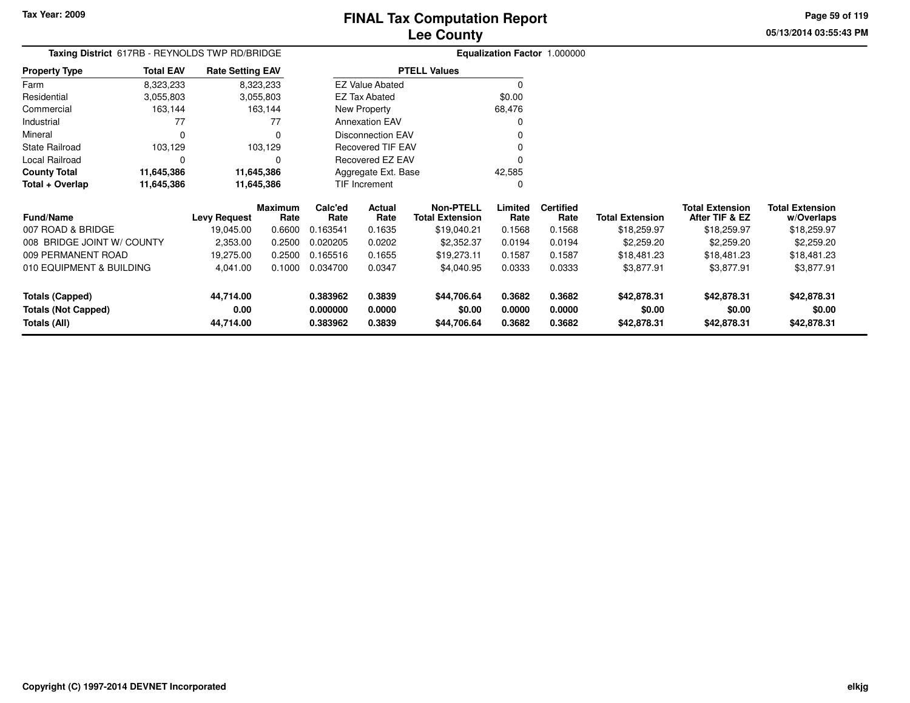**05/13/2014 03:55:43 PMPage 59 of 119**

| υιι π <del>ο</del> ρυιτ |  |  |
|-------------------------|--|--|
|                         |  |  |
|                         |  |  |

| <b>Taxing District</b> 617RB - REYNOLDS TWP RD/BRIDGE |                                          |                         |                 |                          |                          |                                            |                 | <b>Equalization Factor 1.000000</b> |                        |                                          |                                      |
|-------------------------------------------------------|------------------------------------------|-------------------------|-----------------|--------------------------|--------------------------|--------------------------------------------|-----------------|-------------------------------------|------------------------|------------------------------------------|--------------------------------------|
| <b>Property Type</b>                                  | <b>Total EAV</b>                         | <b>Rate Setting EAV</b> |                 |                          |                          | <b>PTELL Values</b>                        |                 |                                     |                        |                                          |                                      |
| Farm                                                  | 8,323,233                                |                         | 8,323,233       |                          | <b>EZ Value Abated</b>   |                                            |                 |                                     |                        |                                          |                                      |
| Residential                                           | 3,055,803                                |                         | 3,055,803       | EZ Tax Abated            |                          |                                            | \$0.00          |                                     |                        |                                          |                                      |
| Commercial                                            | 163,144                                  |                         | 163,144         | New Property             |                          |                                            | 68,476          |                                     |                        |                                          |                                      |
| Industrial                                            | 77                                       |                         | 77              | <b>Annexation EAV</b>    |                          |                                            |                 |                                     |                        |                                          |                                      |
| Mineral                                               | $\Omega$                                 |                         | 0               | <b>Disconnection EAV</b> |                          |                                            |                 |                                     |                        |                                          |                                      |
| <b>State Railroad</b>                                 | 103,129                                  |                         | 103,129         |                          | <b>Recovered TIF EAV</b> |                                            |                 |                                     |                        |                                          |                                      |
| Local Railroad                                        | 0                                        |                         | 0               |                          | Recovered EZ EAV         |                                            |                 |                                     |                        |                                          |                                      |
| <b>County Total</b>                                   | 11,645,386                               |                         | 11,645,386      |                          | Aggregate Ext. Base      |                                            | 42,585          |                                     |                        |                                          |                                      |
| Total + Overlap                                       | 11,645,386                               |                         | 11,645,386      |                          | TIF Increment            |                                            | 0               |                                     |                        |                                          |                                      |
| <b>Fund/Name</b>                                      |                                          | <b>Levy Request</b>     | Maximum<br>Rate | Calc'ed<br>Rate          | Actual<br>Rate           | <b>Non-PTELL</b><br><b>Total Extension</b> | Limited<br>Rate | <b>Certified</b><br>Rate            | <b>Total Extension</b> | <b>Total Extension</b><br>After TIF & EZ | <b>Total Extension</b><br>w/Overlaps |
| 007 ROAD & BRIDGE                                     |                                          | 19,045.00               | 0.6600          | 0.163541                 | 0.1635                   | \$19,040.21                                | 0.1568          | 0.1568                              | \$18,259.97            | \$18,259.97                              | \$18,259.97                          |
| 008 BRIDGE JOINT W/ COUNTY                            | 2,353.00<br>0.020205<br>0.0202<br>0.2500 |                         |                 | \$2,352.37               | 0.0194                   | 0.0194                                     | \$2,259.20      | \$2,259.20                          | \$2,259.20             |                                          |                                      |
| 009 PERMANENT ROAD                                    |                                          | 19,275.00               | 0.2500          | 0.165516                 | 0.1655                   | \$19,273.11                                | 0.1587          | 0.1587                              | \$18,481.23            | \$18,481.23                              | \$18,481.23                          |
|                                                       |                                          |                         |                 |                          |                          |                                            |                 |                                     |                        |                                          |                                      |

| 007 ROAD & BRIDGE          | 19.045.00 | 0.6600 | 0.163541 | 0.1635 | \$19,040.21 | 0.1568 | 0.1568 | \$18,259.97 | \$18,259.97 | \$18,259.97 |
|----------------------------|-----------|--------|----------|--------|-------------|--------|--------|-------------|-------------|-------------|
| 008 BRIDGE JOINT W/ COUNTY | 2,353.00  | 0.2500 | 0.020205 | 0.0202 | \$2,352,37  | 0.0194 | 0.0194 | \$2,259.20  | \$2,259.20  | \$2,259.20  |
| 009 PERMANENT ROAD         | 19.275.00 | 0.2500 | 0.165516 | 0.1655 | \$19.273.11 | 0.1587 | 0.1587 | \$18,481.23 | \$18,481.23 | \$18,481.23 |
| 010 EQUIPMENT & BUILDING   | 4.041.00  | 0.1000 | 0.034700 | 0.0347 | \$4.040.95  | 0.0333 | 0.0333 | \$3,877.91  | \$3,877.91  | \$3,877.91  |
| <b>Totals (Capped)</b>     | 44.714.00 |        | 0.383962 | 0.3839 | \$44.706.64 | 0.3682 | 0.3682 | \$42,878.31 | \$42,878.31 | \$42,878.31 |
| <b>Totals (Not Capped)</b> | 0.00      |        | 0.000000 | 0.0000 | \$0.00      | 0.0000 | 0.0000 | \$0.00      | \$0.00      | \$0.00      |
| Totals (All)               | 44.714.00 |        | 0.383962 | 0.3839 | \$44,706.64 | 0.3682 | 0.3682 | \$42,878.31 | \$42,878.31 | \$42,878.31 |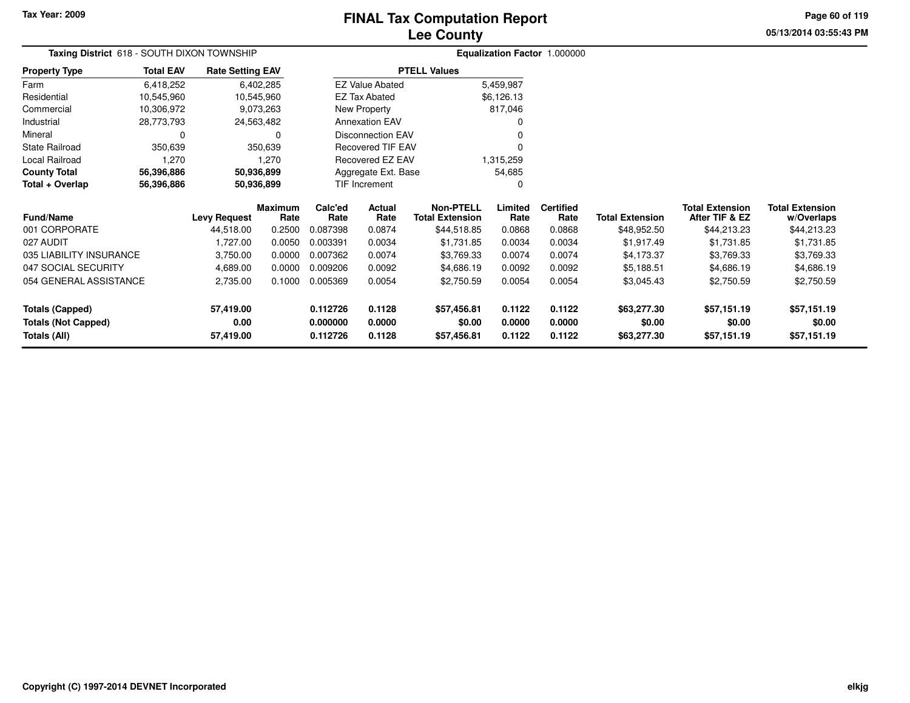# **Lee CountyFINAL Tax Computation Report**

**05/13/2014 03:55:43 PM Page 60 of 119**

| Taxing District 618 - SOUTH DIXON TOWNSHIP |                  |                         |                 | Equalization Factor 1.000000 |                          |                                            |                 |                          |                        |                                          |                                      |  |
|--------------------------------------------|------------------|-------------------------|-----------------|------------------------------|--------------------------|--------------------------------------------|-----------------|--------------------------|------------------------|------------------------------------------|--------------------------------------|--|
| <b>Property Type</b>                       | <b>Total EAV</b> | <b>Rate Setting EAV</b> |                 |                              |                          | <b>PTELL Values</b>                        |                 |                          |                        |                                          |                                      |  |
| Farm                                       | 6,418,252        |                         | 6,402,285       |                              | <b>EZ Value Abated</b>   |                                            | 5,459,987       |                          |                        |                                          |                                      |  |
| Residential                                | 10,545,960       |                         | 10,545,960      |                              | <b>EZ Tax Abated</b>     |                                            | \$6,126.13      |                          |                        |                                          |                                      |  |
| Commercial                                 | 10,306,972       |                         | 9,073,263       | New Property                 |                          |                                            | 817,046         |                          |                        |                                          |                                      |  |
| Industrial                                 | 28,773,793       |                         | 24,563,482      | <b>Annexation EAV</b>        |                          |                                            |                 |                          |                        |                                          |                                      |  |
| Mineral                                    | 0                |                         | O               | <b>Disconnection EAV</b>     |                          |                                            |                 |                          |                        |                                          |                                      |  |
| <b>State Railroad</b>                      | 350,639          |                         | 350,639         |                              | <b>Recovered TIF EAV</b> |                                            |                 |                          |                        |                                          |                                      |  |
| Local Railroad                             | 1,270            |                         | 1,270           | Recovered EZ EAV             |                          |                                            | 1,315,259       |                          |                        |                                          |                                      |  |
| <b>County Total</b>                        | 56,396,886       |                         | 50,936,899      | Aggregate Ext. Base          |                          |                                            | 54,685          |                          |                        |                                          |                                      |  |
| Total + Overlap                            | 56,396,886       |                         | 50,936,899      | <b>TIF Increment</b>         |                          |                                            |                 |                          |                        |                                          |                                      |  |
| <b>Fund/Name</b>                           |                  | <b>Levy Request</b>     | Maximum<br>Rate | Calc'ed<br>Rate              | <b>Actual</b><br>Rate    | <b>Non-PTELL</b><br><b>Total Extension</b> | Limited<br>Rate | <b>Certified</b><br>Rate | <b>Total Extension</b> | <b>Total Extension</b><br>After TIF & EZ | <b>Total Extension</b><br>w/Overlaps |  |
| 001 CORPORATE                              |                  | 44,518.00               | 0.2500          | 0.087398                     | 0.0874                   | \$44,518.85                                | 0.0868          | 0.0868                   | \$48,952.50            | \$44,213.23                              | \$44,213.23                          |  |
| 027 AUDIT                                  |                  | 1,727.00                | 0.0050          | 0.003391                     | 0.0034                   | \$1,731.85                                 | 0.0034          | 0.0034                   | \$1,917.49             | \$1,731.85                               | \$1,731.85                           |  |
| 035 LIABILITY INSURANCE                    |                  | 3,750.00                | 0.0000          | 0.007362                     | 0.0074                   | \$3,769.33                                 | 0.0074          | 0.0074                   | \$4,173.37             | \$3,769.33                               | \$3,769.33                           |  |
| 047 SOCIAL SECURITY                        |                  | 4,689.00                | 0.0000          | 0.009206                     | 0.0092                   | \$4,686.19                                 | 0.0092          | 0.0092                   | \$5,188.51             | \$4,686.19                               | \$4,686.19                           |  |
| 054 GENERAL ASSISTANCE                     |                  | 2,735.00                | 0.1000          | 0.005369                     | 0.0054                   | \$2,750.59                                 | 0.0054          | 0.0054                   | \$3,045.43             | \$2,750.59                               | \$2,750.59                           |  |
| <b>Totals (Capped)</b>                     |                  | 57,419.00               |                 | 0.112726                     | 0.1128                   | \$57,456.81                                | 0.1122          | 0.1122                   | \$63,277.30            | \$57,151.19                              | \$57,151.19                          |  |
| <b>Totals (Not Capped)</b>                 |                  | 0.00                    |                 | 0.000000                     | 0.0000                   | \$0.00                                     | 0.0000          | 0.0000                   | \$0.00                 | \$0.00                                   | \$0.00                               |  |
| Totals (All)                               |                  | 57,419.00               |                 | 0.112726                     | 0.1128                   | \$57,456.81                                | 0.1122          | 0.1122                   | \$63,277.30            | \$57,151.19                              | \$57,151.19                          |  |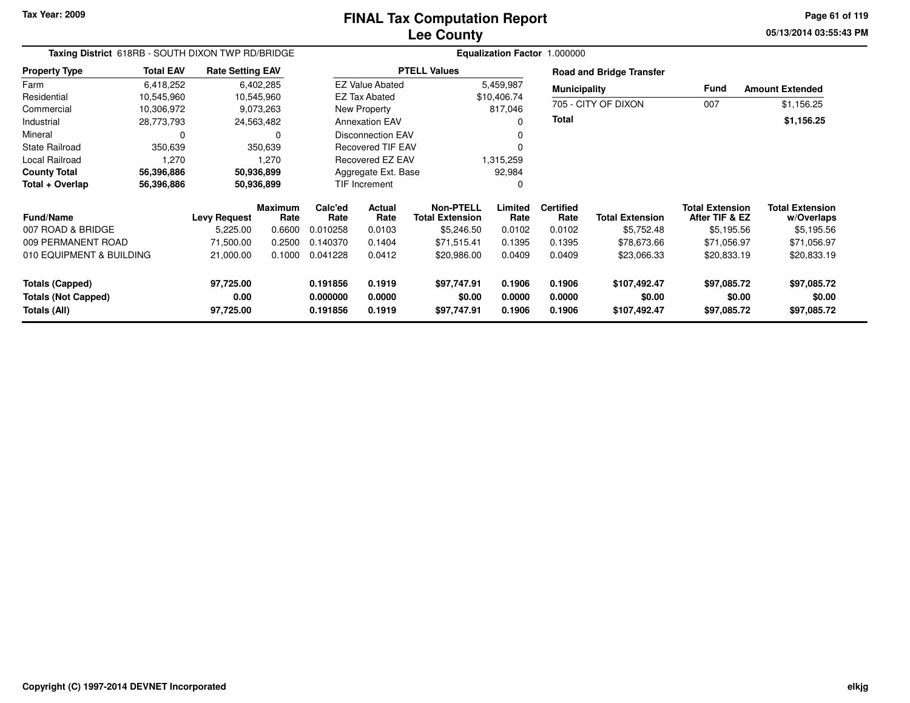**05/13/2014 03:55:43 PM Page 61 of 119**

| Taxing District 618RB - SOUTH DIXON TWP RD/BRIDGE |                  |                         |                        |                 |                          |                                            | <b>Equalization Factor 1.000000</b> |                          |                                 |                                          |                                      |
|---------------------------------------------------|------------------|-------------------------|------------------------|-----------------|--------------------------|--------------------------------------------|-------------------------------------|--------------------------|---------------------------------|------------------------------------------|--------------------------------------|
| <b>Property Type</b>                              | <b>Total EAV</b> | <b>Rate Setting EAV</b> |                        |                 |                          | <b>PTELL Values</b>                        |                                     |                          | <b>Road and Bridge Transfer</b> |                                          |                                      |
| Farm                                              | 6,418,252        |                         | 6,402,285              |                 | <b>EZ Value Abated</b>   |                                            | 5,459,987                           | <b>Municipality</b>      |                                 | Fund                                     | <b>Amount Extended</b>               |
| Residential                                       | 10,545,960       |                         | 10,545,960             |                 | <b>EZ Tax Abated</b>     |                                            | \$10,406.74                         |                          |                                 |                                          |                                      |
| Commercial                                        | 10,306,972       | 9,073,263               |                        |                 | New Property             |                                            | 817,046                             | 705 - CITY OF DIXON      |                                 | 007                                      | \$1,156.25                           |
| Industrial                                        | 28,773,793       |                         | 24,563,482             |                 | <b>Annexation EAV</b>    |                                            | 0                                   | Total                    |                                 |                                          | \$1,156.25                           |
| Mineral                                           | $\Omega$         |                         | 0                      |                 | <b>Disconnection EAV</b> |                                            |                                     |                          |                                 |                                          |                                      |
| <b>State Railroad</b>                             | 350,639          |                         | 350,639                |                 | <b>Recovered TIF EAV</b> |                                            |                                     |                          |                                 |                                          |                                      |
| Local Railroad                                    | 1,270            |                         | 1,270                  |                 | Recovered EZ EAV         |                                            | 1,315,259                           |                          |                                 |                                          |                                      |
| <b>County Total</b>                               | 56,396,886       |                         | 50,936,899             |                 | Aggregate Ext. Base      |                                            | 92,984                              |                          |                                 |                                          |                                      |
| Total + Overlap                                   | 56,396,886       |                         | 50,936,899             |                 | <b>TIF Increment</b>     |                                            | 0                                   |                          |                                 |                                          |                                      |
| <b>Fund/Name</b>                                  |                  | <b>Levy Request</b>     | <b>Maximum</b><br>Rate | Calc'ed<br>Rate | Actual<br>Rate           | <b>Non-PTELL</b><br><b>Total Extension</b> | Limited<br>Rate                     | <b>Certified</b><br>Rate | <b>Total Extension</b>          | <b>Total Extension</b><br>After TIF & EZ | <b>Total Extension</b><br>w/Overlaps |
| 007 ROAD & BRIDGE                                 |                  | 5,225.00                | 0.6600                 | 0.010258        | 0.0103                   | \$5,246.50                                 | 0.0102                              | 0.0102                   | \$5,752.48                      | \$5,195.56                               | \$5,195.56                           |
| 009 PERMANENT ROAD                                |                  | 71,500.00               | 0.2500                 | 0.140370        | 0.1404                   | \$71,515.41                                | 0.1395                              | 0.1395                   | \$78,673.66                     | \$71,056.97                              | \$71,056.97                          |
| 010 EQUIPMENT & BUILDING                          |                  | 21,000.00               | 0.1000                 | 0.041228        | 0.0412                   | \$20,986.00                                | 0.0409                              | 0.0409                   | \$23,066.33                     | \$20,833.19                              | \$20,833.19                          |
| <b>Totals (Capped)</b>                            |                  | 97,725.00               |                        | 0.191856        | 0.1919                   | \$97,747.91                                | 0.1906                              | 0.1906                   | \$107,492.47                    | \$97,085.72                              | \$97,085.72                          |
| <b>Totals (Not Capped)</b>                        |                  | 0.00                    |                        | 0.000000        | 0.0000                   | \$0.00                                     | 0.0000                              | 0.0000                   | \$0.00                          | \$0.00                                   | \$0.00                               |
| Totals (All)                                      |                  | 97,725.00               |                        | 0.191856        | 0.1919                   | \$97,747.91                                | 0.1906                              | 0.1906                   | \$107,492.47                    | \$97,085.72                              | \$97,085.72                          |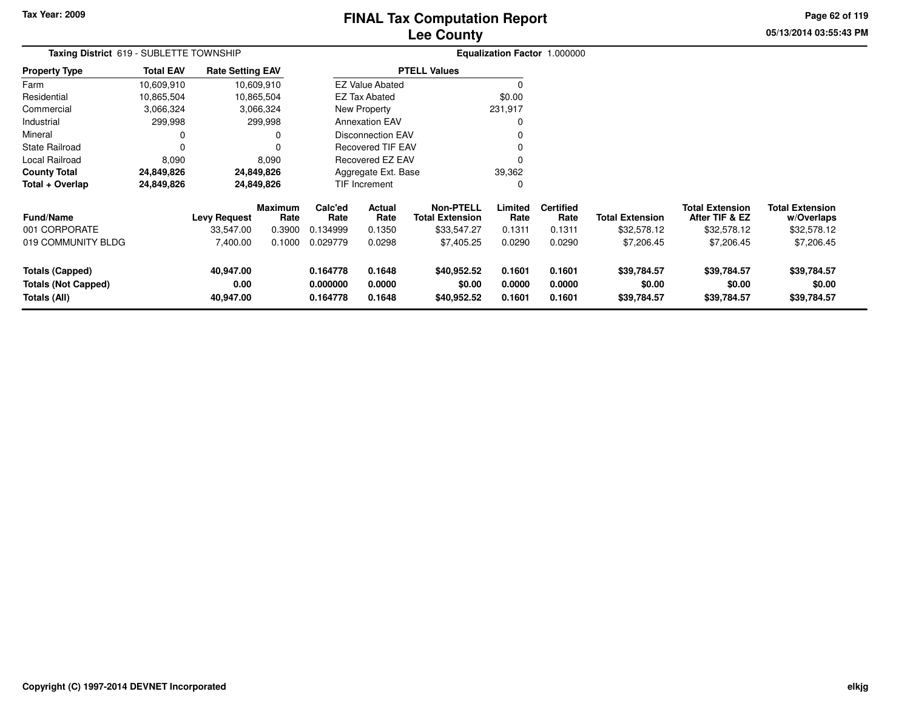# **Lee CountyFINAL Tax Computation Report**

**05/13/2014 03:55:43 PM Page 62 of 119**

| Taxing District 619 - SUBLETTE TOWNSHIP                              |                  |                                |                        |                                  |                            |                                            |                            | Equalization Factor 1.000000 |                                      |                                          |                                      |
|----------------------------------------------------------------------|------------------|--------------------------------|------------------------|----------------------------------|----------------------------|--------------------------------------------|----------------------------|------------------------------|--------------------------------------|------------------------------------------|--------------------------------------|
| <b>Property Type</b>                                                 | <b>Total EAV</b> | <b>Rate Setting EAV</b>        |                        |                                  |                            | <b>PTELL Values</b>                        |                            |                              |                                      |                                          |                                      |
| Farm                                                                 | 10,609,910       |                                | 10,609,910             |                                  | <b>EZ Value Abated</b>     |                                            |                            |                              |                                      |                                          |                                      |
| Residential                                                          | 10,865,504       |                                | 10,865,504             |                                  | <b>EZ Tax Abated</b>       |                                            | \$0.00                     |                              |                                      |                                          |                                      |
| Commercial                                                           | 3,066,324        |                                | 3,066,324              |                                  | New Property               |                                            | 231,917                    |                              |                                      |                                          |                                      |
| Industrial                                                           | 299,998          |                                | 299,998                |                                  | <b>Annexation EAV</b>      |                                            | 0                          |                              |                                      |                                          |                                      |
| Mineral                                                              | 0                |                                | 0                      |                                  | <b>Disconnection EAV</b>   |                                            | 0                          |                              |                                      |                                          |                                      |
| <b>State Railroad</b>                                                | 0                |                                | 0                      |                                  | <b>Recovered TIF EAV</b>   |                                            |                            |                              |                                      |                                          |                                      |
| Local Railroad                                                       | 8,090            |                                | 8,090                  |                                  | Recovered EZ EAV           |                                            | $\Omega$                   |                              |                                      |                                          |                                      |
| <b>County Total</b>                                                  | 24,849,826       |                                | 24,849,826             |                                  | Aggregate Ext. Base        |                                            | 39,362                     |                              |                                      |                                          |                                      |
| Total + Overlap                                                      | 24,849,826       |                                | 24,849,826             |                                  | TIF Increment              |                                            | 0                          |                              |                                      |                                          |                                      |
| <b>Fund/Name</b>                                                     |                  | Levy Request                   | <b>Maximum</b><br>Rate | Calc'ed<br>Rate                  | Actual<br>Rate             | <b>Non-PTELL</b><br><b>Total Extension</b> | Limited<br>Rate            | <b>Certified</b><br>Rate     | <b>Total Extension</b>               | <b>Total Extension</b><br>After TIF & EZ | <b>Total Extension</b><br>w/Overlaps |
| 001 CORPORATE                                                        |                  | 33,547.00                      | 0.3900                 | 0.134999                         | 0.1350                     | \$33,547.27                                | 0.1311                     | 0.1311                       | \$32,578.12                          | \$32,578.12                              | \$32,578.12                          |
| 019 COMMUNITY BLDG                                                   |                  | 7,400.00                       | 0.1000                 | 0.029779                         | 0.0298                     | \$7,405.25                                 | 0.0290                     | 0.0290                       | \$7,206.45                           | \$7,206.45                               | \$7,206.45                           |
| <b>Totals (Capped)</b><br><b>Totals (Not Capped)</b><br>Totals (All) |                  | 40,947.00<br>0.00<br>40,947.00 |                        | 0.164778<br>0.000000<br>0.164778 | 0.1648<br>0.0000<br>0.1648 | \$40,952.52<br>\$0.00<br>\$40,952.52       | 0.1601<br>0.0000<br>0.1601 | 0.1601<br>0.0000<br>0.1601   | \$39,784.57<br>\$0.00<br>\$39,784.57 | \$39,784.57<br>\$0.00<br>\$39,784.57     | \$39,784.57<br>\$0.00<br>\$39,784.57 |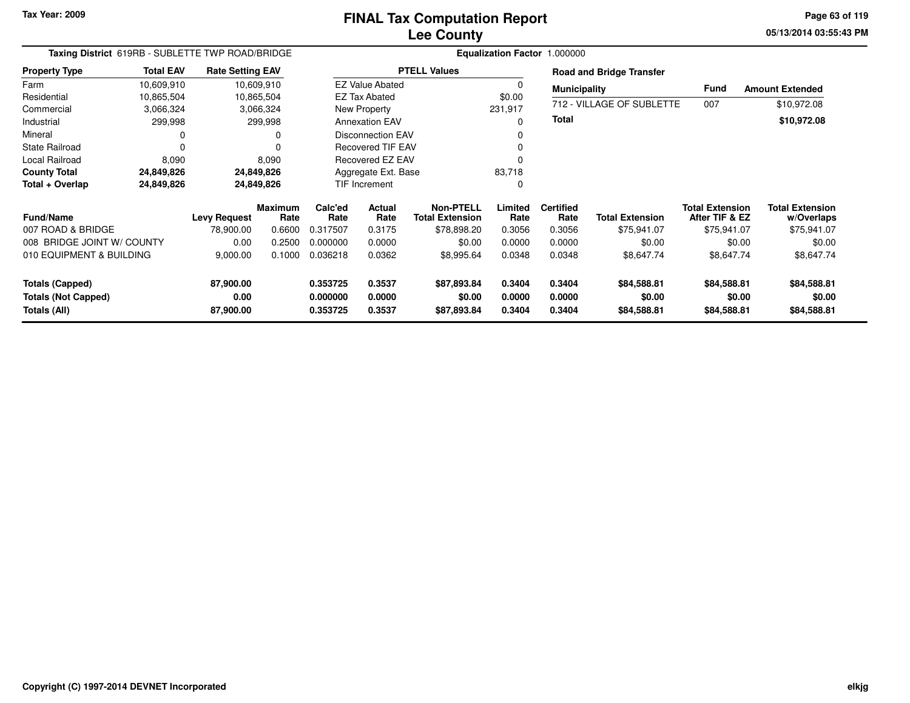**05/13/2014 03:55:43 PM Page 63 of 119**

| Taxing District 619RB - SUBLETTE TWP ROAD/BRIDGE |                  |                         | Equalization Factor 1.000000 |                 |                          |                                            |                 |                          |                                 |                                          |                                      |
|--------------------------------------------------|------------------|-------------------------|------------------------------|-----------------|--------------------------|--------------------------------------------|-----------------|--------------------------|---------------------------------|------------------------------------------|--------------------------------------|
| <b>Property Type</b>                             | <b>Total EAV</b> | <b>Rate Setting EAV</b> |                              |                 |                          | <b>PTELL Values</b>                        |                 |                          | <b>Road and Bridge Transfer</b> |                                          |                                      |
| Farm                                             | 10,609,910       |                         | 10,609,910                   |                 | <b>EZ Value Abated</b>   |                                            |                 | <b>Municipality</b>      |                                 | <b>Fund</b>                              | <b>Amount Extended</b>               |
| Residential                                      | 10,865,504       |                         | 10,865,504                   |                 | <b>EZ Tax Abated</b>     |                                            | \$0.00          |                          |                                 |                                          |                                      |
| Commercial                                       | 3,066,324        |                         | 3,066,324                    |                 | New Property             |                                            | 231,917         |                          | 712 - VILLAGE OF SUBLETTE       | 007                                      | \$10,972.08                          |
| Industrial                                       | 299,998          |                         | 299,998                      |                 | <b>Annexation EAV</b>    |                                            | 0               | Total                    |                                 |                                          | \$10,972.08                          |
| Mineral                                          |                  |                         | 0                            |                 | <b>Disconnection EAV</b> |                                            |                 |                          |                                 |                                          |                                      |
| <b>State Railroad</b>                            | 0                |                         |                              |                 | <b>Recovered TIF EAV</b> |                                            |                 |                          |                                 |                                          |                                      |
| Local Railroad                                   | 8,090            |                         | 8,090                        |                 | Recovered EZ EAV         |                                            |                 |                          |                                 |                                          |                                      |
| <b>County Total</b>                              | 24,849,826       |                         | 24,849,826                   |                 | Aggregate Ext. Base      |                                            | 83,718          |                          |                                 |                                          |                                      |
| Total + Overlap                                  | 24,849,826       |                         | 24,849,826                   |                 | <b>TIF Increment</b>     |                                            | 0               |                          |                                 |                                          |                                      |
| <b>Fund/Name</b>                                 |                  | <b>Levy Request</b>     | <b>Maximum</b><br>Rate       | Calc'ed<br>Rate | Actual<br>Rate           | <b>Non-PTELL</b><br><b>Total Extension</b> | Limited<br>Rate | <b>Certified</b><br>Rate | <b>Total Extension</b>          | <b>Total Extension</b><br>After TIF & EZ | <b>Total Extension</b><br>w/Overlaps |
| 007 ROAD & BRIDGE                                |                  | 78,900.00               | 0.6600                       | 0.317507        | 0.3175                   | \$78,898.20                                | 0.3056          | 0.3056                   | \$75,941.07                     | \$75,941.07                              | \$75,941.07                          |
| 008 BRIDGE JOINT W/ COUNTY                       |                  | 0.00                    | 0.2500                       | 0.000000        | 0.0000                   | \$0.00                                     | 0.0000          | 0.0000                   | \$0.00                          | \$0.00                                   | \$0.00                               |
| 010 EQUIPMENT & BUILDING                         |                  | 9,000.00                | 0.1000                       | 0.036218        | 0.0362                   | \$8,995.64                                 | 0.0348          | 0.0348                   | \$8,647.74                      | \$8,647.74                               | \$8,647.74                           |
| <b>Totals (Capped)</b>                           |                  | 87,900.00               |                              | 0.353725        | 0.3537                   | \$87,893.84                                | 0.3404          | 0.3404                   | \$84,588.81                     | \$84,588.81                              | \$84,588.81                          |
| <b>Totals (Not Capped)</b>                       |                  | 0.00                    |                              | 0.000000        | 0.0000                   | \$0.00                                     | 0.0000          | 0.0000                   | \$0.00                          | \$0.00                                   | \$0.00                               |
| Totals (All)                                     |                  | 87,900.00               |                              | 0.353725        | 0.3537                   | \$87,893.84                                | 0.3404          | 0.3404                   | \$84,588.81                     | \$84,588.81                              | \$84,588.81                          |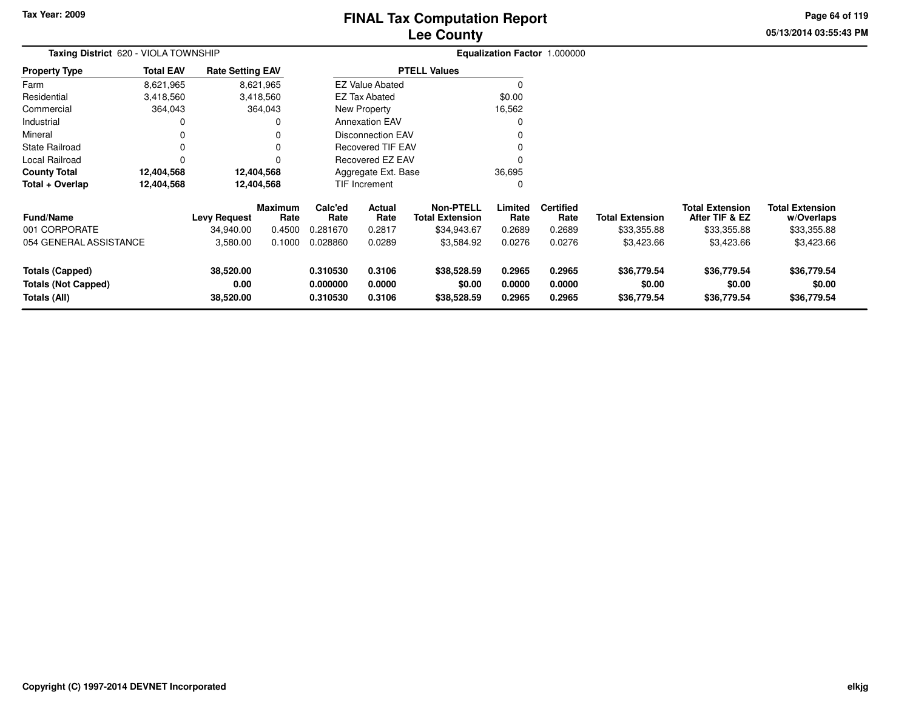# **Lee CountyFINAL Tax Computation Report**

**05/13/2014 03:55:43 PM Page 64 of 119**

| Taxing District 620 - VIOLA TOWNSHIP                          |                  |                                |                        |                                  |                            | Equalization Factor 1.000000               |                            |                            |                                      |                                          |                                      |
|---------------------------------------------------------------|------------------|--------------------------------|------------------------|----------------------------------|----------------------------|--------------------------------------------|----------------------------|----------------------------|--------------------------------------|------------------------------------------|--------------------------------------|
| <b>Property Type</b>                                          | <b>Total EAV</b> | <b>Rate Setting EAV</b>        |                        |                                  |                            | <b>PTELL Values</b>                        |                            |                            |                                      |                                          |                                      |
| Farm                                                          | 8,621,965        |                                | 8,621,965              |                                  | <b>EZ Value Abated</b>     |                                            | $\Omega$                   |                            |                                      |                                          |                                      |
| Residential                                                   | 3,418,560        |                                | 3,418,560              |                                  | <b>EZ Tax Abated</b>       |                                            | \$0.00                     |                            |                                      |                                          |                                      |
| Commercial                                                    | 364,043          |                                | 364,043                |                                  | <b>New Property</b>        |                                            | 16,562                     |                            |                                      |                                          |                                      |
| Industrial                                                    | 0                |                                | $\Omega$               |                                  | <b>Annexation EAV</b>      |                                            | $\Omega$                   |                            |                                      |                                          |                                      |
| Mineral                                                       | 0                |                                | 0                      |                                  | <b>Disconnection EAV</b>   |                                            | O                          |                            |                                      |                                          |                                      |
| <b>State Railroad</b>                                         | 0                |                                |                        |                                  | <b>Recovered TIF EAV</b>   |                                            |                            |                            |                                      |                                          |                                      |
| Local Railroad                                                | $\Omega$         |                                |                        |                                  | Recovered EZ EAV           |                                            | 0                          |                            |                                      |                                          |                                      |
| <b>County Total</b>                                           | 12,404,568       |                                | 12,404,568             |                                  | Aggregate Ext. Base        |                                            | 36,695                     |                            |                                      |                                          |                                      |
| Total + Overlap                                               | 12,404,568       |                                | 12,404,568             |                                  | TIF Increment              |                                            | $\Omega$                   |                            |                                      |                                          |                                      |
| <b>Fund/Name</b>                                              |                  | <b>Levy Request</b>            | <b>Maximum</b><br>Rate | Calc'ed<br>Rate                  | <b>Actual</b><br>Rate      | <b>Non-PTELL</b><br><b>Total Extension</b> | Limited<br>Rate            | <b>Certified</b><br>Rate   | <b>Total Extension</b>               | <b>Total Extension</b><br>After TIF & EZ | <b>Total Extension</b><br>w/Overlaps |
| 001 CORPORATE                                                 |                  | 34,940.00                      | 0.4500                 | 0.281670                         | 0.2817                     | \$34,943.67                                | 0.2689                     | 0.2689                     | \$33,355.88                          | \$33,355.88                              | \$33,355.88                          |
| 054 GENERAL ASSISTANCE                                        |                  | 3,580.00                       | 0.1000                 | 0.028860                         | 0.0289                     | \$3,584.92                                 | 0.0276                     | 0.0276                     | \$3,423.66                           | \$3,423.66                               | \$3,423.66                           |
| Totals (Capped)<br><b>Totals (Not Capped)</b><br>Totals (All) |                  | 38,520.00<br>0.00<br>38,520.00 |                        | 0.310530<br>0.000000<br>0.310530 | 0.3106<br>0.0000<br>0.3106 | \$38,528.59<br>\$0.00<br>\$38,528.59       | 0.2965<br>0.0000<br>0.2965 | 0.2965<br>0.0000<br>0.2965 | \$36,779.54<br>\$0.00<br>\$36,779.54 | \$36,779.54<br>\$0.00<br>\$36,779.54     | \$36,779.54<br>\$0.00<br>\$36,779.54 |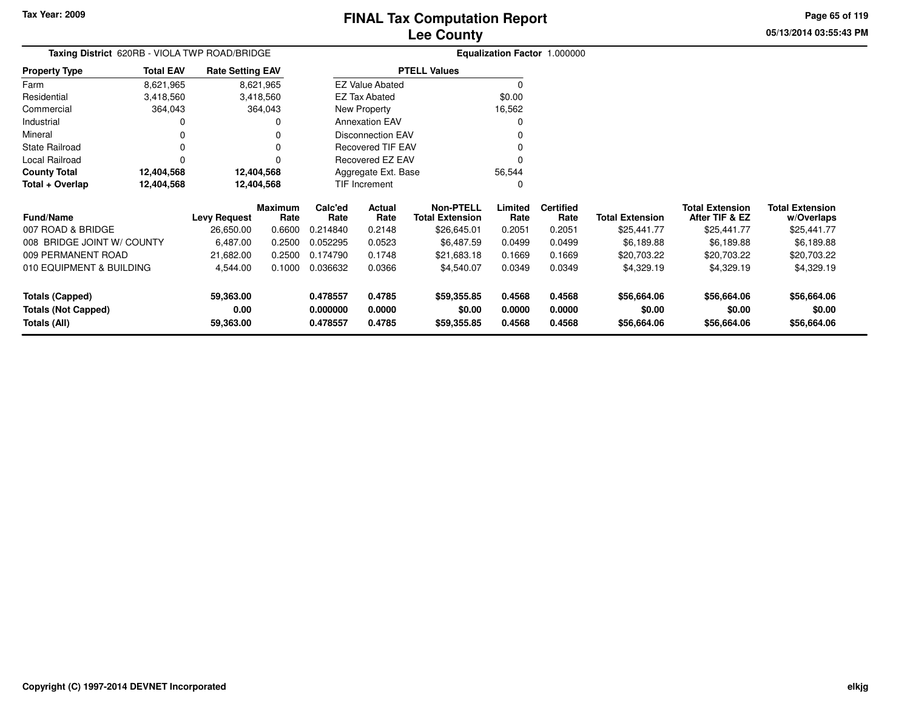**05/13/2014 03:55:43 PMPage 65 of 119**

# **Equalization Factor** 1.000000

|                      | <b>Taxing District</b> 620RB - VIOLA TWP ROAD/BRIDGE |                         |                          | <b>Equalization Factor</b> |  |  |
|----------------------|------------------------------------------------------|-------------------------|--------------------------|----------------------------|--|--|
| <b>Property Type</b> | <b>Total EAV</b>                                     | <b>Rate Setting EAV</b> | <b>PTELL Values</b>      |                            |  |  |
| Farm                 | 8,621,965                                            | 8,621,965               | <b>EZ Value Abated</b>   | 0                          |  |  |
| Residential          | 3,418,560                                            | 3,418,560               | EZ Tax Abated            | \$0.00                     |  |  |
| Commercial           | 364,043                                              | 364.043                 | New Property             | 16,562                     |  |  |
| Industrial           | 0                                                    | 0                       | <b>Annexation EAV</b>    | 0                          |  |  |
| Mineral              | 0                                                    | 0                       | <b>Disconnection EAV</b> | 0                          |  |  |
| State Railroad       |                                                      | 0                       | <b>Recovered TIF EAV</b> | 0                          |  |  |
| Local Railroad       |                                                      |                         | Recovered EZ EAV         | 0                          |  |  |
| <b>County Total</b>  | 12,404,568                                           | 12,404,568              | Aggregate Ext. Base      | 56.544                     |  |  |
| Total + Overlap      | 12,404,568                                           | 12,404,568              | <b>TIF Increment</b>     |                            |  |  |

| <b>Fund/Name</b>           | <b>Levy Request</b> | <b>Maximum</b><br>Rate | Calc'ed<br>Rate | Actual<br>Rate | Non-PTELL<br><b>Total Extension</b> | Limited<br>Rate | <b>Certified</b><br>Rate | <b>Total Extension</b> | <b>Total Extension</b><br>After TIF & EZ | <b>Total Extension</b><br>w/Overlaps |
|----------------------------|---------------------|------------------------|-----------------|----------------|-------------------------------------|-----------------|--------------------------|------------------------|------------------------------------------|--------------------------------------|
| 007 ROAD & BRIDGE          | 26,650.00           | 0.6600                 | 0.214840        | 0.2148         | \$26,645.01                         | 0.2051          | 0.2051                   | \$25,441.77            | \$25,441.77                              | \$25,441.77                          |
| 008 BRIDGE JOINT W/ COUNTY | 6.487.00            | 0.2500                 | 0.052295        | 0.0523         | \$6,487.59                          | 0.0499          | 0.0499                   | \$6.189.88             | \$6,189.88                               | \$6,189.88                           |
| 009 PERMANENT ROAD         | 21.682.00           | 0.2500                 | 0.174790        | 0.1748         | \$21,683.18                         | 0.1669          | 0.1669                   | \$20,703.22            | \$20,703.22                              | \$20,703.22                          |
| 010 EQUIPMENT & BUILDING   | 4.544.00            | 0.1000                 | 0.036632        | 0.0366         | \$4.540.07                          | 0.0349          | 0.0349                   | \$4,329.19             | \$4,329.19                               | \$4,329.19                           |
| Totals (Capped)            | 59,363.00           |                        | 0.478557        | 0.4785         | \$59,355.85                         | 0.4568          | 0.4568                   | \$56,664.06            | \$56,664.06                              | \$56,664.06                          |
| <b>Totals (Not Capped)</b> | 0.00                |                        | 0.000000        | 0.0000         | \$0.00                              | 0.0000          | 0.0000                   | \$0.00                 | \$0.00                                   | \$0.00                               |
| Totals (All)               | 59,363.00           |                        | 0.478557        | 0.4785         | \$59,355.85                         | 0.4568          | 0.4568                   | \$56,664.06            | \$56,664.06                              | \$56,664.06                          |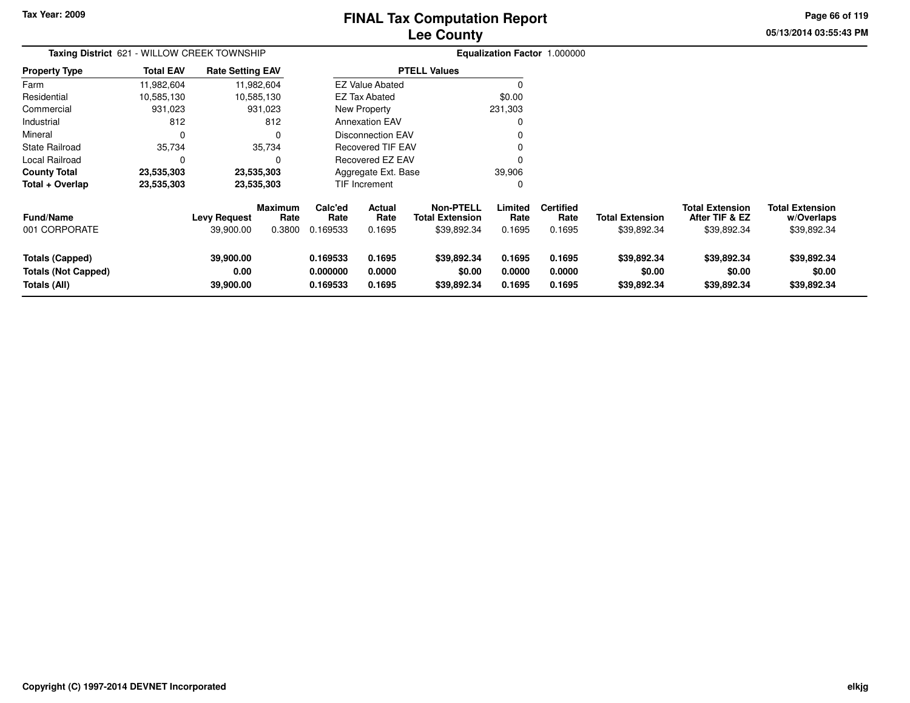# **Lee CountyFINAL Tax Computation Report**

**05/13/2014 03:55:43 PMPage 66 of 119**

| Taxing District 621 - WILLOW CREEK TOWNSHIP                          |                  |                                  |                                  |                                  |                                 |                                                           |                            | <b>Equalization Factor 1.000000</b> |                                      |                                                         |                                                     |
|----------------------------------------------------------------------|------------------|----------------------------------|----------------------------------|----------------------------------|---------------------------------|-----------------------------------------------------------|----------------------------|-------------------------------------|--------------------------------------|---------------------------------------------------------|-----------------------------------------------------|
| <b>Property Type</b>                                                 | <b>Total EAV</b> | <b>Rate Setting EAV</b>          |                                  |                                  |                                 | <b>PTELL Values</b>                                       |                            |                                     |                                      |                                                         |                                                     |
| Farm                                                                 | 11,982,604       |                                  | 11,982,604                       |                                  | <b>EZ Value Abated</b>          |                                                           |                            |                                     |                                      |                                                         |                                                     |
| Residential                                                          | 10,585,130       |                                  | 10,585,130                       |                                  | EZ Tax Abated                   |                                                           | \$0.00                     |                                     |                                      |                                                         |                                                     |
| Commercial                                                           | 931,023          |                                  | 931,023                          |                                  | New Property                    |                                                           | 231,303                    |                                     |                                      |                                                         |                                                     |
| Industrial                                                           | 812              |                                  | 812                              |                                  | <b>Annexation EAV</b>           |                                                           | 0                          |                                     |                                      |                                                         |                                                     |
| Mineral                                                              | 0                |                                  | $\Omega$                         |                                  | <b>Disconnection EAV</b>        |                                                           |                            |                                     |                                      |                                                         |                                                     |
| <b>State Railroad</b>                                                | 35,734           |                                  | 35,734                           |                                  | <b>Recovered TIF EAV</b>        |                                                           | 0                          |                                     |                                      |                                                         |                                                     |
| Local Railroad                                                       | 0                |                                  | 0                                |                                  | Recovered EZ EAV                |                                                           |                            |                                     |                                      |                                                         |                                                     |
| <b>County Total</b>                                                  | 23,535,303       |                                  | 23,535,303                       |                                  | Aggregate Ext. Base             |                                                           | 39,906                     |                                     |                                      |                                                         |                                                     |
| Total + Overlap                                                      | 23,535,303       |                                  | 23,535,303                       |                                  | TIF Increment                   |                                                           | 0                          |                                     |                                      |                                                         |                                                     |
| <b>Fund/Name</b><br>001 CORPORATE                                    |                  | <b>Levy Request</b><br>39,900.00 | <b>Maximum</b><br>Rate<br>0.3800 | Calc'ed<br>Rate<br>0.169533      | <b>Actual</b><br>Rate<br>0.1695 | <b>Non-PTELL</b><br><b>Total Extension</b><br>\$39,892.34 | Limited<br>Rate<br>0.1695  | <b>Certified</b><br>Rate<br>0.1695  | Total Extension<br>\$39,892.34       | <b>Total Extension</b><br>After TIF & EZ<br>\$39,892.34 | <b>Total Extension</b><br>w/Overlaps<br>\$39,892.34 |
| <b>Totals (Capped)</b><br><b>Totals (Not Capped)</b><br>Totals (All) |                  | 39,900.00<br>0.00<br>39,900.00   |                                  | 0.169533<br>0.000000<br>0.169533 | 0.1695<br>0.0000<br>0.1695      | \$39,892.34<br>\$0.00<br>\$39,892.34                      | 0.1695<br>0.0000<br>0.1695 | 0.1695<br>0.0000<br>0.1695          | \$39,892.34<br>\$0.00<br>\$39,892.34 | \$39,892.34<br>\$0.00<br>\$39,892.34                    | \$39,892.34<br>\$0.00<br>\$39,892.34                |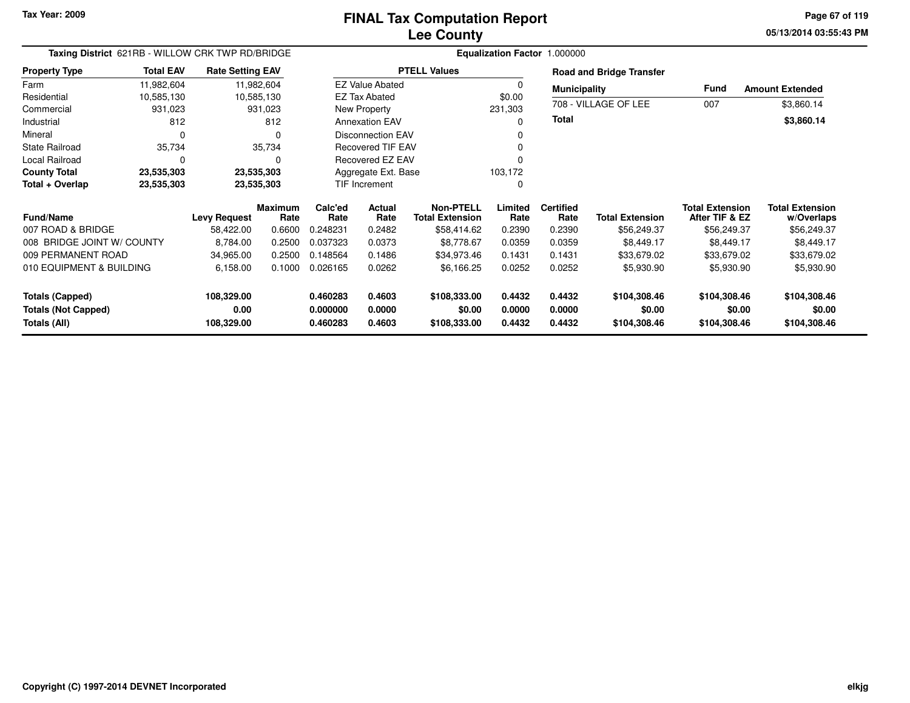**05/13/2014 03:55:43 PM Page 67 of 119**

| Taxing District 621RB - WILLOW CRK TWP RD/BRIDGE |                  |                         |                        |                      | Equalization Factor 1.000000 |                                            |                  |                          |                                 |                                          |                                      |  |  |
|--------------------------------------------------|------------------|-------------------------|------------------------|----------------------|------------------------------|--------------------------------------------|------------------|--------------------------|---------------------------------|------------------------------------------|--------------------------------------|--|--|
| <b>Property Type</b>                             | <b>Total EAV</b> | <b>Rate Setting EAV</b> |                        |                      |                              | <b>PTELL Values</b>                        |                  |                          | <b>Road and Bridge Transfer</b> |                                          |                                      |  |  |
| Farm                                             | 11,982,604       | 11,982,604              |                        |                      | <b>EZ Value Abated</b>       |                                            |                  | <b>Municipality</b>      |                                 | <b>Fund</b>                              | <b>Amount Extended</b>               |  |  |
| Residential                                      | 10,585,130       | 10,585,130              |                        |                      | <b>EZ Tax Abated</b>         |                                            | \$0.00           |                          |                                 |                                          |                                      |  |  |
| Commercial                                       | 931,023          |                         | 931,023                |                      | New Property                 |                                            | 231,303          |                          | 708 - VILLAGE OF LEE            | 007                                      | \$3,860.14                           |  |  |
| Industrial                                       | 812              |                         | 812                    |                      | <b>Annexation EAV</b>        |                                            | 0                | Total                    |                                 |                                          | \$3,860.14                           |  |  |
| Mineral                                          | 0                |                         | $\Omega$               |                      | <b>Disconnection EAV</b>     |                                            |                  |                          |                                 |                                          |                                      |  |  |
| <b>State Railroad</b>                            | 35,734           |                         | 35,734                 |                      | <b>Recovered TIF EAV</b>     |                                            |                  |                          |                                 |                                          |                                      |  |  |
| Local Railroad                                   | $\Omega$         |                         | 0                      |                      | Recovered EZ EAV             |                                            |                  |                          |                                 |                                          |                                      |  |  |
| <b>County Total</b>                              | 23,535,303       | 23,535,303              |                        |                      | Aggregate Ext. Base          |                                            | 103,172          |                          |                                 |                                          |                                      |  |  |
| Total + Overlap                                  | 23,535,303       | 23,535,303              |                        |                      | <b>TIF Increment</b>         |                                            | 0                |                          |                                 |                                          |                                      |  |  |
| <b>Fund/Name</b>                                 |                  | <b>Levy Request</b>     | <b>Maximum</b><br>Rate | Calc'ed<br>Rate      | Actual<br>Rate               | <b>Non-PTELL</b><br><b>Total Extension</b> | Limited<br>Rate  | <b>Certified</b><br>Rate | <b>Total Extension</b>          | <b>Total Extension</b><br>After TIF & EZ | <b>Total Extension</b><br>w/Overlaps |  |  |
| 007 ROAD & BRIDGE                                |                  | 58,422.00               | 0.6600                 | 0.248231             | 0.2482                       | \$58,414.62                                | 0.2390           | 0.2390                   | \$56,249.37                     | \$56,249.37                              | \$56,249.37                          |  |  |
| 008 BRIDGE JOINT W/ COUNTY                       |                  | 8,784.00                | 0.2500                 | 0.037323             | 0.0373                       | \$8,778.67                                 | 0.0359           | 0.0359                   | \$8,449.17                      | \$8,449.17                               | \$8,449.17                           |  |  |
| 009 PERMANENT ROAD                               |                  | 34,965.00               | 0.2500                 | 0.148564             | 0.1486                       | \$34,973.46                                | 0.1431           | 0.1431                   | \$33,679.02                     | \$33,679.02                              | \$33,679.02                          |  |  |
| 010 EQUIPMENT & BUILDING                         |                  | 6,158.00                | 0.1000                 | 0.026165             | 0.0262                       | \$6,166.25                                 | 0.0252           | 0.0252                   | \$5,930.90                      | \$5,930.90                               | \$5,930.90                           |  |  |
| <b>Totals (Capped)</b>                           |                  | 108,329.00              |                        | 0.460283             | 0.4603                       | \$108,333.00                               | 0.4432           | 0.4432                   | \$104,308.46                    | \$104,308.46                             | \$104,308.46                         |  |  |
| <b>Totals (Not Capped)</b><br>Totals (All)       |                  | 0.00<br>108,329.00      |                        | 0.000000<br>0.460283 | 0.0000<br>0.4603             | \$0.00<br>\$108,333.00                     | 0.0000<br>0.4432 | 0.0000<br>0.4432         | \$0.00<br>\$104,308.46          | \$0.00<br>\$104,308.46                   | \$0.00<br>\$104,308.46               |  |  |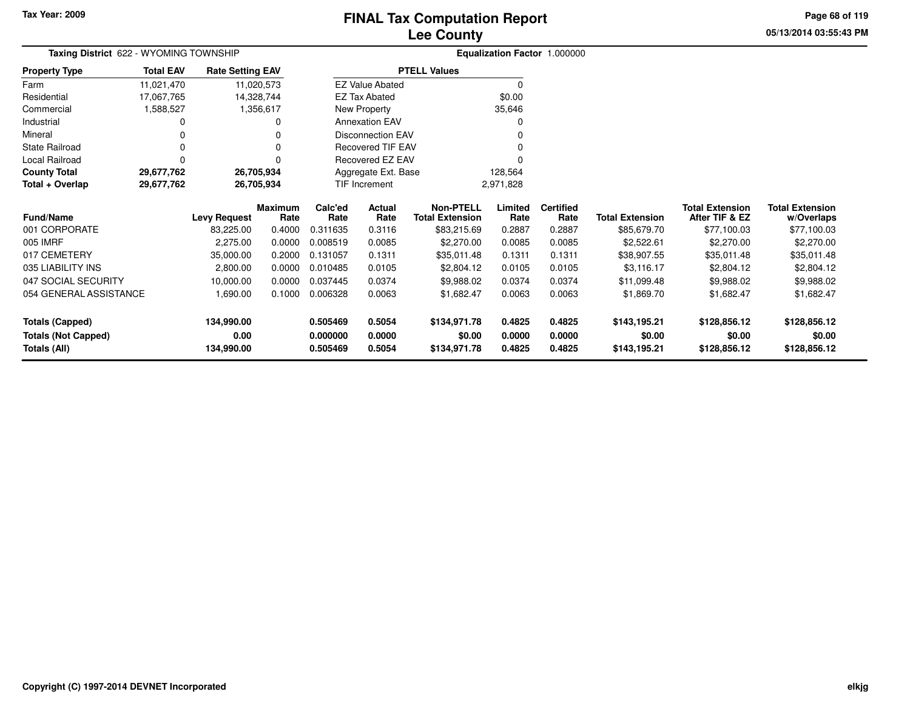**05/13/2014 03:55:43 PMPage 68 of 119**

| Taxing District 622 - WYOMING TOWNSHIP |                  |                         |                 |                 |                          |                                            |                 | Equalization Factor 1.000000 |                        |                                          |                                      |
|----------------------------------------|------------------|-------------------------|-----------------|-----------------|--------------------------|--------------------------------------------|-----------------|------------------------------|------------------------|------------------------------------------|--------------------------------------|
| <b>Property Type</b>                   | <b>Total EAV</b> | <b>Rate Setting EAV</b> |                 |                 |                          | <b>PTELL Values</b>                        |                 |                              |                        |                                          |                                      |
| Farm                                   | 11,021,470       |                         | 11,020,573      |                 | <b>EZ Value Abated</b>   |                                            | 0               |                              |                        |                                          |                                      |
| Residential                            | 17,067,765       |                         | 14,328,744      |                 | EZ Tax Abated            |                                            | \$0.00          |                              |                        |                                          |                                      |
| Commercial                             | 1,588,527        |                         | 1,356,617       |                 | New Property             |                                            | 35,646          |                              |                        |                                          |                                      |
| Industrial                             |                  |                         | 0               |                 | <b>Annexation EAV</b>    |                                            |                 |                              |                        |                                          |                                      |
| Mineral                                |                  |                         |                 |                 | <b>Disconnection EAV</b> |                                            |                 |                              |                        |                                          |                                      |
| <b>State Railroad</b>                  |                  |                         | 0               |                 | Recovered TIF EAV        |                                            |                 |                              |                        |                                          |                                      |
| Local Railroad                         |                  |                         |                 |                 | Recovered EZ EAV         |                                            |                 |                              |                        |                                          |                                      |
| <b>County Total</b>                    | 29,677,762       |                         | 26,705,934      |                 | Aggregate Ext. Base      |                                            | 128,564         |                              |                        |                                          |                                      |
| Total + Overlap                        | 29,677,762       |                         | 26,705,934      |                 | <b>TIF Increment</b>     |                                            | 2,971,828       |                              |                        |                                          |                                      |
| <b>Fund/Name</b>                       |                  | Levy Request            | Maximum<br>Rate | Calc'ed<br>Rate | <b>Actual</b><br>Rate    | <b>Non-PTELL</b><br><b>Total Extension</b> | Limited<br>Rate | <b>Certified</b><br>Rate     | <b>Total Extension</b> | <b>Total Extension</b><br>After TIF & EZ | <b>Total Extension</b><br>w/Overlaps |
| 001 CORPORATE                          |                  | 83,225.00               | 0.4000          | 0.311635        | 0.3116                   | \$83,215.69                                | 0.2887          | 0.2887                       | \$85,679.70            | \$77,100.03                              | \$77,100.03                          |
| 005 IMRF                               |                  | 2,275.00                | 0.0000          | 0.008519        | 0.0085                   | \$2,270.00                                 | 0.0085          | 0.0085                       | \$2,522.61             | \$2,270.00                               | \$2,270.00                           |
| 017 CEMETERY                           |                  | 35,000.00               | 0.2000          | 0.131057        | 0.1311                   | \$35,011.48                                | 0.1311          | 0.1311                       | \$38,907.55            | \$35,011.48                              | \$35,011.48                          |
| 035 LIABILITY INS                      |                  | 2,800.00                | 0.0000          | 0.010485        | 0.0105                   | \$2,804.12                                 | 0.0105          | 0.0105                       | \$3,116.17             | \$2,804.12                               | \$2,804.12                           |
| 047 SOCIAL SECURITY                    |                  | 10,000.00               | 0.0000          | 0.037445        | 0.0374                   | \$9,988.02                                 | 0.0374          | 0.0374                       | \$11,099.48            | \$9,988.02                               | \$9,988.02                           |
| 054 GENERAL ASSISTANCE                 |                  | 1,690.00                | 0.1000          | 0.006328        | 0.0063                   | \$1,682.47                                 | 0.0063          | 0.0063                       | \$1,869.70             | \$1,682.47                               | \$1,682.47                           |
| <b>Totals (Capped)</b>                 |                  | 134,990.00              |                 | 0.505469        | 0.5054                   | \$134,971.78                               | 0.4825          | 0.4825                       | \$143,195.21           | \$128,856.12                             | \$128,856.12                         |
| <b>Totals (Not Capped)</b>             |                  | 0.00                    |                 | 0.000000        | 0.0000                   | \$0.00                                     | 0.0000          | 0.0000                       | \$0.00                 | \$0.00                                   | \$0.00                               |
| Totals (All)                           |                  | 134,990.00              |                 | 0.505469        | 0.5054                   | \$134,971.78                               | 0.4825          | 0.4825                       | \$143,195.21           | \$128,856.12                             | \$128,856.12                         |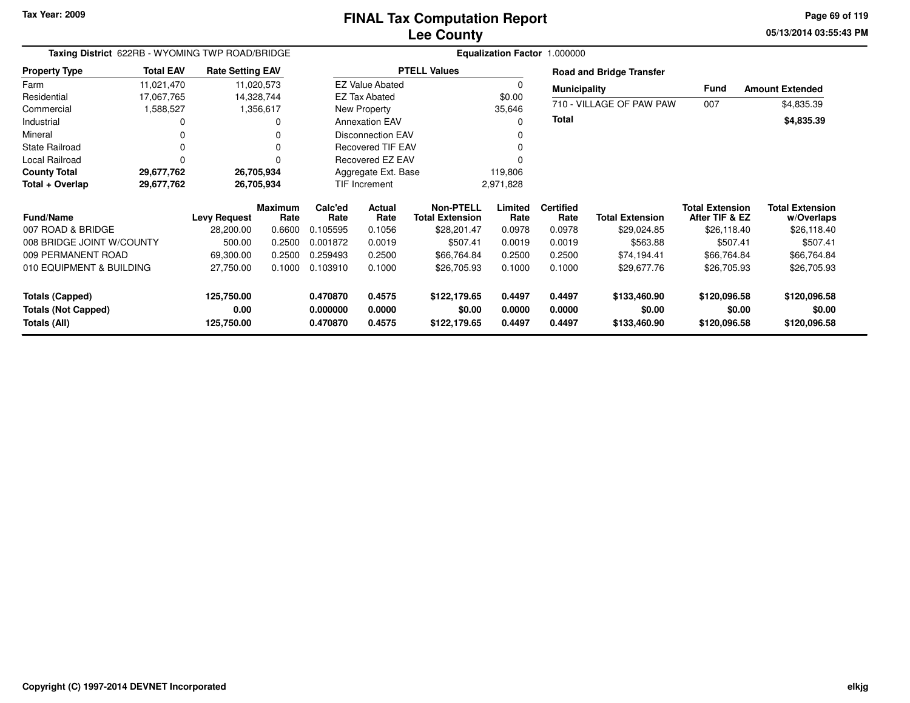**05/13/2014 03:55:43 PM Page 69 of 119**

| Taxing District 622RB - WYOMING TWP ROAD/BRIDGE      |                  |                         |                        |                      |                        |                                            |                  | Equalization Factor 1.000000 |                                 |                                          |                                      |
|------------------------------------------------------|------------------|-------------------------|------------------------|----------------------|------------------------|--------------------------------------------|------------------|------------------------------|---------------------------------|------------------------------------------|--------------------------------------|
| <b>Property Type</b>                                 | <b>Total EAV</b> | <b>Rate Setting EAV</b> |                        |                      |                        | <b>PTELL Values</b>                        |                  |                              | <b>Road and Bridge Transfer</b> |                                          |                                      |
| Farm                                                 | 11,021,470       |                         | 11,020,573             |                      | <b>EZ Value Abated</b> |                                            | 0                | <b>Municipality</b>          |                                 | <b>Fund</b>                              | <b>Amount Extended</b>               |
| Residential                                          | 17,067,765       |                         | 14,328,744             |                      | <b>EZ Tax Abated</b>   |                                            | \$0.00           |                              | 710 - VILLAGE OF PAW PAW        | 007                                      | \$4,835.39                           |
| Commercial                                           | 1,588,527        |                         | 1,356,617              |                      | New Property           |                                            | 35,646           |                              |                                 |                                          |                                      |
| Industrial                                           | 0                |                         | 0                      |                      | <b>Annexation EAV</b>  |                                            | $\Omega$         | <b>Total</b>                 |                                 |                                          | \$4,835.39                           |
| Mineral                                              | 0                |                         |                        |                      | Disconnection EAV      |                                            | 0                |                              |                                 |                                          |                                      |
| <b>State Railroad</b>                                | 0                |                         |                        |                      | Recovered TIF EAV      |                                            |                  |                              |                                 |                                          |                                      |
| <b>Local Railroad</b>                                | $\Omega$         |                         |                        |                      | Recovered EZ EAV       |                                            |                  |                              |                                 |                                          |                                      |
| <b>County Total</b>                                  | 29,677,762       |                         | 26,705,934             |                      | Aggregate Ext. Base    |                                            | 119,806          |                              |                                 |                                          |                                      |
| Total + Overlap                                      | 29,677,762       |                         | 26,705,934             |                      | <b>TIF Increment</b>   |                                            | 2,971,828        |                              |                                 |                                          |                                      |
| <b>Fund/Name</b>                                     |                  | Levy Request            | <b>Maximum</b><br>Rate | Calc'ed<br>Rate      | Actual<br>Rate         | <b>Non-PTELL</b><br><b>Total Extension</b> | Limited<br>Rate  | <b>Certified</b><br>Rate     | <b>Total Extension</b>          | <b>Total Extension</b><br>After TIF & EZ | <b>Total Extension</b><br>w/Overlaps |
| 007 ROAD & BRIDGE                                    |                  | 28,200.00               | 0.6600                 | 0.105595             | 0.1056                 | \$28,201.47                                | 0.0978           | 0.0978                       | \$29,024.85                     | \$26,118.40                              | \$26,118.40                          |
| 008 BRIDGE JOINT W/COUNTY                            |                  | 500.00                  | 0.2500                 | 0.001872             | 0.0019                 | \$507.41                                   | 0.0019           | 0.0019                       | \$563.88                        | \$507.41                                 | \$507.41                             |
| 009 PERMANENT ROAD                                   |                  | 69,300.00               | 0.2500                 | 0.259493             | 0.2500                 | \$66,764.84                                | 0.2500           | 0.2500                       | \$74,194.41                     | \$66,764.84                              | \$66,764.84                          |
| 010 EQUIPMENT & BUILDING                             |                  | 27,750.00               | 0.1000                 | 0.103910             | 0.1000                 | \$26,705.93                                | 0.1000           | 0.1000                       | \$29,677.76                     | \$26,705.93                              | \$26,705.93                          |
| <b>Totals (Capped)</b><br><b>Totals (Not Capped)</b> |                  | 125,750.00<br>0.00      |                        | 0.470870<br>0.000000 | 0.4575<br>0.0000       | \$122,179.65<br>\$0.00                     | 0.4497<br>0.0000 | 0.4497<br>0.0000             | \$133,460.90<br>\$0.00          | \$120,096.58<br>\$0.00                   | \$120,096.58<br>\$0.00               |
| Totals (All)                                         |                  | 125,750.00              |                        | 0.470870             | 0.4575                 | \$122,179.65                               | 0.4497           | 0.4497                       | \$133,460.90                    | \$120,096.58                             | \$120,096.58                         |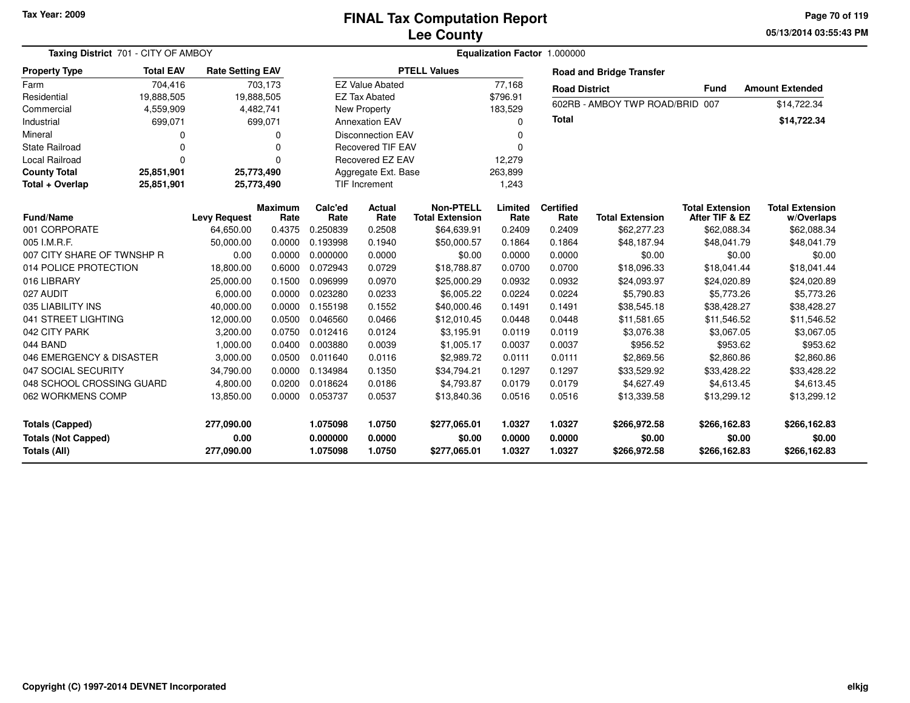#### **Lee CountyFINAL Tax Computation Report**

**05/13/2014 03:55:43 PM Page 70 of 119**

| Taxing District 701 - CITY OF AMBOY                                  |                  |                                  |                        |                                  |                            |                                            | Equalization Factor 1.000000 |                            |                                        |                                          |                                        |
|----------------------------------------------------------------------|------------------|----------------------------------|------------------------|----------------------------------|----------------------------|--------------------------------------------|------------------------------|----------------------------|----------------------------------------|------------------------------------------|----------------------------------------|
| <b>Property Type</b>                                                 | <b>Total EAV</b> | <b>Rate Setting EAV</b>          |                        |                                  |                            | <b>PTELL Values</b>                        |                              |                            | <b>Road and Bridge Transfer</b>        |                                          |                                        |
| Farm                                                                 | 704,416          |                                  | 703,173                |                                  | <b>EZ Value Abated</b>     |                                            | 77,168                       | <b>Road District</b>       |                                        | <b>Fund</b>                              | <b>Amount Extended</b>                 |
| Residential                                                          | 19,888,505       |                                  | 19,888,505             |                                  | <b>EZ Tax Abated</b>       |                                            | \$796.91                     |                            |                                        |                                          |                                        |
| Commercial                                                           | 4,559,909        |                                  | 4,482,741              |                                  | New Property               |                                            | 183,529                      |                            | 602RB - AMBOY TWP ROAD/BRID            | 007                                      | \$14,722.34                            |
| Industrial                                                           | 699,071          |                                  | 699,071                |                                  | <b>Annexation EAV</b>      |                                            | $\Omega$                     | <b>Total</b>               |                                        |                                          | \$14,722.34                            |
| Mineral                                                              | 0                |                                  | 0                      |                                  | <b>Disconnection EAV</b>   |                                            | <sup>0</sup>                 |                            |                                        |                                          |                                        |
| <b>State Railroad</b>                                                | $\Omega$         |                                  | $\Omega$               |                                  | <b>Recovered TIF EAV</b>   |                                            | $\Omega$                     |                            |                                        |                                          |                                        |
| <b>Local Railroad</b>                                                | $\Omega$         |                                  | 0                      |                                  | Recovered EZ EAV           |                                            | 12,279                       |                            |                                        |                                          |                                        |
| <b>County Total</b>                                                  | 25,851,901       |                                  | 25,773,490             |                                  | Aggregate Ext. Base        |                                            | 263,899                      |                            |                                        |                                          |                                        |
| Total + Overlap                                                      | 25,851,901       |                                  | 25,773,490             |                                  | TIF Increment              |                                            | 1,243                        |                            |                                        |                                          |                                        |
| <b>Fund/Name</b>                                                     |                  | <b>Levy Request</b>              | <b>Maximum</b><br>Rate | Calc'ed<br>Rate                  | Actual<br>Rate             | <b>Non-PTELL</b><br><b>Total Extension</b> | Limited<br>Rate              | <b>Certified</b><br>Rate   | <b>Total Extension</b>                 | <b>Total Extension</b><br>After TIF & EZ | <b>Total Extension</b><br>w/Overlaps   |
| 001 CORPORATE                                                        |                  | 64,650.00                        | 0.4375                 | 0.250839                         | 0.2508                     | \$64,639.91                                | 0.2409                       | 0.2409                     | \$62,277.23                            | \$62,088.34                              | \$62,088.34                            |
| 005 I.M.R.F.                                                         |                  | 50,000.00                        | 0.0000                 | 0.193998                         | 0.1940                     | \$50,000.57                                | 0.1864                       | 0.1864                     | \$48,187.94                            | \$48.041.79                              | \$48,041.79                            |
| 007 CITY SHARE OF TWNSHP R                                           |                  | 0.00                             | 0.0000                 | 0.000000                         | 0.0000                     | \$0.00                                     | 0.0000                       | 0.0000                     | \$0.00                                 | \$0.00                                   | \$0.00                                 |
| 014 POLICE PROTECTION                                                |                  | 18,800.00                        | 0.6000                 | 0.072943                         | 0.0729                     | \$18,788.87                                | 0.0700                       | 0.0700                     | \$18,096.33                            | \$18,041.44                              | \$18,041.44                            |
| 016 LIBRARY                                                          |                  | 25,000.00                        | 0.1500                 | 0.096999                         | 0.0970                     | \$25,000.29                                | 0.0932                       | 0.0932                     | \$24,093.97                            | \$24,020.89                              | \$24,020.89                            |
| 027 AUDIT                                                            |                  | 6,000.00                         | 0.0000                 | 0.023280                         | 0.0233                     | \$6,005.22                                 | 0.0224                       | 0.0224                     | \$5,790.83                             | \$5,773.26                               | \$5,773.26                             |
| 035 LIABILITY INS                                                    |                  | 40,000.00                        | 0.0000                 | 0.155198                         | 0.1552                     | \$40,000.46                                | 0.1491                       | 0.1491                     | \$38,545.18                            | \$38,428.27                              | \$38,428.27                            |
| 041 STREET LIGHTING                                                  |                  | 12,000.00                        | 0.0500                 | 0.046560                         | 0.0466                     | \$12,010.45                                | 0.0448                       | 0.0448                     | \$11,581.65                            | \$11,546.52                              | \$11,546.52                            |
| 042 CITY PARK                                                        |                  | 3,200.00                         | 0.0750                 | 0.012416                         | 0.0124                     | \$3,195.91                                 | 0.0119                       | 0.0119                     | \$3,076.38                             | \$3,067.05                               | \$3,067.05                             |
| 044 BAND                                                             |                  | 1,000.00                         | 0.0400                 | 0.003880                         | 0.0039                     | \$1,005.17                                 | 0.0037                       | 0.0037                     | \$956.52                               | \$953.62                                 | \$953.62                               |
| 046 EMERGENCY & DISASTER                                             |                  | 3,000.00                         | 0.0500                 | 0.011640                         | 0.0116                     | \$2,989.72                                 | 0.0111                       | 0.0111                     | \$2,869.56                             | \$2,860.86                               | \$2,860.86                             |
| 047 SOCIAL SECURITY                                                  |                  | 34,790.00                        | 0.0000                 | 0.134984                         | 0.1350                     | \$34,794.21                                | 0.1297                       | 0.1297                     | \$33,529.92                            | \$33,428.22                              | \$33,428.22                            |
| 048 SCHOOL CROSSING GUARD                                            |                  | 4.800.00                         | 0.0200                 | 0.018624                         | 0.0186                     | \$4,793.87                                 | 0.0179                       | 0.0179                     | \$4,627.49                             | \$4,613.45                               | \$4,613.45                             |
| 062 WORKMENS COMP                                                    |                  | 13,850.00                        | 0.0000                 | 0.053737                         | 0.0537                     | \$13,840.36                                | 0.0516                       | 0.0516                     | \$13,339.58                            | \$13,299.12                              | \$13,299.12                            |
| <b>Totals (Capped)</b><br><b>Totals (Not Capped)</b><br>Totals (All) |                  | 277,090.00<br>0.00<br>277,090.00 |                        | 1.075098<br>0.000000<br>1.075098 | 1.0750<br>0.0000<br>1.0750 | \$277,065.01<br>\$0.00<br>\$277,065.01     | 1.0327<br>0.0000<br>1.0327   | 1.0327<br>0.0000<br>1.0327 | \$266,972.58<br>\$0.00<br>\$266,972.58 | \$266,162.83<br>\$0.00<br>\$266,162.83   | \$266,162.83<br>\$0.00<br>\$266,162.83 |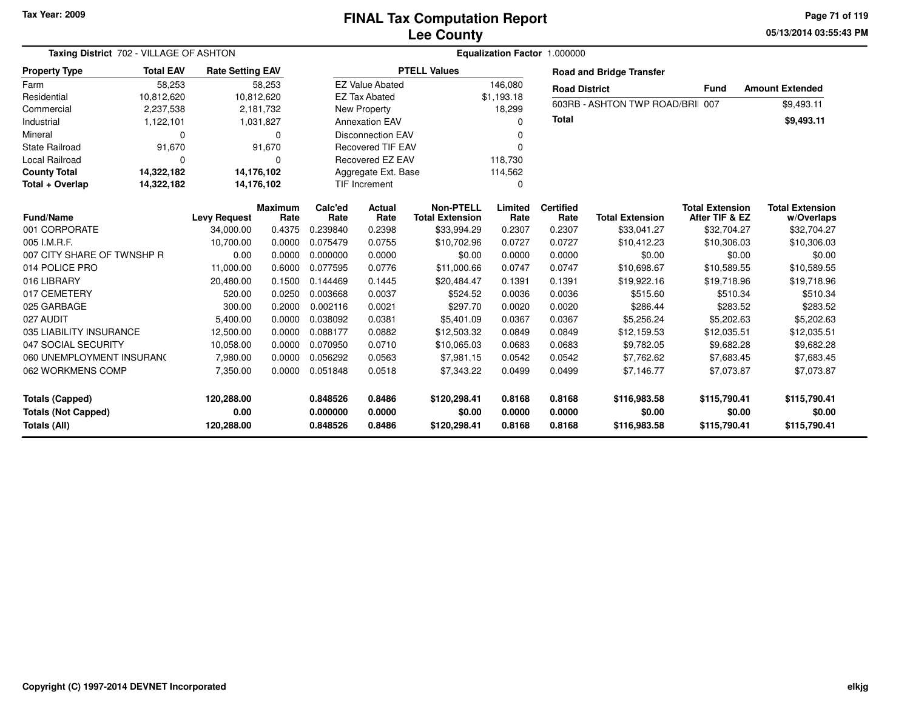**05/13/2014 03:55:43 PM Page 71 of 119**

| Taxing District 702 - VILLAGE OF ASHTON    |                  |                         |                        |                      |                          |                                            |                  | Equalization Factor 1.000000 |                                  |                                          |                                      |
|--------------------------------------------|------------------|-------------------------|------------------------|----------------------|--------------------------|--------------------------------------------|------------------|------------------------------|----------------------------------|------------------------------------------|--------------------------------------|
| <b>Property Type</b>                       | <b>Total EAV</b> | <b>Rate Setting EAV</b> |                        |                      |                          | <b>PTELL Values</b>                        |                  |                              | <b>Road and Bridge Transfer</b>  |                                          |                                      |
| Farm                                       | 58,253           |                         | 58,253                 |                      | <b>EZ Value Abated</b>   |                                            | 146,080          | <b>Road District</b>         |                                  | <b>Fund</b>                              | <b>Amount Extended</b>               |
| Residential                                | 10,812,620       | 10,812,620              |                        |                      | <b>EZ Tax Abated</b>     |                                            | \$1,193.18       |                              |                                  |                                          |                                      |
| Commercial                                 | 2,237,538        |                         | 2,181,732              |                      | New Property             |                                            | 18.299           |                              | 603RB - ASHTON TWP ROAD/BRII 007 |                                          | \$9,493.11                           |
| Industrial                                 | 1,122,101        |                         | 1,031,827              |                      | <b>Annexation EAV</b>    |                                            | $\Omega$         | <b>Total</b>                 |                                  |                                          | \$9,493.11                           |
| Mineral                                    | $\Omega$         |                         | $\Omega$               |                      | <b>Disconnection EAV</b> |                                            | <sup>0</sup>     |                              |                                  |                                          |                                      |
| <b>State Railroad</b>                      | 91,670           |                         | 91,670                 |                      | <b>Recovered TIF EAV</b> |                                            | $\Omega$         |                              |                                  |                                          |                                      |
| <b>Local Railroad</b>                      | $\Omega$         |                         | $\Omega$               |                      | Recovered EZ EAV         |                                            | 118,730          |                              |                                  |                                          |                                      |
| <b>County Total</b>                        | 14,322,182       | 14,176,102              |                        |                      | Aggregate Ext. Base      |                                            | 114,562          |                              |                                  |                                          |                                      |
| Total + Overlap                            | 14,322,182       | 14,176,102              |                        |                      | <b>TIF Increment</b>     |                                            | $\Omega$         |                              |                                  |                                          |                                      |
| <b>Fund/Name</b>                           |                  | <b>Levy Request</b>     | <b>Maximum</b><br>Rate | Calc'ed<br>Rate      | Actual<br>Rate           | <b>Non-PTELL</b><br><b>Total Extension</b> | Limited<br>Rate  | <b>Certified</b><br>Rate     | <b>Total Extension</b>           | <b>Total Extension</b><br>After TIF & EZ | <b>Total Extension</b><br>w/Overlaps |
| 001 CORPORATE                              |                  | 34,000.00               | 0.4375                 | 0.239840             | 0.2398                   | \$33,994.29                                | 0.2307           | 0.2307                       | \$33,041.27                      | \$32,704.27                              | \$32,704.27                          |
| 005 I.M.R.F.                               |                  | 10,700.00               | 0.0000                 | 0.075479             | 0.0755                   | \$10,702.96                                | 0.0727           | 0.0727                       | \$10,412.23                      | \$10,306.03                              | \$10,306.03                          |
| 007 CITY SHARE OF TWNSHP R                 |                  | 0.00                    | 0.0000                 | 0.000000             | 0.0000                   | \$0.00                                     | 0.0000           | 0.0000                       | \$0.00                           | \$0.00                                   | \$0.00                               |
| 014 POLICE PRO                             |                  | 11,000.00               | 0.6000                 | 0.077595             | 0.0776                   | \$11,000.66                                | 0.0747           | 0.0747                       | \$10,698.67                      | \$10,589.55                              | \$10,589.55                          |
| 016 LIBRARY                                |                  | 20,480.00               | 0.1500                 | 0.144469             | 0.1445                   | \$20,484.47                                | 0.1391           | 0.1391                       | \$19,922.16                      | \$19,718.96                              | \$19,718.96                          |
| 017 CEMETERY                               |                  | 520.00                  | 0.0250                 | 0.003668             | 0.0037                   | \$524.52                                   | 0.0036           | 0.0036                       | \$515.60                         | \$510.34                                 | \$510.34                             |
| 025 GARBAGE                                |                  | 300.00                  | 0.2000                 | 0.002116             | 0.0021                   | \$297.70                                   | 0.0020           | 0.0020                       | \$286.44                         | \$283.52                                 | \$283.52                             |
| 027 AUDIT                                  |                  | 5,400.00                | 0.0000                 | 0.038092             | 0.0381                   | \$5,401.09                                 | 0.0367           | 0.0367                       | \$5,256.24                       | \$5,202.63                               | \$5,202.63                           |
| 035 LIABILITY INSURANCE                    |                  | 12,500.00               | 0.0000                 | 0.088177             | 0.0882                   | \$12,503.32                                | 0.0849           | 0.0849                       | \$12,159.53                      | \$12,035.51                              | \$12,035.51                          |
| 047 SOCIAL SECURITY                        |                  | 10,058.00               | 0.0000                 | 0.070950             | 0.0710                   | \$10,065.03                                | 0.0683           | 0.0683                       | \$9,782.05                       | \$9,682.28                               | \$9,682.28                           |
| 060 UNEMPLOYMENT INSURAN(                  |                  | 7,980.00                | 0.0000                 | 0.056292             | 0.0563                   | \$7,981.15                                 | 0.0542           | 0.0542                       | \$7,762.62                       | \$7,683.45                               | \$7,683.45                           |
| 062 WORKMENS COMP                          |                  | 7,350.00                | 0.0000                 | 0.051848             | 0.0518                   | \$7.343.22                                 | 0.0499           | 0.0499                       | \$7.146.77                       | \$7,073.87                               | \$7,073.87                           |
| Totals (Capped)                            |                  | 120.288.00              |                        | 0.848526             | 0.8486                   | \$120,298.41                               | 0.8168           | 0.8168                       | \$116,983.58                     | \$115,790.41                             | \$115,790.41                         |
| <b>Totals (Not Capped)</b><br>Totals (All) |                  | 0.00<br>120,288.00      |                        | 0.000000<br>0.848526 | 0.0000<br>0.8486         | \$0.00<br>\$120,298.41                     | 0.0000<br>0.8168 | 0.0000<br>0.8168             | \$0.00<br>\$116,983.58           | \$0.00<br>\$115,790.41                   | \$0.00<br>\$115,790.41               |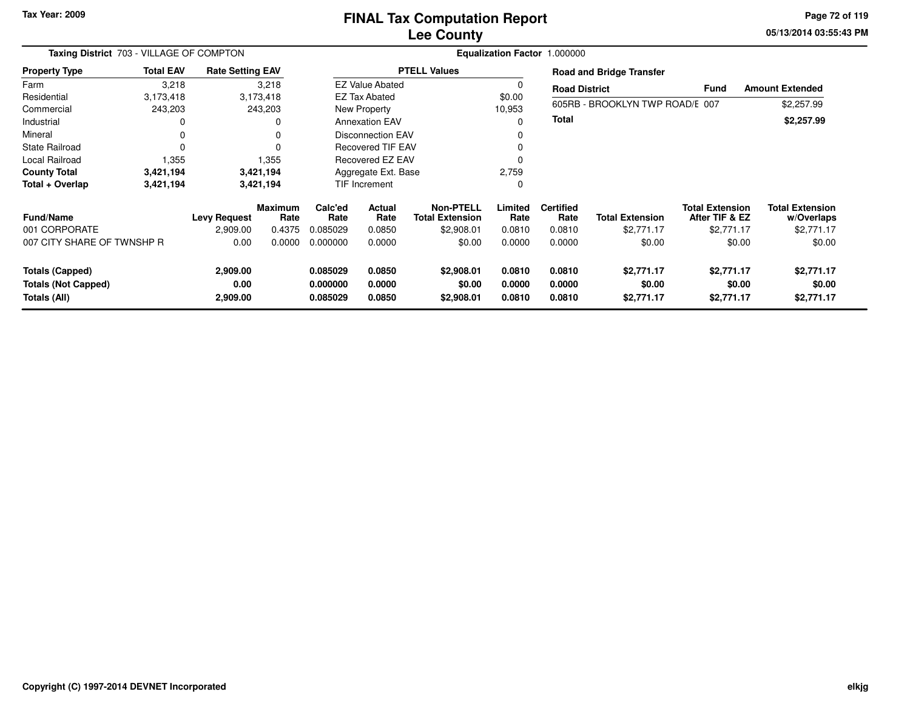### **Lee CountyFINAL Tax Computation Report**

**05/13/2014 03:55:43 PM Page 72 of 119**

| Taxing District 703 - VILLAGE OF COMPTON   |                  |                         |                        |                      |                          |                                            |                  | Equalization Factor 1.000000 |                                 |                                          |                                      |
|--------------------------------------------|------------------|-------------------------|------------------------|----------------------|--------------------------|--------------------------------------------|------------------|------------------------------|---------------------------------|------------------------------------------|--------------------------------------|
| <b>Property Type</b>                       | <b>Total EAV</b> | <b>Rate Setting EAV</b> |                        |                      |                          | <b>PTELL Values</b>                        |                  |                              | <b>Road and Bridge Transfer</b> |                                          |                                      |
| Farm                                       | 3,218            |                         | 3,218                  |                      | <b>EZ Value Abated</b>   |                                            | 0                | <b>Road District</b>         |                                 | <b>Fund</b>                              | <b>Amount Extended</b>               |
| Residential                                | 3,173,418        |                         | 3,173,418              |                      | <b>EZ Tax Abated</b>     |                                            | \$0.00           |                              |                                 |                                          |                                      |
| Commercial                                 | 243,203          |                         | 243,203                |                      | New Property             |                                            | 10,953           |                              | 605RB - BROOKLYN TWP ROAD/E 007 |                                          | \$2,257.99                           |
| Industrial                                 |                  |                         |                        |                      | <b>Annexation EAV</b>    |                                            | $\Omega$         | Total                        |                                 |                                          | \$2,257.99                           |
| Mineral                                    | 0                |                         |                        |                      | <b>Disconnection EAV</b> |                                            | 0                |                              |                                 |                                          |                                      |
| <b>State Railroad</b>                      | $\Omega$         |                         |                        |                      | <b>Recovered TIF EAV</b> |                                            | $\Omega$         |                              |                                 |                                          |                                      |
| Local Railroad                             | 1,355            |                         | 1,355                  |                      | Recovered EZ EAV         |                                            | $\Omega$         |                              |                                 |                                          |                                      |
| <b>County Total</b>                        | 3,421,194        |                         | 3,421,194              | Aggregate Ext. Base  |                          |                                            | 2,759            |                              |                                 |                                          |                                      |
| Total + Overlap                            | 3,421,194        |                         | 3,421,194              | <b>TIF Increment</b> |                          |                                            | $\mathbf 0$      |                              |                                 |                                          |                                      |
| <b>Fund/Name</b>                           |                  | <b>Levy Request</b>     | <b>Maximum</b><br>Rate | Calc'ed<br>Rate      | Actual<br>Rate           | <b>Non-PTELL</b><br><b>Total Extension</b> | Limited<br>Rate  | <b>Certified</b><br>Rate     | <b>Total Extension</b>          | <b>Total Extension</b><br>After TIF & EZ | <b>Total Extension</b><br>w/Overlaps |
| 001 CORPORATE                              |                  | 2,909.00                | 0.4375                 | 0.085029             | 0.0850                   | \$2,908.01                                 | 0.0810           | 0.0810                       | \$2,771.17                      | \$2,771.17                               | \$2,771.17                           |
| 007 CITY SHARE OF TWNSHP R                 |                  | 0.00                    | 0.0000                 | 0.000000             | 0.0000                   | \$0.00                                     | 0.0000           | 0.0000                       | \$0.00                          | \$0.00                                   | \$0.00                               |
| Totals (Capped)                            |                  | 2,909.00                |                        | 0.085029             | 0.0850                   | \$2,908.01                                 | 0.0810           | 0.0810                       | \$2,771.17                      | \$2,771.17                               | \$2,771.17                           |
| <b>Totals (Not Capped)</b><br>Totals (All) |                  | 0.00<br>2,909.00        |                        | 0.000000<br>0.085029 | 0.0000<br>0.0850         | \$0.00<br>\$2,908.01                       | 0.0000<br>0.0810 | 0.0000<br>0.0810             | \$0.00<br>\$2,771.17            | \$0.00<br>\$2,771.17                     | \$0.00<br>\$2,771.17                 |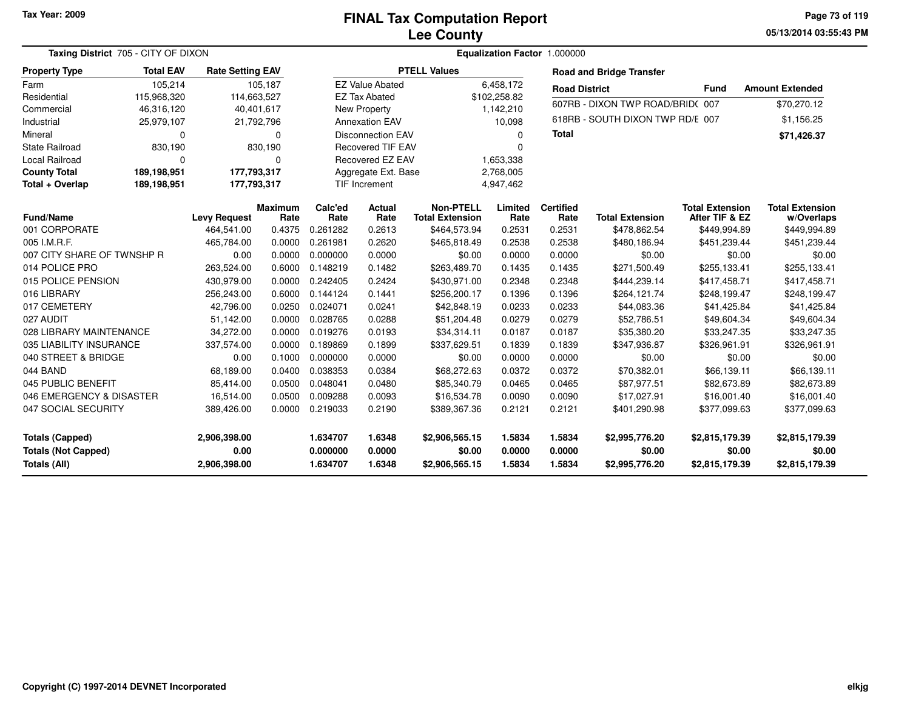**05/13/2014 03:55:43 PMPage 73 of 119**

| Taxing District 705 - CITY OF DIXON                                  |                  |                                      |                        | Equalization Factor 1.000000     |                            |                                            |                            |                            |                                            |                                            |                                            |  |
|----------------------------------------------------------------------|------------------|--------------------------------------|------------------------|----------------------------------|----------------------------|--------------------------------------------|----------------------------|----------------------------|--------------------------------------------|--------------------------------------------|--------------------------------------------|--|
| <b>Property Type</b>                                                 | <b>Total EAV</b> | <b>Rate Setting EAV</b>              |                        |                                  |                            | <b>PTELL Values</b>                        |                            |                            | <b>Road and Bridge Transfer</b>            |                                            |                                            |  |
| Farm                                                                 | 105,214          |                                      | 105,187                |                                  | <b>EZ Value Abated</b>     |                                            | 6,458,172                  | <b>Road District</b>       |                                            | <b>Fund</b>                                | <b>Amount Extended</b>                     |  |
| Residential                                                          | 115,968,320      |                                      | 114,663,527            |                                  | <b>EZ Tax Abated</b>       |                                            | \$102,258.82               |                            | 607RB - DIXON TWP ROAD/BRID(007            |                                            |                                            |  |
| Commercial                                                           | 46,316,120       |                                      | 40,401,617             |                                  | <b>New Property</b>        |                                            | 1,142,210                  |                            |                                            |                                            | \$70,270.12                                |  |
| Industrial                                                           | 25,979,107       |                                      | 21,792,796             |                                  | <b>Annexation EAV</b>      |                                            | 10,098                     |                            | 618RB - SOUTH DIXON TWP RD/E 007           |                                            | \$1,156.25                                 |  |
| Mineral                                                              | 0                |                                      | $\Omega$               |                                  | <b>Disconnection EAV</b>   |                                            | $\Omega$                   | <b>Total</b>               |                                            |                                            | \$71,426.37                                |  |
| <b>State Railroad</b>                                                | 830,190          |                                      | 830,190                | <b>Recovered TIF EAV</b>         |                            |                                            | $\Omega$                   |                            |                                            |                                            |                                            |  |
| <b>Local Railroad</b>                                                | 0                |                                      | 0                      | Recovered EZ EAV                 |                            |                                            | 1,653,338                  |                            |                                            |                                            |                                            |  |
| <b>County Total</b>                                                  | 189,198,951      |                                      | 177,793,317            |                                  | Aggregate Ext. Base        |                                            | 2,768,005                  |                            |                                            |                                            |                                            |  |
| Total + Overlap                                                      | 189,198,951      |                                      | 177,793,317            |                                  | TIF Increment              |                                            | 4,947,462                  |                            |                                            |                                            |                                            |  |
| <b>Fund/Name</b>                                                     |                  | <b>Levy Request</b>                  | <b>Maximum</b><br>Rate | Calc'ed<br>Rate                  | <b>Actual</b><br>Rate      | <b>Non-PTELL</b><br><b>Total Extension</b> | Limited<br>Rate            | <b>Certified</b><br>Rate   | <b>Total Extension</b>                     | <b>Total Extension</b><br>After TIF & EZ   | <b>Total Extension</b><br>w/Overlaps       |  |
| 001 CORPORATE                                                        |                  | 464,541.00                           | 0.4375                 | 0.261282                         | 0.2613                     | \$464,573.94                               | 0.2531                     | 0.2531                     | \$478,862.54                               | \$449,994.89                               | \$449,994.89                               |  |
| 005 I.M.R.F.                                                         |                  | 465,784.00                           | 0.0000                 | 0.261981                         | 0.2620                     | \$465,818.49                               | 0.2538                     | 0.2538                     | \$480,186.94                               | \$451,239.44                               | \$451,239.44                               |  |
| 007 CITY SHARE OF TWNSHP R                                           |                  | 0.00                                 | 0.0000                 | 0.000000                         | 0.0000                     | \$0.00                                     | 0.0000                     | 0.0000                     | \$0.00                                     | \$0.00                                     | \$0.00                                     |  |
| 014 POLICE PRO                                                       |                  | 263,524.00                           | 0.6000                 | 0.148219                         | 0.1482                     | \$263,489.70                               | 0.1435                     | 0.1435                     | \$271,500.49                               | \$255,133.41                               | \$255,133.41                               |  |
| 015 POLICE PENSION                                                   |                  | 430,979.00                           | 0.0000                 | 0.242405                         | 0.2424                     | \$430,971.00                               | 0.2348                     | 0.2348                     | \$444,239.14                               | \$417,458.71                               | \$417,458.71                               |  |
| 016 LIBRARY                                                          |                  | 256,243.00                           | 0.6000                 | 0.144124                         | 0.1441                     | \$256,200.17                               | 0.1396                     | 0.1396                     | \$264,121.74                               | \$248,199.47                               | \$248,199.47                               |  |
| 017 CEMETERY                                                         |                  | 42,796.00                            | 0.0250                 | 0.024071                         | 0.0241                     | \$42,848.19                                | 0.0233                     | 0.0233                     | \$44,083.36                                | \$41,425.84                                | \$41,425.84                                |  |
| 027 AUDIT                                                            |                  | 51,142.00                            | 0.0000                 | 0.028765                         | 0.0288                     | \$51,204.48                                | 0.0279                     | 0.0279                     | \$52,786.51                                | \$49,604.34                                | \$49,604.34                                |  |
| 028 LIBRARY MAINTENANCE                                              |                  | 34,272.00                            | 0.0000                 | 0.019276                         | 0.0193                     | \$34,314.11                                | 0.0187                     | 0.0187                     | \$35,380.20                                | \$33,247.35                                | \$33,247.35                                |  |
| 035 LIABILITY INSURANCE                                              |                  | 337,574.00                           | 0.0000                 | 0.189869                         | 0.1899                     | \$337,629.51                               | 0.1839                     | 0.1839                     | \$347,936.87                               | \$326,961.91                               | \$326,961.91                               |  |
| 040 STREET & BRIDGE                                                  |                  | 0.00                                 | 0.1000                 | 0.000000                         | 0.0000                     | \$0.00                                     | 0.0000                     | 0.0000                     | \$0.00                                     | \$0.00                                     | \$0.00                                     |  |
| 044 BAND                                                             |                  | 68,189.00                            | 0.0400                 | 0.038353                         | 0.0384                     | \$68,272.63                                | 0.0372                     | 0.0372                     | \$70,382.01                                | \$66,139.11                                | \$66,139.11                                |  |
| 045 PUBLIC BENEFIT                                                   |                  | 85,414.00                            | 0.0500                 | 0.048041                         | 0.0480                     | \$85,340.79                                | 0.0465                     | 0.0465                     | \$87,977.51                                | \$82,673.89                                | \$82,673.89                                |  |
| 046 EMERGENCY & DISASTER                                             |                  | 16,514.00                            | 0.0500                 | 0.009288                         | 0.0093                     | \$16,534.78                                | 0.0090                     | 0.0090                     | \$17,027.91                                | \$16,001.40                                | \$16,001.40                                |  |
| 047 SOCIAL SECURITY                                                  |                  | 389,426.00                           | 0.0000                 | 0.219033                         | 0.2190                     | \$389,367.36                               | 0.2121                     | 0.2121                     | \$401,290.98                               | \$377,099.63                               | \$377,099.63                               |  |
| <b>Totals (Capped)</b><br><b>Totals (Not Capped)</b><br>Totals (All) |                  | 2,906,398.00<br>0.00<br>2,906,398.00 |                        | 1.634707<br>0.000000<br>1.634707 | 1.6348<br>0.0000<br>1.6348 | \$2,906,565.15<br>\$0.00<br>\$2,906,565.15 | 1.5834<br>0.0000<br>1.5834 | 1.5834<br>0.0000<br>1.5834 | \$2,995,776.20<br>\$0.00<br>\$2,995,776.20 | \$2,815,179.39<br>\$0.00<br>\$2,815,179.39 | \$2,815,179.39<br>\$0.00<br>\$2,815,179.39 |  |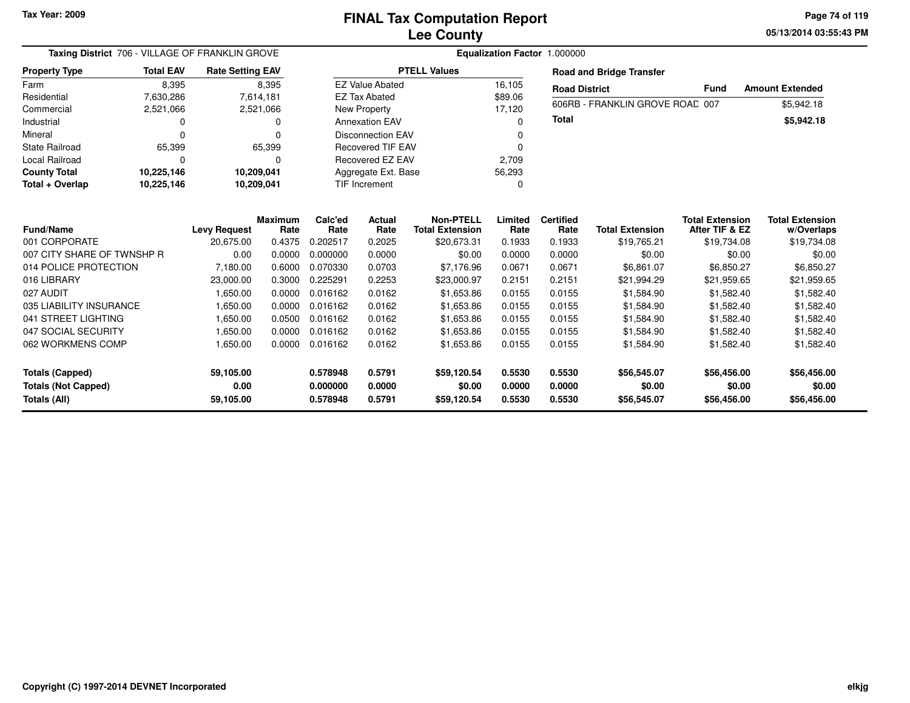**05/13/2014 03:55:43 PM Page 74 of 119**

| Taxing District 706 - VILLAGE OF FRANKLIN GROVE |                  | Equalization Factor 1.000000 |                        |                      |                          |                                            |                  |                          |                                 |                                          |                                      |
|-------------------------------------------------|------------------|------------------------------|------------------------|----------------------|--------------------------|--------------------------------------------|------------------|--------------------------|---------------------------------|------------------------------------------|--------------------------------------|
| <b>Property Type</b>                            | <b>Total EAV</b> | <b>Rate Setting EAV</b>      |                        |                      |                          | <b>PTELL Values</b>                        |                  |                          | <b>Road and Bridge Transfer</b> |                                          |                                      |
| Farm                                            | 8,395            |                              | 8,395                  |                      | <b>EZ Value Abated</b>   |                                            | 16,105           | <b>Road District</b>     |                                 | <b>Fund</b>                              | <b>Amount Extended</b>               |
| Residential                                     | 7,630,286        |                              | 7,614,181              |                      | <b>EZ Tax Abated</b>     |                                            | \$89.06          |                          | 606RB - FRANKLIN GROVE ROAD 007 |                                          | \$5,942.18                           |
| Commercial                                      | 2,521,066        |                              | 2,521,066              |                      | New Property             |                                            | 17,120           |                          |                                 |                                          |                                      |
| Industrial                                      |                  |                              | 0                      |                      | <b>Annexation EAV</b>    |                                            | $\Omega$         | <b>Total</b>             |                                 |                                          | \$5,942.18                           |
| Mineral                                         | ∩                |                              | U                      |                      | <b>Disconnection EAV</b> |                                            |                  |                          |                                 |                                          |                                      |
| <b>State Railroad</b>                           | 65,399           |                              | 65,399                 |                      | <b>Recovered TIF EAV</b> |                                            | <sup>0</sup>     |                          |                                 |                                          |                                      |
| <b>Local Railroad</b>                           | $\Omega$         |                              | 0                      |                      | Recovered EZ EAV         |                                            | 2,709            |                          |                                 |                                          |                                      |
| <b>County Total</b>                             | 10,225,146       |                              | 10,209,041             |                      | Aggregate Ext. Base      |                                            | 56,293           |                          |                                 |                                          |                                      |
| Total + Overlap                                 | 10,225,146       |                              | 10,209,041             |                      | TIF Increment            |                                            | 0                |                          |                                 |                                          |                                      |
|                                                 |                  |                              |                        |                      |                          |                                            |                  |                          |                                 |                                          |                                      |
| <b>Fund/Name</b>                                |                  | <b>Levy Request</b>          | <b>Maximum</b><br>Rate | Calc'ed<br>Rate      | Actual<br>Rate           | <b>Non-PTELL</b><br><b>Total Extension</b> | Limited<br>Rate  | <b>Certified</b><br>Rate | <b>Total Extension</b>          | <b>Total Extension</b><br>After TIF & EZ | <b>Total Extension</b><br>w/Overlaps |
| 001 CORPORATE                                   |                  | 20,675.00                    | 0.4375                 | 0.202517             | 0.2025                   | \$20,673.31                                | 0.1933           | 0.1933                   | \$19,765.21                     | \$19,734.08                              | \$19,734.08                          |
| 007 CITY SHARE OF TWNSHP R                      |                  | 0.00                         | 0.0000                 | 0.000000             | 0.0000                   | \$0.00                                     | 0.0000           | 0.0000                   | \$0.00                          | \$0.00                                   | \$0.00                               |
| 014 POLICE PROTECTION                           |                  | 7,180.00                     | 0.6000                 | 0.070330             | 0.0703                   | \$7,176.96                                 | 0.0671           | 0.0671                   | \$6,861.07                      | \$6,850.27                               | \$6,850.27                           |
| 016 LIBRARY                                     |                  | 23,000.00                    | 0.3000                 | 0.225291             | 0.2253                   | \$23,000.97                                | 0.2151           | 0.2151                   | \$21,994.29                     | \$21,959.65                              | \$21,959.65                          |
| 027 AUDIT                                       |                  | 1,650.00                     | 0.0000                 | 0.016162             | 0.0162                   | \$1,653.86                                 | 0.0155           | 0.0155                   | \$1,584.90                      | \$1,582.40                               | \$1,582.40                           |
| 035 LIABILITY INSURANCE                         |                  | 1,650.00                     | 0.0000                 | 0.016162             | 0.0162                   | \$1,653.86                                 | 0.0155           | 0.0155                   | \$1,584.90                      | \$1,582.40                               | \$1,582.40                           |
| 041 STREET LIGHTING                             |                  | 1,650.00                     | 0.0500                 | 0.016162             | 0.0162                   | \$1,653.86                                 | 0.0155           | 0.0155                   | \$1,584.90                      | \$1,582.40                               | \$1,582.40                           |
| 047 SOCIAL SECURITY                             |                  | 1,650.00                     | 0.0000                 | 0.016162             | 0.0162                   | \$1,653.86                                 | 0.0155           | 0.0155                   | \$1,584.90                      | \$1,582.40                               | \$1,582.40                           |
| 062 WORKMENS COMP                               |                  | 1,650.00                     | 0.0000                 | 0.016162             | 0.0162                   | \$1,653.86                                 | 0.0155           | 0.0155                   | \$1,584.90                      | \$1,582.40                               | \$1,582.40                           |
|                                                 |                  |                              |                        | 0.578948             | 0.5791                   | \$59,120.54                                | 0.5530           | 0.5530                   | \$56,545.07                     | \$56,456.00                              |                                      |
| <b>Totals (Capped)</b>                          |                  | 59,105.00                    |                        |                      |                          |                                            |                  |                          |                                 |                                          | \$56,456.00                          |
| <b>Totals (Not Capped)</b><br>Totals (All)      |                  | 0.00<br>59,105.00            |                        | 0.000000<br>0.578948 | 0.0000<br>0.5791         | \$0.00<br>\$59,120.54                      | 0.0000<br>0.5530 | 0.0000<br>0.5530         | \$0.00<br>\$56,545.07           | \$0.00<br>\$56,456.00                    | \$0.00<br>\$56,456.00                |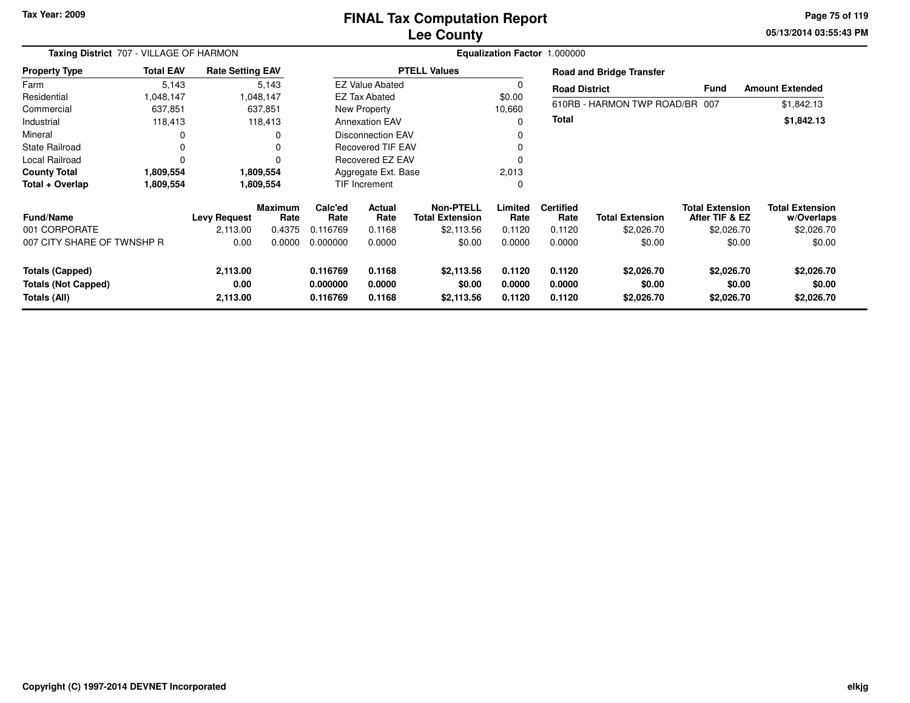# **Lee CountyFINAL Tax Computation Report**

**05/13/2014 03:55:43 PM Page 75 of 119**

|                            | Taxing District 707 - VILLAGE OF HARMON |                         |                 |                 |                          | Equalization Factor 1.000000               |                 |                          |                                 |                                          |                                      |  |  |  |  |
|----------------------------|-----------------------------------------|-------------------------|-----------------|-----------------|--------------------------|--------------------------------------------|-----------------|--------------------------|---------------------------------|------------------------------------------|--------------------------------------|--|--|--|--|
| <b>Property Type</b>       | <b>Total EAV</b>                        | <b>Rate Setting EAV</b> |                 |                 |                          | <b>PTELL Values</b>                        |                 |                          | <b>Road and Bridge Transfer</b> |                                          |                                      |  |  |  |  |
| Farm                       | 5,143                                   |                         | 5,143           |                 | <b>EZ Value Abated</b>   |                                            | 0               | <b>Road District</b>     |                                 | <b>Fund</b>                              | <b>Amount Extended</b>               |  |  |  |  |
| Residential                | 1,048,147                               |                         | 1,048,147       |                 | <b>EZ Tax Abated</b>     |                                            | \$0.00          |                          |                                 |                                          |                                      |  |  |  |  |
| Commercial                 | 637,851                                 |                         | 637,851         |                 | New Property             |                                            | 10,660          |                          | 610RB - HARMON TWP ROAD/BR 007  |                                          | \$1,842.13                           |  |  |  |  |
| Industrial                 | 118,413                                 |                         | 118,413         |                 | <b>Annexation EAV</b>    |                                            | 0               | <b>Total</b>             |                                 |                                          | \$1,842.13                           |  |  |  |  |
| Mineral                    |                                         |                         | 0               |                 | Disconnection EAV        |                                            | 0               |                          |                                 |                                          |                                      |  |  |  |  |
| State Railroad             |                                         |                         | 0               |                 | <b>Recovered TIF EAV</b> |                                            |                 |                          |                                 |                                          |                                      |  |  |  |  |
| <b>Local Railroad</b>      |                                         |                         | $\Omega$        |                 | Recovered EZ EAV         |                                            |                 |                          |                                 |                                          |                                      |  |  |  |  |
| <b>County Total</b>        | 1,809,554                               |                         | 1,809,554       |                 | Aggregate Ext. Base      |                                            |                 |                          |                                 |                                          |                                      |  |  |  |  |
| Total + Overlap            | 1,809,554                               |                         | 1,809,554       | TIF Increment   |                          |                                            | $\mathbf 0$     |                          |                                 |                                          |                                      |  |  |  |  |
| <b>Fund/Name</b>           |                                         | <b>Levy Request</b>     | Maximum<br>Rate | Calc'ed<br>Rate | <b>Actual</b><br>Rate    | <b>Non-PTELL</b><br><b>Total Extension</b> | Limited<br>Rate | <b>Certified</b><br>Rate | <b>Total Extension</b>          | <b>Total Extension</b><br>After TIF & EZ | <b>Total Extension</b><br>w/Overlaps |  |  |  |  |
| 001 CORPORATE              |                                         | 2,113.00                | 0.4375          | 0.116769        | 0.1168                   | \$2,113.56                                 | 0.1120          | 0.1120                   | \$2,026.70                      | \$2,026.70                               | \$2,026.70                           |  |  |  |  |
| 007 CITY SHARE OF TWNSHP R |                                         | 0.00                    | 0.0000          | 0.000000        | 0.0000                   | \$0.00                                     | 0.0000          | 0.0000                   | \$0.00                          | \$0.00                                   | \$0.00                               |  |  |  |  |
| Totals (Capped)            |                                         | 2,113.00                |                 | 0.116769        | 0.1168                   | \$2,113.56                                 | 0.1120          | 0.1120                   | \$2,026.70                      | \$2,026.70                               | \$2,026.70                           |  |  |  |  |
| <b>Totals (Not Capped)</b> |                                         | 0.00                    |                 | 0.000000        | 0.0000                   | \$0.00                                     | 0.0000          | 0.0000                   | \$0.00                          | \$0.00                                   | \$0.00                               |  |  |  |  |
| Totals (All)               |                                         | 2,113.00                |                 | 0.116769        | 0.1168                   | \$2,113.56                                 | 0.1120          | 0.1120                   | \$2,026.70                      | \$2,026.70                               | \$2,026.70                           |  |  |  |  |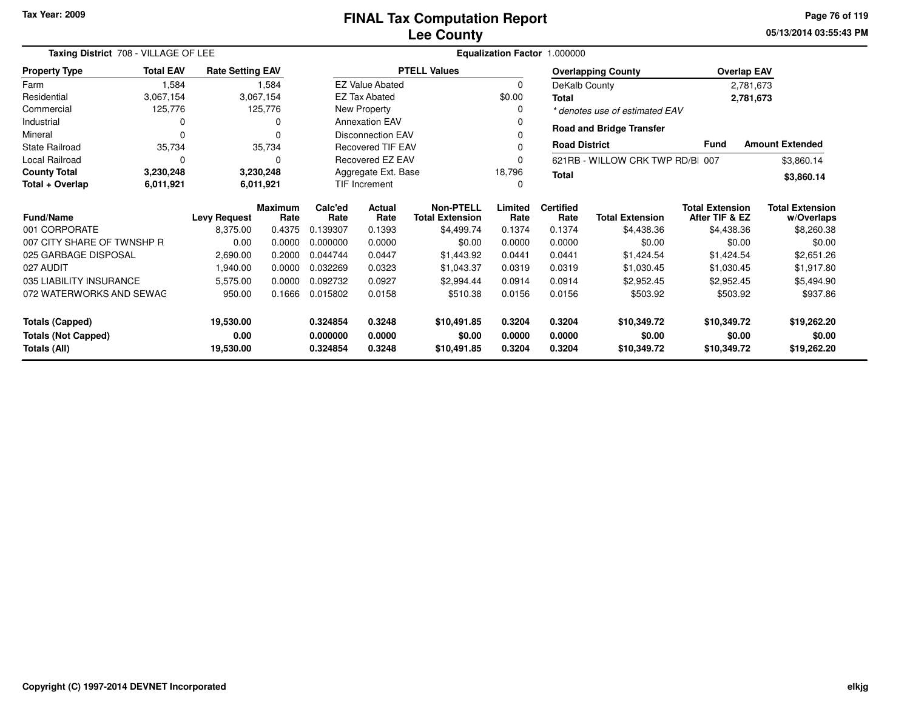**05/13/2014 03:55:43 PMPage 76 of 119**

| Taxing District 708 - VILLAGE OF LEE |                     |                         | Equalization Factor 1.000000 |                     |                          |                                            |                 |                          |                                 |                                          |                                      |
|--------------------------------------|---------------------|-------------------------|------------------------------|---------------------|--------------------------|--------------------------------------------|-----------------|--------------------------|---------------------------------|------------------------------------------|--------------------------------------|
| <b>Property Type</b>                 | <b>Total EAV</b>    | <b>Rate Setting EAV</b> |                              |                     |                          | <b>PTELL Values</b>                        |                 |                          | <b>Overlapping County</b>       | <b>Overlap EAV</b>                       |                                      |
| Farm                                 | 1,584               |                         | 1,584                        |                     | <b>EZ Value Abated</b>   |                                            | $\mathbf 0$     |                          | DeKalb County                   | 2,781,673                                |                                      |
| Residential                          | 3,067,154           |                         | 3,067,154                    |                     | <b>EZ Tax Abated</b>     |                                            | \$0.00          | Total                    |                                 | 2,781,673                                |                                      |
| Commercial                           | 125,776             |                         | 125,776                      |                     | New Property             |                                            | 0               |                          | * denotes use of estimated EAV  |                                          |                                      |
| Industrial                           | 0                   |                         |                              |                     | <b>Annexation EAV</b>    |                                            |                 |                          | <b>Road and Bridge Transfer</b> |                                          |                                      |
| Mineral                              | $\Omega$            |                         |                              |                     | <b>Disconnection EAV</b> |                                            |                 |                          |                                 |                                          |                                      |
| <b>State Railroad</b>                | 35,734              |                         | 35,734                       |                     | <b>Recovered TIF EAV</b> |                                            | 0               | <b>Road District</b>     |                                 | <b>Fund</b>                              | <b>Amount Extended</b>               |
| Local Railroad                       | 0                   |                         | 0                            |                     | Recovered EZ EAV         |                                            | 0               |                          | 621RB - WILLOW CRK TWP RD/BI    | 007                                      | \$3,860.14                           |
| <b>County Total</b>                  | 3,230,248           |                         | 3,230,248                    | Aggregate Ext. Base |                          |                                            | 18,796          | <b>Total</b>             |                                 |                                          | \$3,860.14                           |
| Total + Overlap                      | 6,011,921           |                         | 6,011,921                    |                     | <b>TIF Increment</b>     |                                            |                 |                          |                                 |                                          |                                      |
| Fund/Name                            | <b>Levy Request</b> |                         | <b>Maximum</b><br>Rate       | Calc'ed<br>Rate     | Actual<br>Rate           | <b>Non-PTELL</b><br><b>Total Extension</b> | Limited<br>Rate | <b>Certified</b><br>Rate | <b>Total Extension</b>          | <b>Total Extension</b><br>After TIF & EZ | <b>Total Extension</b><br>w/Overlaps |
| 001 CORPORATE                        |                     | 8,375.00                | 0.4375                       | 0.139307            | 0.1393                   | \$4,499.74                                 | 0.1374          | 0.1374                   | \$4,438.36                      | \$4,438.36                               | \$8,260.38                           |
| 007 CITY SHARE OF TWNSHP R           |                     | 0.00                    | 0.0000                       | 0.000000            | 0.0000                   | \$0.00                                     | 0.0000          | 0.0000                   | \$0.00                          | \$0.00                                   | \$0.00                               |
| 025 GARBAGE DISPOSAL                 |                     | 2,690.00                | 0.2000                       | 0.044744            | 0.0447                   | \$1,443.92                                 | 0.0441          | 0.0441                   | \$1,424.54                      | \$1,424.54                               | \$2,651.26                           |
| 027 AUDIT                            |                     | 1,940.00                | 0.0000                       | 0.032269            | 0.0323                   | \$1,043.37                                 | 0.0319          | 0.0319                   | \$1,030.45                      | \$1,030.45                               | \$1,917.80                           |
| 035 LIABILITY INSURANCE              |                     | 5,575.00                | 0.0000                       | 0.092732            | 0.0927                   | \$2,994.44                                 | 0.0914          | 0.0914                   | \$2,952.45                      | \$2,952.45                               | \$5,494.90                           |
| 072 WATERWORKS AND SEWAG             |                     | 950.00                  | 0.1666                       | 0.015802            | 0.0158                   | \$510.38                                   | 0.0156          | 0.0156                   | \$503.92                        | \$503.92                                 | \$937.86                             |
| <b>Totals (Capped)</b>               |                     | 19,530.00               |                              | 0.324854            | 0.3248                   | \$10,491.85                                | 0.3204          | 0.3204                   | \$10,349.72                     | \$10,349.72                              | \$19,262.20                          |
| <b>Totals (Not Capped)</b><br>0.00   |                     |                         |                              | 0.000000            | 0.0000                   | \$0.00                                     | 0.0000          | 0.0000                   | \$0.00                          | \$0.00                                   | \$0.00                               |
| Totals (All)<br>19,530.00            |                     |                         |                              | 0.324854            | 0.3248                   | \$10,491.85                                | 0.3204          | 0.3204                   | \$10,349.72                     | \$10,349.72                              | \$19,262.20                          |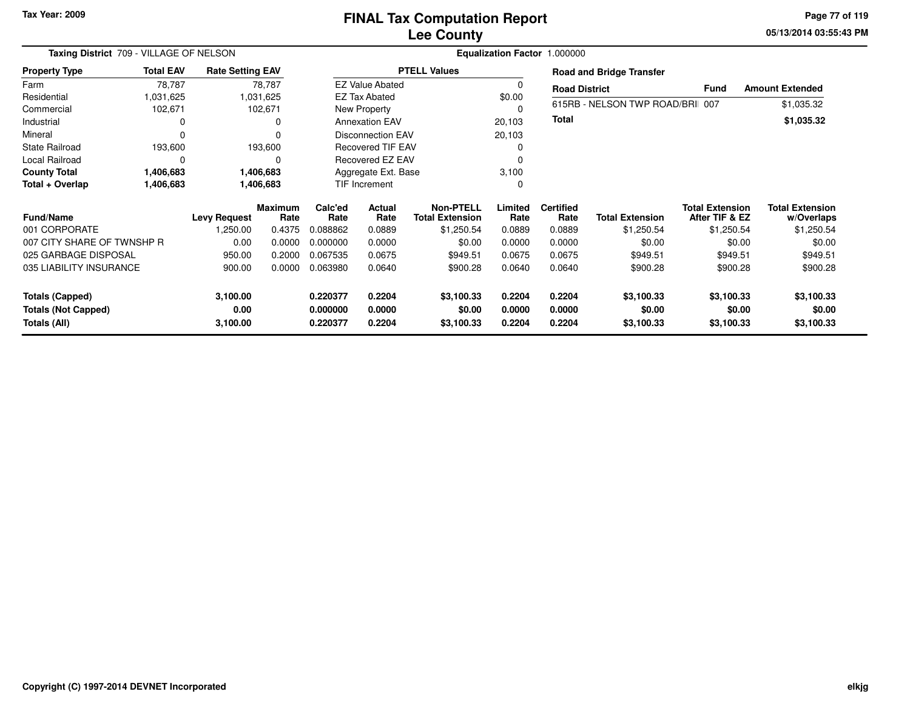**05/13/2014 03:55:43 PM Page 77 of 119**

|                            | Taxing District 709 - VILLAGE OF NELSON |                         |                        |                 |                          |                                     |                 | Equalization Factor 1.000000 |                                 |                                          |                                      |
|----------------------------|-----------------------------------------|-------------------------|------------------------|-----------------|--------------------------|-------------------------------------|-----------------|------------------------------|---------------------------------|------------------------------------------|--------------------------------------|
| <b>Property Type</b>       | <b>Total EAV</b>                        | <b>Rate Setting EAV</b> |                        |                 |                          | <b>PTELL Values</b>                 |                 |                              | <b>Road and Bridge Transfer</b> |                                          |                                      |
| Farm                       | 78,787                                  |                         | 78,787                 |                 | <b>EZ Value Abated</b>   |                                     | -C              | <b>Road District</b>         |                                 | <b>Fund</b>                              | <b>Amount Extended</b>               |
| Residential                | 1,031,625                               |                         | 1,031,625              |                 | <b>EZ Tax Abated</b>     |                                     | \$0.00          |                              |                                 |                                          |                                      |
| Commercial                 | 102,671                                 |                         | 102,671                |                 | New Property             |                                     | $\Omega$        |                              | 615RB - NELSON TWP ROAD/BRI     | 007                                      | \$1,035.32                           |
| Industrial                 | 0                                       |                         | 0                      |                 | <b>Annexation EAV</b>    |                                     | 20,103          | <b>Total</b>                 |                                 |                                          | \$1,035.32                           |
| Mineral                    | $\Omega$                                |                         | $\Omega$               |                 | <b>Disconnection EAV</b> |                                     | 20,103          |                              |                                 |                                          |                                      |
| <b>State Railroad</b>      | 193,600                                 |                         | 193,600                |                 | <b>Recovered TIF EAV</b> |                                     | 0               |                              |                                 |                                          |                                      |
| Local Railroad             | $\Omega$                                |                         | 0                      |                 | Recovered EZ EAV         |                                     | 0               |                              |                                 |                                          |                                      |
| <b>County Total</b>        | 1,406,683                               |                         | 1,406,683              |                 | Aggregate Ext. Base      |                                     | 3,100           |                              |                                 |                                          |                                      |
| Total + Overlap            | 1,406,683                               |                         | 1,406,683              |                 | TIF Increment            |                                     | $\Omega$        |                              |                                 |                                          |                                      |
| <b>Fund/Name</b>           | <b>Levy Request</b>                     |                         | <b>Maximum</b><br>Rate | Calc'ed<br>Rate | <b>Actual</b><br>Rate    | Non-PTELL<br><b>Total Extension</b> | Limited<br>Rate | <b>Certified</b><br>Rate     | <b>Total Extension</b>          | <b>Total Extension</b><br>After TIF & EZ | <b>Total Extension</b><br>w/Overlaps |
| 001 CORPORATE              |                                         | ,250.00                 | 0.4375                 | 0.088862        | 0.0889                   | \$1,250.54                          | 0.0889          | 0.0889                       | \$1,250.54                      | \$1,250.54                               | \$1,250.54                           |
| 007 CITY SHARE OF TWNSHP R |                                         | 0.00                    | 0.0000                 | 0.000000        | 0.0000                   | \$0.00                              | 0.0000          | 0.0000                       | \$0.00                          | \$0.00                                   | \$0.00                               |
| 025 GARBAGE DISPOSAL       |                                         | 950.00                  | 0.2000                 | 0.067535        | 0.0675                   | \$949.51                            | 0.0675          | 0.0675                       | \$949.51                        | \$949.51                                 | \$949.51                             |
| 035 LIABILITY INSURANCE    |                                         | 900.00                  | 0.0000                 | 0.063980        | 0.0640                   | \$900.28                            | 0.0640          | 0.0640                       | \$900.28                        | \$900.28                                 | \$900.28                             |
|                            |                                         |                         |                        |                 |                          |                                     |                 |                              |                                 |                                          |                                      |
| <b>Totals (Capped)</b>     |                                         | 3,100.00                |                        | 0.220377        | 0.2204                   | \$3,100.33                          | 0.2204          | 0.2204                       | \$3,100.33                      | \$3,100.33                               | \$3,100.33                           |
| Totals (Not Capped)        |                                         | 0.00                    |                        | 0.000000        | 0.0000                   | \$0.00                              | 0.0000          | 0.0000                       | \$0.00                          | \$0.00                                   | \$0.00                               |
| Totals (All)               |                                         | 3,100.00                |                        | 0.220377        | 0.2204                   | \$3,100.33                          | 0.2204          | 0.2204                       | \$3,100.33                      | \$3,100.33                               | \$3,100.33                           |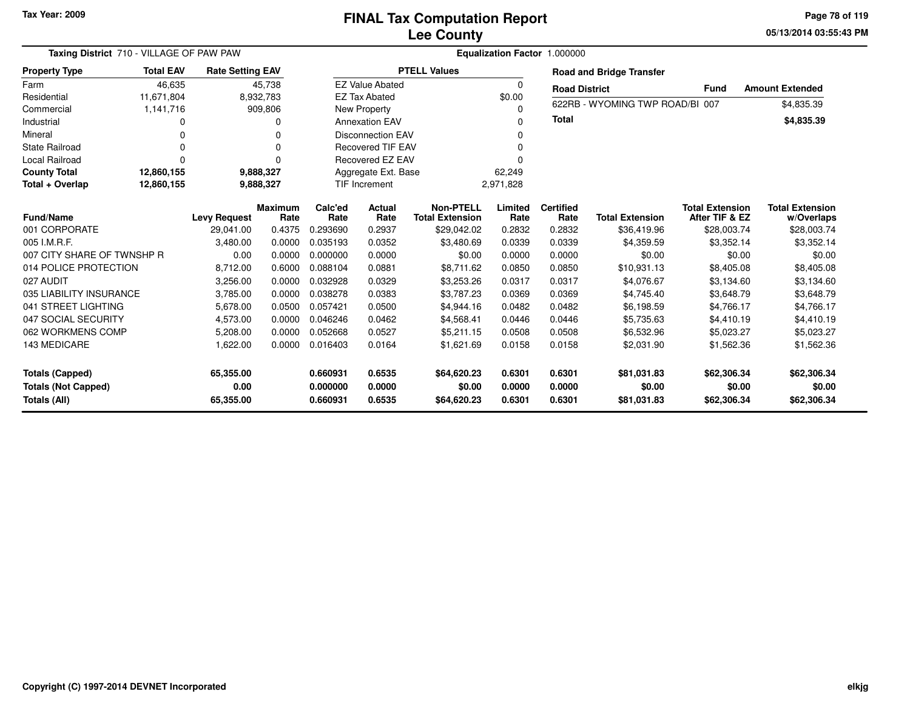**05/13/2014 03:55:43 PM Page 78 of 119**

| Taxing District 710 - VILLAGE OF PAW PAW                      |                  |                                |                        |                                  | Equalization Factor 1.000000 |                                            |                            |                            |                                      |                                          |                                      |  |  |  |
|---------------------------------------------------------------|------------------|--------------------------------|------------------------|----------------------------------|------------------------------|--------------------------------------------|----------------------------|----------------------------|--------------------------------------|------------------------------------------|--------------------------------------|--|--|--|
| <b>Property Type</b>                                          | <b>Total EAV</b> | <b>Rate Setting EAV</b>        |                        |                                  |                              | <b>PTELL Values</b>                        |                            |                            | <b>Road and Bridge Transfer</b>      |                                          |                                      |  |  |  |
| Farm                                                          | 46,635           |                                | 45,738                 |                                  | <b>EZ Value Abated</b>       |                                            | $\Omega$                   | <b>Road District</b>       |                                      | Fund                                     | <b>Amount Extended</b>               |  |  |  |
| Residential                                                   | 11,671,804       |                                | 8,932,783              |                                  | <b>EZ Tax Abated</b>         |                                            | \$0.00                     |                            |                                      |                                          |                                      |  |  |  |
| Commercial                                                    | 1,141,716        |                                | 909,806                |                                  | New Property                 |                                            | 0                          |                            | 622RB - WYOMING TWP ROAD/BI 007      |                                          | \$4,835.39                           |  |  |  |
| Industrial                                                    | O                |                                | 0                      |                                  | <b>Annexation EAV</b>        |                                            | 0                          | <b>Total</b>               |                                      |                                          | \$4,835.39                           |  |  |  |
| Mineral                                                       | 0                |                                | 0                      |                                  | <b>Disconnection EAV</b>     |                                            | 0                          |                            |                                      |                                          |                                      |  |  |  |
| <b>State Railroad</b>                                         | O                |                                | $\Omega$               |                                  | <b>Recovered TIF EAV</b>     |                                            | 0                          |                            |                                      |                                          |                                      |  |  |  |
| <b>Local Railroad</b>                                         | $\Omega$         |                                | 0                      |                                  | Recovered EZ EAV             |                                            |                            |                            |                                      |                                          |                                      |  |  |  |
| <b>County Total</b>                                           | 12,860,155       |                                | 9,888,327              |                                  | Aggregate Ext. Base          |                                            | 62,249                     |                            |                                      |                                          |                                      |  |  |  |
| Total + Overlap                                               | 12,860,155       |                                | 9,888,327              |                                  | TIF Increment                |                                            | 2,971,828                  |                            |                                      |                                          |                                      |  |  |  |
| <b>Fund/Name</b>                                              |                  | <b>Levy Request</b>            | <b>Maximum</b><br>Rate | Calc'ed<br>Rate                  | Actual<br>Rate               | <b>Non-PTELL</b><br><b>Total Extension</b> | Limited<br>Rate            | <b>Certified</b><br>Rate   | <b>Total Extension</b>               | <b>Total Extension</b><br>After TIF & EZ | <b>Total Extension</b><br>w/Overlaps |  |  |  |
| 001 CORPORATE                                                 |                  | 29,041.00                      | 0.4375                 | 0.293690                         | 0.2937                       | \$29,042.02                                | 0.2832                     | 0.2832                     | \$36,419.96                          | \$28,003.74                              | \$28,003.74                          |  |  |  |
| 005 I.M.R.F.                                                  |                  | 3,480.00                       | 0.0000                 | 0.035193                         | 0.0352                       | \$3,480.69                                 | 0.0339                     | 0.0339                     | \$4,359.59                           | \$3,352.14                               | \$3,352.14                           |  |  |  |
| 007 CITY SHARE OF TWNSHP R                                    |                  | 0.00                           | 0.0000                 | 0.000000                         | 0.0000                       | \$0.00                                     | 0.0000                     | 0.0000                     | \$0.00                               | \$0.00                                   | \$0.00                               |  |  |  |
| 014 POLICE PROTECTION                                         |                  | 8,712.00                       | 0.6000                 | 0.088104                         | 0.0881                       | \$8,711.62                                 | 0.0850                     | 0.0850                     | \$10,931.13                          | \$8,405.08                               | \$8,405.08                           |  |  |  |
| 027 AUDIT                                                     |                  | 3,256.00                       | 0.0000                 | 0.032928                         | 0.0329                       | \$3,253.26                                 | 0.0317                     | 0.0317                     | \$4,076.67                           | \$3,134.60                               | \$3,134.60                           |  |  |  |
| 035 LIABILITY INSURANCE                                       |                  | 3,785.00                       | 0.0000                 | 0.038278                         | 0.0383                       | \$3,787.23                                 | 0.0369                     | 0.0369                     | \$4,745.40                           | \$3,648.79                               | \$3,648.79                           |  |  |  |
| 041 STREET LIGHTING                                           |                  | 5,678.00                       | 0.0500                 | 0.057421                         | 0.0500                       | \$4,944.16                                 | 0.0482                     | 0.0482                     | \$6,198.59                           | \$4,766.17                               | \$4,766.17                           |  |  |  |
| 047 SOCIAL SECURITY                                           |                  | 4,573.00                       | 0.0000                 | 0.046246                         | 0.0462                       | \$4,568.41                                 | 0.0446                     | 0.0446                     | \$5,735.63                           | \$4,410.19                               | \$4,410.19                           |  |  |  |
| 062 WORKMENS COMP                                             |                  | 5,208.00                       | 0.0000                 | 0.052668                         | 0.0527                       | \$5,211.15                                 | 0.0508                     | 0.0508                     | \$6,532.96                           | \$5,023.27                               | \$5,023.27                           |  |  |  |
| 143 MEDICARE                                                  |                  | 1,622.00                       | 0.0000                 | 0.016403                         | 0.0164                       | \$1,621.69                                 | 0.0158                     | 0.0158                     | \$2,031.90                           | \$1,562.36                               | \$1,562.36                           |  |  |  |
| Totals (Capped)<br><b>Totals (Not Capped)</b><br>Totals (All) |                  | 65,355.00<br>0.00<br>65,355.00 |                        | 0.660931<br>0.000000<br>0.660931 | 0.6535<br>0.0000<br>0.6535   | \$64,620.23<br>\$0.00<br>\$64,620.23       | 0.6301<br>0.0000<br>0.6301 | 0.6301<br>0.0000<br>0.6301 | \$81,031.83<br>\$0.00<br>\$81,031.83 | \$62,306.34<br>\$0.00<br>\$62,306.34     | \$62,306.34<br>\$0.00<br>\$62,306.34 |  |  |  |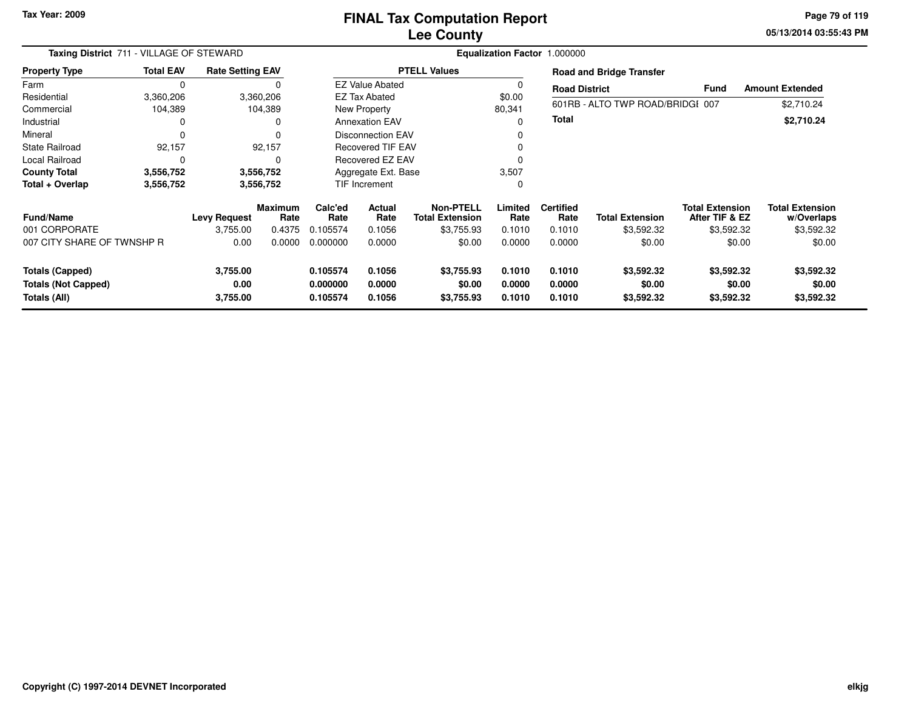**05/13/2014 03:55:43 PM Page 79 of 119**

| Taxing District 711 - VILLAGE OF STEWARD                             |                        |                              |                        | Equalization Factor 1.000000     |                            |                                     |                            |                            |                                    |                                          |                                      |
|----------------------------------------------------------------------|------------------------|------------------------------|------------------------|----------------------------------|----------------------------|-------------------------------------|----------------------------|----------------------------|------------------------------------|------------------------------------------|--------------------------------------|
| <b>Property Type</b>                                                 | <b>Total EAV</b>       | <b>Rate Setting EAV</b>      |                        |                                  |                            | <b>PTELL Values</b>                 |                            |                            | <b>Road and Bridge Transfer</b>    |                                          |                                      |
| Farm                                                                 | $\Omega$               |                              |                        |                                  | <b>EZ Value Abated</b>     |                                     | $\Omega$                   | <b>Road District</b>       |                                    | <b>Fund</b>                              | <b>Amount Extended</b>               |
| Residential                                                          | 3,360,206              |                              | 3,360,206              |                                  | <b>EZ Tax Abated</b>       |                                     | \$0.00                     |                            |                                    |                                          |                                      |
| Commercial                                                           | 104,389                |                              | 104,389                |                                  | New Property               |                                     | 80,341                     |                            | 601RB - ALTO TWP ROAD/BRIDGI 007   |                                          | \$2,710.24                           |
| Industrial                                                           |                        |                              | 0                      |                                  | <b>Annexation EAV</b>      |                                     | $\Omega$                   | <b>Total</b>               |                                    |                                          | \$2,710.24                           |
| Mineral                                                              |                        |                              | 0                      |                                  | <b>Disconnection EAV</b>   |                                     |                            |                            |                                    |                                          |                                      |
| <b>State Railroad</b>                                                | 92,157                 |                              | 92,157                 |                                  | <b>Recovered TIF EAV</b>   |                                     |                            |                            |                                    |                                          |                                      |
| <b>Local Railroad</b>                                                |                        |                              | 0                      |                                  | Recovered EZ EAV           |                                     |                            |                            |                                    |                                          |                                      |
| <b>County Total</b>                                                  | 3,556,752              |                              | 3,556,752              | Aggregate Ext. Base              |                            |                                     | 3,507                      |                            |                                    |                                          |                                      |
| Total + Overlap                                                      | 3,556,752<br>3,556,752 |                              |                        | TIF Increment                    |                            |                                     | 0                          |                            |                                    |                                          |                                      |
| <b>Fund/Name</b>                                                     |                        | <b>Levy Request</b>          | <b>Maximum</b><br>Rate | Calc'ed<br>Rate                  | Actual<br>Rate             | Non-PTELL<br><b>Total Extension</b> | Limited<br>Rate            | <b>Certified</b><br>Rate   | <b>Total Extension</b>             | <b>Total Extension</b><br>After TIF & EZ | <b>Total Extension</b><br>w/Overlaps |
| 001 CORPORATE                                                        |                        | 3,755.00                     | 0.4375                 | 0.105574                         | 0.1056                     | \$3,755.93                          | 0.1010                     | 0.1010                     | \$3,592.32                         | \$3,592.32                               | \$3,592.32                           |
| 007 CITY SHARE OF TWNSHP R                                           |                        | 0.00                         | 0.0000                 | 0.000000                         | 0.0000                     | \$0.00                              | 0.0000                     | 0.0000                     | \$0.00                             | \$0.00                                   | \$0.00                               |
| <b>Totals (Capped)</b><br><b>Totals (Not Capped)</b><br>Totals (All) |                        | 3,755.00<br>0.00<br>3,755.00 |                        | 0.105574<br>0.000000<br>0.105574 | 0.1056<br>0.0000<br>0.1056 | \$3,755.93<br>\$0.00<br>\$3,755.93  | 0.1010<br>0.0000<br>0.1010 | 0.1010<br>0.0000<br>0.1010 | \$3,592.32<br>\$0.00<br>\$3,592.32 | \$3,592.32<br>\$0.00<br>\$3,592.32       | \$3,592.32<br>\$0.00<br>\$3,592.32   |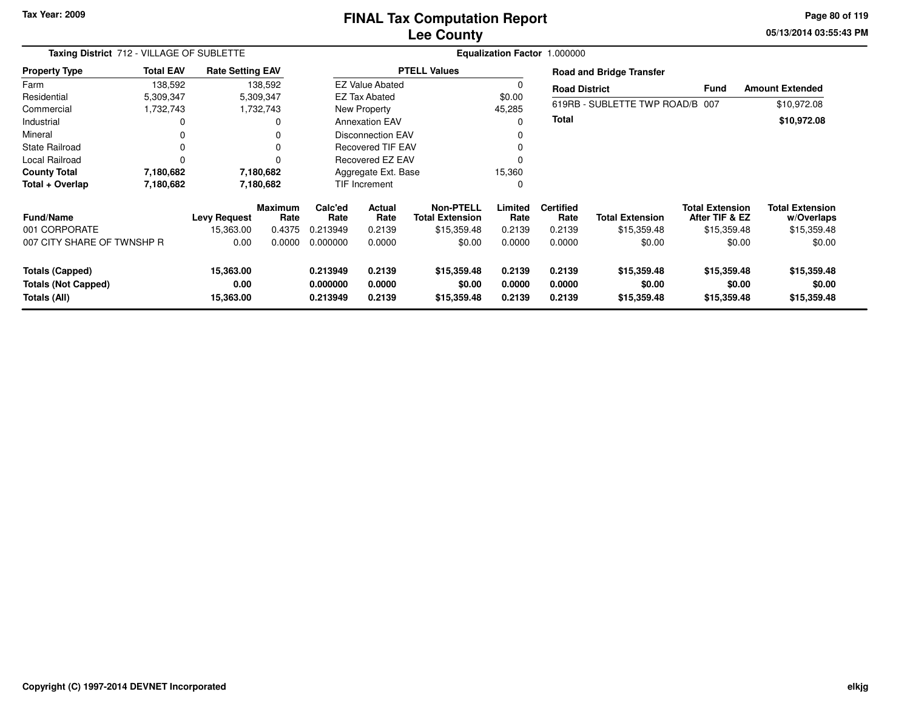### **Lee CountyFINAL Tax Computation Report**

**05/13/2014 03:55:43 PM Page 80 of 119**

| Taxing District 712 - VILLAGE OF SUBLETTE                     |                  |                                |                        |                                  |                            |                                            |                            | Equalization Factor 1.000000 |                                      |                                          |                                      |
|---------------------------------------------------------------|------------------|--------------------------------|------------------------|----------------------------------|----------------------------|--------------------------------------------|----------------------------|------------------------------|--------------------------------------|------------------------------------------|--------------------------------------|
| <b>Property Type</b>                                          | <b>Total EAV</b> | <b>Rate Setting EAV</b>        |                        |                                  |                            | <b>PTELL Values</b>                        |                            |                              | <b>Road and Bridge Transfer</b>      |                                          |                                      |
| Farm                                                          | 138,592          |                                | 138,592                |                                  | <b>EZ Value Abated</b>     |                                            |                            | <b>Road District</b>         |                                      | <b>Fund</b>                              | <b>Amount Extended</b>               |
| Residential                                                   | 5,309,347        |                                | 5,309,347              |                                  | <b>EZ Tax Abated</b>       |                                            | \$0.00                     |                              |                                      |                                          |                                      |
| Commercial                                                    | 1,732,743        |                                | 1,732,743              |                                  | New Property               |                                            | 45,285                     |                              | 619RB - SUBLETTE TWP ROAD/B 007      |                                          | \$10,972.08                          |
| Industrial                                                    | 0                |                                | 0                      |                                  | <b>Annexation EAV</b>      |                                            | $\Omega$                   | <b>Total</b>                 |                                      |                                          | \$10,972.08                          |
| Mineral                                                       | 0                |                                | 0                      |                                  | Disconnection EAV          |                                            | $\Omega$                   |                              |                                      |                                          |                                      |
| <b>State Railroad</b>                                         | 0                |                                | $\Omega$               |                                  | <b>Recovered TIF EAV</b>   |                                            |                            |                              |                                      |                                          |                                      |
| <b>Local Railroad</b>                                         | $\Omega$         |                                | 0                      |                                  | Recovered EZ EAV           |                                            | $\Omega$                   |                              |                                      |                                          |                                      |
| <b>County Total</b>                                           | 7,180,682        |                                | 7,180,682              | Aggregate Ext. Base              |                            |                                            | 15,360                     |                              |                                      |                                          |                                      |
| Total + Overlap                                               | 7,180,682        |                                | 7,180,682              |                                  | TIF Increment              |                                            |                            |                              |                                      |                                          |                                      |
| Fund/Name                                                     |                  | <b>Levy Request</b>            | <b>Maximum</b><br>Rate | Calc'ed<br>Rate                  | Actual<br>Rate             | <b>Non-PTELL</b><br><b>Total Extension</b> | Limited<br>Rate            | <b>Certified</b><br>Rate     | <b>Total Extension</b>               | <b>Total Extension</b><br>After TIF & EZ | <b>Total Extension</b><br>w/Overlaps |
| 001 CORPORATE                                                 |                  | 15,363.00                      | 0.4375                 | 0.213949                         | 0.2139                     | \$15,359.48                                | 0.2139                     | 0.2139                       | \$15,359.48                          | \$15,359.48                              | \$15,359.48                          |
| 007 CITY SHARE OF TWNSHP R                                    |                  | 0.00                           | 0.0000                 | 0.000000                         | 0.0000                     | \$0.00                                     | 0.0000                     | 0.0000                       | \$0.00                               | \$0.00                                   | \$0.00                               |
| Totals (Capped)<br><b>Totals (Not Capped)</b><br>Totals (All) |                  | 15,363.00<br>0.00<br>15,363.00 |                        | 0.213949<br>0.000000<br>0.213949 | 0.2139<br>0.0000<br>0.2139 | \$15,359.48<br>\$0.00<br>\$15,359.48       | 0.2139<br>0.0000<br>0.2139 | 0.2139<br>0.0000<br>0.2139   | \$15,359.48<br>\$0.00<br>\$15,359.48 | \$15,359.48<br>\$0.00<br>\$15,359.48     | \$15,359.48<br>\$0.00<br>\$15,359.48 |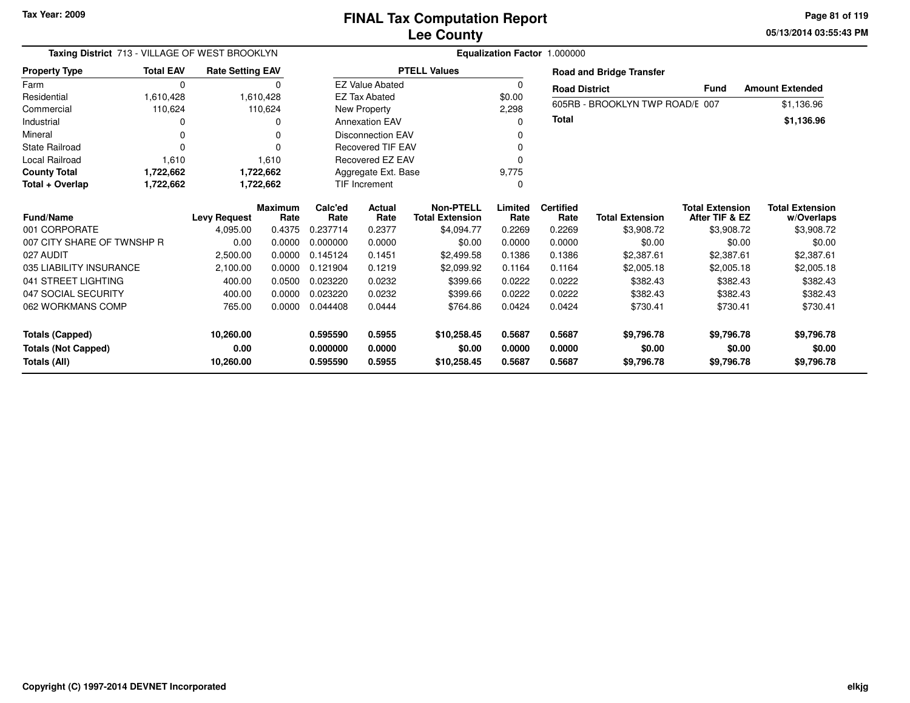**05/13/2014 03:55:43 PM Page 81 of 119**

| Taxing District 713 - VILLAGE OF WEST BROOKLYN |                  |                         | Equalization Factor 1.000000 |                 |                          |                                            |                 |                          |                                 |                                          |                                      |  |
|------------------------------------------------|------------------|-------------------------|------------------------------|-----------------|--------------------------|--------------------------------------------|-----------------|--------------------------|---------------------------------|------------------------------------------|--------------------------------------|--|
| <b>Property Type</b>                           | <b>Total EAV</b> | <b>Rate Setting EAV</b> |                              |                 |                          | <b>PTELL Values</b>                        |                 |                          | <b>Road and Bridge Transfer</b> |                                          |                                      |  |
| Farm                                           | $\Omega$         |                         | 0                            |                 | <b>EZ Value Abated</b>   |                                            | $\mathbf 0$     | <b>Road District</b>     |                                 | <b>Fund</b>                              | <b>Amount Extended</b>               |  |
| Residential                                    | 1,610,428        |                         | 1,610,428                    |                 | <b>EZ Tax Abated</b>     |                                            | \$0.00          |                          | 605RB - BROOKLYN TWP ROAD/E 007 |                                          |                                      |  |
| Commercial                                     | 110,624          |                         | 110,624                      |                 | New Property             |                                            | 2,298           |                          |                                 |                                          | \$1,136.96                           |  |
| Industrial                                     |                  |                         | 0                            |                 | <b>Annexation EAV</b>    |                                            | 0               | <b>Total</b>             |                                 |                                          | \$1,136.96                           |  |
| Mineral                                        |                  |                         | 0                            |                 | <b>Disconnection EAV</b> |                                            |                 |                          |                                 |                                          |                                      |  |
| <b>State Railroad</b>                          | $\Omega$         |                         | 0                            |                 | <b>Recovered TIF EAV</b> |                                            | 0               |                          |                                 |                                          |                                      |  |
| <b>Local Railroad</b>                          | 1,610            |                         | 1,610                        |                 | Recovered EZ EAV         |                                            | $\Omega$        |                          |                                 |                                          |                                      |  |
| <b>County Total</b>                            | 1,722,662        |                         | 1,722,662                    |                 | Aggregate Ext. Base      |                                            | 9,775           |                          |                                 |                                          |                                      |  |
| Total + Overlap                                | 1,722,662        |                         | 1,722,662                    |                 | <b>TIF Increment</b>     |                                            | 0               |                          |                                 |                                          |                                      |  |
| <b>Fund/Name</b>                               |                  | <b>Levy Request</b>     | <b>Maximum</b><br>Rate       | Calc'ed<br>Rate | <b>Actual</b><br>Rate    | <b>Non-PTELL</b><br><b>Total Extension</b> | Limited<br>Rate | <b>Certified</b><br>Rate | <b>Total Extension</b>          | <b>Total Extension</b><br>After TIF & EZ | <b>Total Extension</b><br>w/Overlaps |  |
| 001 CORPORATE                                  |                  | 4.095.00                | 0.4375                       | 0.237714        | 0.2377                   | \$4.094.77                                 | 0.2269          | 0.2269                   | \$3,908.72                      | \$3,908.72                               | \$3,908.72                           |  |
| 007 CITY SHARE OF TWNSHP R                     |                  | 0.00                    | 0.0000                       | 0.000000        | 0.0000                   | \$0.00                                     | 0.0000          | 0.0000                   | \$0.00                          | \$0.00                                   | \$0.00                               |  |
| 027 AUDIT                                      |                  | 2,500.00                | 0.0000                       | 0.145124        | 0.1451                   | \$2,499.58                                 | 0.1386          | 0.1386                   | \$2,387.61                      | \$2,387.61                               | \$2,387.61                           |  |
| 035 LIABILITY INSURANCE                        |                  | 2,100.00                | 0.0000                       | 0.121904        | 0.1219                   | \$2,099.92                                 | 0.1164          | 0.1164                   | \$2,005.18                      | \$2,005.18                               | \$2,005.18                           |  |
| 041 STREET LIGHTING                            |                  | 400.00                  | 0.0500                       | 0.023220        | 0.0232                   | \$399.66                                   | 0.0222          | 0.0222                   | \$382.43                        | \$382.43                                 | \$382.43                             |  |
| 047 SOCIAL SECURITY                            |                  | 400.00                  | 0.0000                       | 0.023220        | 0.0232                   | \$399.66                                   | 0.0222          | 0.0222                   | \$382.43                        | \$382.43                                 | \$382.43                             |  |
| 062 WORKMANS COMP                              |                  | 765.00                  | 0.0000                       | 0.044408        | 0.0444                   | \$764.86                                   | 0.0424          | 0.0424                   | \$730.41                        | \$730.41                                 | \$730.41                             |  |
| <b>Totals (Capped)</b>                         |                  | 10,260.00               |                              | 0.595590        | 0.5955                   | \$10,258.45                                | 0.5687          | 0.5687                   | \$9,796.78                      | \$9,796.78                               | \$9,796.78                           |  |
| <b>Totals (Not Capped)</b>                     |                  | 0.00                    |                              | 0.000000        | 0.0000                   | \$0.00                                     | 0.0000          | 0.0000                   | \$0.00                          | \$0.00                                   | \$0.00                               |  |
| Totals (All)                                   |                  | 10,260.00               |                              | 0.595590        | 0.5955                   | \$10,258.45                                | 0.5687          | 0.5687                   | \$9,796.78                      | \$9,796.78                               | \$9,796.78                           |  |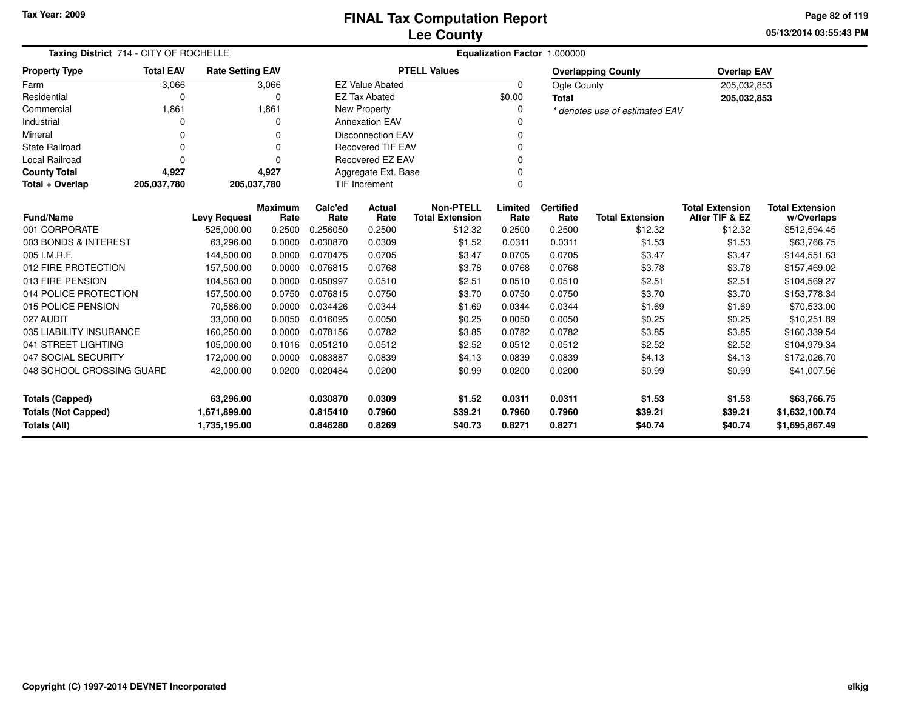**05/13/2014 03:55:43 PMPage 82 of 119**

| Taxing District 714 - CITY OF ROCHELLE                                            |                                        |                         | Equalization Factor 1.000000 |                  |                          |                                            |                  |                          |                                |                                          |                                      |
|-----------------------------------------------------------------------------------|----------------------------------------|-------------------------|------------------------------|------------------|--------------------------|--------------------------------------------|------------------|--------------------------|--------------------------------|------------------------------------------|--------------------------------------|
| <b>Property Type</b>                                                              | <b>Total EAV</b>                       | <b>Rate Setting EAV</b> |                              |                  |                          | <b>PTELL Values</b>                        |                  |                          | <b>Overlapping County</b>      | <b>Overlap EAV</b>                       |                                      |
| Farm                                                                              | 3,066                                  |                         | 3,066                        |                  | <b>EZ Value Abated</b>   |                                            | $\Omega$         | Ogle County              |                                | 205,032,853                              |                                      |
| Residential                                                                       | 0                                      |                         | $\Omega$                     |                  | <b>EZ Tax Abated</b>     |                                            | \$0.00           | <b>Total</b>             |                                | 205,032,853                              |                                      |
| Commercial                                                                        | 1,861                                  |                         | 1,861                        |                  | New Property             |                                            | 0                |                          | * denotes use of estimated EAV |                                          |                                      |
| Industrial                                                                        | $\Omega$                               |                         | $\Omega$                     |                  | <b>Annexation EAV</b>    |                                            | O                |                          |                                |                                          |                                      |
| Mineral                                                                           | 0                                      |                         |                              |                  | <b>Disconnection EAV</b> |                                            | 0                |                          |                                |                                          |                                      |
| <b>State Railroad</b>                                                             | $\Omega$                               |                         | ŋ                            |                  | <b>Recovered TIF EAV</b> |                                            | $\Omega$         |                          |                                |                                          |                                      |
| <b>Local Railroad</b>                                                             | $\Omega$                               |                         | $\Omega$                     |                  | Recovered EZ EAV         |                                            | $\Omega$         |                          |                                |                                          |                                      |
| <b>County Total</b>                                                               | 4,927                                  |                         | 4,927                        |                  | Aggregate Ext. Base      |                                            | $\Omega$         |                          |                                |                                          |                                      |
| Total + Overlap                                                                   | 205,037,780                            | 205,037,780             |                              |                  | <b>TIF Increment</b>     |                                            | 0                |                          |                                |                                          |                                      |
| <b>Fund/Name</b>                                                                  | Maximum<br><b>Levy Request</b><br>Rate |                         |                              | Calc'ed<br>Rate  | Actual<br>Rate           | <b>Non-PTELL</b><br><b>Total Extension</b> | Limited<br>Rate  | <b>Certified</b><br>Rate | <b>Total Extension</b>         | <b>Total Extension</b><br>After TIF & EZ | <b>Total Extension</b><br>w/Overlaps |
| 001 CORPORATE                                                                     |                                        | 525,000.00              | 0.2500                       | 0.256050         | 0.2500                   | \$12.32                                    | 0.2500           | 0.2500                   | \$12.32                        | \$12.32                                  | \$512,594.45                         |
| 003 BONDS & INTEREST                                                              |                                        | 63,296.00               | 0.0000                       | 0.030870         | 0.0309                   | \$1.52                                     | 0.0311           | 0.0311                   | \$1.53                         | \$1.53                                   | \$63,766.75                          |
| 005 I.M.R.F.                                                                      |                                        | 144,500.00              | 0.0000                       | 0.070475         | 0.0705                   | \$3.47                                     | 0.0705           | 0.0705                   | \$3.47                         | \$3.47                                   | \$144,551.63                         |
| 012 FIRE PROTECTION                                                               |                                        | 157,500.00              | 0.0000                       | 0.076815         | 0.0768                   | \$3.78                                     | 0.0768           | 0.0768                   | \$3.78                         | \$3.78                                   | \$157,469.02                         |
| 013 FIRE PENSION                                                                  |                                        | 104,563.00              | 0.0000                       | 0.050997         | 0.0510                   | \$2.51                                     | 0.0510           | 0.0510                   | \$2.51                         | \$2.51                                   | \$104,569.27                         |
| 014 POLICE PROTECTION                                                             |                                        | 157,500.00              | 0.0750                       | 0.076815         | 0.0750                   | \$3.70                                     | 0.0750           | 0.0750                   | \$3.70                         | \$3.70                                   | \$153,778.34                         |
| 015 POLICE PENSION                                                                |                                        | 70,586.00               | 0.0000                       | 0.034426         | 0.0344                   | \$1.69                                     | 0.0344           | 0.0344                   | \$1.69                         | \$1.69                                   | \$70,533.00                          |
| 027 AUDIT                                                                         |                                        | 33,000.00               | 0.0050                       | 0.016095         | 0.0050                   | \$0.25                                     | 0.0050           | 0.0050                   | \$0.25                         | \$0.25                                   | \$10,251.89                          |
| 035 LIABILITY INSURANCE                                                           |                                        | 160,250.00              | 0.0000                       | 0.078156         | 0.0782                   | \$3.85                                     | 0.0782           | 0.0782                   | \$3.85                         | \$3.85                                   | \$160,339.54                         |
| 041 STREET LIGHTING                                                               |                                        | 105,000.00              | 0.1016                       | 0.051210         | 0.0512                   | \$2.52                                     | 0.0512           | 0.0512                   | \$2.52                         | \$2.52                                   | \$104,979.34                         |
| 047 SOCIAL SECURITY                                                               |                                        | 172,000.00              | 0.0000                       | 0.083887         | 0.0839                   | \$4.13                                     | 0.0839           | 0.0839                   | \$4.13                         | \$4.13                                   | \$172,026.70                         |
| 048 SCHOOL CROSSING GUARD                                                         |                                        | 42,000.00               | 0.0200                       | 0.020484         | 0.0200                   | \$0.99                                     | 0.0200           | 0.0200                   | \$0.99                         | \$0.99                                   | \$41,007.56                          |
| <b>Totals (Capped)</b><br>63,296.00<br><b>Totals (Not Capped)</b><br>1,671,899.00 |                                        |                         | 0.030870<br>0.815410         | 0.0309<br>0.7960 | \$1.52<br>\$39.21        | 0.0311<br>0.7960                           | 0.0311<br>0.7960 | \$1.53<br>\$39.21        | \$1.53<br>\$39.21              | \$63,766.75<br>\$1,632,100.74            |                                      |
| Totals (All)                                                                      | 1,735,195.00                           |                         |                              | 0.846280         | 0.8269                   | \$40.73                                    | 0.8271           | 0.8271                   | \$40.74                        | \$40.74                                  | \$1,695,867.49                       |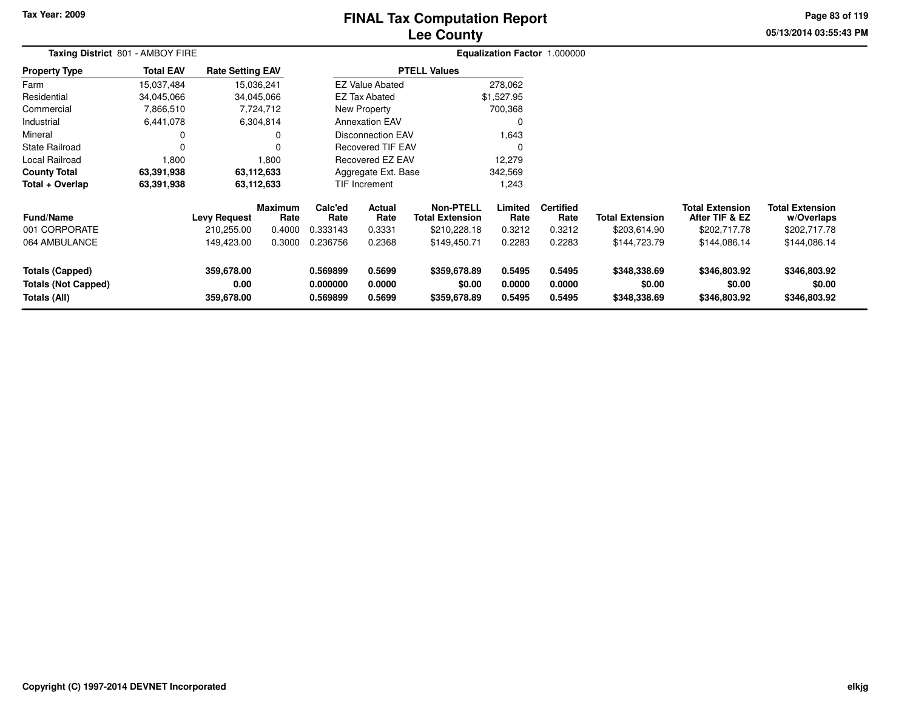# **Lee CountyFINAL Tax Computation Report**

**05/13/2014 03:55:43 PM Page 83 of 119**

| Taxing District 801 - AMBOY FIRE                                     |                  |                                   |                                  |                                  |                            |                                                            | Equalization Factor 1.000000 |                                    |                                        |                                                          |                                                      |  |
|----------------------------------------------------------------------|------------------|-----------------------------------|----------------------------------|----------------------------------|----------------------------|------------------------------------------------------------|------------------------------|------------------------------------|----------------------------------------|----------------------------------------------------------|------------------------------------------------------|--|
| <b>Property Type</b>                                                 | <b>Total EAV</b> | <b>Rate Setting EAV</b>           |                                  |                                  |                            | <b>PTELL Values</b>                                        |                              |                                    |                                        |                                                          |                                                      |  |
| Farm                                                                 | 15,037,484       | 15,036,241                        |                                  |                                  | <b>EZ Value Abated</b>     |                                                            | 278,062                      |                                    |                                        |                                                          |                                                      |  |
| Residential                                                          | 34,045,066       | 34,045,066                        |                                  |                                  | <b>EZ Tax Abated</b>       |                                                            | \$1,527.95                   |                                    |                                        |                                                          |                                                      |  |
| Commercial                                                           | 7,866,510        |                                   | 7,724,712                        |                                  | New Property               |                                                            | 700,368                      |                                    |                                        |                                                          |                                                      |  |
| Industrial                                                           | 6,441,078        |                                   | 6,304,814                        |                                  | <b>Annexation EAV</b>      |                                                            | 0                            |                                    |                                        |                                                          |                                                      |  |
| Mineral                                                              |                  |                                   | 0                                |                                  | Disconnection EAV          |                                                            | 1,643                        |                                    |                                        |                                                          |                                                      |  |
| <b>State Railroad</b>                                                |                  |                                   | $\Omega$                         |                                  | <b>Recovered TIF EAV</b>   |                                                            | $\mathbf 0$                  |                                    |                                        |                                                          |                                                      |  |
| Local Railroad                                                       | 1,800            |                                   | 1,800                            |                                  | Recovered EZ EAV           |                                                            | 12,279                       |                                    |                                        |                                                          |                                                      |  |
| <b>County Total</b>                                                  | 63,391,938       | 63,112,633                        |                                  |                                  | Aggregate Ext. Base        |                                                            | 342,569                      |                                    |                                        |                                                          |                                                      |  |
| Total + Overlap                                                      | 63,391,938       | 63,112,633                        |                                  | TIF Increment<br>1,243           |                            |                                                            |                              |                                    |                                        |                                                          |                                                      |  |
| <b>Fund/Name</b><br>001 CORPORATE                                    |                  | <b>Levy Request</b><br>210,255.00 | <b>Maximum</b><br>Rate<br>0.4000 | Calc'ed<br>Rate<br>0.333143      | Actual<br>Rate<br>0.3331   | <b>Non-PTELL</b><br><b>Total Extension</b><br>\$210,228.18 | Limited<br>Rate<br>0.3212    | <b>Certified</b><br>Rate<br>0.3212 | <b>Total Extension</b><br>\$203,614.90 | <b>Total Extension</b><br>After TIF & EZ<br>\$202,717.78 | <b>Total Extension</b><br>w/Overlaps<br>\$202,717.78 |  |
| 064 AMBULANCE                                                        |                  | 149,423.00                        | 0.3000                           | 0.236756                         | 0.2368                     | \$149,450.71                                               | 0.2283                       | 0.2283                             | \$144,723.79                           | \$144,086.14                                             | \$144,086.14                                         |  |
| <b>Totals (Capped)</b><br><b>Totals (Not Capped)</b><br>Totals (All) |                  | 359,678.00<br>0.00<br>359,678.00  |                                  | 0.569899<br>0.000000<br>0.569899 | 0.5699<br>0.0000<br>0.5699 | \$359,678.89<br>\$0.00<br>\$359,678.89                     | 0.5495<br>0.0000<br>0.5495   | 0.5495<br>0.0000<br>0.5495         | \$348,338.69<br>\$0.00<br>\$348,338.69 | \$346,803.92<br>\$0.00<br>\$346,803.92                   | \$346,803.92<br>\$0.00<br>\$346,803.92               |  |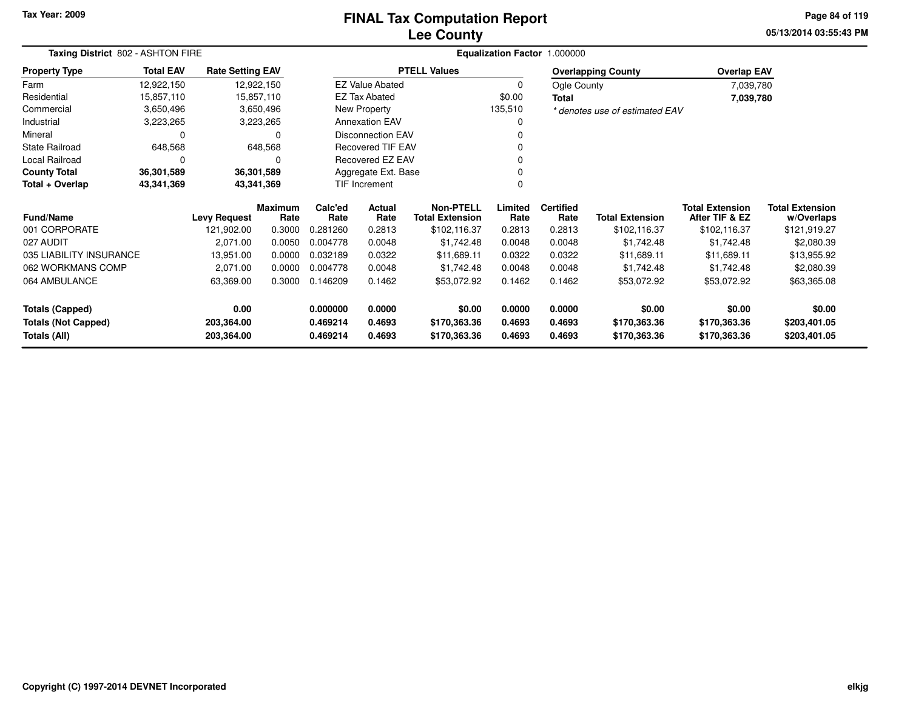### **Lee CountyFINAL Tax Computation Report**

**05/13/2014 03:55:43 PMPage 84 of 119**

|                                | Taxing District 802 - ASHTON FIRE |                         |                        |                          |                          |                                     | Equalization Factor 1.000000 |                          |                                |                                          |                                      |
|--------------------------------|-----------------------------------|-------------------------|------------------------|--------------------------|--------------------------|-------------------------------------|------------------------------|--------------------------|--------------------------------|------------------------------------------|--------------------------------------|
| <b>Property Type</b>           | <b>Total EAV</b>                  | <b>Rate Setting EAV</b> |                        |                          |                          | <b>PTELL Values</b>                 |                              |                          | <b>Overlapping County</b>      | <b>Overlap EAV</b>                       |                                      |
| Farm                           | 12,922,150                        | 12,922,150              |                        |                          | <b>EZ Value Abated</b>   |                                     | $\Omega$                     | Ogle County              |                                | 7,039,780                                |                                      |
| Residential                    | 15,857,110                        | 15,857,110              |                        |                          | EZ Tax Abated            |                                     | \$0.00                       | Total                    |                                | 7,039,780                                |                                      |
| Commercial                     | 3,650,496                         |                         | 3,650,496              |                          | New Property             |                                     | 135,510                      |                          | * denotes use of estimated EAV |                                          |                                      |
| Industrial                     | 3,223,265                         |                         | 3,223,265              |                          | <b>Annexation EAV</b>    |                                     | 0                            |                          |                                |                                          |                                      |
| Mineral                        | 0                                 |                         | 0                      | <b>Disconnection EAV</b> |                          |                                     |                              |                          |                                |                                          |                                      |
| <b>State Railroad</b>          | 648,568                           |                         | 648,568                |                          | <b>Recovered TIF EAV</b> |                                     |                              |                          |                                |                                          |                                      |
| Local Railroad                 | 0                                 |                         | 0                      | Recovered EZ EAV         |                          |                                     |                              |                          |                                |                                          |                                      |
| <b>County Total</b>            | 36,301,589                        | 36,301,589              |                        |                          | Aggregate Ext. Base      |                                     |                              |                          |                                |                                          |                                      |
| Total + Overlap                | 43,341,369                        | 43,341,369              |                        |                          | TIF Increment            |                                     | 0                            |                          |                                |                                          |                                      |
| <b>Fund/Name</b>               |                                   | <b>Levy Request</b>     | <b>Maximum</b><br>Rate | Calc'ed<br>Rate          | <b>Actual</b><br>Rate    | Non-PTELL<br><b>Total Extension</b> | Limited<br>Rate              | <b>Certified</b><br>Rate | <b>Total Extension</b>         | <b>Total Extension</b><br>After TIF & EZ | <b>Total Extension</b><br>w/Overlaps |
| 001 CORPORATE                  |                                   | 121,902.00              | 0.3000                 | 0.281260                 | 0.2813                   | \$102,116.37                        | 0.2813                       | 0.2813                   | \$102,116.37                   | \$102,116.37                             | \$121,919.27                         |
| 027 AUDIT                      |                                   | 2,071.00                | 0.0050                 | 0.004778                 | 0.0048                   | \$1,742.48                          | 0.0048                       | 0.0048                   | \$1,742.48                     | \$1,742.48                               | \$2,080.39                           |
| 035 LIABILITY INSURANCE        |                                   | 13,951.00               | 0.0000                 | 0.032189                 | 0.0322                   | \$11,689.11                         | 0.0322                       | 0.0322                   | \$11,689.11                    | \$11,689.11                              | \$13,955.92                          |
| 062 WORKMANS COMP              |                                   | 2,071.00                | 0.0000                 | 0.004778                 | 0.0048                   | \$1,742.48                          | 0.0048                       | 0.0048                   | \$1,742.48                     | \$1,742.48                               | \$2,080.39                           |
| 064 AMBULANCE                  |                                   | 63,369.00               | 0.3000                 | 0.146209                 | 0.1462                   | \$53,072.92                         | 0.1462                       | 0.1462                   | \$53,072.92                    | \$53,072.92                              | \$63,365.08                          |
| 0.00<br><b>Totals (Capped)</b> |                                   |                         | 0.000000               | 0.0000                   | \$0.00                   | 0.0000                              | 0.0000                       | \$0.00                   | \$0.00                         | \$0.00                                   |                                      |
| <b>Totals (Not Capped)</b>     |                                   | 203,364.00              |                        | 0.469214                 | 0.4693                   | \$170,363.36                        | 0.4693                       | 0.4693                   | \$170,363.36                   | \$170,363.36                             | \$203,401.05                         |
| Totals (All)                   |                                   | 203,364.00              |                        | 0.469214                 | 0.4693                   | \$170,363.36                        | 0.4693                       | 0.4693                   | \$170,363.36                   | \$170,363.36                             | \$203,401.05                         |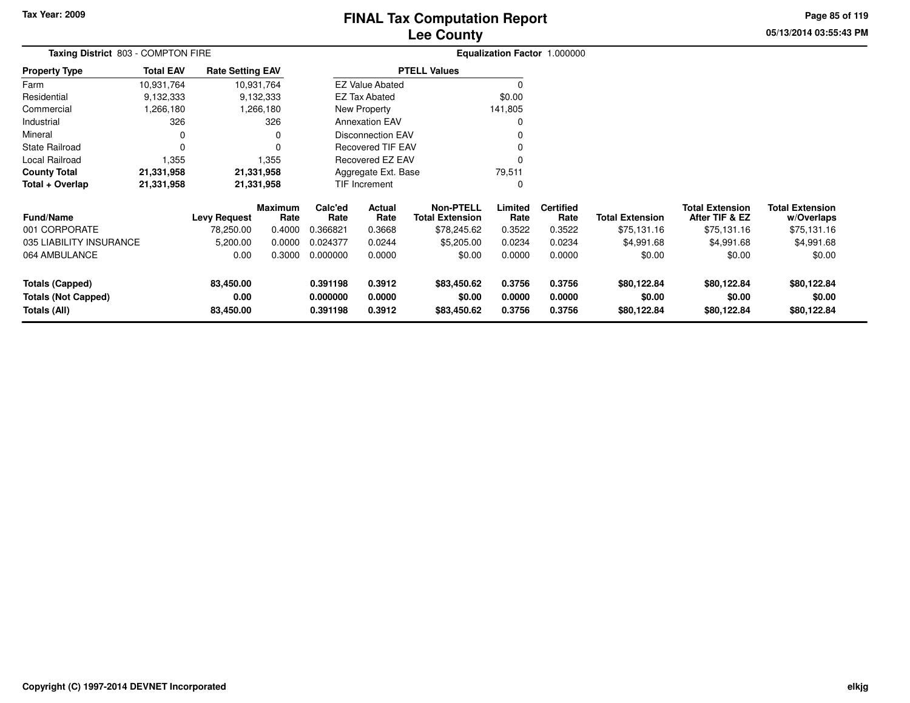# **Lee CountyFINAL Tax Computation Report**

**05/13/2014 03:55:43 PM Page 85 of 119**

| <b>Total EAV</b> |                                |                                                           |                                                                                                       |                            |                                                                                       |                                                                                                                                                  |                            |                                      |                                          |                                      |  |
|------------------|--------------------------------|-----------------------------------------------------------|-------------------------------------------------------------------------------------------------------|----------------------------|---------------------------------------------------------------------------------------|--------------------------------------------------------------------------------------------------------------------------------------------------|----------------------------|--------------------------------------|------------------------------------------|--------------------------------------|--|
| 10,931,764       |                                |                                                           |                                                                                                       |                            |                                                                                       | 0                                                                                                                                                |                            |                                      |                                          |                                      |  |
| 9,132,333        |                                |                                                           |                                                                                                       |                            |                                                                                       | \$0.00                                                                                                                                           |                            |                                      |                                          |                                      |  |
| 1,266,180        |                                |                                                           |                                                                                                       |                            |                                                                                       | 141,805                                                                                                                                          |                            |                                      |                                          |                                      |  |
| 326              |                                | 326                                                       |                                                                                                       |                            |                                                                                       | 0                                                                                                                                                |                            |                                      |                                          |                                      |  |
| 0                |                                | 0                                                         |                                                                                                       |                            |                                                                                       |                                                                                                                                                  |                            |                                      |                                          |                                      |  |
| $\Omega$         |                                | 0                                                         |                                                                                                       |                            |                                                                                       | $\Omega$                                                                                                                                         |                            |                                      |                                          |                                      |  |
| 1,355            |                                | 1,355                                                     |                                                                                                       |                            |                                                                                       | $\Omega$                                                                                                                                         |                            |                                      |                                          |                                      |  |
| 21,331,958       |                                |                                                           |                                                                                                       |                            |                                                                                       | 79,511                                                                                                                                           |                            |                                      |                                          |                                      |  |
| 21,331,958       |                                |                                                           |                                                                                                       |                            |                                                                                       | 0                                                                                                                                                |                            |                                      |                                          |                                      |  |
|                  |                                | Rate                                                      | Calc'ed<br>Rate                                                                                       | Actual<br>Rate             | <b>Non-PTELL</b><br><b>Total Extension</b>                                            | Limited<br>Rate                                                                                                                                  | <b>Certified</b><br>Rate   | <b>Total Extension</b>               | <b>Total Extension</b><br>After TIF & EZ | <b>Total Extension</b><br>w/Overlaps |  |
|                  | 78,250.00                      | 0.4000                                                    | 0.366821                                                                                              | 0.3668                     | \$78,245.62                                                                           | 0.3522                                                                                                                                           | 0.3522                     | \$75,131.16                          | \$75,131.16                              | \$75,131.16                          |  |
|                  | 5,200.00                       | 0.0000                                                    | 0.024377                                                                                              | 0.0244                     | \$5,205.00                                                                            | 0.0234                                                                                                                                           | 0.0234                     | \$4,991.68                           | \$4,991.68                               | \$4,991.68                           |  |
|                  | 0.00                           | 0.3000                                                    | 0.000000                                                                                              | 0.0000                     | \$0.00                                                                                | 0.0000                                                                                                                                           | 0.0000                     | \$0.00                               | \$0.00                                   | \$0.00                               |  |
|                  | 83,450.00<br>0.00<br>83,450.00 |                                                           | 0.391198<br>0.000000<br>0.391198                                                                      | 0.3912<br>0.0000<br>0.3912 | \$83,450.62<br>\$0.00<br>\$83,450.62                                                  | 0.3756<br>0.0000<br>0.3756                                                                                                                       | 0.3756<br>0.0000<br>0.3756 | \$80,122.84<br>\$0.00<br>\$80,122.84 | \$80,122.84<br>\$0.00<br>\$80,122.84     | \$80,122.84<br>\$0.00<br>\$80,122.84 |  |
|                  | 035 LIABILITY INSURANCE        | Taxing District 803 - COMPTON FIRE<br><b>Levy Request</b> | <b>Rate Setting EAV</b><br>10,931,764<br>9,132,333<br>.266,180<br>21,331,958<br>21,331,958<br>Maximum |                            | <b>EZ Tax Abated</b><br><b>New Property</b><br><b>Annexation EAV</b><br>TIF Increment | <b>PTELL Values</b><br><b>EZ Value Abated</b><br><b>Disconnection EAV</b><br><b>Recovered TIF EAV</b><br>Recovered EZ EAV<br>Aggregate Ext. Base |                            |                                      | Equalization Factor 1.000000             |                                      |  |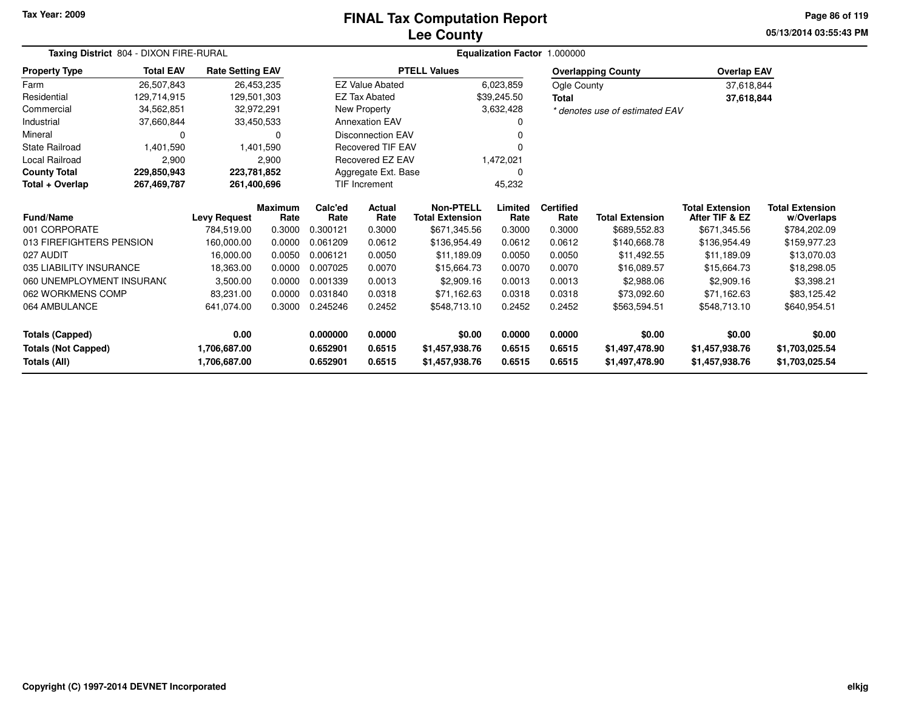# **Lee CountyFINAL Tax Computation Report**

**05/13/2014 03:55:43 PMPage 86 of 119**

| Taxing District 804 - DIXON FIRE-RURAL |                  |                         |                        |                 | Equalization Factor 1.000000 |                                            |                 |                          |                                |                                          |                                      |  |  |
|----------------------------------------|------------------|-------------------------|------------------------|-----------------|------------------------------|--------------------------------------------|-----------------|--------------------------|--------------------------------|------------------------------------------|--------------------------------------|--|--|
| <b>Property Type</b>                   | <b>Total EAV</b> | <b>Rate Setting EAV</b> |                        |                 |                              | <b>PTELL Values</b>                        |                 |                          | <b>Overlapping County</b>      | <b>Overlap EAV</b>                       |                                      |  |  |
| Farm                                   | 26,507,843       |                         | 26,453,235             |                 | <b>EZ Value Abated</b>       |                                            | 6,023,859       | Ogle County              |                                | 37,618,844                               |                                      |  |  |
| Residential                            | 129,714,915      | 129,501,303             |                        |                 | <b>EZ Tax Abated</b>         |                                            | \$39,245.50     | <b>Total</b>             |                                | 37,618,844                               |                                      |  |  |
| Commercial                             | 34,562,851       |                         | 32,972,291             |                 | <b>New Property</b>          |                                            | 3,632,428       |                          | * denotes use of estimated EAV |                                          |                                      |  |  |
| Industrial                             | 37,660,844       |                         | 33,450,533             |                 | <b>Annexation EAV</b>        |                                            |                 |                          |                                |                                          |                                      |  |  |
| Mineral                                | 0                |                         | 0                      |                 | <b>Disconnection EAV</b>     |                                            |                 |                          |                                |                                          |                                      |  |  |
| State Railroad                         | 1,401,590        |                         | 1,401,590              |                 | <b>Recovered TIF EAV</b>     |                                            |                 |                          |                                |                                          |                                      |  |  |
| <b>Local Railroad</b>                  | 2,900            |                         | 2,900                  |                 | Recovered EZ EAV             |                                            | 1,472,021       |                          |                                |                                          |                                      |  |  |
| <b>County Total</b>                    | 229,850,943      | 223,781,852             |                        |                 | Aggregate Ext. Base          |                                            | $\Omega$        |                          |                                |                                          |                                      |  |  |
| Total + Overlap                        | 267,469,787      | 261,400,696             |                        |                 | TIF Increment                |                                            | 45,232          |                          |                                |                                          |                                      |  |  |
| Fund/Name                              |                  | <b>Levy Request</b>     | <b>Maximum</b><br>Rate | Calc'ed<br>Rate | Actual<br>Rate               | <b>Non-PTELL</b><br><b>Total Extension</b> | Limited<br>Rate | <b>Certified</b><br>Rate | <b>Total Extension</b>         | <b>Total Extension</b><br>After TIF & EZ | <b>Total Extension</b><br>w/Overlaps |  |  |
| 001 CORPORATE                          |                  | 784,519.00              | 0.3000                 | 0.300121        | 0.3000                       | \$671,345.56                               | 0.3000          | 0.3000                   | \$689,552.83                   | \$671,345.56                             | \$784,202.09                         |  |  |
| 013 FIREFIGHTERS PENSION               |                  | 160,000.00              | 0.0000                 | 0.061209        | 0.0612                       | \$136,954.49                               | 0.0612          | 0.0612                   | \$140,668.78                   | \$136,954.49                             | \$159,977.23                         |  |  |
| 027 AUDIT                              |                  | 16,000.00               | 0.0050                 | 0.006121        | 0.0050                       | \$11,189.09                                | 0.0050          | 0.0050                   | \$11.492.55                    | \$11,189.09                              | \$13,070.03                          |  |  |
| 035 LIABILITY INSURANCE                |                  | 18,363.00               | 0.0000                 | 0.007025        | 0.0070                       | \$15,664.73                                | 0.0070          | 0.0070                   | \$16,089.57                    | \$15,664.73                              | \$18,298.05                          |  |  |
| 060 UNEMPLOYMENT INSURANC              |                  | 3,500.00                | 0.0000                 | 0.001339        | 0.0013                       | \$2,909.16                                 | 0.0013          | 0.0013                   | \$2,988.06                     | \$2,909.16                               | \$3,398.21                           |  |  |
| 062 WORKMENS COMP                      |                  | 83,231.00               | 0.0000                 | 0.031840        | 0.0318                       | \$71,162.63                                | 0.0318          | 0.0318                   | \$73,092.60                    | \$71,162.63                              | \$83,125.42                          |  |  |
| 064 AMBULANCE                          |                  | 641,074.00              | 0.3000                 | 0.245246        | 0.2452                       | \$548,713.10                               | 0.2452          | 0.2452                   | \$563,594.51                   | \$548,713.10                             | \$640,954.51                         |  |  |
| <b>Totals (Capped)</b>                 |                  | 0.00                    |                        | 0.000000        | 0.0000                       | \$0.00                                     | 0.0000          | 0.0000                   | \$0.00                         | \$0.00                                   | \$0.00                               |  |  |
| <b>Totals (Not Capped)</b>             |                  | 1,706,687.00            |                        | 0.652901        | 0.6515                       | \$1,457,938.76                             | 0.6515          | 0.6515                   | \$1,497,478.90                 | \$1,457,938.76                           | \$1,703,025.54                       |  |  |
| Totals (All)                           |                  | 1,706,687.00            |                        | 0.652901        | 0.6515                       | \$1,457,938.76                             | 0.6515          | 0.6515                   | \$1,497,478.90                 | \$1,457,938.76                           | \$1,703,025.54                       |  |  |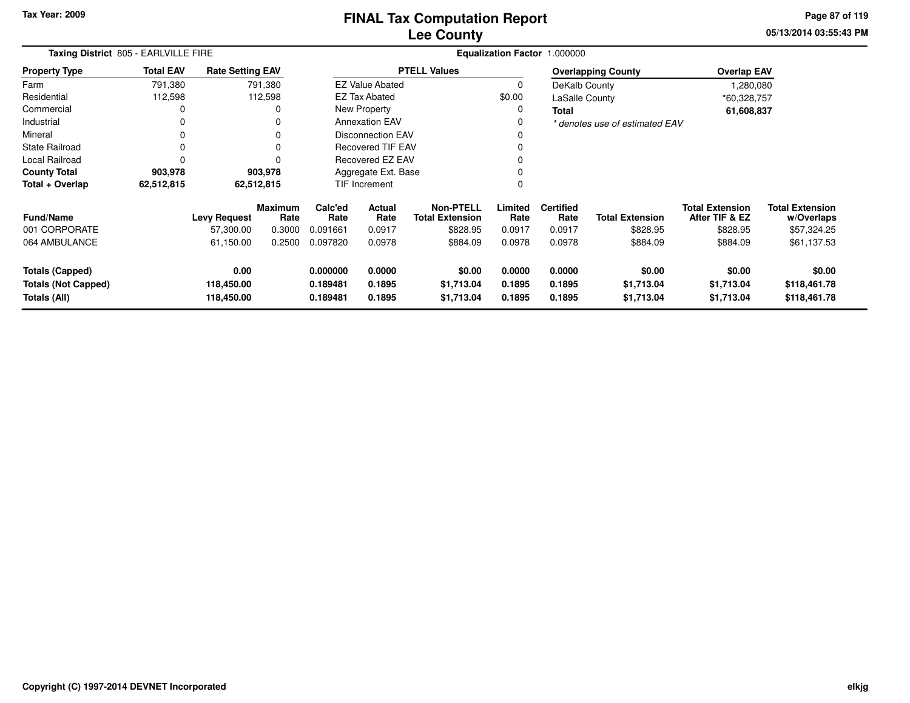**05/13/2014 03:55:43 PM Page 87 of 119**

| Taxing District 805 - EARLVILLE FIRE                                 |                  |                                  |                        |                                  | Equalization Factor 1.000000 |                                            |                            |                            |                                    |                                          |                                        |
|----------------------------------------------------------------------|------------------|----------------------------------|------------------------|----------------------------------|------------------------------|--------------------------------------------|----------------------------|----------------------------|------------------------------------|------------------------------------------|----------------------------------------|
| <b>Property Type</b>                                                 | <b>Total EAV</b> | <b>Rate Setting EAV</b>          |                        |                                  |                              | <b>PTELL Values</b>                        |                            |                            | <b>Overlapping County</b>          | <b>Overlap EAV</b>                       |                                        |
| Farm                                                                 | 791,380          |                                  | 791,380                |                                  | <b>EZ Value Abated</b>       |                                            | 0                          | DeKalb County              |                                    | 1,280,080                                |                                        |
| Residential                                                          | 112,598          |                                  | 112,598                |                                  | <b>EZ Tax Abated</b>         |                                            | \$0.00                     | LaSalle County             |                                    | *60,328,757                              |                                        |
| Commercial                                                           | 0                |                                  |                        |                                  | New Property                 |                                            | 0                          | <b>Total</b>               |                                    | 61,608,837                               |                                        |
| Industrial                                                           | 0                |                                  |                        |                                  | <b>Annexation EAV</b>        |                                            | 0                          |                            | * denotes use of estimated EAV     |                                          |                                        |
| Mineral                                                              | $\Omega$         |                                  |                        |                                  | <b>Disconnection EAV</b>     |                                            |                            |                            |                                    |                                          |                                        |
| <b>State Railroad</b>                                                | 0                |                                  |                        |                                  | <b>Recovered TIF EAV</b>     |                                            |                            |                            |                                    |                                          |                                        |
| Local Railroad                                                       | $\Omega$         |                                  |                        |                                  | Recovered EZ EAV             |                                            |                            |                            |                                    |                                          |                                        |
| <b>County Total</b>                                                  | 903,978          |                                  | 903,978                | Aggregate Ext. Base              |                              |                                            | $\Omega$                   |                            |                                    |                                          |                                        |
| Total + Overlap                                                      | 62,512,815       | 62,512,815                       |                        |                                  | <b>TIF Increment</b>         |                                            | $\mathbf 0$                |                            |                                    |                                          |                                        |
| <b>Fund/Name</b>                                                     |                  | <b>Levy Request</b>              | <b>Maximum</b><br>Rate | Calc'ed<br>Rate                  | <b>Actual</b><br>Rate        | <b>Non-PTELL</b><br><b>Total Extension</b> | Limited<br>Rate            | <b>Certified</b><br>Rate   | <b>Total Extension</b>             | <b>Total Extension</b><br>After TIF & EZ | <b>Total Extension</b><br>w/Overlaps   |
| 001 CORPORATE                                                        |                  | 57,300.00                        | 0.3000                 | 0.091661                         | 0.0917                       | \$828.95                                   | 0.0917                     | 0.0917                     | \$828.95                           | \$828.95                                 | \$57,324.25                            |
| 064 AMBULANCE                                                        |                  | 61,150.00                        | 0.2500                 | 0.097820                         | 0.0978                       | \$884.09                                   | 0.0978                     | 0.0978                     | \$884.09                           | \$884.09                                 | \$61,137.53                            |
| <b>Totals (Capped)</b><br><b>Totals (Not Capped)</b><br>Totals (All) |                  | 0.00<br>118,450.00<br>118,450.00 |                        | 0.000000<br>0.189481<br>0.189481 | 0.0000<br>0.1895<br>0.1895   | \$0.00<br>\$1,713.04<br>\$1,713.04         | 0.0000<br>0.1895<br>0.1895 | 0.0000<br>0.1895<br>0.1895 | \$0.00<br>\$1,713.04<br>\$1,713.04 | \$0.00<br>\$1,713.04<br>\$1,713.04       | \$0.00<br>\$118,461.78<br>\$118,461.78 |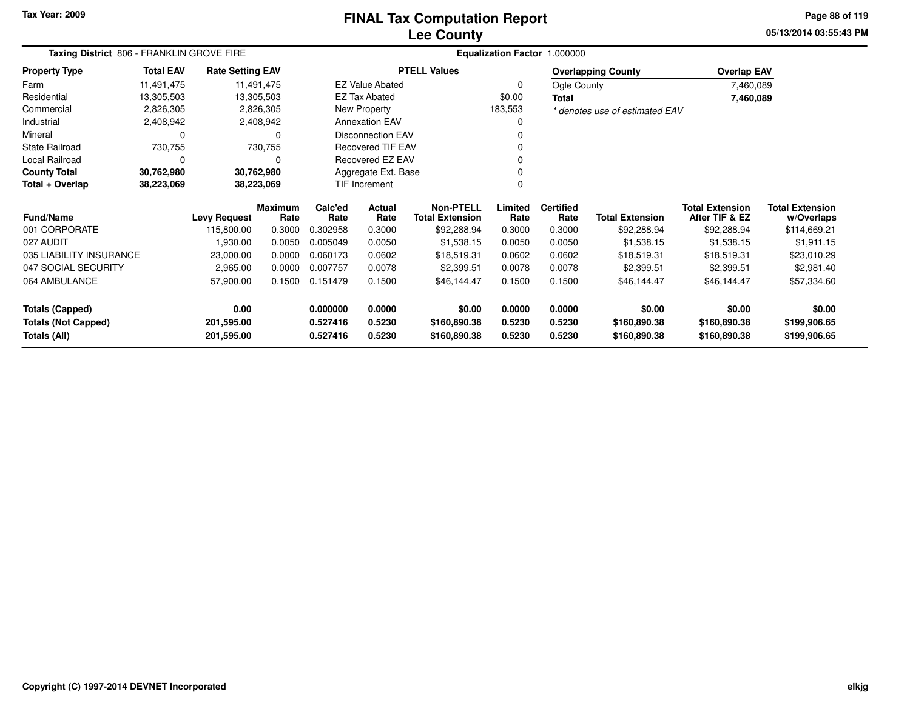## **Lee CountyFINAL Tax Computation Report**

**05/13/2014 03:55:43 PM Page 88 of 119**

| Taxing District 806 - FRANKLIN GROVE FIRE |                  |                         |                 |                     | Equalization Factor 1.000000               |                     |                          |                        |                                          |                                      |              |  |  |
|-------------------------------------------|------------------|-------------------------|-----------------|---------------------|--------------------------------------------|---------------------|--------------------------|------------------------|------------------------------------------|--------------------------------------|--------------|--|--|
| <b>Property Type</b>                      | <b>Total EAV</b> | <b>Rate Setting EAV</b> |                 |                     |                                            | <b>PTELL Values</b> |                          |                        | <b>Overlapping County</b>                | <b>Overlap EAV</b>                   |              |  |  |
| Farm                                      | 11,491,475       |                         | 11,491,475      |                     | <b>EZ Value Abated</b>                     |                     | 0                        | Ogle County            |                                          | 7,460,089                            |              |  |  |
| Residential                               | 13,305,503       |                         | 13,305,503      |                     | <b>EZ Tax Abated</b>                       |                     | \$0.00                   | <b>Total</b>           |                                          | 7,460,089                            |              |  |  |
| Commercial                                | 2,826,305        |                         | 2,826,305       |                     | New Property                               |                     | 183,553                  |                        | * denotes use of estimated EAV           |                                      |              |  |  |
| Industrial                                | 2,408,942        |                         | 2,408,942       |                     | <b>Annexation EAV</b>                      |                     |                          |                        |                                          |                                      |              |  |  |
| Mineral                                   | 0                |                         | 0               |                     | <b>Disconnection EAV</b>                   |                     |                          |                        |                                          |                                      |              |  |  |
| <b>State Railroad</b>                     | 730,755          |                         | 730,755         |                     | <b>Recovered TIF EAV</b>                   |                     |                          |                        |                                          |                                      |              |  |  |
| Local Railroad                            | 0                |                         | 0               |                     | Recovered EZ EAV                           |                     |                          |                        |                                          |                                      |              |  |  |
| <b>County Total</b>                       | 30,762,980       |                         | 30,762,980      | Aggregate Ext. Base |                                            |                     |                          |                        |                                          |                                      |              |  |  |
| Total + Overlap                           | 38,223,069       |                         | 38,223,069      |                     | TIF Increment                              |                     |                          |                        |                                          |                                      |              |  |  |
| <b>Fund/Name</b><br><b>Levy Request</b>   |                  | <b>Maximum</b><br>Rate  | Calc'ed<br>Rate | Actual<br>Rate      | <b>Non-PTELL</b><br><b>Total Extension</b> | Limited<br>Rate     | <b>Certified</b><br>Rate | <b>Total Extension</b> | <b>Total Extension</b><br>After TIF & EZ | <b>Total Extension</b><br>w/Overlaps |              |  |  |
| 001 CORPORATE                             |                  | 115,800.00              | 0.3000          | 0.302958            | 0.3000                                     | \$92,288.94         | 0.3000                   | 0.3000                 | \$92,288.94                              | \$92,288.94                          | \$114,669.21 |  |  |
| 027 AUDIT                                 |                  | 1,930.00                | 0.0050          | 0.005049            | 0.0050                                     | \$1,538.15          | 0.0050                   | 0.0050                 | \$1,538.15                               | \$1,538.15                           | \$1,911.15   |  |  |
| 035 LIABILITY INSURANCE                   |                  | 23,000.00               | 0.0000          | 0.060173            | 0.0602                                     | \$18,519.31         | 0.0602                   | 0.0602                 | \$18,519.31                              | \$18,519.31                          | \$23,010.29  |  |  |
| 047 SOCIAL SECURITY                       |                  | 2,965.00                | 0.0000          | 0.007757            | 0.0078                                     | \$2,399.51          | 0.0078                   | 0.0078                 | \$2,399.51                               | \$2,399.51                           | \$2,981.40   |  |  |
| 064 AMBULANCE                             |                  | 57,900.00               | 0.1500          | 0.151479            | 0.1500                                     | \$46,144.47         | 0.1500                   | 0.1500                 | \$46,144.47                              | \$46,144.47                          | \$57,334.60  |  |  |
| <b>Totals (Capped)</b>                    |                  | 0.00                    |                 | 0.000000            | 0.0000                                     | \$0.00              | 0.0000                   | 0.0000                 | \$0.00                                   | \$0.00                               | \$0.00       |  |  |
| <b>Totals (Not Capped)</b>                |                  | 201,595.00              |                 | 0.527416            | 0.5230                                     | \$160,890.38        | 0.5230                   | 0.5230                 | \$160,890.38                             | \$160,890.38                         | \$199,906.65 |  |  |
| Totals (All)                              |                  | 201,595.00              |                 | 0.527416            | 0.5230                                     | \$160,890.38        | 0.5230                   | 0.5230                 | \$160,890.38                             | \$160,890.38                         | \$199,906.65 |  |  |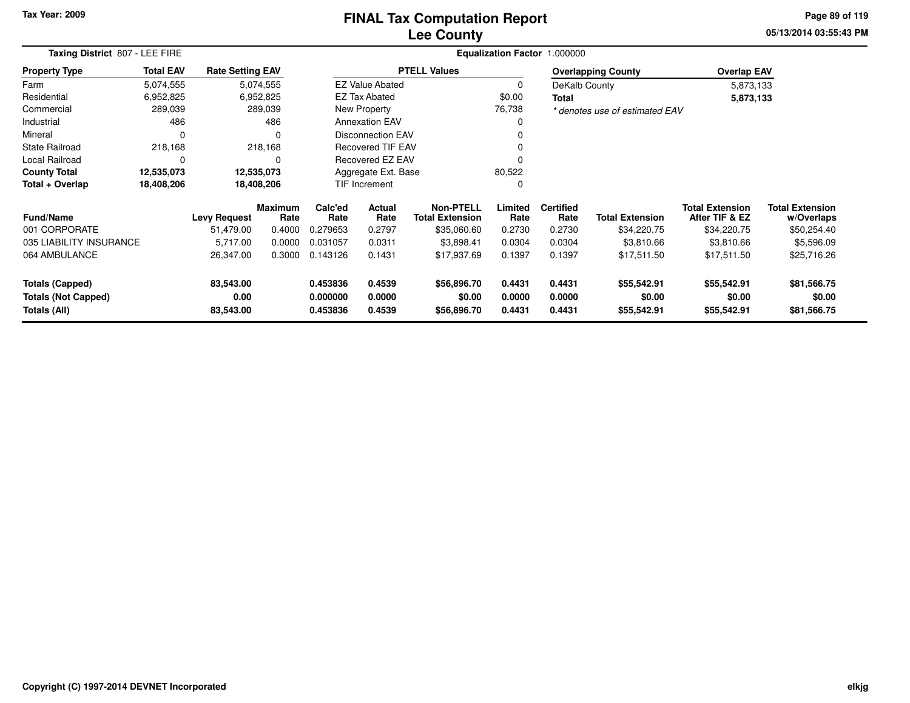#### **Lee CountyFINAL Tax Computation Report**

**05/13/2014 03:55:43 PM Page 89 of 119**

| Taxing District 807 - LEE FIRE             |                  |                         |                        |                      |                                          | Equalization Factor 1.000000 |                  |                          |                                |                                          |                                      |
|--------------------------------------------|------------------|-------------------------|------------------------|----------------------|------------------------------------------|------------------------------|------------------|--------------------------|--------------------------------|------------------------------------------|--------------------------------------|
| <b>Property Type</b>                       | <b>Total EAV</b> | <b>Rate Setting EAV</b> |                        |                      |                                          | <b>PTELL Values</b>          |                  |                          | <b>Overlapping County</b>      | <b>Overlap EAV</b>                       |                                      |
| Farm                                       | 5,074,555        |                         | 5,074,555              |                      | <b>EZ Value Abated</b>                   |                              | 0                | DeKalb County            |                                | 5,873,133                                |                                      |
| Residential                                | 6,952,825        |                         | 6,952,825              |                      | <b>EZ Tax Abated</b>                     |                              | \$0.00           | <b>Total</b>             |                                | 5,873,133                                |                                      |
| Commercial                                 | 289,039          |                         | 289,039                |                      | New Property                             |                              | 76,738           |                          | * denotes use of estimated EAV |                                          |                                      |
| Industrial                                 | 486              |                         | 486                    |                      | <b>Annexation EAV</b>                    |                              |                  |                          |                                |                                          |                                      |
| Mineral                                    | $\Omega$         |                         |                        |                      | <b>Disconnection EAV</b>                 |                              |                  |                          |                                |                                          |                                      |
| <b>State Railroad</b>                      | 218,168          |                         | 218,168                |                      | <b>Recovered TIF EAV</b>                 |                              | ი                |                          |                                |                                          |                                      |
| Local Railroad                             | 0                |                         | 0                      |                      | Recovered EZ EAV                         |                              |                  |                          |                                |                                          |                                      |
| <b>County Total</b>                        | 12,535,073       |                         | 12,535,073             |                      | Aggregate Ext. Base                      |                              | 80,522           |                          |                                |                                          |                                      |
| Total + Overlap                            | 18,408,206       |                         | 18,408,206             |                      | TIF Increment                            |                              | 0                |                          |                                |                                          |                                      |
| <b>Fund/Name</b>                           |                  | <b>Levy Request</b>     | <b>Maximum</b><br>Rate | Calc'ed<br>Rate      | Actual<br><b>Total Extension</b><br>Rate |                              | Limited<br>Rate  | <b>Certified</b><br>Rate | <b>Total Extension</b>         | <b>Total Extension</b><br>After TIF & EZ | <b>Total Extension</b><br>w/Overlaps |
| 001 CORPORATE                              |                  | 51,479.00               | 0.4000                 | 0.279653             | 0.2797                                   | \$35,060.60                  | 0.2730           | 0.2730                   | \$34,220.75                    | \$34,220.75                              | \$50,254.40                          |
| 035 LIABILITY INSURANCE                    |                  | 5,717.00                | 0.0000                 | 0.031057             | 0.0311                                   | \$3,898.41                   | 0.0304           | 0.0304                   | \$3,810.66                     | \$3,810.66                               | \$5,596.09                           |
| 064 AMBULANCE                              |                  | 26,347.00               | 0.3000                 | 0.143126             | 0.1431                                   | \$17,937.69                  | 0.1397           | 0.1397                   | \$17,511.50                    | \$17,511.50                              | \$25,716.26                          |
| Totals (Capped)                            |                  | 83,543.00               |                        | 0.453836             | 0.4539                                   | \$56,896.70                  | 0.4431           | 0.4431                   | \$55,542.91                    | \$55,542.91                              | \$81,566.75                          |
| <b>Totals (Not Capped)</b><br>Totals (All) |                  | 0.00<br>83,543.00       |                        | 0.000000<br>0.453836 | 0.0000<br>0.4539                         | \$0.00<br>\$56,896.70        | 0.0000<br>0.4431 | 0.0000<br>0.4431         | \$0.00<br>\$55,542.91          | \$0.00<br>\$55,542.91                    | \$0.00<br>\$81,566.75                |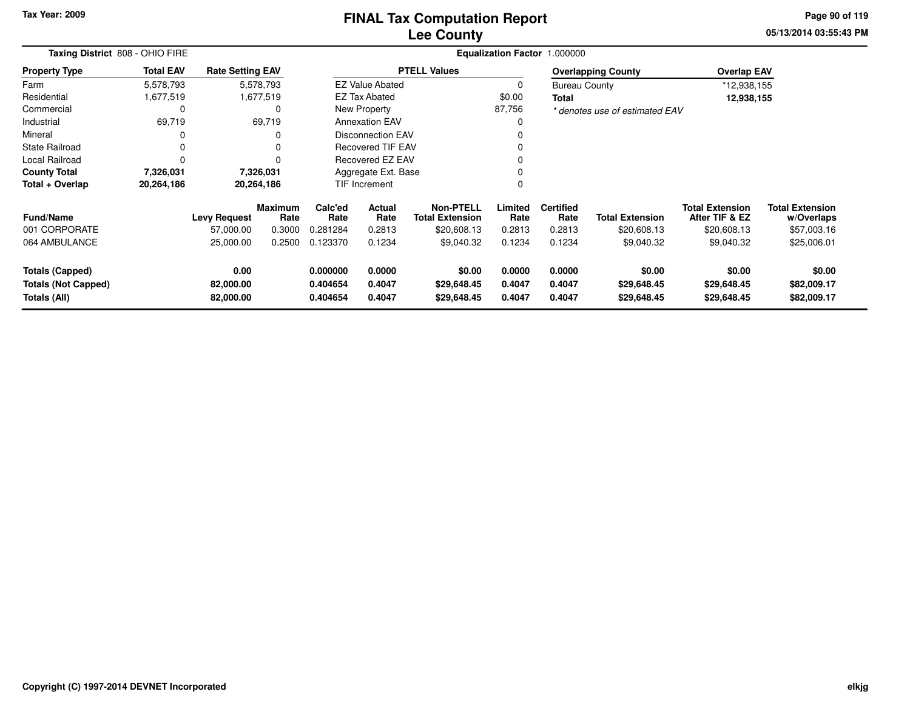## **Lee CountyFINAL Tax Computation Report**

**05/13/2014 03:55:43 PM Page 90 of 119**

| Taxing District 808 - OHIO FIRE |                  | <b>Equalization Factor</b><br>1.000000 |                        |                 |                          |                                            |                 |                          |                                |                                          |                                      |
|---------------------------------|------------------|----------------------------------------|------------------------|-----------------|--------------------------|--------------------------------------------|-----------------|--------------------------|--------------------------------|------------------------------------------|--------------------------------------|
| <b>Property Type</b>            | <b>Total EAV</b> | <b>Rate Setting EAV</b>                |                        |                 |                          | <b>PTELL Values</b>                        |                 |                          | <b>Overlapping County</b>      | <b>Overlap EAV</b>                       |                                      |
| Farm                            | 5,578,793        |                                        | 5,578,793              |                 | <b>EZ Value Abated</b>   |                                            | 0               | <b>Bureau County</b>     |                                | *12,938,155                              |                                      |
| Residential                     | 1,677,519        |                                        | 1,677,519              |                 | <b>EZ Tax Abated</b>     |                                            |                 | Total                    |                                | 12,938,155                               |                                      |
| Commercial                      | C                |                                        | 0                      |                 | New Property             |                                            |                 |                          | * denotes use of estimated EAV |                                          |                                      |
| Industrial                      | 69,719           |                                        | 69,719                 |                 | <b>Annexation EAV</b>    |                                            |                 |                          |                                |                                          |                                      |
| Mineral                         | 0                |                                        | 0                      |                 | <b>Disconnection EAV</b> |                                            |                 |                          |                                |                                          |                                      |
| <b>State Railroad</b>           | $\Omega$         |                                        | 0                      |                 | Recovered TIF EAV        |                                            |                 |                          |                                |                                          |                                      |
| Local Railroad                  |                  |                                        | $\Omega$               |                 | Recovered EZ EAV         |                                            |                 |                          |                                |                                          |                                      |
| <b>County Total</b>             | 7,326,031        |                                        | 7,326,031              |                 | Aggregate Ext. Base      |                                            | 0               |                          |                                |                                          |                                      |
| Total + Overlap                 | 20,264,186       | 20,264,186                             |                        |                 | <b>TIF Increment</b>     |                                            | 0               |                          |                                |                                          |                                      |
| <b>Fund/Name</b>                |                  | <b>Levy Request</b>                    | <b>Maximum</b><br>Rate | Calc'ed<br>Rate | <b>Actual</b><br>Rate    | <b>Non-PTELL</b><br><b>Total Extension</b> | Limited<br>Rate | <b>Certified</b><br>Rate | <b>Total Extension</b>         | <b>Total Extension</b><br>After TIF & EZ | <b>Total Extension</b><br>w/Overlaps |
| 001 CORPORATE                   |                  | 57,000.00                              | 0.3000                 | 0.281284        | 0.2813                   | \$20,608.13                                | 0.2813          | 0.2813                   | \$20,608.13                    | \$20,608.13                              | \$57,003.16                          |
| 064 AMBULANCE                   |                  | 25,000.00                              | 0.2500                 | 0.123370        | 0.1234                   | \$9,040.32                                 | 0.1234          | 0.1234                   | \$9,040.32                     | \$9,040.32                               | \$25,006.01                          |
| <b>Totals (Capped)</b>          |                  | 0.00                                   |                        | 0.000000        | 0.0000                   | \$0.00                                     | 0.0000          | 0.0000                   | \$0.00                         | \$0.00                                   | \$0.00                               |
| <b>Totals (Not Capped)</b>      |                  | 82,000.00                              |                        | 0.404654        | 0.4047                   | \$29,648.45                                | 0.4047          | 0.4047                   | \$29,648.45                    | \$29,648.45                              | \$82,009.17                          |
| Totals (All)                    |                  | 82,000.00                              |                        | 0.404654        | 0.4047                   | \$29,648.45                                | 0.4047          | 0.4047                   | \$29,648.45                    | \$29,648.45                              | \$82,009.17                          |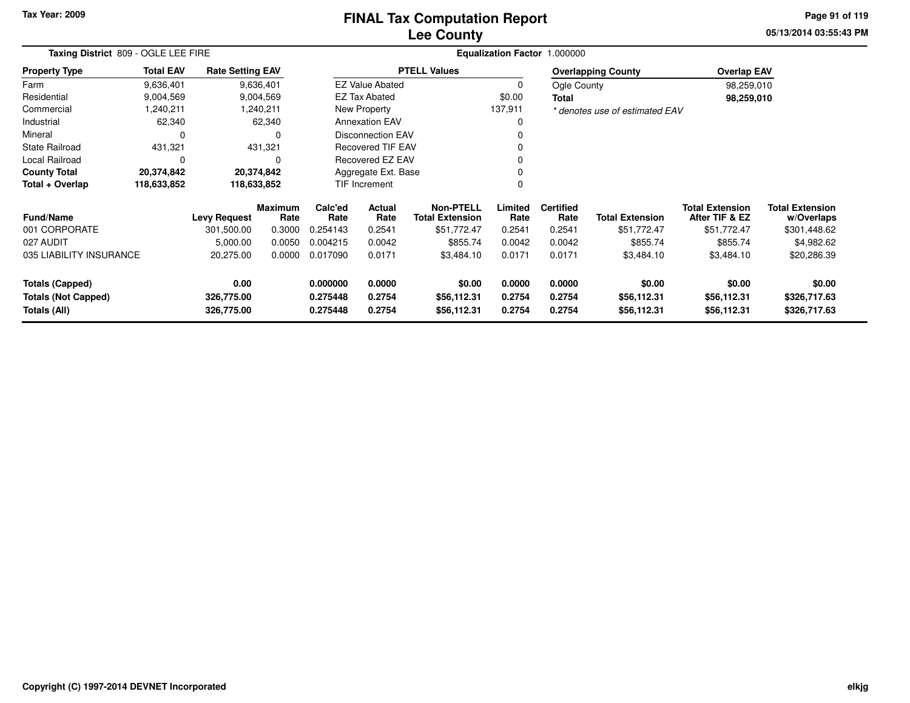# **Lee CountyFINAL Tax Computation Report**

**05/13/2014 03:55:43 PM Page 91 of 119**

| Taxing District 809 - OGLE LEE FIRE        |                  |                          |                        |                      |                                          |                            | Equalization Factor 1.000000 |                          |                                |                                          |                                      |
|--------------------------------------------|------------------|--------------------------|------------------------|----------------------|------------------------------------------|----------------------------|------------------------------|--------------------------|--------------------------------|------------------------------------------|--------------------------------------|
| <b>Property Type</b>                       | <b>Total EAV</b> | <b>Rate Setting EAV</b>  |                        |                      |                                          | <b>PTELL Values</b>        |                              |                          | <b>Overlapping County</b>      | <b>Overlap EAV</b>                       |                                      |
| Farm                                       | 9,636,401        |                          | 9,636,401              |                      | <b>EZ Value Abated</b>                   |                            | 0                            | Ogle County              |                                | 98,259,010                               |                                      |
| Residential                                | 9,004,569        |                          | 9,004,569              |                      | <b>EZ Tax Abated</b>                     |                            | \$0.00                       | Total                    |                                | 98,259,010                               |                                      |
| Commercial                                 | 1,240,211        |                          | 1,240,211              |                      | New Property                             |                            | 137,911                      |                          | * denotes use of estimated EAV |                                          |                                      |
| Industrial                                 | 62,340           |                          | 62,340                 |                      | <b>Annexation EAV</b>                    |                            | 0                            |                          |                                |                                          |                                      |
| Mineral                                    | 0                |                          |                        |                      | <b>Disconnection EAV</b>                 |                            |                              |                          |                                |                                          |                                      |
| <b>State Railroad</b>                      | 431,321          |                          | 431,321                |                      | <b>Recovered TIF EAV</b>                 |                            |                              |                          |                                |                                          |                                      |
| <b>Local Railroad</b>                      | 0                |                          | 0                      |                      | Recovered EZ EAV                         |                            |                              |                          |                                |                                          |                                      |
| <b>County Total</b>                        | 20,374,842       |                          | 20,374,842             |                      | Aggregate Ext. Base                      |                            |                              |                          |                                |                                          |                                      |
| Total + Overlap                            | 118,633,852      | 118,633,852              |                        |                      | <b>TIF Increment</b>                     |                            | $\Omega$                     |                          |                                |                                          |                                      |
| <b>Fund/Name</b>                           |                  | <b>Levy Request</b>      | <b>Maximum</b><br>Rate | Calc'ed<br>Rate      | Actual<br><b>Total Extension</b><br>Rate |                            | Limited<br>Rate              | <b>Certified</b><br>Rate | <b>Total Extension</b>         | <b>Total Extension</b><br>After TIF & EZ | <b>Total Extension</b><br>w/Overlaps |
| 001 CORPORATE                              |                  | 301,500.00               | 0.3000                 | 0.254143             | 0.2541                                   | \$51,772.47                | 0.2541                       | 0.2541                   | \$51,772.47                    | \$51,772.47                              | \$301,448.62                         |
| 027 AUDIT                                  |                  | 5,000.00                 | 0.0050                 | 0.004215             | 0.0042                                   | \$855.74                   | 0.0042                       | 0.0042                   | \$855.74                       | \$855.74                                 | \$4,982.62                           |
| 035 LIABILITY INSURANCE                    |                  | 20,275.00                | 0.0000                 | 0.017090             | 0.0171                                   | \$3,484.10                 | 0.0171                       | 0.0171                   | \$3,484.10                     | \$3,484.10                               | \$20,286.39                          |
| <b>Totals (Capped)</b>                     |                  | 0.00                     |                        | 0.000000             | 0.0000                                   | \$0.00                     | 0.0000                       | 0.0000                   | \$0.00                         | \$0.00                                   | \$0.00                               |
| <b>Totals (Not Capped)</b><br>Totals (All) |                  | 326,775.00<br>326,775.00 |                        | 0.275448<br>0.275448 | 0.2754<br>0.2754                         | \$56,112.31<br>\$56,112.31 | 0.2754<br>0.2754             | 0.2754<br>0.2754         | \$56,112.31<br>\$56,112.31     | \$56,112.31<br>\$56,112.31               | \$326,717.63<br>\$326,717.63         |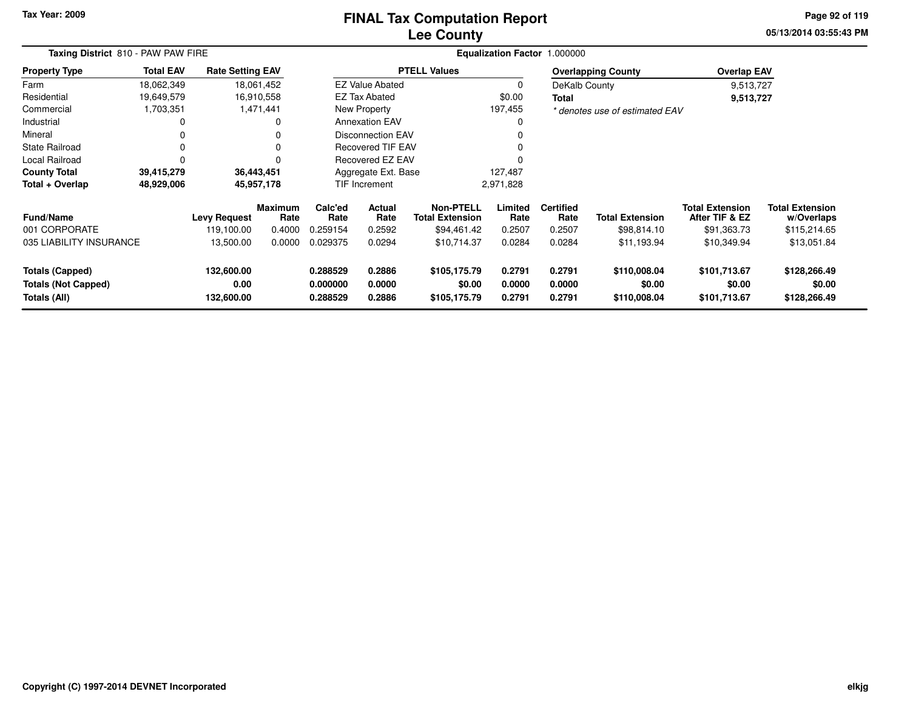## **Lee CountyFINAL Tax Computation Report**

**05/13/2014 03:55:43 PM Page 92 of 119**

| Taxing District 810 - PAW PAW FIRE                                   |                  |                                  |                        | <b>Equalization Factor</b>       | 1.000000                   |                                        |                            |                            |                                        |                                          |                                        |
|----------------------------------------------------------------------|------------------|----------------------------------|------------------------|----------------------------------|----------------------------|----------------------------------------|----------------------------|----------------------------|----------------------------------------|------------------------------------------|----------------------------------------|
| <b>Property Type</b>                                                 | <b>Total EAV</b> | <b>Rate Setting EAV</b>          |                        |                                  |                            | <b>PTELL Values</b>                    |                            |                            | <b>Overlapping County</b>              | <b>Overlap EAV</b>                       |                                        |
| Farm                                                                 | 18,062,349       |                                  | 18,061,452             |                                  | <b>EZ Value Abated</b>     |                                        | 0                          | DeKalb County              |                                        | 9,513,727                                |                                        |
| Residential                                                          | 19,649,579       |                                  | 16,910,558             |                                  | <b>EZ Tax Abated</b>       |                                        | \$0.00                     | <b>Total</b>               |                                        | 9,513,727                                |                                        |
| Commercial                                                           | 1,703,351        |                                  | 1,471,441              |                                  | New Property               |                                        | 197,455                    |                            | * denotes use of estimated EAV         |                                          |                                        |
| Industrial                                                           | 0                |                                  | 0                      |                                  | <b>Annexation EAV</b>      |                                        | 0                          |                            |                                        |                                          |                                        |
| Mineral                                                              | 0                |                                  | $\Omega$               |                                  | <b>Disconnection EAV</b>   |                                        |                            |                            |                                        |                                          |                                        |
| <b>State Railroad</b>                                                | 0                |                                  | $\Omega$               | <b>Recovered TIF EAV</b>         |                            |                                        |                            |                            |                                        |                                          |                                        |
| <b>Local Railroad</b>                                                | 0                |                                  |                        | Recovered EZ EAV                 |                            |                                        |                            |                            |                                        |                                          |                                        |
| <b>County Total</b>                                                  | 39,415,279       |                                  | 36,443,451             |                                  | Aggregate Ext. Base        |                                        | 127,487                    |                            |                                        |                                          |                                        |
| Total + Overlap                                                      | 48,929,006       |                                  | 45,957,178             |                                  | TIF Increment              |                                        | 2,971,828                  |                            |                                        |                                          |                                        |
| <b>Fund/Name</b>                                                     |                  | <b>Levy Request</b>              | <b>Maximum</b><br>Rate | Calc'ed<br>Rate                  | <b>Actual</b><br>Rate      | Non-PTELL<br><b>Total Extension</b>    | Limited<br>Rate            | <b>Certified</b><br>Rate   | <b>Total Extension</b>                 | <b>Total Extension</b><br>After TIF & EZ | <b>Total Extension</b><br>w/Overlaps   |
| 001 CORPORATE                                                        |                  | 119,100.00                       | 0.4000                 | 0.259154                         | 0.2592                     | \$94,461.42                            | 0.2507                     | 0.2507                     | \$98,814.10                            | \$91,363.73                              | \$115,214.65                           |
| 035 LIABILITY INSURANCE                                              |                  | 13,500.00                        | 0.0000                 | 0.029375                         | 0.0294                     | \$10,714.37                            | 0.0284                     | 0.0284                     | \$11,193.94                            | \$10,349.94                              | \$13,051.84                            |
| <b>Totals (Capped)</b><br><b>Totals (Not Capped)</b><br>Totals (All) |                  | 132,600.00<br>0.00<br>132,600.00 |                        | 0.288529<br>0.000000<br>0.288529 | 0.2886<br>0.0000<br>0.2886 | \$105,175.79<br>\$0.00<br>\$105,175.79 | 0.2791<br>0.0000<br>0.2791 | 0.2791<br>0.0000<br>0.2791 | \$110,008.04<br>\$0.00<br>\$110,008.04 | \$101,713.67<br>\$0.00<br>\$101,713.67   | \$128,266.49<br>\$0.00<br>\$128,266.49 |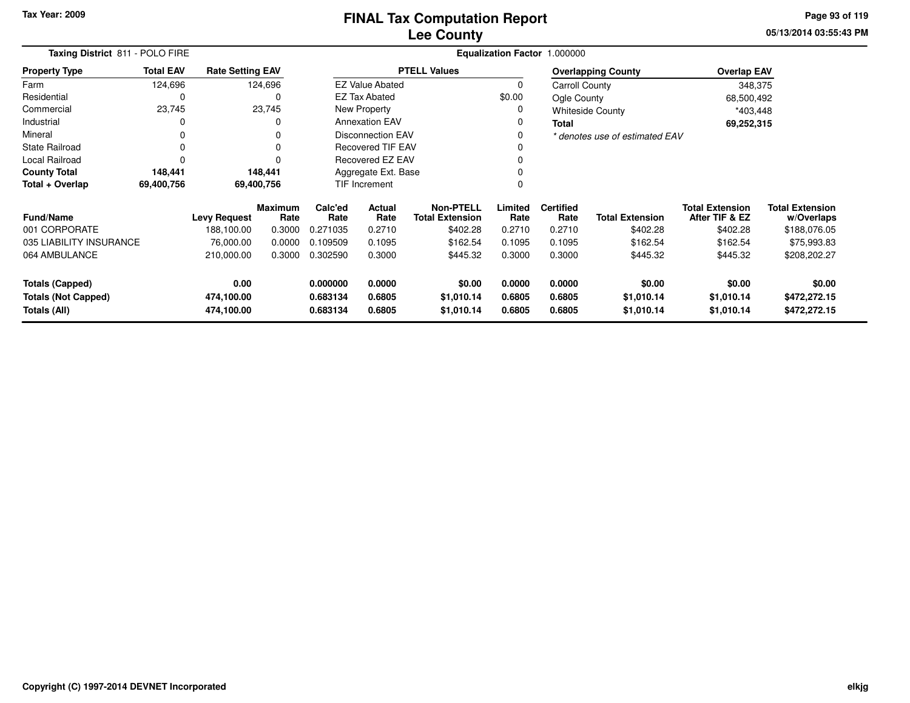**05/13/2014 03:55:43 PM Page 93 of 119**

| Taxing District 811 - POLO FIRE                      |                  |                         | Equalization Factor 1.000000 |                      |                                                              |                      |                  |                          |                                |                                          |                                      |  |
|------------------------------------------------------|------------------|-------------------------|------------------------------|----------------------|--------------------------------------------------------------|----------------------|------------------|--------------------------|--------------------------------|------------------------------------------|--------------------------------------|--|
| <b>Property Type</b>                                 | <b>Total EAV</b> | <b>Rate Setting EAV</b> |                              |                      |                                                              | <b>PTELL Values</b>  |                  |                          | <b>Overlapping County</b>      | <b>Overlap EAV</b>                       |                                      |  |
| Farm                                                 | 124,696          |                         | 124,696                      |                      | <b>EZ Value Abated</b>                                       |                      | $\Omega$         | <b>Carroll County</b>    |                                | 348,375                                  |                                      |  |
| Residential                                          | 0                |                         | $\Omega$                     |                      | <b>EZ Tax Abated</b>                                         |                      | \$0.00           | Ogle County              |                                | 68,500,492                               |                                      |  |
| Commercial                                           | 23,745           |                         | 23,745                       |                      | New Property                                                 |                      | 0                |                          | <b>Whiteside County</b>        | *403,448                                 |                                      |  |
| Industrial                                           | 0                |                         |                              |                      | <b>Annexation EAV</b>                                        |                      | 0                | <b>Total</b>             |                                | 69,252,315                               |                                      |  |
| Mineral                                              | 0                |                         |                              |                      | <b>Disconnection EAV</b>                                     |                      |                  |                          | * denotes use of estimated EAV |                                          |                                      |  |
| <b>State Railroad</b>                                | 0                |                         |                              |                      | Recovered TIF EAV                                            |                      |                  |                          |                                |                                          |                                      |  |
| Local Railroad                                       | 0                |                         |                              |                      | Recovered EZ EAV                                             |                      |                  |                          |                                |                                          |                                      |  |
| <b>County Total</b>                                  | 148,441          |                         | 148,441                      | Aggregate Ext. Base  |                                                              |                      |                  |                          |                                |                                          |                                      |  |
| Total + Overlap                                      | 69,400,756       |                         | 69,400,756                   |                      | <b>TIF Increment</b>                                         |                      | 0                |                          |                                |                                          |                                      |  |
| <b>Fund/Name</b>                                     |                  | <b>Levy Request</b>     | <b>Maximum</b><br>Rate       | Calc'ed<br>Rate      | <b>Non-PTELL</b><br>Actual<br><b>Total Extension</b><br>Rate |                      | Limited<br>Rate  | <b>Certified</b><br>Rate | <b>Total Extension</b>         | <b>Total Extension</b><br>After TIF & EZ | <b>Total Extension</b><br>w/Overlaps |  |
| 001 CORPORATE                                        |                  | 188,100.00              | 0.3000                       | 0.271035             | 0.2710                                                       | \$402.28             | 0.2710           | 0.2710                   | \$402.28                       | \$402.28                                 | \$188,076.05                         |  |
| 035 LIABILITY INSURANCE                              |                  | 76,000.00               | 0.0000                       | 0.109509             | 0.1095                                                       | \$162.54             | 0.1095           | 0.1095                   | \$162.54                       | \$162.54                                 | \$75,993.83                          |  |
| 064 AMBULANCE                                        |                  | 210,000.00              | 0.3000                       | 0.302590             | 0.3000                                                       | \$445.32             | 0.3000           | 0.3000                   | \$445.32                       | \$445.32                                 | \$208,202.27                         |  |
| <b>Totals (Capped)</b><br><b>Totals (Not Capped)</b> |                  | 0.00<br>474,100.00      |                              | 0.000000<br>0.683134 | 0.0000<br>0.6805                                             | \$0.00<br>\$1,010.14 | 0.0000<br>0.6805 | 0.0000<br>0.6805         | \$0.00<br>\$1,010.14           | \$0.00<br>\$1,010.14                     | \$0.00<br>\$472,272.15               |  |
| Totals (All)                                         |                  | 474,100.00              |                              | 0.683134             | 0.6805                                                       | \$1,010.14           | 0.6805           | 0.6805                   | \$1,010.14                     | \$1,010.14                               | \$472,272.15                         |  |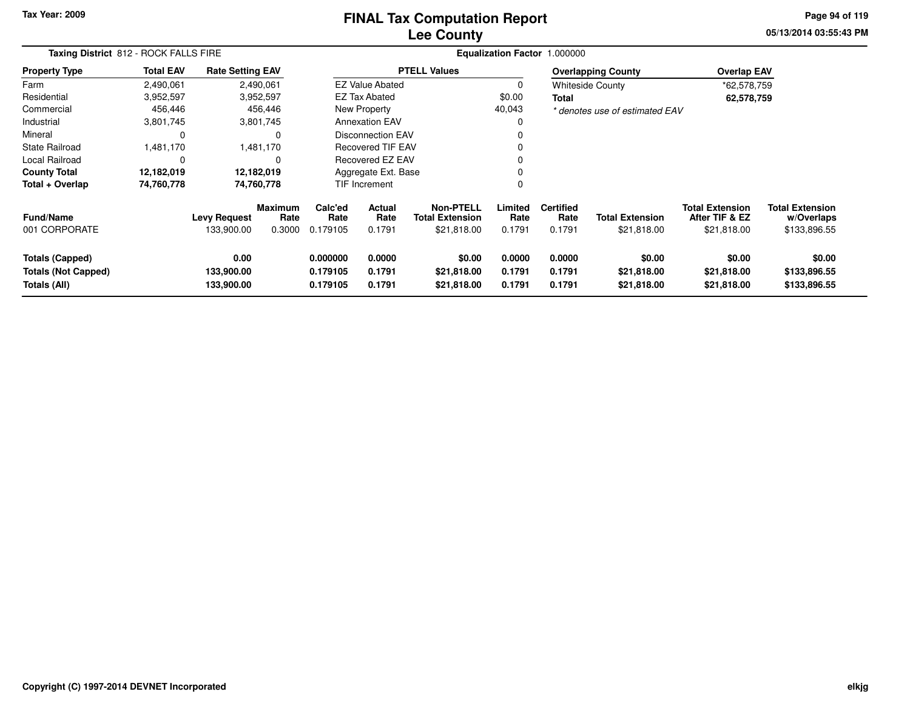### **Lee CountyFINAL Tax Computation Report**

**05/13/2014 03:55:43 PM Page 94 of 119**

| Taxing District 812 - ROCK FALLS FIRE                         |                  |                                   |                           |                                  | Equalization Factor 1.000000 |                                                           |                            |                                    |                                       |                                                         |                                                      |
|---------------------------------------------------------------|------------------|-----------------------------------|---------------------------|----------------------------------|------------------------------|-----------------------------------------------------------|----------------------------|------------------------------------|---------------------------------------|---------------------------------------------------------|------------------------------------------------------|
| <b>Property Type</b>                                          | <b>Total EAV</b> | <b>Rate Setting EAV</b>           |                           |                                  |                              | <b>PTELL Values</b>                                       |                            |                                    | <b>Overlapping County</b>             | <b>Overlap EAV</b>                                      |                                                      |
| Farm                                                          | 2,490,061        |                                   | 2,490,061                 |                                  | <b>EZ Value Abated</b>       |                                                           | 0                          |                                    | <b>Whiteside County</b>               | *62,578,759                                             |                                                      |
| Residential                                                   | 3,952,597        |                                   | 3,952,597                 |                                  | <b>EZ Tax Abated</b>         |                                                           | \$0.00                     | Total                              |                                       | 62,578,759                                              |                                                      |
| Commercial                                                    | 456,446          |                                   | 456,446                   |                                  | New Property                 |                                                           | 40,043                     |                                    | * denotes use of estimated EAV        |                                                         |                                                      |
| Industrial                                                    | 3,801,745        |                                   | 3,801,745                 |                                  | <b>Annexation EAV</b>        |                                                           | 0                          |                                    |                                       |                                                         |                                                      |
| Mineral                                                       | 0                |                                   | $\Omega$                  |                                  | Disconnection EAV            |                                                           | 0                          |                                    |                                       |                                                         |                                                      |
| <b>State Railroad</b>                                         | 1,481,170        |                                   | 1,481,170                 |                                  | <b>Recovered TIF EAV</b>     |                                                           | 0                          |                                    |                                       |                                                         |                                                      |
| Local Railroad                                                | 0                |                                   | $\Omega$                  |                                  | Recovered EZ EAV             |                                                           | 0                          |                                    |                                       |                                                         |                                                      |
| <b>County Total</b>                                           | 12,182,019       |                                   | 12,182,019                |                                  | Aggregate Ext. Base          |                                                           | 0                          |                                    |                                       |                                                         |                                                      |
| Total + Overlap                                               | 74,760,778       |                                   | 74,760,778                |                                  | TIF Increment                |                                                           | 0                          |                                    |                                       |                                                         |                                                      |
| <b>Fund/Name</b><br>001 CORPORATE                             |                  | <b>Levy Request</b><br>133,900.00 | Maximum<br>Rate<br>0.3000 | Calc'ed<br>Rate<br>0.179105      | Actual<br>Rate<br>0.1791     | <b>Non-PTELL</b><br><b>Total Extension</b><br>\$21,818.00 | Limited<br>Rate<br>0.1791  | <b>Certified</b><br>Rate<br>0.1791 | <b>Total Extension</b><br>\$21,818.00 | <b>Total Extension</b><br>After TIF & EZ<br>\$21,818.00 | <b>Total Extension</b><br>w/Overlaps<br>\$133,896.55 |
| Totals (Capped)<br><b>Totals (Not Capped)</b><br>Totals (All) |                  | 0.00<br>133,900.00<br>133,900.00  |                           | 0.000000<br>0.179105<br>0.179105 | 0.0000<br>0.1791<br>0.1791   | \$0.00<br>\$21,818.00<br>\$21,818.00                      | 0.0000<br>0.1791<br>0.1791 | 0.0000<br>0.1791<br>0.1791         | \$0.00<br>\$21,818.00<br>\$21,818.00  | \$0.00<br>\$21,818.00<br>\$21,818.00                    | \$0.00<br>\$133,896.55<br>\$133,896.55               |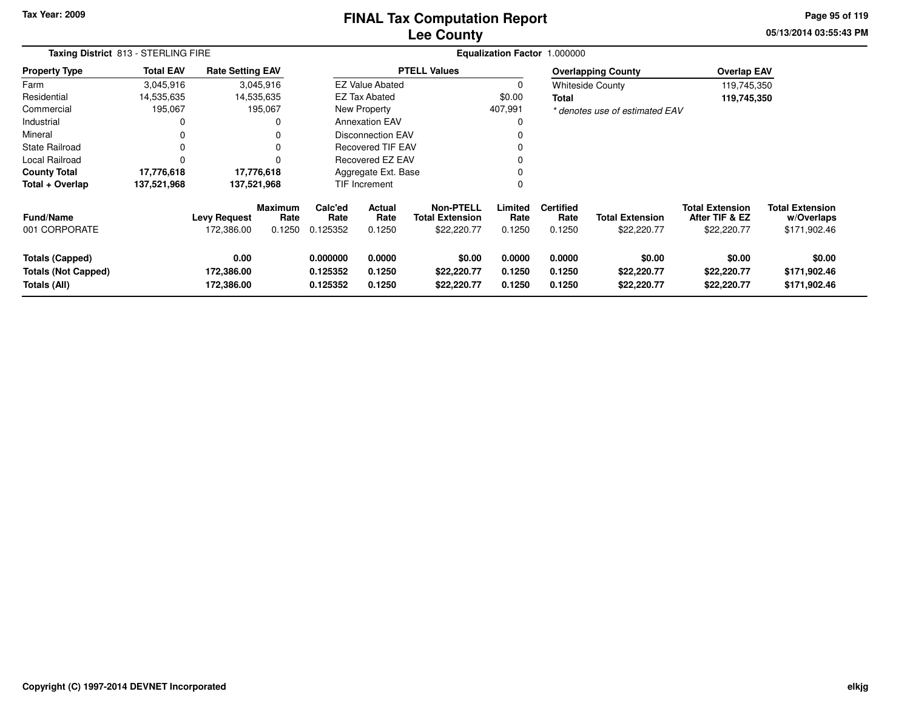## **Lee CountyFINAL Tax Computation Report**

**05/13/2014 03:55:43 PM Page 95 of 119**

|                                                                      | Taxing District 813 - STERLING FIRE |                                   |                           |                                  |                            |                                                           |                            | Equalization Factor 1.000000       |                                       |                                                         |                                                      |  |
|----------------------------------------------------------------------|-------------------------------------|-----------------------------------|---------------------------|----------------------------------|----------------------------|-----------------------------------------------------------|----------------------------|------------------------------------|---------------------------------------|---------------------------------------------------------|------------------------------------------------------|--|
| <b>Property Type</b>                                                 | <b>Total EAV</b>                    | <b>Rate Setting EAV</b>           |                           |                                  |                            | <b>PTELL Values</b>                                       |                            |                                    | <b>Overlapping County</b>             | <b>Overlap EAV</b>                                      |                                                      |  |
| Farm                                                                 | 3,045,916                           |                                   | 3,045,916                 |                                  | <b>EZ Value Abated</b>     |                                                           | 0                          |                                    | <b>Whiteside County</b>               | 119,745,350                                             |                                                      |  |
| Residential                                                          | 14,535,635                          |                                   | 14,535,635                |                                  | EZ Tax Abated              |                                                           | \$0.00                     | Total                              |                                       | 119,745,350                                             |                                                      |  |
| Commercial                                                           | 195,067                             |                                   | 195,067                   |                                  | New Property               |                                                           | 407,991                    |                                    | * denotes use of estimated EAV        |                                                         |                                                      |  |
| Industrial                                                           | 0                                   |                                   |                           |                                  | <b>Annexation EAV</b>      |                                                           | 0                          |                                    |                                       |                                                         |                                                      |  |
| Mineral                                                              | 0                                   |                                   |                           |                                  | Disconnection EAV          |                                                           | $\Omega$                   |                                    |                                       |                                                         |                                                      |  |
| <b>State Railroad</b>                                                | 0                                   |                                   | 0                         |                                  | <b>Recovered TIF EAV</b>   |                                                           | $\Omega$                   |                                    |                                       |                                                         |                                                      |  |
| Local Railroad                                                       | 0                                   |                                   |                           |                                  | Recovered EZ EAV           |                                                           | 0                          |                                    |                                       |                                                         |                                                      |  |
| <b>County Total</b>                                                  | 17,776,618                          |                                   | 17,776,618                |                                  | Aggregate Ext. Base        |                                                           | 0                          |                                    |                                       |                                                         |                                                      |  |
| Total + Overlap                                                      | 137,521,968                         |                                   | 137,521,968               |                                  | <b>TIF Increment</b>       |                                                           | 0                          |                                    |                                       |                                                         |                                                      |  |
| <b>Fund/Name</b><br>001 CORPORATE                                    |                                     | <b>Levy Request</b><br>172,386.00 | Maximum<br>Rate<br>0.1250 | Calc'ed<br>Rate<br>0.125352      | Actual<br>Rate<br>0.1250   | <b>Non-PTELL</b><br><b>Total Extension</b><br>\$22,220.77 | Limited<br>Rate<br>0.1250  | <b>Certified</b><br>Rate<br>0.1250 | <b>Total Extension</b><br>\$22,220.77 | <b>Total Extension</b><br>After TIF & EZ<br>\$22,220.77 | <b>Total Extension</b><br>w/Overlaps<br>\$171,902.46 |  |
| <b>Totals (Capped)</b><br><b>Totals (Not Capped)</b><br>Totals (All) |                                     | 0.00<br>172,386.00<br>172,386.00  |                           | 0.000000<br>0.125352<br>0.125352 | 0.0000<br>0.1250<br>0.1250 | \$0.00<br>\$22,220.77<br>\$22,220.77                      | 0.0000<br>0.1250<br>0.1250 | 0.0000<br>0.1250<br>0.1250         | \$0.00<br>\$22,220.77<br>\$22,220.77  | \$0.00<br>\$22,220.77<br>\$22,220.77                    | \$0.00<br>\$171,902.46<br>\$171,902.46               |  |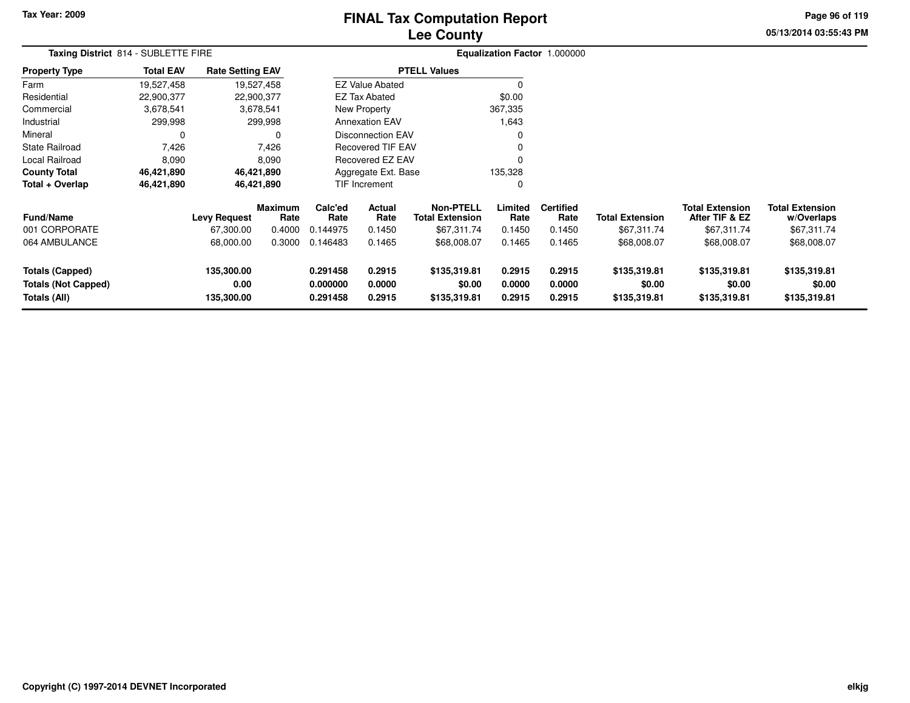# **Lee CountyFINAL Tax Computation Report**

**05/13/2014 03:55:43 PM Page 96 of 119**

|                                                               | Taxing District 814 - SUBLETTE FIRE |                                  |                        |                                  |                                          |                                        |                            | Equalization Factor 1.000000 |                                        |                                          |                                        |  |
|---------------------------------------------------------------|-------------------------------------|----------------------------------|------------------------|----------------------------------|------------------------------------------|----------------------------------------|----------------------------|------------------------------|----------------------------------------|------------------------------------------|----------------------------------------|--|
| <b>Property Type</b>                                          | <b>Total EAV</b>                    | <b>Rate Setting EAV</b>          |                        |                                  |                                          | <b>PTELL Values</b>                    |                            |                              |                                        |                                          |                                        |  |
| Farm                                                          | 19,527,458                          |                                  | 19,527,458             |                                  | <b>EZ Value Abated</b>                   |                                        |                            |                              |                                        |                                          |                                        |  |
| Residential                                                   | 22,900,377                          | 22,900,377                       |                        |                                  | EZ Tax Abated                            |                                        | \$0.00                     |                              |                                        |                                          |                                        |  |
| Commercial                                                    | 3,678,541                           |                                  | 3,678,541              |                                  | <b>New Property</b>                      |                                        | 367,335                    |                              |                                        |                                          |                                        |  |
| Industrial                                                    | 299,998                             |                                  | 299,998                |                                  | <b>Annexation EAV</b>                    |                                        | 1,643                      |                              |                                        |                                          |                                        |  |
| Mineral                                                       | 0                                   |                                  | 0                      |                                  | <b>Disconnection EAV</b>                 |                                        | $\Omega$                   |                              |                                        |                                          |                                        |  |
| <b>State Railroad</b>                                         | 7,426                               |                                  | 7,426                  |                                  | <b>Recovered TIF EAV</b>                 |                                        | $\Omega$                   |                              |                                        |                                          |                                        |  |
| Local Railroad                                                | 8,090                               |                                  | 8,090                  |                                  | <b>Recovered EZ EAV</b>                  |                                        | $\Omega$                   |                              |                                        |                                          |                                        |  |
| <b>County Total</b>                                           | 46,421,890                          |                                  | 46,421,890             |                                  | Aggregate Ext. Base                      |                                        | 135,328                    |                              |                                        |                                          |                                        |  |
| Total + Overlap                                               | 46,421,890                          |                                  | 46,421,890             |                                  | TIF Increment                            |                                        | $\Omega$                   |                              |                                        |                                          |                                        |  |
| <b>Fund/Name</b>                                              |                                     | <b>Levy Request</b>              | <b>Maximum</b><br>Rate | Calc'ed<br>Rate                  | Actual<br><b>Total Extension</b><br>Rate |                                        | Limited<br>Rate            | <b>Certified</b><br>Rate     | <b>Total Extension</b>                 | <b>Total Extension</b><br>After TIF & EZ | <b>Total Extension</b><br>w/Overlaps   |  |
| 001 CORPORATE                                                 |                                     | 67,300.00                        | 0.4000                 | 0.144975                         | 0.1450                                   | \$67,311.74                            | 0.1450                     | 0.1450                       | \$67,311.74                            | \$67,311.74                              | \$67,311.74                            |  |
| 064 AMBULANCE                                                 |                                     | 68,000.00                        | 0.3000                 | 0.146483                         | 0.1465                                   | \$68,008.07                            | 0.1465                     | 0.1465                       | \$68,008.07                            | \$68,008.07                              | \$68,008.07                            |  |
| Totals (Capped)<br><b>Totals (Not Capped)</b><br>Totals (All) |                                     | 135,300.00<br>0.00<br>135,300.00 |                        | 0.291458<br>0.000000<br>0.291458 | 0.2915<br>0.0000<br>0.2915               | \$135,319.81<br>\$0.00<br>\$135,319.81 | 0.2915<br>0.0000<br>0.2915 | 0.2915<br>0.0000<br>0.2915   | \$135,319.81<br>\$0.00<br>\$135,319.81 | \$135,319.81<br>\$0.00<br>\$135,319.81   | \$135,319.81<br>\$0.00<br>\$135,319.81 |  |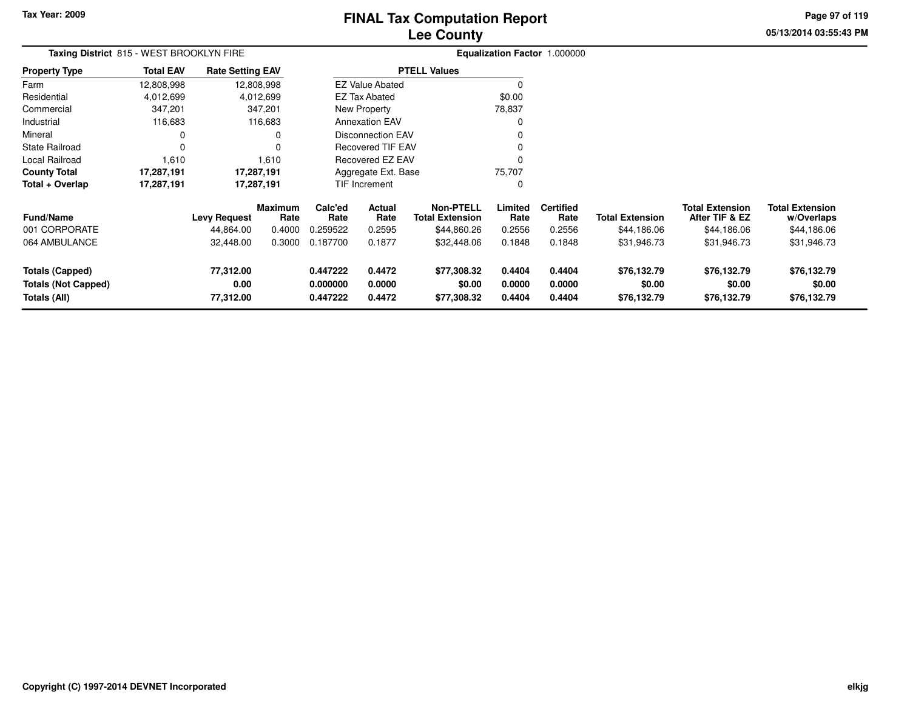# **Lee CountyFINAL Tax Computation Report**

**05/13/2014 03:55:43 PM Page 97 of 119**

| Taxing District 815 - WEST BROOKLYN FIRE                             |                  |                                |                 |                                                                |                          |                                            |                            | Equalization Factor 1.000000 |                                      |                                          |                                      |  |
|----------------------------------------------------------------------|------------------|--------------------------------|-----------------|----------------------------------------------------------------|--------------------------|--------------------------------------------|----------------------------|------------------------------|--------------------------------------|------------------------------------------|--------------------------------------|--|
| Property Type                                                        | <b>Total EAV</b> | <b>Rate Setting EAV</b>        |                 |                                                                |                          | <b>PTELL Values</b>                        |                            |                              |                                      |                                          |                                      |  |
| Farm                                                                 | 12,808,998       |                                | 12,808,998      |                                                                | <b>EZ Value Abated</b>   |                                            | $\Omega$                   |                              |                                      |                                          |                                      |  |
| Residential                                                          | 4,012,699        |                                | 4,012,699       |                                                                | <b>EZ Tax Abated</b>     |                                            | \$0.00                     |                              |                                      |                                          |                                      |  |
| Commercial                                                           | 347,201          |                                | 347,201         |                                                                | New Property             |                                            | 78,837                     |                              |                                      |                                          |                                      |  |
| Industrial                                                           | 116,683          |                                | 116,683         |                                                                | <b>Annexation EAV</b>    |                                            | 0                          |                              |                                      |                                          |                                      |  |
| Mineral                                                              | 0                |                                | 0               |                                                                | <b>Disconnection EAV</b> |                                            | 0                          |                              |                                      |                                          |                                      |  |
| State Railroad                                                       | $\Omega$         |                                | 0               |                                                                | Recovered TIF EAV        |                                            | 0                          |                              |                                      |                                          |                                      |  |
| Local Railroad                                                       | 1,610            |                                | 1,610           |                                                                | Recovered EZ EAV         |                                            | $\Omega$                   |                              |                                      |                                          |                                      |  |
| County Total                                                         | 17,287,191       | 17,287,191                     |                 |                                                                | Aggregate Ext. Base      |                                            | 75,707                     |                              |                                      |                                          |                                      |  |
| Total + Overlap                                                      | 17,287,191       | 17,287,191                     |                 |                                                                | <b>TIF Increment</b>     |                                            | 0                          |                              |                                      |                                          |                                      |  |
| <b>Fund/Name</b>                                                     |                  | <b>Levy Request</b>            | Maximum<br>Rate | Calc'ed<br>Rate                                                | Actual<br>Rate           | <b>Non-PTELL</b><br><b>Total Extension</b> | Limited<br>Rate            | <b>Certified</b><br>Rate     | <b>Total Extension</b>               | <b>Total Extension</b><br>After TIF & EZ | <b>Total Extension</b><br>w/Overlaps |  |
| 001 CORPORATE                                                        |                  | 44,864.00                      | 0.4000          | 0.259522                                                       | 0.2595                   | \$44,860.26                                | 0.2556                     | 0.2556                       | \$44,186.06                          | \$44,186.06                              | \$44,186.06                          |  |
| 064 AMBULANCE                                                        |                  | 32,448.00                      | 0.3000          | 0.187700                                                       | 0.1877                   | \$32,448.06                                | 0.1848                     | 0.1848                       | \$31,946.73                          | \$31,946.73                              | \$31,946.73                          |  |
| <b>Totals (Capped)</b><br><b>Totals (Not Capped)</b><br>Totals (All) |                  | 77,312.00<br>0.00<br>77,312.00 |                 | 0.447222<br>0.4472<br>0.0000<br>0.000000<br>0.447222<br>0.4472 |                          | \$77,308.32<br>\$0.00<br>\$77,308.32       | 0.4404<br>0.0000<br>0.4404 | 0.4404<br>0.0000<br>0.4404   | \$76,132.79<br>\$0.00<br>\$76,132.79 | \$76,132.79<br>\$0.00<br>\$76,132.79     | \$76,132.79<br>\$0.00<br>\$76,132.79 |  |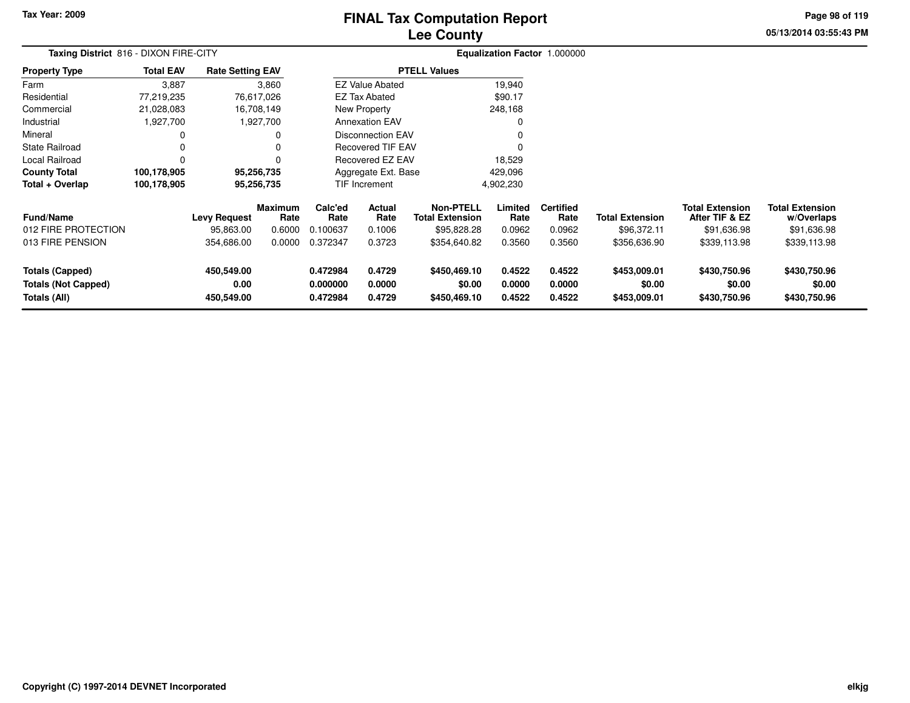# **Lee CountyFINAL Tax Computation Report**

**05/13/2014 03:55:43 PM Page 98 of 119**

|                                                                      | Taxing District 816 - DIXON FIRE-CITY |                                  |                        |                                  |                            |                                            |                            | Equalization Factor 1.000000 |                                        |                                          |                                        |  |
|----------------------------------------------------------------------|---------------------------------------|----------------------------------|------------------------|----------------------------------|----------------------------|--------------------------------------------|----------------------------|------------------------------|----------------------------------------|------------------------------------------|----------------------------------------|--|
| <b>Property Type</b>                                                 | <b>Total EAV</b>                      | <b>Rate Setting EAV</b>          |                        |                                  |                            | <b>PTELL Values</b>                        |                            |                              |                                        |                                          |                                        |  |
| Farm                                                                 | 3,887                                 |                                  | 3,860                  |                                  | <b>EZ Value Abated</b>     |                                            | 19,940                     |                              |                                        |                                          |                                        |  |
| Residential                                                          | 77,219,235                            |                                  | 76,617,026             |                                  | <b>EZ Tax Abated</b>       |                                            | \$90.17                    |                              |                                        |                                          |                                        |  |
| Commercial                                                           | 21,028,083                            |                                  | 16,708,149             |                                  | <b>New Property</b>        |                                            | 248,168                    |                              |                                        |                                          |                                        |  |
| Industrial                                                           | 1,927,700                             |                                  | 1,927,700              |                                  | <b>Annexation EAV</b>      |                                            | 0                          |                              |                                        |                                          |                                        |  |
| Mineral                                                              | 0                                     |                                  | 0                      |                                  | <b>Disconnection EAV</b>   |                                            | 0                          |                              |                                        |                                          |                                        |  |
| <b>State Railroad</b>                                                | 0                                     |                                  | 0                      |                                  | <b>Recovered TIF EAV</b>   |                                            | 0                          |                              |                                        |                                          |                                        |  |
| Local Railroad                                                       | $\Omega$                              |                                  | 0                      |                                  | Recovered EZ EAV           |                                            | 18,529                     |                              |                                        |                                          |                                        |  |
| <b>County Total</b>                                                  | 100,178,905                           |                                  | 95,256,735             |                                  | Aggregate Ext. Base        |                                            | 429,096                    |                              |                                        |                                          |                                        |  |
| Total + Overlap                                                      | 100,178,905                           |                                  | 95,256,735             |                                  | <b>TIF Increment</b>       |                                            | 4,902,230                  |                              |                                        |                                          |                                        |  |
| <b>Fund/Name</b>                                                     |                                       | <b>Levy Request</b>              | <b>Maximum</b><br>Rate | Calc'ed<br>Rate                  | Actual<br>Rate             | <b>Non-PTELL</b><br><b>Total Extension</b> | Limited<br>Rate            | <b>Certified</b><br>Rate     | <b>Total Extension</b>                 | <b>Total Extension</b><br>After TIF & EZ | <b>Total Extension</b><br>w/Overlaps   |  |
| 012 FIRE PROTECTION                                                  |                                       | 95,863.00                        | 0.6000                 | 0.100637                         | 0.1006                     | \$95,828.28                                | 0.0962                     | 0.0962                       | \$96,372.11                            | \$91,636.98                              | \$91,636.98                            |  |
| 013 FIRE PENSION                                                     |                                       | 354,686.00                       | 0.0000                 | 0.372347                         | 0.3723                     | \$354,640.82                               | 0.3560                     | 0.3560                       | \$356,636.90                           | \$339,113.98                             | \$339,113.98                           |  |
| <b>Totals (Capped)</b><br><b>Totals (Not Capped)</b><br>Totals (All) |                                       | 450,549.00<br>0.00<br>450,549.00 |                        | 0.472984<br>0.000000<br>0.472984 | 0.4729<br>0.0000<br>0.4729 | \$450,469.10<br>\$0.00<br>\$450,469.10     | 0.4522<br>0.0000<br>0.4522 | 0.4522<br>0.0000<br>0.4522   | \$453,009.01<br>\$0.00<br>\$453,009.01 | \$430,750.96<br>\$0.00<br>\$430,750.96   | \$430,750.96<br>\$0.00<br>\$430,750.96 |  |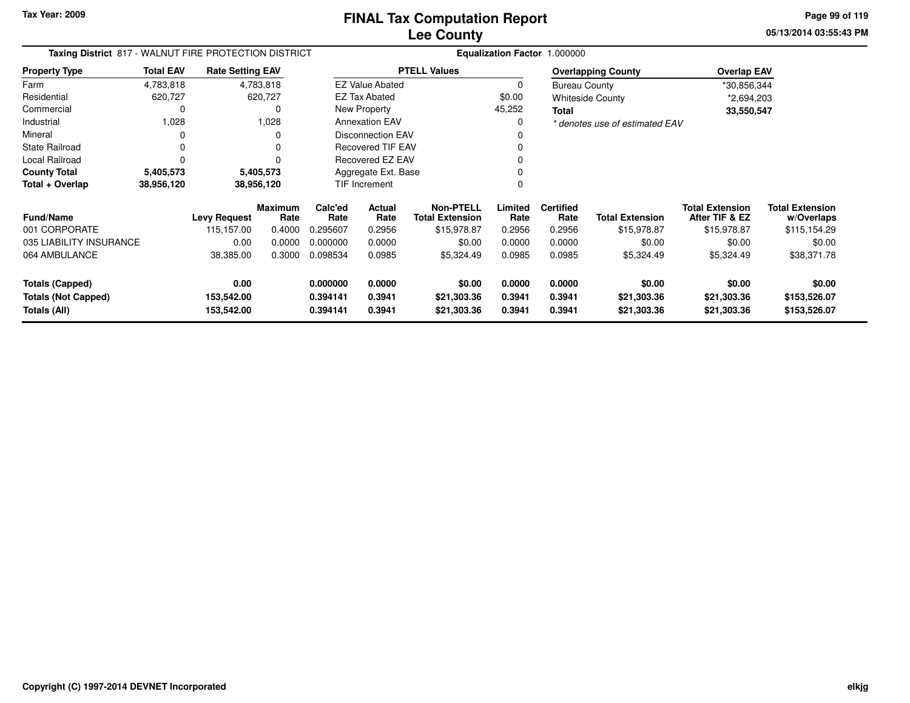**05/13/2014 03:55:43 PM Page 99 of 119**

| Taxing District 817 - WALNUT FIRE PROTECTION DISTRICT |                  |                          |                        |                      |                          |                                            |                  | Equalization Factor 1.000000 |                                |                                          |                                      |
|-------------------------------------------------------|------------------|--------------------------|------------------------|----------------------|--------------------------|--------------------------------------------|------------------|------------------------------|--------------------------------|------------------------------------------|--------------------------------------|
| <b>Property Type</b>                                  | <b>Total EAV</b> | <b>Rate Setting EAV</b>  |                        |                      |                          | <b>PTELL Values</b>                        |                  |                              | <b>Overlapping County</b>      | <b>Overlap EAV</b>                       |                                      |
| Farm                                                  | 4,783,818        |                          | 4,783,818              |                      | <b>EZ Value Abated</b>   |                                            | 0                | <b>Bureau County</b>         |                                | *30,856,344                              |                                      |
| Residential                                           | 620,727          |                          | 620,727                |                      | EZ Tax Abated            |                                            | \$0.00           |                              | <b>Whiteside County</b>        | *2,694,203                               |                                      |
| Commercial                                            |                  |                          |                        |                      | New Property             |                                            | 45,252           | Total                        |                                | 33,550,547                               |                                      |
| Industrial                                            | 1,028            |                          | 1,028                  |                      | <b>Annexation EAV</b>    |                                            |                  |                              | * denotes use of estimated EAV |                                          |                                      |
| Mineral                                               |                  |                          | O                      |                      | <b>Disconnection EAV</b> |                                            |                  |                              |                                |                                          |                                      |
| <b>State Railroad</b>                                 | 0                |                          |                        |                      | <b>Recovered TIF EAV</b> |                                            |                  |                              |                                |                                          |                                      |
| Local Railroad                                        | O                |                          |                        |                      | Recovered EZ EAV         |                                            |                  |                              |                                |                                          |                                      |
| <b>County Total</b>                                   | 5,405,573        |                          | 5,405,573              |                      | Aggregate Ext. Base      |                                            |                  |                              |                                |                                          |                                      |
| Total + Overlap<br>38,956,120<br>38,956,120           |                  |                          | TIF Increment          |                      |                          |                                            |                  |                              |                                |                                          |                                      |
| <b>Fund/Name</b>                                      |                  | <b>Levy Request</b>      | <b>Maximum</b><br>Rate | Calc'ed<br>Rate      | <b>Actual</b><br>Rate    | <b>Non-PTELL</b><br><b>Total Extension</b> | Limited<br>Rate  | <b>Certified</b><br>Rate     | <b>Total Extension</b>         | <b>Total Extension</b><br>After TIF & EZ | <b>Total Extension</b><br>w/Overlaps |
| 001 CORPORATE                                         |                  | 115,157.00               | 0.4000                 | 0.295607             | 0.2956                   | \$15,978.87                                | 0.2956           | 0.2956                       | \$15,978.87                    | \$15,978.87                              | \$115,154.29                         |
| 035 LIABILITY INSURANCE                               |                  | 0.00                     | 0.0000                 | 0.000000             | 0.0000                   | \$0.00                                     | 0.0000           | 0.0000                       | \$0.00                         | \$0.00                                   | \$0.00                               |
| 064 AMBULANCE                                         |                  | 38,385.00                | 0.3000                 | 0.098534             | 0.0985                   | \$5,324.49                                 | 0.0985           | 0.0985                       | \$5,324.49                     | \$5,324.49                               | \$38,371.78                          |
| Totals (Capped)                                       |                  | 0.00                     |                        | 0.000000             | 0.0000                   | \$0.00                                     | 0.0000           | 0.0000                       | \$0.00                         | \$0.00                                   | \$0.00                               |
| <b>Totals (Not Capped)</b><br>Totals (All)            |                  | 153,542.00<br>153,542.00 |                        | 0.394141<br>0.394141 | 0.3941<br>0.3941         | \$21,303.36<br>\$21,303.36                 | 0.3941<br>0.3941 | 0.3941<br>0.3941             | \$21,303.36<br>\$21,303.36     | \$21,303.36<br>\$21,303.36               | \$153,526.07<br>\$153,526.07         |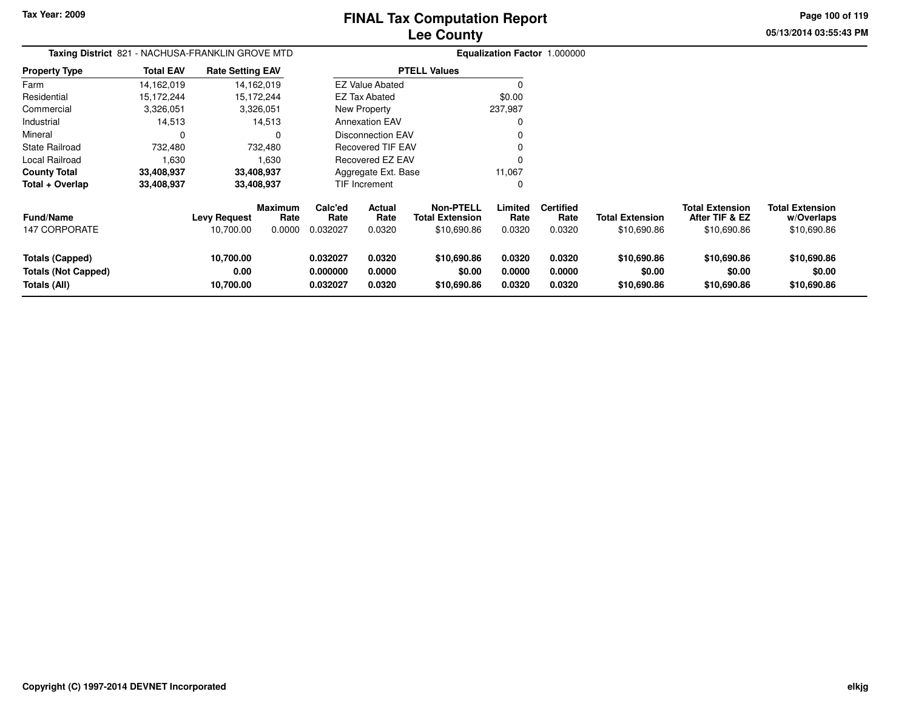**Page 100 of 119**

**05/13/2014 03:55:43 PM**

| <b>Taxing District</b> 821 - NACHUSA-FRANKLIN GROVE MTD       |                  |                                  |                           |                                  |                                 |                                                           |                            | <b>Equalization Factor 1.000000</b> |                                       |                                                         |                                                     |
|---------------------------------------------------------------|------------------|----------------------------------|---------------------------|----------------------------------|---------------------------------|-----------------------------------------------------------|----------------------------|-------------------------------------|---------------------------------------|---------------------------------------------------------|-----------------------------------------------------|
| <b>Property Type</b>                                          | <b>Total EAV</b> | <b>Rate Setting EAV</b>          |                           |                                  |                                 | <b>PTELL Values</b>                                       |                            |                                     |                                       |                                                         |                                                     |
| Farm                                                          | 14,162,019       |                                  | 14,162,019                |                                  | <b>EZ Value Abated</b>          |                                                           |                            |                                     |                                       |                                                         |                                                     |
| Residential                                                   | 15,172,244       |                                  | 15,172,244                |                                  | EZ Tax Abated                   |                                                           | \$0.00                     |                                     |                                       |                                                         |                                                     |
| Commercial                                                    | 3,326,051        |                                  | 3,326,051                 |                                  | <b>New Property</b>             |                                                           | 237,987                    |                                     |                                       |                                                         |                                                     |
| Industrial                                                    | 14,513           |                                  | 14,513                    |                                  | <b>Annexation EAV</b>           |                                                           |                            |                                     |                                       |                                                         |                                                     |
| Mineral                                                       |                  |                                  |                           |                                  | <b>Disconnection EAV</b>        |                                                           |                            |                                     |                                       |                                                         |                                                     |
| State Railroad                                                | 732,480          |                                  | 732,480                   |                                  | <b>Recovered TIF EAV</b>        |                                                           |                            |                                     |                                       |                                                         |                                                     |
| Local Railroad                                                | 1,630            |                                  | 1,630                     |                                  | Recovered EZ EAV                |                                                           | $\Omega$                   |                                     |                                       |                                                         |                                                     |
| <b>County Total</b>                                           | 33,408,937       |                                  | 33,408,937                |                                  | Aggregate Ext. Base             |                                                           | 11,067                     |                                     |                                       |                                                         |                                                     |
| Total + Overlap                                               | 33,408,937       |                                  | 33,408,937                |                                  | TIF Increment                   |                                                           | 0                          |                                     |                                       |                                                         |                                                     |
| <b>Fund/Name</b><br><b>147 CORPORATE</b>                      |                  | <b>Levy Request</b><br>10,700.00 | Maximum<br>Rate<br>0.0000 | Calc'ed<br>Rate<br>0.032027      | <b>Actual</b><br>Rate<br>0.0320 | <b>Non-PTELL</b><br><b>Total Extension</b><br>\$10,690.86 | Limited<br>Rate<br>0.0320  | <b>Certified</b><br>Rate<br>0.0320  | <b>Total Extension</b><br>\$10,690.86 | <b>Total Extension</b><br>After TIF & EZ<br>\$10,690.86 | <b>Total Extension</b><br>w/Overlaps<br>\$10,690.86 |
| Totals (Capped)<br><b>Totals (Not Capped)</b><br>Totals (All) |                  | 10,700.00<br>0.00<br>10,700.00   |                           | 0.032027<br>0.000000<br>0.032027 | 0.0320<br>0.0000<br>0.0320      | \$10,690.86<br>\$0.00<br>\$10,690.86                      | 0.0320<br>0.0000<br>0.0320 | 0.0320<br>0.0000<br>0.0320          | \$10,690.86<br>\$0.00<br>\$10,690.86  | \$10,690.86<br>\$0.00<br>\$10,690.86                    | \$10,690.86<br>\$0.00<br>\$10,690.86                |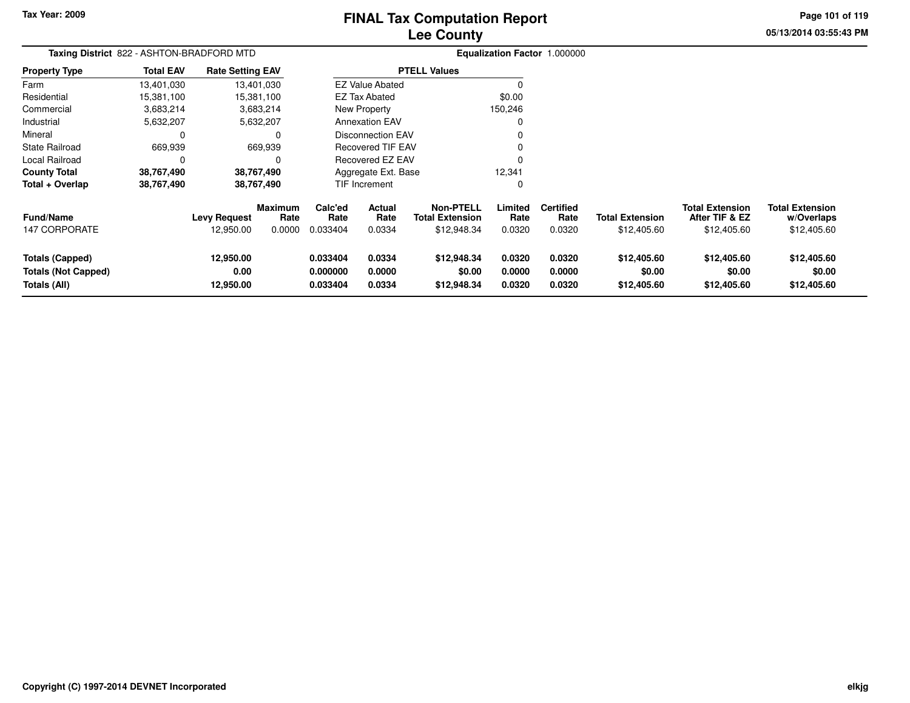# **Lee CountyFINAL Tax Computation Report**

**05/13/2014 03:55:43 PM Page 101 of 119**

|                                                                      | Taxing District 822 - ASHTON-BRADFORD MTD |                                  |                                  |                                  |                            |                                                           |                            | Equalization Factor 1.000000       |                                       |                                                         |                                                     |
|----------------------------------------------------------------------|-------------------------------------------|----------------------------------|----------------------------------|----------------------------------|----------------------------|-----------------------------------------------------------|----------------------------|------------------------------------|---------------------------------------|---------------------------------------------------------|-----------------------------------------------------|
| <b>Property Type</b>                                                 | <b>Total EAV</b>                          | <b>Rate Setting EAV</b>          |                                  |                                  |                            | <b>PTELL Values</b>                                       |                            |                                    |                                       |                                                         |                                                     |
| Farm                                                                 | 13,401,030                                |                                  | 13,401,030                       |                                  | <b>EZ Value Abated</b>     |                                                           |                            |                                    |                                       |                                                         |                                                     |
| Residential                                                          | 15,381,100                                |                                  | 15,381,100                       |                                  | <b>EZ Tax Abated</b>       |                                                           | \$0.00                     |                                    |                                       |                                                         |                                                     |
| Commercial                                                           | 3,683,214                                 |                                  | 3,683,214                        |                                  | New Property               |                                                           | 150,246                    |                                    |                                       |                                                         |                                                     |
| Industrial                                                           | 5,632,207                                 |                                  | 5,632,207                        |                                  | <b>Annexation EAV</b>      |                                                           | O                          |                                    |                                       |                                                         |                                                     |
| Mineral                                                              |                                           |                                  | $\Omega$                         |                                  | Disconnection EAV          |                                                           |                            |                                    |                                       |                                                         |                                                     |
| <b>State Railroad</b>                                                | 669,939                                   |                                  | 669,939                          |                                  | <b>Recovered TIF EAV</b>   |                                                           |                            |                                    |                                       |                                                         |                                                     |
| <b>Local Railroad</b>                                                |                                           |                                  | 0                                |                                  | <b>Recovered EZ EAV</b>    |                                                           | n                          |                                    |                                       |                                                         |                                                     |
| <b>County Total</b>                                                  | 38,767,490                                |                                  | 38,767,490                       |                                  | Aggregate Ext. Base        |                                                           | 12,341                     |                                    |                                       |                                                         |                                                     |
| Total + Overlap                                                      | 38,767,490                                |                                  | 38,767,490                       |                                  | TIF Increment<br>0         |                                                           |                            |                                    |                                       |                                                         |                                                     |
| <b>Fund/Name</b><br><b>147 CORPORATE</b>                             |                                           | <b>Levy Request</b><br>12,950.00 | <b>Maximum</b><br>Rate<br>0.0000 | Calc'ed<br>Rate<br>0.033404      | Actual<br>Rate<br>0.0334   | <b>Non-PTELL</b><br><b>Total Extension</b><br>\$12,948.34 | Limited<br>Rate<br>0.0320  | <b>Certified</b><br>Rate<br>0.0320 | <b>Total Extension</b><br>\$12,405.60 | <b>Total Extension</b><br>After TIF & EZ<br>\$12,405.60 | <b>Total Extension</b><br>w/Overlaps<br>\$12,405.60 |
| <b>Totals (Capped)</b><br><b>Totals (Not Capped)</b><br>Totals (All) |                                           | 12,950.00<br>0.00<br>12,950.00   |                                  | 0.033404<br>0.000000<br>0.033404 | 0.0334<br>0.0000<br>0.0334 | \$12,948.34<br>\$0.00<br>\$12,948.34                      | 0.0320<br>0.0000<br>0.0320 | 0.0320<br>0.0000<br>0.0320         | \$12,405.60<br>\$0.00<br>\$12,405.60  | \$12,405.60<br>\$0.00<br>\$12,405.60                    | \$12,405.60<br>\$0.00<br>\$12,405.60                |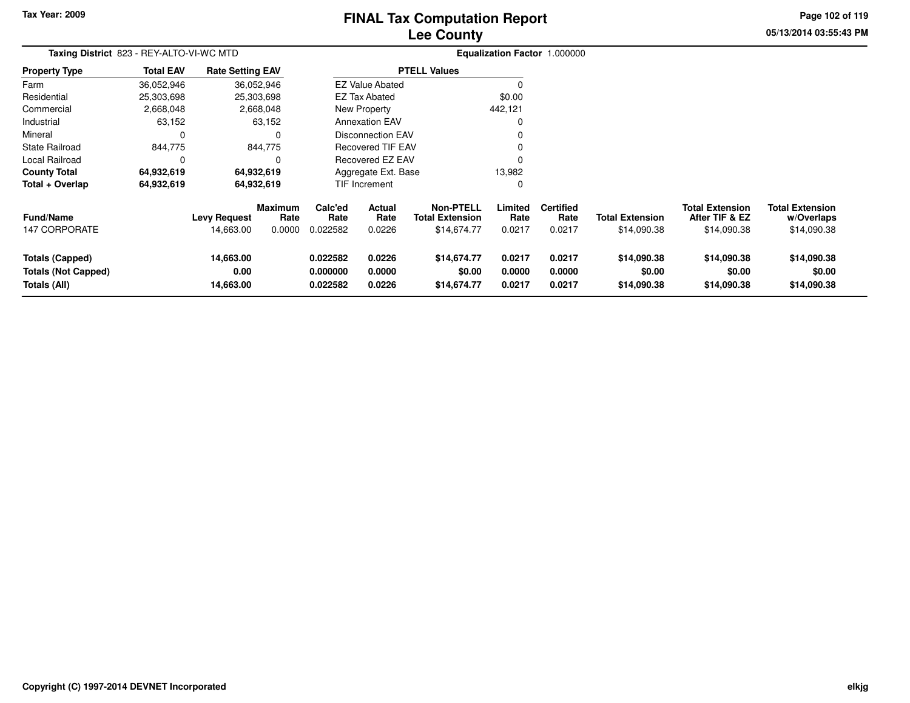# **Lee CountyFINAL Tax Computation Report**

**05/13/2014 03:55:43 PM Page 102 of 119**

| Taxing District 823 - REY-ALTO-VI-WC MTD                             |                  |                                  |                                  |                                  |                            |                                                           |                            | Equalization Factor 1.000000       |                                       |                                                         |                                                     |  |
|----------------------------------------------------------------------|------------------|----------------------------------|----------------------------------|----------------------------------|----------------------------|-----------------------------------------------------------|----------------------------|------------------------------------|---------------------------------------|---------------------------------------------------------|-----------------------------------------------------|--|
| <b>Property Type</b>                                                 | <b>Total EAV</b> | <b>Rate Setting EAV</b>          |                                  |                                  |                            | <b>PTELL Values</b>                                       |                            |                                    |                                       |                                                         |                                                     |  |
| Farm                                                                 | 36,052,946       |                                  | 36,052,946                       |                                  | <b>EZ Value Abated</b>     |                                                           | $\Omega$                   |                                    |                                       |                                                         |                                                     |  |
| Residential                                                          | 25,303,698       |                                  | 25,303,698                       |                                  | <b>EZ Tax Abated</b>       |                                                           | \$0.00                     |                                    |                                       |                                                         |                                                     |  |
| Commercial                                                           | 2,668,048        |                                  | 2,668,048                        |                                  | New Property               |                                                           | 442,121                    |                                    |                                       |                                                         |                                                     |  |
| Industrial                                                           | 63,152           |                                  | 63,152                           |                                  | <b>Annexation EAV</b>      |                                                           | 0                          |                                    |                                       |                                                         |                                                     |  |
| Mineral                                                              | $\Omega$         |                                  | $\Omega$                         |                                  | <b>Disconnection EAV</b>   |                                                           | $\mathbf 0$                |                                    |                                       |                                                         |                                                     |  |
| <b>State Railroad</b>                                                | 844,775          |                                  | 844,775                          |                                  | <b>Recovered TIF EAV</b>   |                                                           | 0                          |                                    |                                       |                                                         |                                                     |  |
| Local Railroad                                                       | $\Omega$         |                                  | $\Omega$                         |                                  | Recovered EZ EAV           |                                                           | $\Omega$                   |                                    |                                       |                                                         |                                                     |  |
| <b>County Total</b>                                                  | 64,932,619       |                                  | 64,932,619                       |                                  | Aggregate Ext. Base        |                                                           | 13,982                     |                                    |                                       |                                                         |                                                     |  |
| Total + Overlap                                                      | 64,932,619       |                                  | 64,932,619                       |                                  | <b>TIF Increment</b>       |                                                           | $\mathbf 0$                |                                    |                                       |                                                         |                                                     |  |
| <b>Fund/Name</b><br><b>147 CORPORATE</b>                             |                  | <b>Levy Request</b><br>14,663.00 | <b>Maximum</b><br>Rate<br>0.0000 | Calc'ed<br>Rate<br>0.022582      | Actual<br>Rate<br>0.0226   | <b>Non-PTELL</b><br><b>Total Extension</b><br>\$14,674.77 | Limited<br>Rate<br>0.0217  | <b>Certified</b><br>Rate<br>0.0217 | <b>Total Extension</b><br>\$14,090.38 | <b>Total Extension</b><br>After TIF & EZ<br>\$14,090.38 | <b>Total Extension</b><br>w/Overlaps<br>\$14,090.38 |  |
|                                                                      |                  |                                  |                                  |                                  |                            |                                                           |                            |                                    |                                       |                                                         |                                                     |  |
| <b>Totals (Capped)</b><br><b>Totals (Not Capped)</b><br>Totals (All) |                  | 14,663.00<br>0.00<br>14,663.00   |                                  | 0.022582<br>0.000000<br>0.022582 | 0.0226<br>0.0000<br>0.0226 | \$14,674.77<br>\$0.00<br>\$14,674.77                      | 0.0217<br>0.0000<br>0.0217 | 0.0217<br>0.0000<br>0.0217         | \$14,090.38<br>\$0.00<br>\$14,090.38  | \$14,090.38<br>\$0.00<br>\$14,090.38                    | \$14,090.38<br>\$0.00<br>\$14,090.38                |  |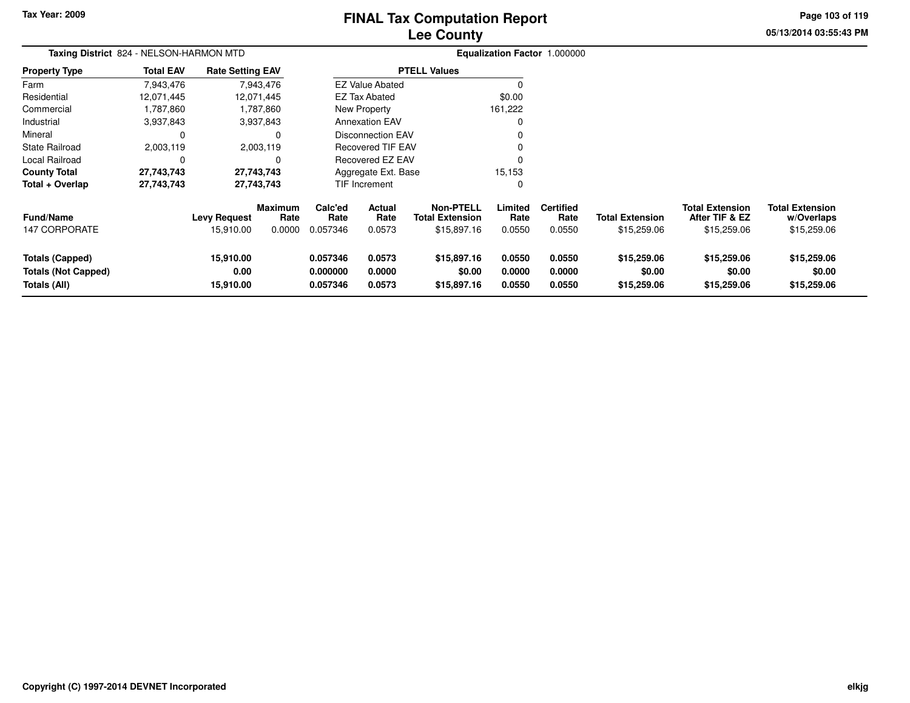# **Lee CountyFINAL Tax Computation Report**

**05/13/2014 03:55:43 PM Page 103 of 119**

| Taxing District 824 - NELSON-HARMON MTD                              |                  |                                |                        |                                  |                            |                                            |                            | Equalization Factor 1.000000 |                                      |                                          |                                      |
|----------------------------------------------------------------------|------------------|--------------------------------|------------------------|----------------------------------|----------------------------|--------------------------------------------|----------------------------|------------------------------|--------------------------------------|------------------------------------------|--------------------------------------|
| <b>Property Type</b>                                                 | <b>Total EAV</b> | <b>Rate Setting EAV</b>        |                        |                                  |                            | <b>PTELL Values</b>                        |                            |                              |                                      |                                          |                                      |
| Farm                                                                 | 7,943,476        |                                | 7,943,476              |                                  | <b>EZ Value Abated</b>     |                                            |                            |                              |                                      |                                          |                                      |
| Residential                                                          | 12.071.445       |                                | 12,071,445             |                                  | EZ Tax Abated              |                                            | \$0.00                     |                              |                                      |                                          |                                      |
| Commercial                                                           | 1,787,860        |                                | 1,787,860              |                                  | New Property               |                                            | 161,222                    |                              |                                      |                                          |                                      |
| Industrial                                                           | 3,937,843        |                                | 3,937,843              |                                  | <b>Annexation EAV</b>      |                                            |                            |                              |                                      |                                          |                                      |
| Mineral                                                              | C                |                                | 0                      |                                  | Disconnection EAV          |                                            |                            |                              |                                      |                                          |                                      |
| <b>State Railroad</b>                                                | 2,003,119        |                                | 2,003,119              |                                  | <b>Recovered TIF EAV</b>   |                                            |                            |                              |                                      |                                          |                                      |
| Local Railroad                                                       | C                |                                |                        |                                  | <b>Recovered EZ EAV</b>    |                                            |                            |                              |                                      |                                          |                                      |
| <b>County Total</b>                                                  | 27,743,743       |                                | 27,743,743             |                                  | Aggregate Ext. Base        |                                            | 15,153                     |                              |                                      |                                          |                                      |
| Total + Overlap                                                      | 27,743,743       |                                | 27,743,743             |                                  | TIF Increment              |                                            |                            |                              |                                      |                                          |                                      |
| <b>Fund/Name</b>                                                     |                  | <b>Levy Request</b>            | <b>Maximum</b><br>Rate | Calc'ed<br>Rate                  | Actual<br>Rate             | <b>Non-PTELL</b><br><b>Total Extension</b> | Limited<br>Rate            | <b>Certified</b><br>Rate     | <b>Total Extension</b>               | <b>Total Extension</b><br>After TIF & EZ | <b>Total Extension</b><br>w/Overlaps |
| <b>147 CORPORATE</b>                                                 |                  | 15,910.00                      | 0.0000                 | 0.057346                         | 0.0573                     | \$15,897.16                                | 0.0550                     | 0.0550                       | \$15,259.06                          | \$15,259.06                              | \$15,259.06                          |
| <b>Totals (Capped)</b><br><b>Totals (Not Capped)</b><br>Totals (All) |                  | 15,910.00<br>0.00<br>15,910.00 |                        | 0.057346<br>0.000000<br>0.057346 | 0.0573<br>0.0000<br>0.0573 | \$15,897.16<br>\$0.00<br>\$15,897.16       | 0.0550<br>0.0000<br>0.0550 | 0.0550<br>0.0000<br>0.0550   | \$15,259.06<br>\$0.00<br>\$15,259.06 | \$15,259.06<br>\$0.00<br>\$15,259.06     | \$15,259.06<br>\$0.00<br>\$15,259.06 |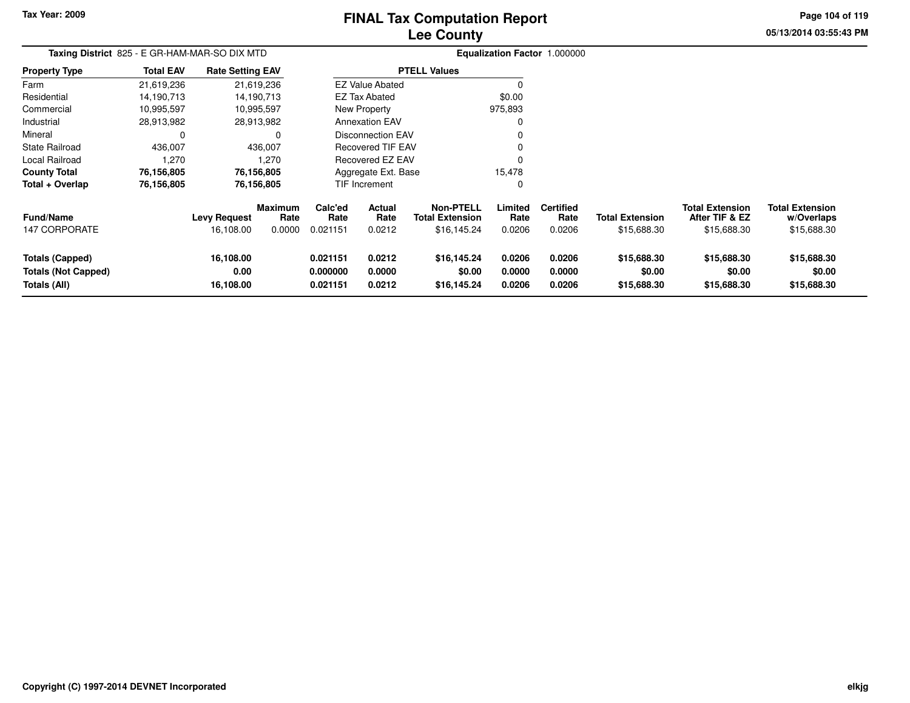# **Lee CountyFINAL Tax Computation Report**

**05/13/2014 03:55:43 PM Page 104 of 119**

|                                                                      | Taxing District 825 - E GR-HAM-MAR-SO DIX MTD |                                |                        |                                  |                            |                                            |                            | Equalization Factor 1.000000       |                                      |                                          |                                      |
|----------------------------------------------------------------------|-----------------------------------------------|--------------------------------|------------------------|----------------------------------|----------------------------|--------------------------------------------|----------------------------|------------------------------------|--------------------------------------|------------------------------------------|--------------------------------------|
| <b>Property Type</b>                                                 | <b>Total EAV</b>                              | <b>Rate Setting EAV</b>        |                        |                                  |                            | <b>PTELL Values</b>                        |                            |                                    |                                      |                                          |                                      |
| Farm                                                                 | 21,619,236                                    |                                | 21,619,236             |                                  | <b>EZ Value Abated</b>     |                                            |                            |                                    |                                      |                                          |                                      |
| Residential                                                          | 14,190,713                                    |                                | 14,190,713             |                                  | <b>EZ Tax Abated</b>       |                                            | \$0.00                     |                                    |                                      |                                          |                                      |
| Commercial                                                           | 10,995,597                                    |                                | 10,995,597             |                                  | New Property               |                                            | 975,893                    |                                    |                                      |                                          |                                      |
| Industrial                                                           | 28,913,982                                    |                                | 28,913,982             |                                  | <b>Annexation EAV</b>      |                                            | 0                          |                                    |                                      |                                          |                                      |
| Mineral                                                              | $\mathbf 0$                                   |                                | $\Omega$               |                                  | <b>Disconnection EAV</b>   |                                            |                            |                                    |                                      |                                          |                                      |
| <b>State Railroad</b>                                                | 436,007                                       |                                | 436,007                |                                  | Recovered TIF EAV          |                                            |                            |                                    |                                      |                                          |                                      |
| Local Railroad                                                       | 1,270                                         |                                | 1.270                  |                                  | <b>Recovered EZ EAV</b>    |                                            | 0                          |                                    |                                      |                                          |                                      |
| <b>County Total</b>                                                  | 76,156,805                                    |                                | 76,156,805             |                                  | Aggregate Ext. Base        |                                            | 15,478                     |                                    |                                      |                                          |                                      |
| Total + Overlap                                                      | 76,156,805                                    |                                | 76,156,805             |                                  | <b>TIF Increment</b><br>0  |                                            |                            |                                    |                                      |                                          |                                      |
| <b>Fund/Name</b><br><b>147 CORPORATE</b>                             |                                               | <b>Levy Request</b>            | <b>Maximum</b><br>Rate | Calc'ed<br>Rate<br>0.021151      | <b>Actual</b><br>Rate      | <b>Non-PTELL</b><br><b>Total Extension</b> | Limited<br>Rate            | <b>Certified</b><br>Rate<br>0.0206 | <b>Total Extension</b>               | <b>Total Extension</b><br>After TIF & EZ | <b>Total Extension</b><br>w/Overlaps |
|                                                                      |                                               | 16,108.00                      | 0.0000                 |                                  | 0.0212                     | \$16,145.24                                | 0.0206                     |                                    | \$15,688.30                          | \$15,688.30                              | \$15,688.30                          |
| <b>Totals (Capped)</b><br><b>Totals (Not Capped)</b><br>Totals (All) |                                               | 16,108.00<br>0.00<br>16,108.00 |                        | 0.021151<br>0.000000<br>0.021151 | 0.0212<br>0.0000<br>0.0212 | \$16,145.24<br>\$0.00<br>\$16,145.24       | 0.0206<br>0.0000<br>0.0206 | 0.0206<br>0.0000<br>0.0206         | \$15,688.30<br>\$0.00<br>\$15,688.30 | \$15,688.30<br>\$0.00<br>\$15,688.30     | \$15,688.30<br>\$0.00<br>\$15,688.30 |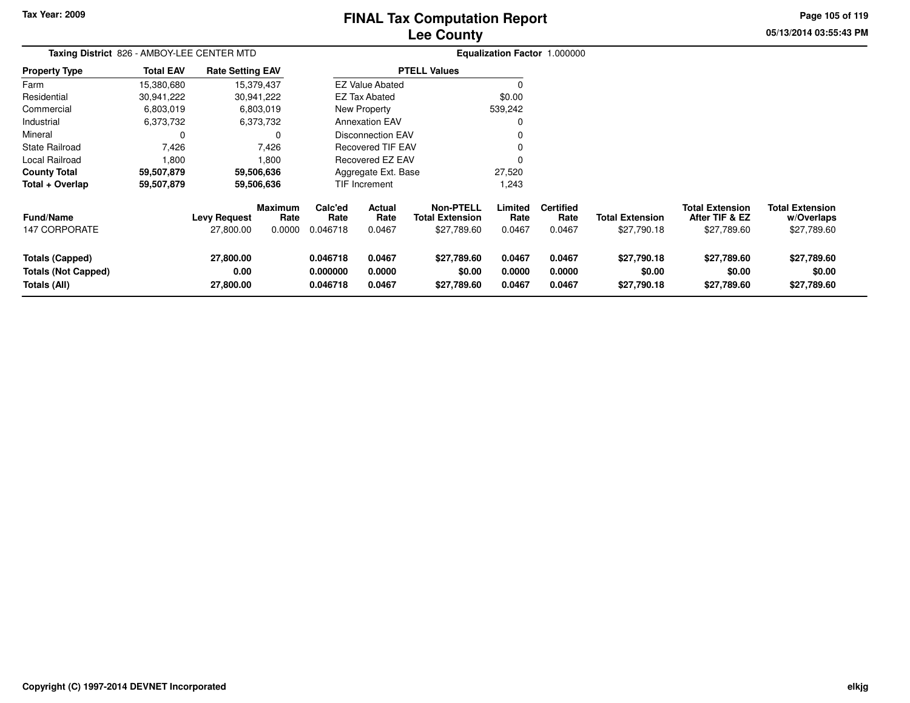# **Lee CountyFINAL Tax Computation Report**

**05/13/2014 03:55:43 PM Page 105 of 119**

| Taxing District 826 - AMBOY-LEE CENTER MTD                           |                  |                                  |                                  |                                  |                            |                                                           |                            | Equalization Factor 1.000000       |                                       |                                                         |                                                     |
|----------------------------------------------------------------------|------------------|----------------------------------|----------------------------------|----------------------------------|----------------------------|-----------------------------------------------------------|----------------------------|------------------------------------|---------------------------------------|---------------------------------------------------------|-----------------------------------------------------|
| <b>Property Type</b>                                                 | <b>Total EAV</b> | <b>Rate Setting EAV</b>          |                                  |                                  |                            | <b>PTELL Values</b>                                       |                            |                                    |                                       |                                                         |                                                     |
| Farm                                                                 | 15,380,680       |                                  | 15,379,437                       |                                  | <b>EZ Value Abated</b>     |                                                           | 0                          |                                    |                                       |                                                         |                                                     |
| Residential                                                          | 30,941,222       |                                  | 30,941,222                       |                                  | EZ Tax Abated              |                                                           | \$0.00                     |                                    |                                       |                                                         |                                                     |
| Commercial                                                           | 6,803,019        |                                  | 6,803,019                        |                                  | New Property               |                                                           | 539,242                    |                                    |                                       |                                                         |                                                     |
| Industrial                                                           | 6,373,732        |                                  | 6,373,732                        |                                  | <b>Annexation EAV</b>      |                                                           | 0                          |                                    |                                       |                                                         |                                                     |
| Mineral                                                              | 0                |                                  | 0                                |                                  | <b>Disconnection EAV</b>   |                                                           |                            |                                    |                                       |                                                         |                                                     |
| <b>State Railroad</b>                                                | 7,426            |                                  | 7,426                            |                                  | <b>Recovered TIF EAV</b>   |                                                           | $\Omega$                   |                                    |                                       |                                                         |                                                     |
| Local Railroad                                                       | 1,800            |                                  | 1,800                            |                                  | Recovered EZ EAV           |                                                           | $\Omega$                   |                                    |                                       |                                                         |                                                     |
| <b>County Total</b>                                                  | 59,507,879       |                                  | 59,506,636                       |                                  | Aggregate Ext. Base        |                                                           | 27,520                     |                                    |                                       |                                                         |                                                     |
| Total + Overlap                                                      | 59,507,879       |                                  | 59,506,636                       |                                  | TIF Increment              |                                                           | 1,243                      |                                    |                                       |                                                         |                                                     |
| <b>Fund/Name</b><br><b>147 CORPORATE</b>                             |                  | <b>Levy Request</b><br>27,800.00 | <b>Maximum</b><br>Rate<br>0.0000 | Calc'ed<br>Rate<br>0.046718      | Actual<br>Rate<br>0.0467   | <b>Non-PTELL</b><br><b>Total Extension</b><br>\$27,789.60 | Limited<br>Rate<br>0.0467  | <b>Certified</b><br>Rate<br>0.0467 | <b>Total Extension</b><br>\$27,790.18 | <b>Total Extension</b><br>After TIF & EZ<br>\$27,789.60 | <b>Total Extension</b><br>w/Overlaps<br>\$27,789.60 |
| <b>Totals (Capped)</b><br><b>Totals (Not Capped)</b><br>Totals (All) |                  | 27,800.00<br>0.00<br>27,800.00   |                                  | 0.046718<br>0.000000<br>0.046718 | 0.0467<br>0.0000<br>0.0467 | \$27,789.60<br>\$0.00<br>\$27,789.60                      | 0.0467<br>0.0000<br>0.0467 | 0.0467<br>0.0000<br>0.0467         | \$27,790.18<br>\$0.00<br>\$27,790.18  | \$27,789.60<br>\$0.00<br>\$27,789.60                    | \$27,789.60<br>\$0.00<br>\$27,789.60                |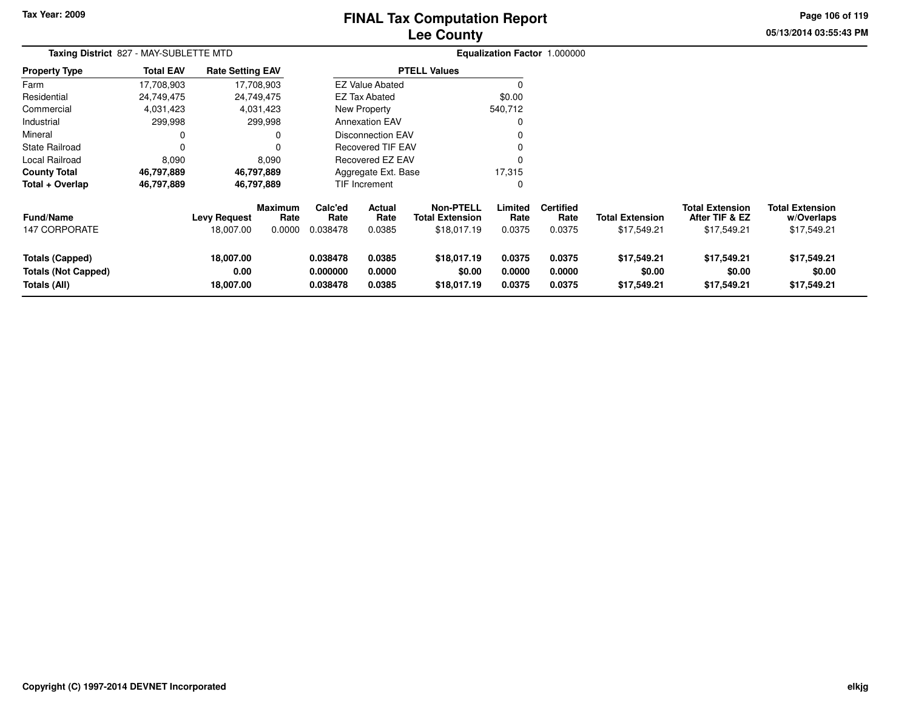# **Lee CountyFINAL Tax Computation Report**

**05/13/2014 03:55:43 PM**

**Page 106 of 119**

| Taxing District 827 - MAY-SUBLETTE MTD                               |                  |                                  |                                  |                                  |                                 |                                                           |                            | Equalization Factor 1.000000       |                                       |                                                         |                                                     |
|----------------------------------------------------------------------|------------------|----------------------------------|----------------------------------|----------------------------------|---------------------------------|-----------------------------------------------------------|----------------------------|------------------------------------|---------------------------------------|---------------------------------------------------------|-----------------------------------------------------|
| <b>Property Type</b>                                                 | <b>Total EAV</b> | <b>Rate Setting EAV</b>          |                                  |                                  |                                 | <b>PTELL Values</b>                                       |                            |                                    |                                       |                                                         |                                                     |
| Farm                                                                 | 17,708,903       |                                  | 17,708,903                       |                                  | <b>EZ Value Abated</b>          |                                                           |                            |                                    |                                       |                                                         |                                                     |
| Residential                                                          | 24,749,475       |                                  | 24,749,475                       |                                  | EZ Tax Abated                   |                                                           | \$0.00                     |                                    |                                       |                                                         |                                                     |
| Commercial                                                           | 4,031,423        |                                  | 4,031,423                        |                                  | New Property                    |                                                           | 540,712                    |                                    |                                       |                                                         |                                                     |
| Industrial                                                           | 299,998          |                                  | 299,998                          |                                  | <b>Annexation EAV</b>           |                                                           |                            |                                    |                                       |                                                         |                                                     |
| Mineral                                                              | 0                |                                  | 0                                |                                  | <b>Disconnection EAV</b>        |                                                           |                            |                                    |                                       |                                                         |                                                     |
| <b>State Railroad</b>                                                | 0                |                                  |                                  |                                  | <b>Recovered TIF EAV</b>        |                                                           |                            |                                    |                                       |                                                         |                                                     |
| Local Railroad                                                       | 8,090            |                                  | 8,090                            |                                  | <b>Recovered EZ EAV</b>         |                                                           |                            |                                    |                                       |                                                         |                                                     |
| <b>County Total</b>                                                  | 46,797,889       |                                  | 46,797,889                       |                                  | Aggregate Ext. Base             |                                                           | 17,315                     |                                    |                                       |                                                         |                                                     |
| Total + Overlap                                                      | 46,797,889       |                                  | 46,797,889                       |                                  | <b>TIF Increment</b>            |                                                           | 0                          |                                    |                                       |                                                         |                                                     |
| <b>Fund/Name</b><br><b>147 CORPORATE</b>                             |                  | <b>Levy Request</b><br>18,007.00 | <b>Maximum</b><br>Rate<br>0.0000 | Calc'ed<br>Rate<br>0.038478      | <b>Actual</b><br>Rate<br>0.0385 | <b>Non-PTELL</b><br><b>Total Extension</b><br>\$18,017.19 | Limited<br>Rate<br>0.0375  | <b>Certified</b><br>Rate<br>0.0375 | <b>Total Extension</b><br>\$17,549.21 | <b>Total Extension</b><br>After TIF & EZ<br>\$17,549.21 | <b>Total Extension</b><br>w/Overlaps<br>\$17,549.21 |
| <b>Totals (Capped)</b><br><b>Totals (Not Capped)</b><br>Totals (All) |                  | 18,007.00<br>0.00<br>18,007.00   |                                  | 0.038478<br>0.000000<br>0.038478 | 0.0385<br>0.0000<br>0.0385      | \$18,017.19<br>\$0.00<br>\$18,017.19                      | 0.0375<br>0.0000<br>0.0375 | 0.0375<br>0.0000<br>0.0375         | \$17,549.21<br>\$0.00<br>\$17,549.21  | \$17,549.21<br>\$0.00<br>\$17,549.21                    | \$17,549.21<br>\$0.00<br>\$17,549.21                |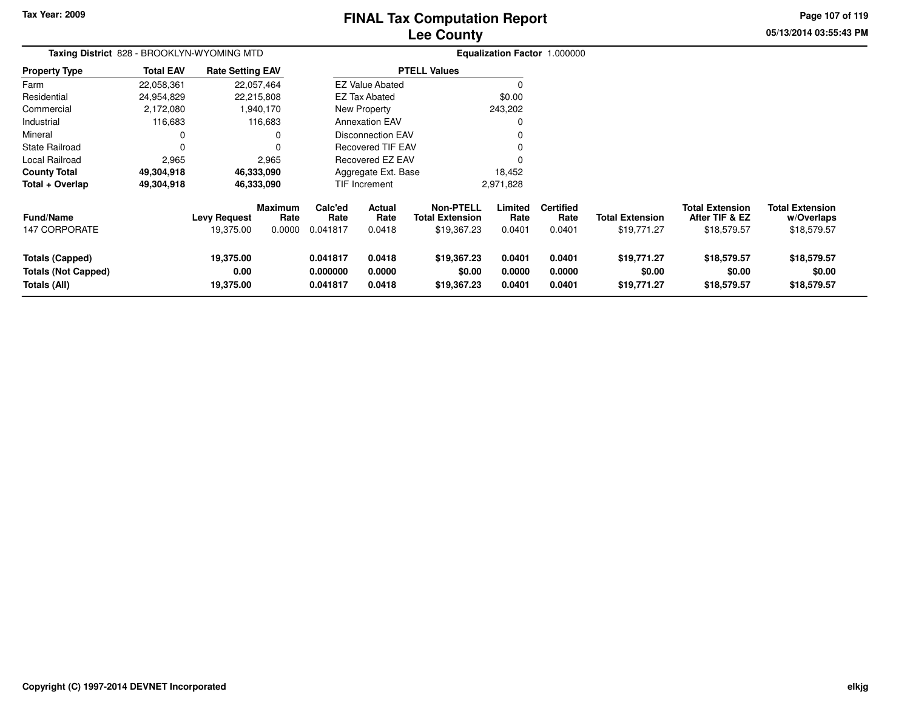# **Lee CountyFINAL Tax Computation Report**

**05/13/2014 03:55:43 PMPage 107 of 119**

| Taxing District 828 - BROOKLYN-WYOMING MTD                           |                  |                                  |                                  |                                  |                            |                     |                                                           |                            | Equalization Factor 1.000000       |                                       |                                                         |                                                     |
|----------------------------------------------------------------------|------------------|----------------------------------|----------------------------------|----------------------------------|----------------------------|---------------------|-----------------------------------------------------------|----------------------------|------------------------------------|---------------------------------------|---------------------------------------------------------|-----------------------------------------------------|
| <b>Property Type</b>                                                 | <b>Total EAV</b> | <b>Rate Setting EAV</b>          |                                  |                                  |                            | <b>PTELL Values</b> |                                                           |                            |                                    |                                       |                                                         |                                                     |
| Farm                                                                 | 22,058,361       |                                  | 22,057,464                       |                                  | <b>EZ Value Abated</b>     |                     |                                                           |                            |                                    |                                       |                                                         |                                                     |
| Residential                                                          | 24,954,829       |                                  | 22,215,808                       |                                  | <b>EZ Tax Abated</b>       |                     |                                                           | \$0.00                     |                                    |                                       |                                                         |                                                     |
| Commercial                                                           | 2,172,080        |                                  | 1,940,170                        |                                  | New Property               |                     |                                                           | 243,202                    |                                    |                                       |                                                         |                                                     |
| Industrial                                                           | 116,683          |                                  | 116,683                          |                                  | <b>Annexation EAV</b>      |                     |                                                           |                            |                                    |                                       |                                                         |                                                     |
| Mineral                                                              |                  |                                  | 0                                |                                  | <b>Disconnection EAV</b>   |                     |                                                           |                            |                                    |                                       |                                                         |                                                     |
| <b>State Railroad</b>                                                | 0                |                                  |                                  |                                  | <b>Recovered TIF EAV</b>   |                     |                                                           |                            |                                    |                                       |                                                         |                                                     |
| Local Railroad                                                       | 2,965            |                                  | 2,965                            |                                  | Recovered EZ EAV           |                     |                                                           |                            |                                    |                                       |                                                         |                                                     |
| <b>County Total</b>                                                  | 49,304,918       |                                  | 46,333,090                       |                                  | Aggregate Ext. Base        |                     |                                                           | 18,452                     |                                    |                                       |                                                         |                                                     |
| Total + Overlap                                                      | 49,304,918       |                                  | 46,333,090                       |                                  | TIF Increment              |                     |                                                           | 2,971,828                  |                                    |                                       |                                                         |                                                     |
| <b>Fund/Name</b><br><b>147 CORPORATE</b>                             |                  | <b>Levy Request</b><br>19,375.00 | <b>Maximum</b><br>Rate<br>0.0000 | Calc'ed<br>Rate<br>0.041817      | Actual<br>Rate<br>0.0418   |                     | <b>Non-PTELL</b><br><b>Total Extension</b><br>\$19,367.23 | Limited<br>Rate<br>0.0401  | <b>Certified</b><br>Rate<br>0.0401 | <b>Total Extension</b><br>\$19,771.27 | <b>Total Extension</b><br>After TIF & EZ<br>\$18,579.57 | <b>Total Extension</b><br>w/Overlaps<br>\$18,579.57 |
| <b>Totals (Capped)</b><br><b>Totals (Not Capped)</b><br>Totals (All) |                  | 19,375.00<br>0.00<br>19,375.00   |                                  | 0.041817<br>0.000000<br>0.041817 | 0.0418<br>0.0000<br>0.0418 |                     | \$19,367.23<br>\$0.00<br>\$19,367.23                      | 0.0401<br>0.0000<br>0.0401 | 0.0401<br>0.0000<br>0.0401         | \$19,771.27<br>\$0.00<br>\$19,771.27  | \$18,579.57<br>\$0.00<br>\$18,579.57                    | \$18,579.57<br>\$0.00<br>\$18,579.57                |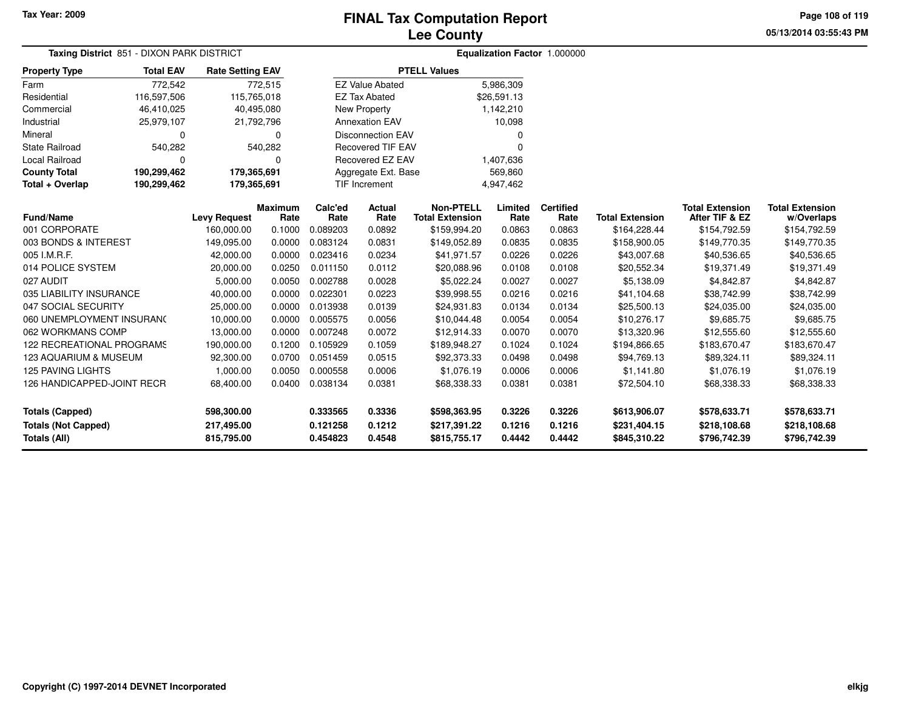**Page 108 of 119**

**05/13/2014 03:55:43 PM**

| Taxing District 851 - DIXON PARK DISTRICT |                            |                         |                        |                 |                          | Equalization Factor 1.000000               |                 |                          |                        |                                          |                                      |
|-------------------------------------------|----------------------------|-------------------------|------------------------|-----------------|--------------------------|--------------------------------------------|-----------------|--------------------------|------------------------|------------------------------------------|--------------------------------------|
| <b>Property Type</b>                      | <b>Total EAV</b>           | <b>Rate Setting EAV</b> |                        |                 |                          | <b>PTELL Values</b>                        |                 |                          |                        |                                          |                                      |
| Farm                                      | 772,542                    |                         | 772,515                |                 | <b>EZ Value Abated</b>   |                                            | 5,986,309       |                          |                        |                                          |                                      |
| Residential                               | 116,597,506                | 115,765,018             |                        |                 | <b>EZ Tax Abated</b>     |                                            | \$26,591.13     |                          |                        |                                          |                                      |
| Commercial                                | 46,410,025                 | 40,495,080              |                        |                 | New Property             |                                            | 1,142,210       |                          |                        |                                          |                                      |
| Industrial                                | 25,979,107                 | 21,792,796              |                        |                 | <b>Annexation EAV</b>    |                                            | 10,098          |                          |                        |                                          |                                      |
| Mineral                                   | $\Omega$<br>$\Omega$       |                         |                        |                 | <b>Disconnection EAV</b> |                                            | O               |                          |                        |                                          |                                      |
| <b>State Railroad</b>                     | 540,282<br>540,282         |                         |                        |                 | <b>Recovered TIF EAV</b> |                                            | $\Omega$        |                          |                        |                                          |                                      |
| <b>Local Railroad</b>                     | $\Omega$<br>$\Omega$       |                         |                        |                 | Recovered EZ EAV         |                                            | 1,407,636       |                          |                        |                                          |                                      |
| <b>County Total</b>                       | 190,299,462<br>179,365,691 |                         |                        |                 | Aggregate Ext. Base      |                                            | 569,860         |                          |                        |                                          |                                      |
| Total + Overlap                           | 190,299,462                | 179,365,691             |                        |                 | <b>TIF Increment</b>     |                                            | 4,947,462       |                          |                        |                                          |                                      |
| <b>Fund/Name</b>                          | <b>Levy Request</b>        |                         | <b>Maximum</b><br>Rate | Calc'ed<br>Rate | <b>Actual</b><br>Rate    | <b>Non-PTELL</b><br><b>Total Extension</b> | Limited<br>Rate | <b>Certified</b><br>Rate | <b>Total Extension</b> | <b>Total Extension</b><br>After TIF & EZ | <b>Total Extension</b><br>w/Overlaps |
| 001 CORPORATE                             |                            | 160,000.00              | 0.1000                 | 0.089203        | 0.0892                   | \$159,994.20                               | 0.0863          | 0.0863                   | \$164,228.44           | \$154,792.59                             | \$154,792.59                         |
| 003 BONDS & INTEREST                      |                            | 149,095.00              | 0.0000                 | 0.083124        | 0.0831                   | \$149,052.89                               | 0.0835          | 0.0835                   | \$158,900.05           | \$149,770.35                             | \$149,770.35                         |
| 005 I.M.R.F.                              |                            | 42,000.00               | 0.0000                 | 0.023416        | 0.0234                   | \$41,971.57                                | 0.0226          | 0.0226                   | \$43,007.68            | \$40,536.65                              | \$40,536.65                          |
| 014 POLICE SYSTEM                         |                            | 20,000.00               | 0.0250                 | 0.011150        | 0.0112                   | \$20,088.96                                | 0.0108          | 0.0108                   | \$20,552.34            | \$19,371.49                              | \$19,371.49                          |
| 027 AUDIT                                 |                            | 5,000.00                | 0.0050                 | 0.002788        | 0.0028                   | \$5,022.24                                 | 0.0027          | 0.0027                   | \$5,138.09             | \$4,842.87                               | \$4,842.87                           |
| 035 LIABILITY INSURANCE                   |                            | 40,000.00               | 0.0000                 | 0.022301        | 0.0223                   | \$39,998.55                                | 0.0216          | 0.0216                   | \$41,104.68            | \$38,742.99                              | \$38,742.99                          |
| 047 SOCIAL SECURITY                       |                            | 25,000.00               | 0.0000                 | 0.013938        | 0.0139                   | \$24,931.83                                | 0.0134          | 0.0134                   | \$25,500.13            | \$24,035.00                              | \$24,035.00                          |
| 060 UNEMPLOYMENT INSURANC                 |                            | 10,000.00               | 0.0000                 | 0.005575        | 0.0056                   | \$10,044.48                                | 0.0054          | 0.0054                   | \$10,276.17            | \$9,685.75                               | \$9,685.75                           |
| 062 WORKMANS COMP                         |                            | 13,000.00               | 0.0000                 | 0.007248        | 0.0072                   | \$12,914.33                                | 0.0070          | 0.0070                   | \$13,320.96            | \$12,555.60                              | \$12,555.60                          |
| 122 RECREATIONAL PROGRAMS                 |                            | 190,000.00              | 0.1200                 | 0.105929        | 0.1059                   | \$189,948.27                               | 0.1024          | 0.1024                   | \$194,866.65           | \$183,670.47                             | \$183,670.47                         |
| 123 AQUARIUM & MUSEUM                     |                            | 92,300.00               | 0.0700                 | 0.051459        | 0.0515                   | \$92,373.33                                | 0.0498          | 0.0498                   | \$94,769.13            | \$89,324.11                              | \$89,324.11                          |
| <b>125 PAVING LIGHTS</b>                  |                            | 1,000.00                | 0.0050                 | 0.000558        | 0.0006                   | \$1,076.19                                 | 0.0006          | 0.0006                   | \$1,141.80             | \$1,076.19                               | \$1,076.19                           |
| 126 HANDICAPPED-JOINT RECR                |                            | 68,400.00               | 0.0400                 | 0.038134        | 0.0381                   | \$68,338.33                                | 0.0381          | 0.0381                   | \$72,504.10            | \$68,338.33                              | \$68,338.33                          |
| <b>Totals (Capped)</b>                    |                            | 598,300.00              |                        | 0.333565        | 0.3336                   | \$598,363.95                               | 0.3226          | 0.3226                   | \$613,906.07           | \$578,633.71                             | \$578,633.71                         |
| <b>Totals (Not Capped)</b>                |                            | 217,495.00              |                        | 0.121258        | 0.1212                   | \$217,391.22                               | 0.1216          | 0.1216                   | \$231,404.15           | \$218,108.68                             | \$218,108.68                         |
| <b>Totals (All)</b>                       |                            | 815,795.00              |                        | 0.454823        | 0.4548                   | \$815,755.17                               | 0.4442          | 0.4442                   | \$845,310.22           | \$796,742.39                             | \$796,742.39                         |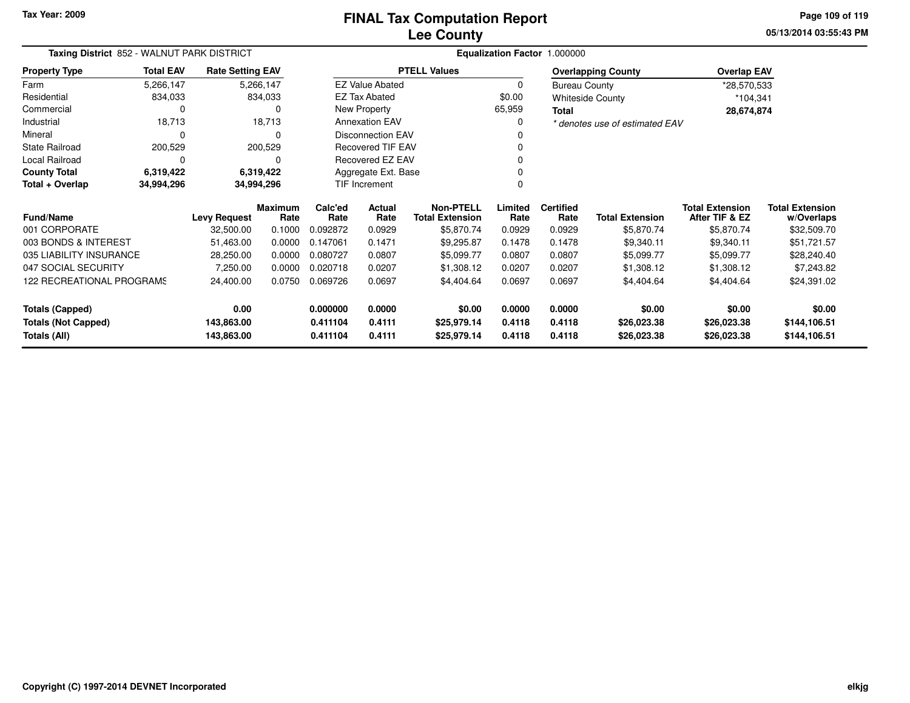**05/13/2014 03:55:43 PMPage 109 of 119**

| Taxing District 852 - WALNUT PARK DISTRICT<br><b>Rate Setting EAV</b> |                  |                     |                        | Equalization Factor 1.000000 |                          |                                            |                 |                          |                                |                                          |                                      |
|-----------------------------------------------------------------------|------------------|---------------------|------------------------|------------------------------|--------------------------|--------------------------------------------|-----------------|--------------------------|--------------------------------|------------------------------------------|--------------------------------------|
| <b>Property Type</b>                                                  | <b>Total EAV</b> |                     |                        |                              |                          | <b>PTELL Values</b>                        |                 |                          | <b>Overlapping County</b>      | <b>Overlap EAV</b>                       |                                      |
| Farm                                                                  | 5,266,147        |                     | 5,266,147              |                              | <b>EZ Value Abated</b>   |                                            | 0               | <b>Bureau County</b>     |                                | *28,570,533                              |                                      |
| Residential                                                           | 834,033          |                     | 834,033                |                              | <b>EZ Tax Abated</b>     |                                            | \$0.00          |                          | <b>Whiteside County</b>        | $*104,341$                               |                                      |
| Commercial                                                            | $\Omega$         |                     | 0                      |                              | New Property             |                                            | 65,959          | Total                    |                                | 28,674,874                               |                                      |
| Industrial                                                            | 18,713           |                     | 18,713                 |                              | <b>Annexation EAV</b>    |                                            | $\Omega$        |                          | * denotes use of estimated EAV |                                          |                                      |
| Mineral                                                               | 0                |                     | 0                      |                              | <b>Disconnection EAV</b> |                                            |                 |                          |                                |                                          |                                      |
| <b>State Railroad</b>                                                 | 200,529          |                     | 200,529                |                              | <b>Recovered TIF EAV</b> |                                            |                 |                          |                                |                                          |                                      |
| Local Railroad                                                        | $\Omega$         |                     | 0                      |                              | Recovered EZ EAV         |                                            |                 |                          |                                |                                          |                                      |
| <b>County Total</b>                                                   | 6,319,422        |                     | 6,319,422              |                              | Aggregate Ext. Base      |                                            |                 |                          |                                |                                          |                                      |
| Total + Overlap                                                       | 34,994,296       | 34,994,296          |                        |                              | TIF Increment            |                                            |                 |                          |                                |                                          |                                      |
| <b>Fund/Name</b>                                                      |                  | <b>Levy Request</b> | <b>Maximum</b><br>Rate | Calc'ed<br>Rate              | Actual<br>Rate           | <b>Non-PTELL</b><br><b>Total Extension</b> | Limited<br>Rate | <b>Certified</b><br>Rate | <b>Total Extension</b>         | <b>Total Extension</b><br>After TIF & EZ | <b>Total Extension</b><br>w/Overlaps |
| 001 CORPORATE                                                         |                  | 32,500.00           | 0.1000                 | 0.092872                     | 0.0929                   | \$5,870.74                                 | 0.0929          | 0.0929                   | \$5,870.74                     | \$5,870.74                               | \$32,509.70                          |
| 003 BONDS & INTEREST                                                  |                  | 51,463.00           | 0.0000                 | 0.147061                     | 0.1471                   | \$9,295.87                                 | 0.1478          | 0.1478                   | \$9,340.11                     | \$9,340.11                               | \$51,721.57                          |
| 035 LIABILITY INSURANCE                                               |                  | 28,250.00           | 0.0000                 | 0.080727                     | 0.0807                   | \$5,099.77                                 | 0.0807          | 0.0807                   | \$5,099.77                     | \$5,099.77                               | \$28,240.40                          |
| 047 SOCIAL SECURITY                                                   |                  | 7,250.00            | 0.0000                 | 0.020718                     | 0.0207                   | \$1,308.12                                 | 0.0207          | 0.0207                   | \$1,308.12                     | \$1,308.12                               | \$7,243.82                           |
| 122 RECREATIONAL PROGRAMS                                             |                  | 24,400.00           | 0.0750                 | 0.069726                     | 0.0697                   | \$4,404.64                                 | 0.0697          | 0.0697                   | \$4,404.64                     | \$4,404.64                               | \$24,391.02                          |
| <b>Totals (Capped)</b>                                                |                  | 0.00                |                        | 0.000000                     | 0.0000                   | \$0.00                                     | 0.0000          | 0.0000                   | \$0.00                         | \$0.00                                   | \$0.00                               |
| <b>Totals (Not Capped)</b>                                            |                  | 143,863.00          |                        | 0.411104                     | 0.4111                   | \$25,979.14                                | 0.4118          | 0.4118                   | \$26,023.38                    | \$26,023.38                              | \$144,106.51                         |
| Totals (All)                                                          |                  | 143,863.00          |                        | 0.411104                     | 0.4111                   | \$25,979.14                                | 0.4118          | 0.4118                   | \$26,023.38                    | \$26,023.38                              | \$144,106.51                         |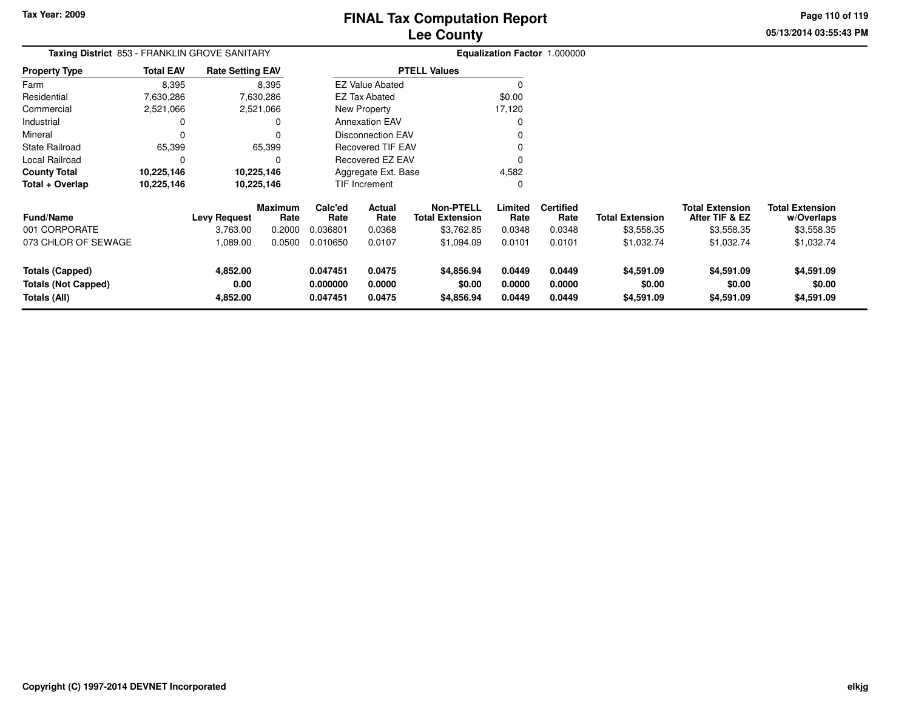**05/13/2014 03:55:43 PMPage 110 of 119**

| <b>Taxing District 853 - FRANKLIN GROVE SANITARY</b><br><b>Property Type</b> |                  |                                 |                                                                                                             |                  |                                                                                          |                                                                                                                                                                |                          |                        |                                            |                                      |
|------------------------------------------------------------------------------|------------------|---------------------------------|-------------------------------------------------------------------------------------------------------------|------------------|------------------------------------------------------------------------------------------|----------------------------------------------------------------------------------------------------------------------------------------------------------------|--------------------------|------------------------|--------------------------------------------|--------------------------------------|
| <b>Total EAV</b>                                                             |                  |                                 |                                                                                                             |                  |                                                                                          |                                                                                                                                                                |                          |                        |                                            |                                      |
| 8,395                                                                        |                  |                                 |                                                                                                             |                  |                                                                                          | 0                                                                                                                                                              |                          |                        |                                            |                                      |
| 7,630,286                                                                    |                  |                                 |                                                                                                             |                  |                                                                                          | \$0.00                                                                                                                                                         |                          |                        |                                            |                                      |
| 2,521,066                                                                    |                  |                                 |                                                                                                             |                  |                                                                                          | 17,120                                                                                                                                                         |                          |                        |                                            |                                      |
|                                                                              |                  | 0                               |                                                                                                             |                  |                                                                                          | 0                                                                                                                                                              |                          |                        |                                            |                                      |
|                                                                              |                  |                                 |                                                                                                             |                  |                                                                                          |                                                                                                                                                                |                          |                        |                                            |                                      |
| 65,399                                                                       |                  |                                 |                                                                                                             |                  |                                                                                          |                                                                                                                                                                |                          |                        |                                            |                                      |
|                                                                              |                  | O                               |                                                                                                             |                  |                                                                                          | O                                                                                                                                                              |                          |                        |                                            |                                      |
| 10,225,146                                                                   |                  |                                 |                                                                                                             |                  |                                                                                          | 4,582                                                                                                                                                          |                          |                        |                                            |                                      |
| 10,225,146                                                                   |                  |                                 |                                                                                                             |                  |                                                                                          | 0                                                                                                                                                              |                          |                        |                                            |                                      |
|                                                                              |                  | Rate                            | Calc'ed<br>Rate                                                                                             | Actual<br>Rate   | <b>Non-PTELL</b><br><b>Total Extension</b>                                               | Limited<br>Rate                                                                                                                                                | <b>Certified</b><br>Rate | <b>Total Extension</b> | <b>Total Extension</b><br>After TIF & EZ   | <b>Total Extension</b><br>w/Overlaps |
|                                                                              | 3,763.00         | 0.2000                          | 0.036801                                                                                                    | 0.0368           | \$3,762.85                                                                               | 0.0348                                                                                                                                                         | 0.0348                   | \$3,558.35             | \$3,558.35                                 | \$3,558.35                           |
| 073 CHLOR OF SEWAGE                                                          | 1,089.00         | 0.0500                          | 0.010650                                                                                                    | 0.0107           | \$1,094.09                                                                               | 0.0101                                                                                                                                                         | 0.0101                   | \$1,032.74             | \$1,032.74                                 | \$1,032.74                           |
|                                                                              | 4,852.00<br>0.00 |                                 | 0.047451<br>0.000000                                                                                        | 0.0475<br>0.0000 | \$4,856.94<br>\$0.00                                                                     | 0.0449<br>0.0000                                                                                                                                               | 0.0449<br>0.0000         | \$4,591.09<br>\$0.00   | \$4,591.09<br>\$0.00                       | \$4,591.09<br>\$0.00<br>\$4,591.09   |
|                                                                              |                  | <b>Levy Request</b><br>4,852.00 | <b>Rate Setting EAV</b><br>8,395<br>7,630,286<br>2,521,066<br>65,399<br>10,225,146<br>10,225,146<br>Maximum | 0.047451         | EZ Tax Abated<br>New Property<br><b>Annexation EAV</b><br><b>TIF Increment</b><br>0.0475 | <b>PTELL Values</b><br><b>EZ Value Abated</b><br><b>Disconnection EAV</b><br><b>Recovered TIF EAV</b><br>Recovered EZ EAV<br>Aggregate Ext. Base<br>\$4,856.94 | 0.0449                   | 0.0449                 | Equalization Factor 1.000000<br>\$4,591.09 | \$4,591.09                           |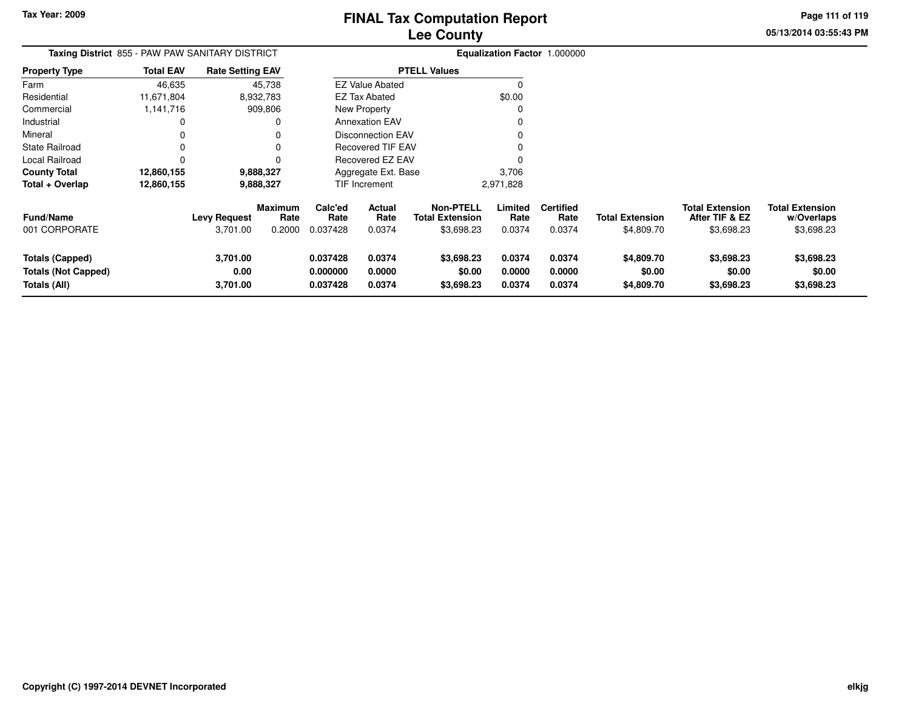**05/13/2014 03:55:43 PMPage 111 of 119**

> **w/Overlaps**\$3,698.23

| Taxing District 855 - PAW PAW SANITARY DISTRICT                      |                  |                                 |                                  |                                  |                            |                                                          |                            | Equalization Factor 1.000000       |                                      |                                                        |                                                    |
|----------------------------------------------------------------------|------------------|---------------------------------|----------------------------------|----------------------------------|----------------------------|----------------------------------------------------------|----------------------------|------------------------------------|--------------------------------------|--------------------------------------------------------|----------------------------------------------------|
| <b>Property Type</b>                                                 | <b>Total EAV</b> | <b>Rate Setting EAV</b>         |                                  |                                  |                            | <b>PTELL Values</b>                                      |                            |                                    |                                      |                                                        |                                                    |
| Farm                                                                 | 46,635           |                                 | 45,738                           |                                  | <b>EZ Value Abated</b>     |                                                          |                            |                                    |                                      |                                                        |                                                    |
| Residential                                                          | 11,671,804       |                                 | 8,932,783                        |                                  | <b>EZ Tax Abated</b>       |                                                          | \$0.00                     |                                    |                                      |                                                        |                                                    |
| Commercial                                                           | 1,141,716        |                                 | 909,806                          |                                  | <b>New Property</b>        |                                                          |                            |                                    |                                      |                                                        |                                                    |
| Industrial                                                           |                  |                                 | 0                                |                                  | <b>Annexation EAV</b>      |                                                          |                            |                                    |                                      |                                                        |                                                    |
| Mineral                                                              |                  |                                 | 0                                |                                  | <b>Disconnection EAV</b>   |                                                          |                            |                                    |                                      |                                                        |                                                    |
| <b>State Railroad</b>                                                |                  |                                 | $\Omega$                         |                                  | <b>Recovered TIF EAV</b>   |                                                          |                            |                                    |                                      |                                                        |                                                    |
| Local Railroad                                                       |                  |                                 | 0                                |                                  | Recovered EZ EAV           |                                                          |                            |                                    |                                      |                                                        |                                                    |
| <b>County Total</b>                                                  | 12,860,155       |                                 | 9,888,327                        |                                  | Aggregate Ext. Base        |                                                          | 3,706                      |                                    |                                      |                                                        |                                                    |
| Total + Overlap                                                      | 12,860,155       |                                 | 9,888,327                        |                                  | <b>TIF Increment</b>       |                                                          | 2,971,828                  |                                    |                                      |                                                        |                                                    |
| <b>Fund/Name</b><br>001 CORPORATE                                    |                  | <b>Levy Request</b><br>3,701.00 | <b>Maximum</b><br>Rate<br>0.2000 | Calc'ed<br>Rate<br>0.037428      | Actual<br>Rate<br>0.0374   | <b>Non-PTELL</b><br><b>Total Extension</b><br>\$3,698.23 | Limited<br>Rate<br>0.0374  | <b>Certified</b><br>Rate<br>0.0374 | <b>Total Extension</b><br>\$4,809.70 | <b>Total Extension</b><br>After TIF & EZ<br>\$3,698.23 | <b>Total Extension</b><br>w/Overlaps<br>\$3,698.23 |
| <b>Totals (Capped)</b><br><b>Totals (Not Capped)</b><br>Totals (All) |                  | 3,701.00<br>0.00<br>3,701.00    |                                  | 0.037428<br>0.000000<br>0.037428 | 0.0374<br>0.0000<br>0.0374 | \$3,698.23<br>\$0.00<br>\$3,698.23                       | 0.0374<br>0.0000<br>0.0374 | 0.0374<br>0.0000<br>0.0374         | \$4,809.70<br>\$0.00<br>\$4,809.70   | \$3,698.23<br>\$0.00<br>\$3,698.23                     | \$3,698.23<br>\$0.00<br>\$3,698.23                 |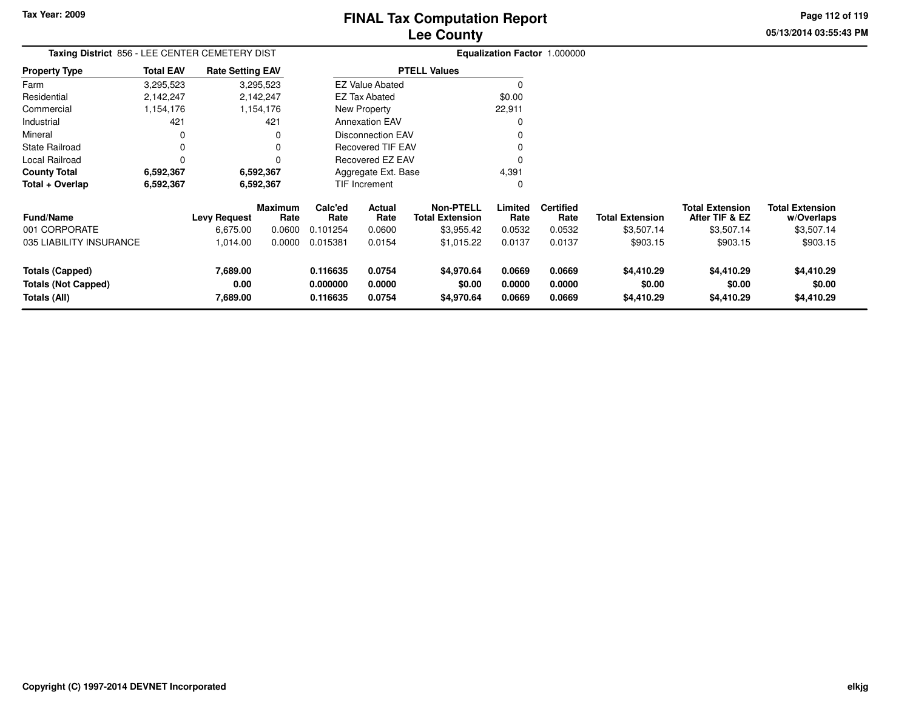**05/13/2014 03:55:43 PM Page 112 of 119**

| Taxing District 856 - LEE CENTER CEMETERY DIST |                  |                         |                        | Equalization Factor 1.000000 |                          |                                            |                 |                          |                        |                                          |                                      |
|------------------------------------------------|------------------|-------------------------|------------------------|------------------------------|--------------------------|--------------------------------------------|-----------------|--------------------------|------------------------|------------------------------------------|--------------------------------------|
| <b>Property Type</b>                           | <b>Total EAV</b> | <b>Rate Setting EAV</b> |                        |                              |                          | <b>PTELL Values</b>                        |                 |                          |                        |                                          |                                      |
| Farm                                           | 3,295,523        |                         | 3,295,523              |                              | <b>EZ Value Abated</b>   |                                            | $\Omega$        |                          |                        |                                          |                                      |
| Residential                                    | 2,142,247        |                         | 2,142,247              |                              | EZ Tax Abated            |                                            | \$0.00          |                          |                        |                                          |                                      |
| Commercial                                     | 1,154,176        |                         | 1,154,176              |                              | New Property             |                                            | 22,911          |                          |                        |                                          |                                      |
| Industrial                                     | 421              |                         | 421                    |                              | <b>Annexation EAV</b>    |                                            | $\Omega$        |                          |                        |                                          |                                      |
| Mineral                                        | 0                |                         | 0                      |                              | <b>Disconnection EAV</b> |                                            | 0               |                          |                        |                                          |                                      |
| <b>State Railroad</b>                          | 0                |                         | 0                      |                              | <b>Recovered TIF EAV</b> |                                            | $\Omega$        |                          |                        |                                          |                                      |
| Local Railroad                                 | 0                |                         | 0                      |                              | Recovered EZ EAV         |                                            | $\Omega$        |                          |                        |                                          |                                      |
| <b>County Total</b>                            | 6,592,367        |                         | 6,592,367              |                              | Aggregate Ext. Base      |                                            | 4,391           |                          |                        |                                          |                                      |
| Total + Overlap                                | 6,592,367        |                         | 6,592,367              |                              | TIF Increment            |                                            | 0               |                          |                        |                                          |                                      |
| <b>Fund/Name</b>                               |                  | <b>Levy Request</b>     | <b>Maximum</b><br>Rate | Calc'ed<br>Rate              | Actual<br>Rate           | <b>Non-PTELL</b><br><b>Total Extension</b> | Limited<br>Rate | <b>Certified</b><br>Rate | <b>Total Extension</b> | <b>Total Extension</b><br>After TIF & EZ | <b>Total Extension</b><br>w/Overlaps |
| 001 CORPORATE                                  |                  | 6,675.00                | 0.0600                 | 0.101254                     | 0.0600                   | \$3,955.42                                 | 0.0532          | 0.0532                   | \$3,507.14             | \$3,507.14                               | \$3,507.14                           |
| 035 LIABILITY INSURANCE                        |                  | 1,014.00                | 0.0000                 | 0.015381                     | 0.0154                   | \$1,015.22                                 | 0.0137          | 0.0137                   | \$903.15               | \$903.15                                 | \$903.15                             |
| <b>Totals (Capped)</b>                         |                  | 7,689.00                |                        | 0.116635                     | 0.0754                   | \$4,970.64                                 | 0.0669          | 0.0669                   | \$4,410.29             | \$4,410.29                               | \$4,410.29                           |
| <b>Totals (Not Capped)</b>                     |                  | 0.00                    |                        | 0.000000                     | 0.0000                   | \$0.00                                     | 0.0000          | 0.0000                   | \$0.00                 | \$0.00                                   | \$0.00                               |
| Totals (All)                                   |                  | 7,689.00                |                        | 0.116635                     | 0.0754                   | \$4,970.64                                 | 0.0669          | 0.0669                   | \$4,410.29             | \$4,410.29                               | \$4,410.29                           |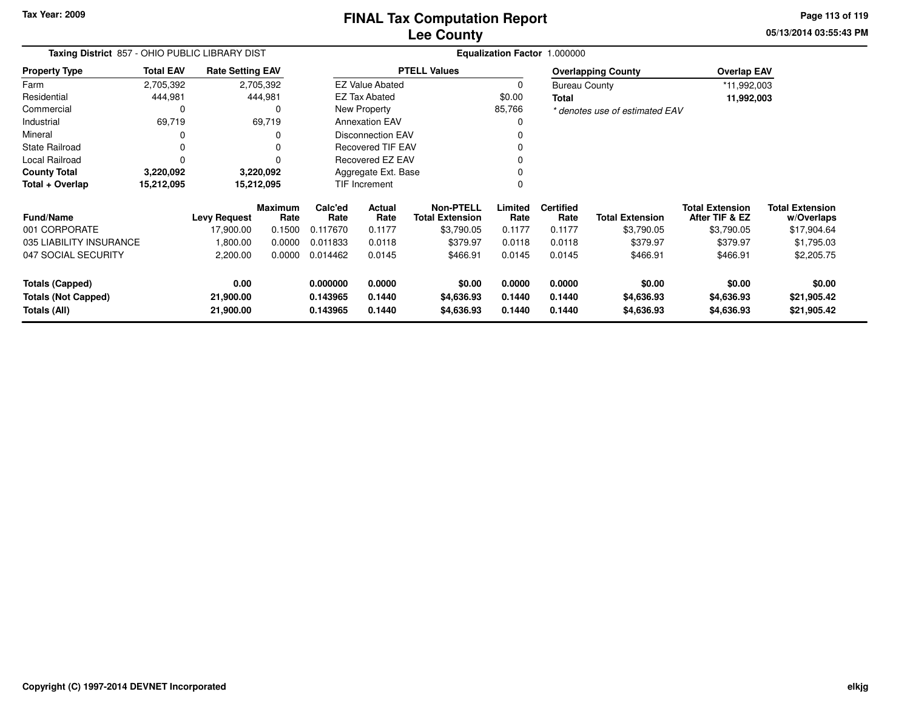**Tax Year: 2009**

# **Lee CountyFINAL Tax Computation Report**

**05/13/2014 03:55:43 PM Page 113 of 119**

| <b>Taxing District 857 - OHIO PUBLIC LIBRARY DIST</b><br><b>Total EAV</b><br><b>Rate Setting EAV</b> |            |                     |                        |                      |                          |                                     |                  | Equalization Factor 1.000000 |                                |                                          |                                      |
|------------------------------------------------------------------------------------------------------|------------|---------------------|------------------------|----------------------|--------------------------|-------------------------------------|------------------|------------------------------|--------------------------------|------------------------------------------|--------------------------------------|
| <b>Property Type</b>                                                                                 |            |                     |                        |                      |                          | <b>PTELL Values</b>                 |                  |                              | <b>Overlapping County</b>      | <b>Overlap EAV</b>                       |                                      |
| Farm                                                                                                 | 2,705,392  |                     | 2,705,392              |                      | <b>EZ Value Abated</b>   |                                     | $\Omega$         | <b>Bureau County</b>         |                                | *11,992,003                              |                                      |
| Residential                                                                                          | 444,981    |                     | 444,981                |                      | <b>EZ Tax Abated</b>     |                                     | \$0.00           | Total                        |                                | 11,992,003                               |                                      |
| Commercial                                                                                           | 0          |                     | 0                      |                      | New Property             |                                     | 85,766           |                              | * denotes use of estimated EAV |                                          |                                      |
| Industrial                                                                                           | 69,719     |                     | 69,719                 |                      | <b>Annexation EAV</b>    |                                     | $\Omega$         |                              |                                |                                          |                                      |
| Mineral                                                                                              | 0          |                     |                        |                      | <b>Disconnection EAV</b> |                                     | ŋ                |                              |                                |                                          |                                      |
| <b>State Railroad</b>                                                                                | 0          |                     |                        |                      | <b>Recovered TIF EAV</b> |                                     |                  |                              |                                |                                          |                                      |
| Local Railroad                                                                                       | $\Omega$   |                     |                        |                      | Recovered EZ EAV         |                                     | 0                |                              |                                |                                          |                                      |
| <b>County Total</b>                                                                                  | 3,220,092  |                     | 3,220,092              |                      | Aggregate Ext. Base      |                                     | 0                |                              |                                |                                          |                                      |
| Total + Overlap                                                                                      | 15,212,095 |                     | 15,212,095             |                      | TIF Increment            |                                     | $\Omega$         |                              |                                |                                          |                                      |
| <b>Fund/Name</b>                                                                                     |            | <b>Levy Request</b> | <b>Maximum</b><br>Rate | Calc'ed<br>Rate      | Actual<br>Rate           | Non-PTELL<br><b>Total Extension</b> | Limited<br>Rate  | <b>Certified</b><br>Rate     | <b>Total Extension</b>         | <b>Total Extension</b><br>After TIF & EZ | <b>Total Extension</b><br>w/Overlaps |
| 001 CORPORATE                                                                                        |            | 17,900.00           | 0.1500                 | 0.117670             | 0.1177                   | \$3,790.05                          | 0.1177           | 0.1177                       | \$3,790.05                     | \$3,790.05                               | \$17,904.64                          |
| 035 LIABILITY INSURANCE                                                                              |            | 1,800.00            | 0.0000                 | 0.011833             | 0.0118                   | \$379.97                            | 0.0118           | 0.0118                       | \$379.97                       | \$379.97                                 | \$1,795.03                           |
| 047 SOCIAL SECURITY                                                                                  |            | 2,200.00            | 0.0000                 | 0.014462             | 0.0145                   | \$466.91                            | 0.0145           | 0.0145                       | \$466.91                       | \$466.91                                 | \$2,205.75                           |
| <b>Totals (Capped)</b><br><b>Totals (Not Capped)</b>                                                 |            | 0.00<br>21,900.00   |                        | 0.000000<br>0.143965 | 0.0000<br>0.1440         | \$0.00<br>\$4,636.93                | 0.0000<br>0.1440 | 0.0000<br>0.1440             | \$0.00<br>\$4,636.93           | \$0.00<br>\$4,636.93                     | \$0.00<br>\$21,905.42                |
| Totals (All)                                                                                         |            | 21,900.00           |                        | 0.143965             | 0.1440                   | \$4,636.93                          | 0.1440           | 0.1440                       | \$4,636.93                     | \$4,636.93                               | \$21,905.42                          |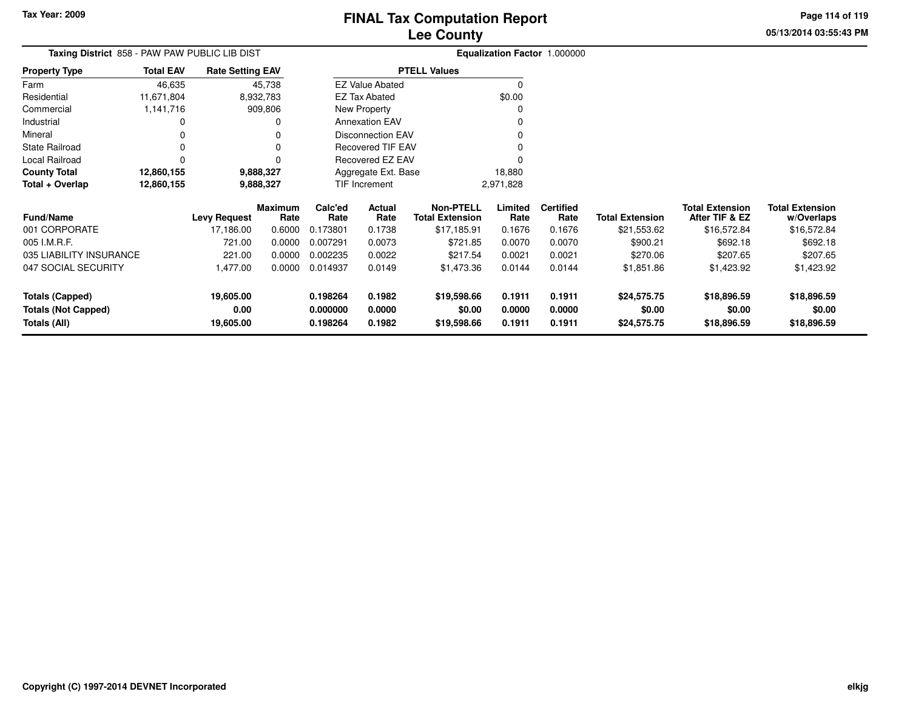**Totals (All)**

## **Lee CountyFINAL Tax Computation Report**

**0.198264 0.1982 \$19,598.66 0.1911 0.1911 \$24,575.75 \$18,896.59 \$18,896.59**

**05/13/2014 03:55:43 PMPage 114 of 119**

| Taxing District 858 - PAW PAW PUBLIC LIB DIST |                         |                         |                 |                               |                          |                                            |                 | Equalization Factor 1.000000 |                        |                                          |                                      |
|-----------------------------------------------|-------------------------|-------------------------|-----------------|-------------------------------|--------------------------|--------------------------------------------|-----------------|------------------------------|------------------------|------------------------------------------|--------------------------------------|
| Property Type                                 | <b>Total EAV</b>        | <b>Rate Setting EAV</b> |                 |                               |                          | <b>PTELL Values</b>                        |                 |                              |                        |                                          |                                      |
| Farm                                          | 46,635                  |                         | 45,738          |                               | <b>EZ Value Abated</b>   |                                            | O               |                              |                        |                                          |                                      |
| Residential                                   | 11,671,804              |                         | 8,932,783       |                               | <b>EZ Tax Abated</b>     |                                            | \$0.00          |                              |                        |                                          |                                      |
| Commercial                                    | 1,141,716               |                         | 909,806         |                               | New Property             |                                            |                 |                              |                        |                                          |                                      |
| Industrial                                    | 0                       |                         |                 |                               | <b>Annexation EAV</b>    |                                            |                 |                              |                        |                                          |                                      |
| Mineral                                       | 0                       |                         |                 |                               | <b>Disconnection EAV</b> |                                            |                 |                              |                        |                                          |                                      |
| State Railroad                                |                         |                         |                 |                               | <b>Recovered TIF EAV</b> |                                            |                 |                              |                        |                                          |                                      |
| Local Railroad                                | 0                       |                         |                 |                               | Recovered EZ EAV         |                                            |                 |                              |                        |                                          |                                      |
| County Total                                  | 12,860,155<br>9,888,327 |                         |                 | Aggregate Ext. Base<br>18,880 |                          |                                            |                 |                              |                        |                                          |                                      |
| Total + Overlap                               | 12,860,155              |                         | 9,888,327       |                               | TIF Increment            |                                            | 2,971,828       |                              |                        |                                          |                                      |
| Fund/Name                                     |                         | <b>Levy Request</b>     | Maximum<br>Rate | Calc'ed<br>Rate               | Actual<br>Rate           | <b>Non-PTELL</b><br><b>Total Extension</b> | Limited<br>Rate | <b>Certified</b><br>Rate     | <b>Total Extension</b> | <b>Total Extension</b><br>After TIF & EZ | <b>Total Extension</b><br>w/Overlaps |
| 001 CORPORATE                                 |                         | 17,186.00               | 0.6000          | 0.173801                      | 0.1738                   | \$17,185.91                                | 0.1676          | 0.1676                       | \$21,553.62            | \$16,572.84                              | \$16,572.84                          |
| 005 I.M.R.F.                                  |                         | 721.00                  | 0.0000          | 0.007291                      | 0.0073                   | \$721.85                                   | 0.0070          | 0.0070                       | \$900.21               | \$692.18                                 | \$692.18                             |
| 035 LIABILITY INSURANCE                       |                         | 221.00                  | 0.0000          | 0.002235                      | 0.0022                   | \$217.54                                   | 0.0021          | 0.0021                       | \$270.06               | \$207.65                                 | \$207.65                             |
| 047 SOCIAL SECURITY                           |                         | 1,477.00                | 0.0000          | 0.014937                      | 0.0149                   | \$1,473.36                                 | 0.0144          | 0.0144                       | \$1,851.86             | \$1,423.92                               | \$1,423.92                           |
| <b>Totals (Capped)</b>                        |                         | 19,605.00               |                 | 0.198264                      | 0.1982                   | \$19,598.66                                | 0.1911          | 0.1911                       | \$24,575.75            | \$18,896.59                              | \$18,896.59                          |
| 0.00<br><b>Totals (Not Capped)</b>            |                         | 0.000000                | 0.0000          | \$0.00                        | 0.0000                   | 0.0000                                     | \$0.00          | \$0.00                       | \$0.00                 |                                          |                                      |

**19,605.00**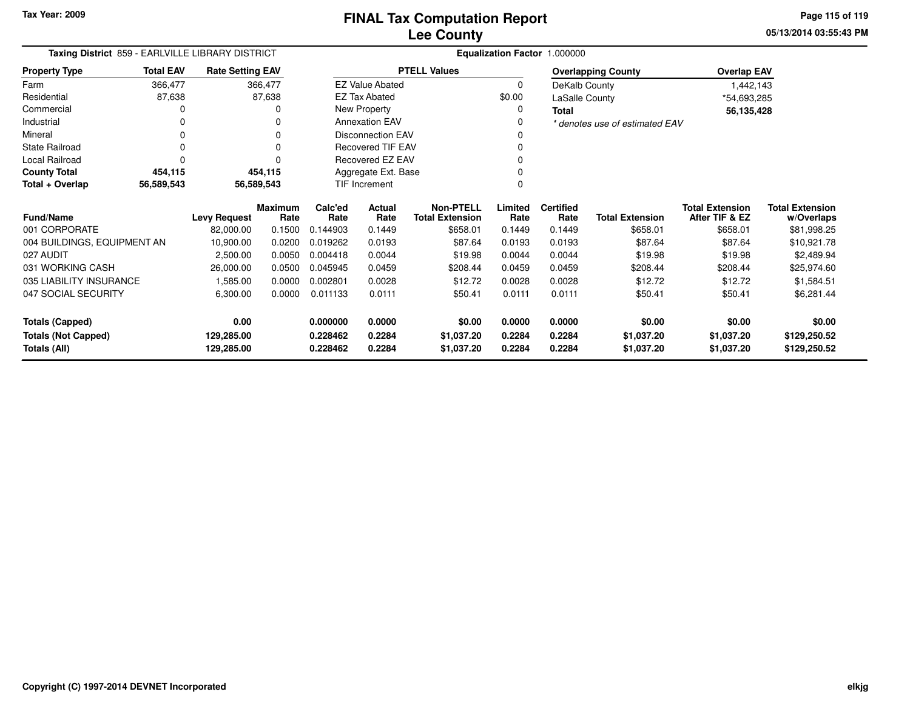**05/13/2014 03:55:43 PMPage 115 of 119**

| Taxing District 859 - EARLVILLE LIBRARY DISTRICT |                  |                         |                        |                 | Equalization Factor 1.000000 |                                            |                 |                          |                                |                                          |                                      |
|--------------------------------------------------|------------------|-------------------------|------------------------|-----------------|------------------------------|--------------------------------------------|-----------------|--------------------------|--------------------------------|------------------------------------------|--------------------------------------|
| <b>Property Type</b>                             | <b>Total EAV</b> | <b>Rate Setting EAV</b> |                        |                 |                              | <b>PTELL Values</b>                        |                 |                          | <b>Overlapping County</b>      | <b>Overlap EAV</b>                       |                                      |
| Farm                                             | 366,477          |                         | 366,477                |                 | <b>EZ Value Abated</b>       |                                            | $\mathbf 0$     | DeKalb County            |                                | 1,442,143                                |                                      |
| Residential                                      | 87,638           |                         | 87,638                 |                 | <b>EZ Tax Abated</b>         |                                            | \$0.00          | LaSalle County           |                                | *54,693,285                              |                                      |
| Commercial                                       |                  |                         |                        |                 | New Property                 |                                            | $\Omega$        | <b>Total</b>             |                                | 56,135,428                               |                                      |
| Industrial                                       |                  |                         |                        |                 | <b>Annexation EAV</b>        |                                            | 0               |                          | * denotes use of estimated EAV |                                          |                                      |
| Mineral                                          |                  |                         |                        |                 | <b>Disconnection EAV</b>     |                                            |                 |                          |                                |                                          |                                      |
| <b>State Railroad</b>                            |                  |                         |                        |                 | <b>Recovered TIF EAV</b>     |                                            |                 |                          |                                |                                          |                                      |
| Local Railroad                                   |                  |                         |                        |                 | Recovered EZ EAV             |                                            |                 |                          |                                |                                          |                                      |
| <b>County Total</b>                              | 454,115          |                         | 454,115                |                 | Aggregate Ext. Base          |                                            |                 |                          |                                |                                          |                                      |
| Total + Overlap                                  | 56,589,543       | 56,589,543              |                        |                 | <b>TIF Increment</b>         |                                            |                 |                          |                                |                                          |                                      |
| <b>Fund/Name</b>                                 |                  | <b>Levy Request</b>     | <b>Maximum</b><br>Rate | Calc'ed<br>Rate | Actual<br>Rate               | <b>Non-PTELL</b><br><b>Total Extension</b> | Limited<br>Rate | <b>Certified</b><br>Rate | <b>Total Extension</b>         | <b>Total Extension</b><br>After TIF & EZ | <b>Total Extension</b><br>w/Overlaps |
| 001 CORPORATE                                    |                  | 82,000.00               | 0.1500                 | 0.144903        | 0.1449                       | \$658.01                                   | 0.1449          | 0.1449                   | \$658.01                       | \$658.01                                 | \$81,998.25                          |
| 004 BUILDINGS, EQUIPMENT AN                      |                  | 10,900.00               | 0.0200                 | 0.019262        | 0.0193                       | \$87.64                                    | 0.0193          | 0.0193                   | \$87.64                        | \$87.64                                  | \$10,921.78                          |
| 027 AUDIT                                        |                  | 2,500.00                | 0.0050                 | 0.004418        | 0.0044                       | \$19.98                                    | 0.0044          | 0.0044                   | \$19.98                        | \$19.98                                  | \$2,489.94                           |
| 031 WORKING CASH                                 |                  | 26,000.00               | 0.0500                 | 0.045945        | 0.0459                       | \$208.44                                   | 0.0459          | 0.0459                   | \$208.44                       | \$208.44                                 | \$25,974.60                          |
| 035 LIABILITY INSURANCE                          |                  | 1,585.00                | 0.0000                 | 0.002801        | 0.0028                       | \$12.72                                    | 0.0028          | 0.0028                   | \$12.72                        | \$12.72                                  | \$1,584.51                           |
| 047 SOCIAL SECURITY                              |                  | 6,300.00                | 0.0000                 | 0.011133        | 0.0111                       | \$50.41                                    | 0.0111          | 0.0111                   | \$50.41                        | \$50.41                                  | \$6,281.44                           |
| <b>Totals (Capped)</b>                           |                  | 0.00                    |                        | 0.000000        | 0.0000                       | \$0.00                                     | 0.0000          | 0.0000                   | \$0.00                         | \$0.00                                   | \$0.00                               |
| <b>Totals (Not Capped)</b>                       |                  | 129,285.00              |                        | 0.228462        | 0.2284                       | \$1,037.20                                 | 0.2284          | 0.2284                   | \$1,037.20                     | \$1,037.20                               | \$129,250.52                         |
| Totals (All)                                     |                  | 129,285.00              |                        | 0.228462        | 0.2284                       | \$1,037.20                                 | 0.2284          | 0.2284                   | \$1,037.20                     | \$1,037.20                               | \$129,250.52                         |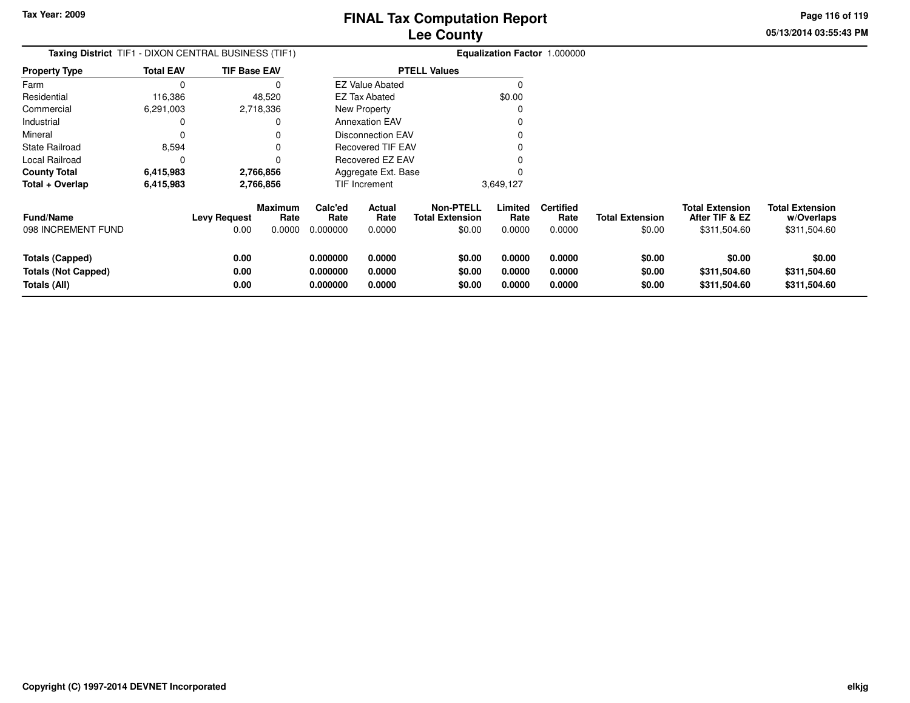**05/13/2014 03:55:43 PMPage 116 of 119**

| <b>Taxing District</b> TIF1 - DIXON CENTRAL BUSINESS (TIF1)   |                  |                             |                                  |                                  |                                 |                                                      |                            | <b>Equalization Factor 1.000000</b> |                                  |                                                          |                                                      |
|---------------------------------------------------------------|------------------|-----------------------------|----------------------------------|----------------------------------|---------------------------------|------------------------------------------------------|----------------------------|-------------------------------------|----------------------------------|----------------------------------------------------------|------------------------------------------------------|
| <b>Property Type</b>                                          | <b>Total EAV</b> | <b>TIF Base EAV</b>         |                                  |                                  |                                 | <b>PTELL Values</b>                                  |                            |                                     |                                  |                                                          |                                                      |
| Farm                                                          | $\Omega$         |                             | O                                |                                  | <b>EZ Value Abated</b>          |                                                      | $\Omega$                   |                                     |                                  |                                                          |                                                      |
| Residential                                                   | 116,386          |                             | 48,520                           |                                  | EZ Tax Abated                   |                                                      | \$0.00                     |                                     |                                  |                                                          |                                                      |
| Commercial                                                    | 6,291,003        |                             | 2,718,336                        |                                  | New Property                    |                                                      | $\Omega$                   |                                     |                                  |                                                          |                                                      |
| Industrial                                                    | 0                |                             | 0                                |                                  | <b>Annexation EAV</b>           |                                                      |                            |                                     |                                  |                                                          |                                                      |
| Mineral                                                       | 0                |                             | 0                                |                                  | <b>Disconnection EAV</b>        |                                                      |                            |                                     |                                  |                                                          |                                                      |
| <b>State Railroad</b>                                         | 8,594            |                             | 0                                |                                  | <b>Recovered TIF EAV</b>        |                                                      |                            |                                     |                                  |                                                          |                                                      |
| Local Railroad                                                | 0                |                             | 0                                |                                  | Recovered EZ EAV                |                                                      |                            |                                     |                                  |                                                          |                                                      |
| <b>County Total</b>                                           | 6,415,983        |                             | 2,766,856                        |                                  | Aggregate Ext. Base             |                                                      |                            |                                     |                                  |                                                          |                                                      |
| Total + Overlap                                               | 6,415,983        |                             | 2,766,856                        |                                  | TIF Increment                   |                                                      | 3,649,127                  |                                     |                                  |                                                          |                                                      |
| <b>Fund/Name</b><br>098 INCREMENT FUND                        |                  | <b>Levy Request</b><br>0.00 | <b>Maximum</b><br>Rate<br>0.0000 | Calc'ed<br>Rate<br>0.000000      | <b>Actual</b><br>Rate<br>0.0000 | <b>Non-PTELL</b><br><b>Total Extension</b><br>\$0.00 | Limited<br>Rate<br>0.0000  | <b>Certified</b><br>Rate<br>0.0000  | <b>Total Extension</b><br>\$0.00 | <b>Total Extension</b><br>After TIF & EZ<br>\$311,504.60 | <b>Total Extension</b><br>w/Overlaps<br>\$311,504.60 |
| Totals (Capped)<br><b>Totals (Not Capped)</b><br>Totals (All) |                  | 0.00<br>0.00<br>0.00        |                                  | 0.000000<br>0.000000<br>0.000000 | 0.0000<br>0.0000<br>0.0000      | \$0.00<br>\$0.00<br>\$0.00                           | 0.0000<br>0.0000<br>0.0000 | 0.0000<br>0.0000<br>0.0000          | \$0.00<br>\$0.00<br>\$0.00       | \$0.00<br>\$311,504.60<br>\$311,504.60                   | \$0.00<br>\$311,504.60<br>\$311,504.60               |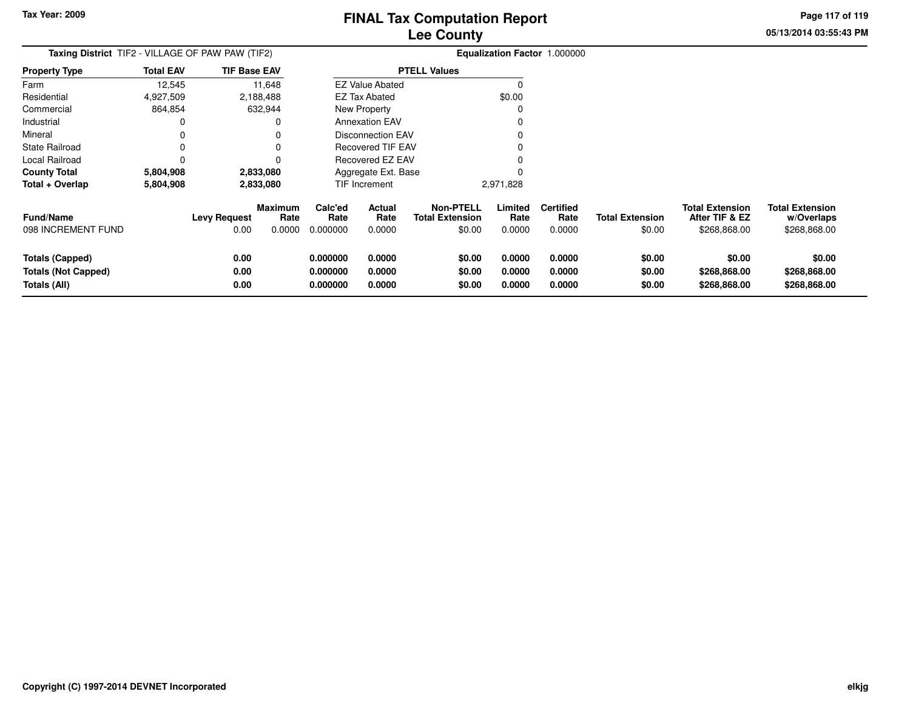**05/13/2014 03:55:43 PMPage 117 of 119**

| Taxing District TIF2 - VILLAGE OF PAW PAW (TIF2)                     |                  |                             |                                  | Equalization Factor 1.000000     |                            |                                                      |                            |                                    |                                  |                                                          |                                                      |
|----------------------------------------------------------------------|------------------|-----------------------------|----------------------------------|----------------------------------|----------------------------|------------------------------------------------------|----------------------------|------------------------------------|----------------------------------|----------------------------------------------------------|------------------------------------------------------|
| <b>Property Type</b>                                                 | <b>Total EAV</b> | <b>TIF Base EAV</b>         |                                  |                                  |                            | <b>PTELL Values</b>                                  |                            |                                    |                                  |                                                          |                                                      |
| Farm                                                                 | 12,545           |                             | 11,648                           |                                  | <b>EZ Value Abated</b>     |                                                      | 0                          |                                    |                                  |                                                          |                                                      |
| Residential                                                          | 4,927,509        |                             | 2,188,488                        |                                  | <b>EZ Tax Abated</b>       |                                                      | \$0.00                     |                                    |                                  |                                                          |                                                      |
| Commercial                                                           | 864,854          |                             | 632,944                          |                                  | New Property               |                                                      | 0                          |                                    |                                  |                                                          |                                                      |
| Industrial                                                           | 0                |                             | 0                                |                                  | <b>Annexation EAV</b>      |                                                      |                            |                                    |                                  |                                                          |                                                      |
| Mineral                                                              | 0                |                             | 0                                |                                  | <b>Disconnection EAV</b>   |                                                      |                            |                                    |                                  |                                                          |                                                      |
| <b>State Railroad</b>                                                | 0                |                             | 0                                |                                  | <b>Recovered TIF EAV</b>   |                                                      |                            |                                    |                                  |                                                          |                                                      |
| Local Railroad                                                       | 0                |                             | 0                                |                                  | <b>Recovered EZ EAV</b>    |                                                      |                            |                                    |                                  |                                                          |                                                      |
| <b>County Total</b>                                                  | 5,804,908        |                             | 2,833,080                        |                                  | Aggregate Ext. Base        |                                                      |                            |                                    |                                  |                                                          |                                                      |
| Total + Overlap                                                      | 5,804,908        |                             | 2,833,080                        |                                  | TIF Increment              |                                                      | 2,971,828                  |                                    |                                  |                                                          |                                                      |
| <b>Fund/Name</b><br>098 INCREMENT FUND                               |                  | <b>Levy Request</b><br>0.00 | <b>Maximum</b><br>Rate<br>0.0000 | Calc'ed<br>Rate<br>0.000000      | Actual<br>Rate<br>0.0000   | <b>Non-PTELL</b><br><b>Total Extension</b><br>\$0.00 | Limited<br>Rate<br>0.0000  | <b>Certified</b><br>Rate<br>0.0000 | <b>Total Extension</b><br>\$0.00 | <b>Total Extension</b><br>After TIF & EZ<br>\$268,868.00 | <b>Total Extension</b><br>w/Overlaps<br>\$268,868.00 |
| <b>Totals (Capped)</b><br><b>Totals (Not Capped)</b><br>Totals (All) |                  | 0.00<br>0.00<br>0.00        |                                  | 0.000000<br>0.000000<br>0.000000 | 0.0000<br>0.0000<br>0.0000 | \$0.00<br>\$0.00<br>\$0.00                           | 0.0000<br>0.0000<br>0.0000 | 0.0000<br>0.0000<br>0.0000         | \$0.00<br>\$0.00<br>\$0.00       | \$0.00<br>\$268,868.00<br>\$268,868.00                   | \$0.00<br>\$268,868.00<br>\$268,868.00               |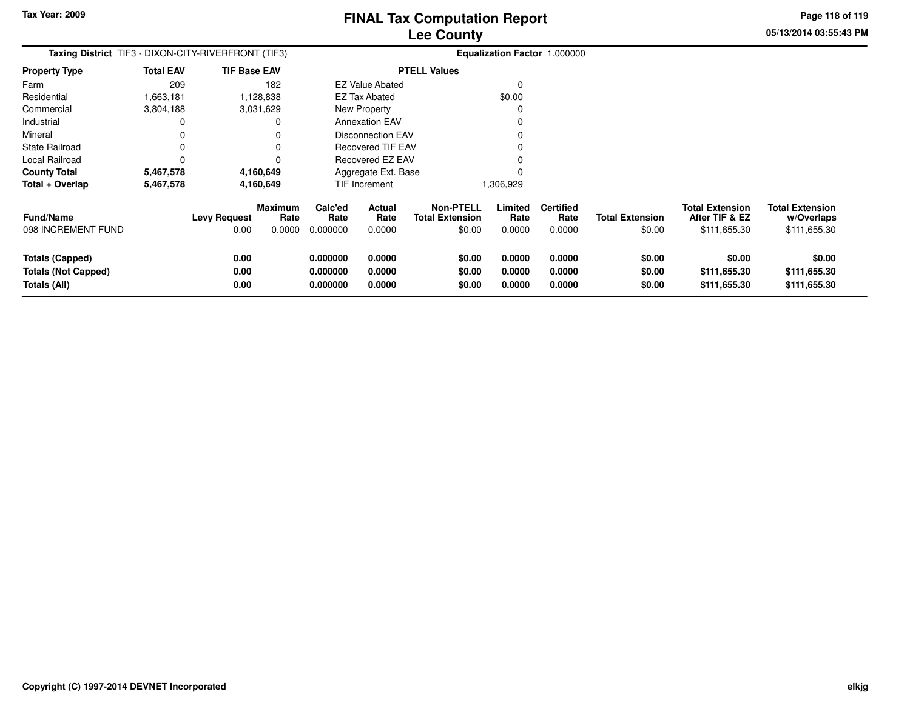**Totals (Capped)**

**Totals (All)**

**Totals (Not Capped)**

# **Lee CountyFINAL Tax Computation Report**

**0.000000 0.0000 \$0.00 0.0000 0.0000 \$0.00 \$0.00 \$0.00**

**0.000000 0.0000 \$0.00 0.0000 0.0000 \$0.00 \$111,655.30 \$111,655.30**

**0.000000 0.0000 \$0.00 0.0000 0.0000 \$0.00 \$111,655.30 \$111,655.30**

**05/13/2014 03:55:43 PMPage 118 of 119**

| Taxing District TIF3 - DIXON-CITY-RIVERFRONT (TIF3) |                  |                             |                                  | Equalization Factor 1.000000 |                          |                                               |                           |                                    |                                  |                                                          |                                                      |
|-----------------------------------------------------|------------------|-----------------------------|----------------------------------|------------------------------|--------------------------|-----------------------------------------------|---------------------------|------------------------------------|----------------------------------|----------------------------------------------------------|------------------------------------------------------|
| <b>Property Type</b>                                | <b>Total EAV</b> | <b>TIF Base EAV</b>         |                                  |                              |                          | <b>PTELL Values</b>                           |                           |                                    |                                  |                                                          |                                                      |
| Farm                                                | 209              |                             | 182                              |                              | <b>EZ Value Abated</b>   |                                               |                           |                                    |                                  |                                                          |                                                      |
| Residential                                         | 1,663,181        |                             | 1,128,838                        |                              | EZ Tax Abated            |                                               | \$0.00                    |                                    |                                  |                                                          |                                                      |
| Commercial                                          | 3,804,188        |                             | 3,031,629                        |                              | New Property             |                                               |                           |                                    |                                  |                                                          |                                                      |
| Industrial                                          |                  |                             | 0                                |                              | <b>Annexation EAV</b>    |                                               |                           |                                    |                                  |                                                          |                                                      |
| Mineral                                             |                  |                             | 0                                |                              | Disconnection EAV        |                                               |                           |                                    |                                  |                                                          |                                                      |
| State Railroad                                      |                  |                             | $\Omega$                         |                              | <b>Recovered TIF EAV</b> |                                               |                           |                                    |                                  |                                                          |                                                      |
| Local Railroad                                      |                  |                             | $\Omega$                         |                              | Recovered EZ EAV         |                                               |                           |                                    |                                  |                                                          |                                                      |
| <b>County Total</b>                                 | 5,467,578        |                             | 4,160,649                        |                              | Aggregate Ext. Base      |                                               |                           |                                    |                                  |                                                          |                                                      |
| Total + Overlap                                     | 5,467,578        |                             | 4,160,649                        |                              | <b>TIF Increment</b>     |                                               | 1,306,929                 |                                    |                                  |                                                          |                                                      |
| <b>Fund/Name</b><br>098 INCREMENT FUND              |                  | <b>Levy Request</b><br>0.00 | <b>Maximum</b><br>Rate<br>0.0000 | Calc'ed<br>Rate<br>0.000000  | Actual<br>Rate<br>0.0000 | Non-PTELL<br><b>Total Extension</b><br>\$0.00 | Limited<br>Rate<br>0.0000 | <b>Certified</b><br>Rate<br>0.0000 | <b>Total Extension</b><br>\$0.00 | <b>Total Extension</b><br>After TIF & EZ<br>\$111,655.30 | <b>Total Extension</b><br>w/Overlaps<br>\$111,655.30 |

**0.00**

**0.00**

**0.00**